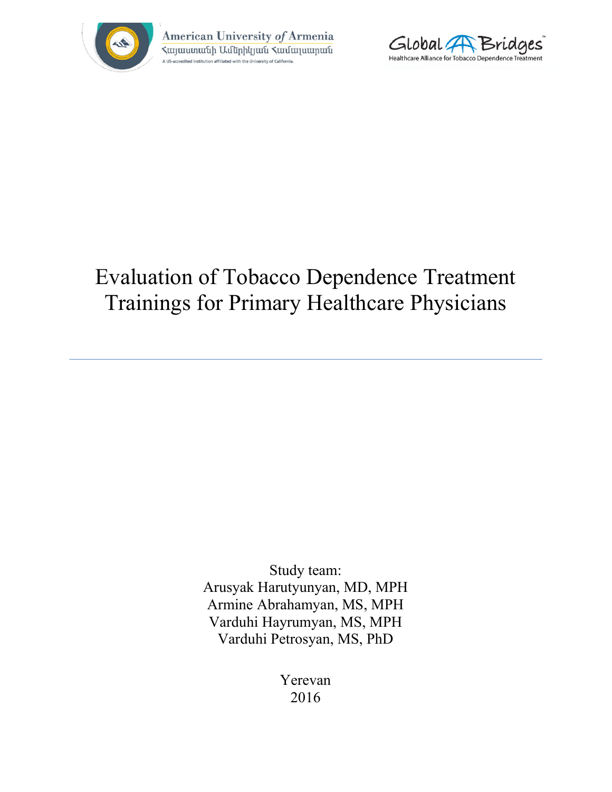

American University of Armenia **Հայաստանի Ամերիկյան Համալսարան** dited institution affiliated with the University of California



# Evaluation of Tobacco Dependence Treatment Trainings for Primary Healthcare Physicians

Study team: Arusyak Harutyunyan, MD, MPH Armine Abrahamyan, MS, MPH Varduhi Hayrumyan, MS, MPH Varduhi Petrosyan, MS, PhD

> Yerevan 2016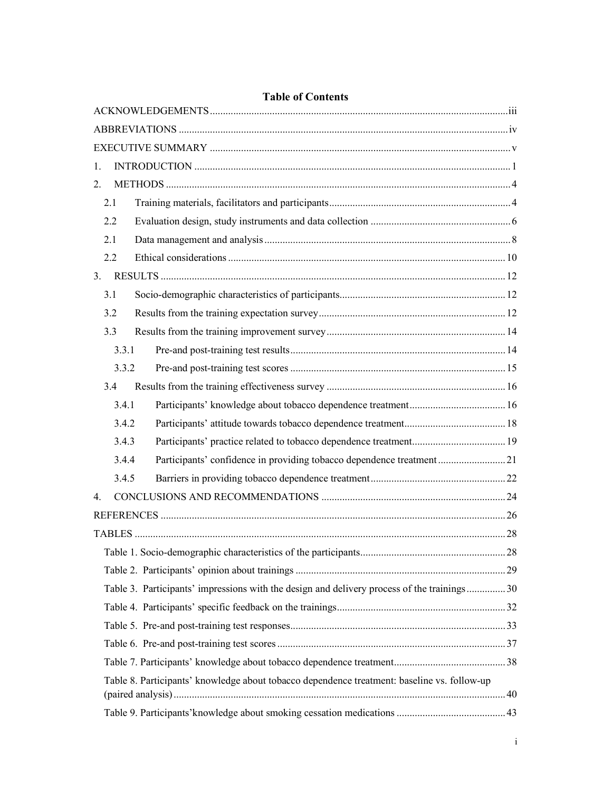| <b>Table of Contents</b>                                                                    |  |
|---------------------------------------------------------------------------------------------|--|
|                                                                                             |  |
|                                                                                             |  |
|                                                                                             |  |
| 1.                                                                                          |  |
| 2 <sub>1</sub>                                                                              |  |
| 2.1                                                                                         |  |
| 2.2                                                                                         |  |
| 2.1                                                                                         |  |
| 2.2                                                                                         |  |
| 3 <sub>1</sub>                                                                              |  |
| 3.1                                                                                         |  |
| 3.2                                                                                         |  |
| 3.3                                                                                         |  |
| 3.3.1                                                                                       |  |
| 3.3.2                                                                                       |  |
| 3.4                                                                                         |  |
| 3.4.1                                                                                       |  |
| 3.4.2                                                                                       |  |
| 3.4.3                                                                                       |  |
| Participants' confidence in providing tobacco dependence treatment21<br>3.4.4               |  |
| 3.4.5                                                                                       |  |
| 4                                                                                           |  |
|                                                                                             |  |
|                                                                                             |  |
|                                                                                             |  |
|                                                                                             |  |
| Table 3. Participants' impressions with the design and delivery process of the trainings30  |  |
|                                                                                             |  |
|                                                                                             |  |
|                                                                                             |  |
|                                                                                             |  |
| Table 8. Participants' knowledge about tobacco dependence treatment: baseline vs. follow-up |  |
|                                                                                             |  |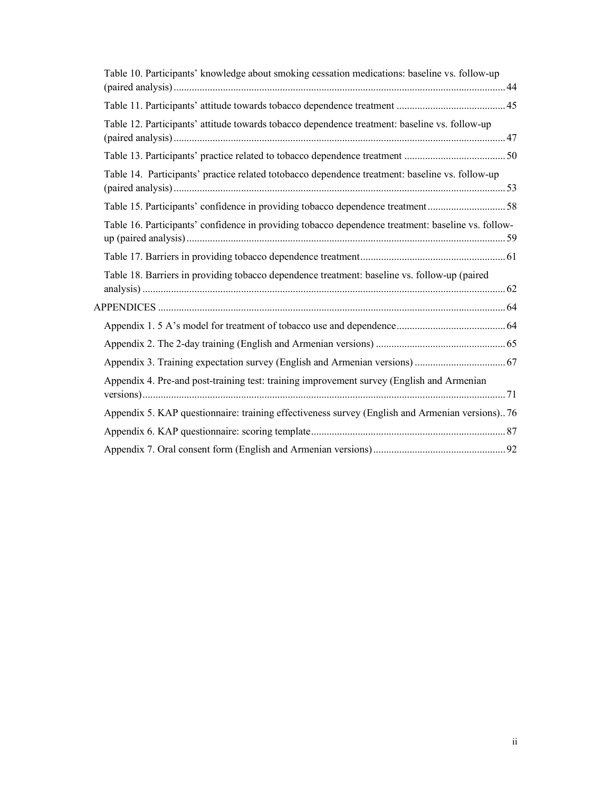| Table 10. Participants' knowledge about smoking cessation medications: baseline vs. follow-up      |  |
|----------------------------------------------------------------------------------------------------|--|
|                                                                                                    |  |
|                                                                                                    |  |
| Table 12. Participants' attitude towards tobacco dependence treatment: baseline vs. follow-up      |  |
|                                                                                                    |  |
| Table 14. Participants' practice related totobacco dependence treatment: baseline vs. follow-up    |  |
| Table 15. Participants' confidence in providing tobacco dependence treatment58                     |  |
| Table 16. Participants' confidence in providing tobacco dependence treatment: baseline vs. follow- |  |
|                                                                                                    |  |
| Table 18. Barriers in providing tobacco dependence treatment: baseline vs. follow-up (paired       |  |
|                                                                                                    |  |
|                                                                                                    |  |
|                                                                                                    |  |
|                                                                                                    |  |
| Appendix 4. Pre-and post-training test: training improvement survey (English and Armenian          |  |
| Appendix 5. KAP questionnaire: training effectiveness survey (English and Armenian versions)76     |  |
|                                                                                                    |  |
|                                                                                                    |  |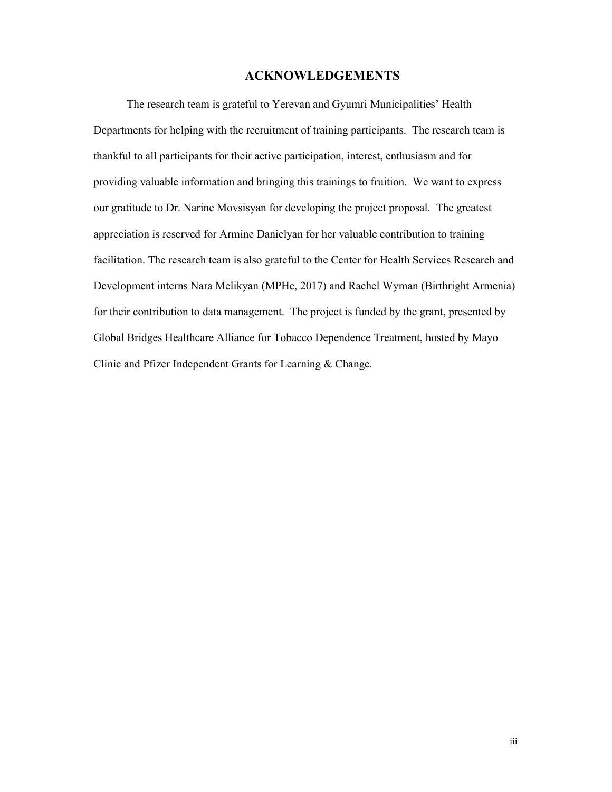# ACKNOWLEDGEMENTS

The research team is grateful to Yerevan and Gyumri Municipalities' Health Departments for helping with the recruitment of training participants. The research team is thankful to all participants for their active participation, interest, enthusiasm and for providing valuable information and bringing this trainings to fruition. We want to express our gratitude to Dr. Narine Movsisyan for developing the project proposal. The greatest appreciation is reserved for Armine Danielyan for her valuable contribution to training facilitation. The research team is also grateful to the Center for Health Services Research and Development interns Nara Melikyan (MPHc, 2017) and Rachel Wyman (Birthright Armenia) for their contribution to data management. The project is funded by the grant, presented by Global Bridges Healthcare Alliance for Tobacco Dependence Treatment, hosted by Mayo Clinic and Pfizer Independent Grants for Learning & Change.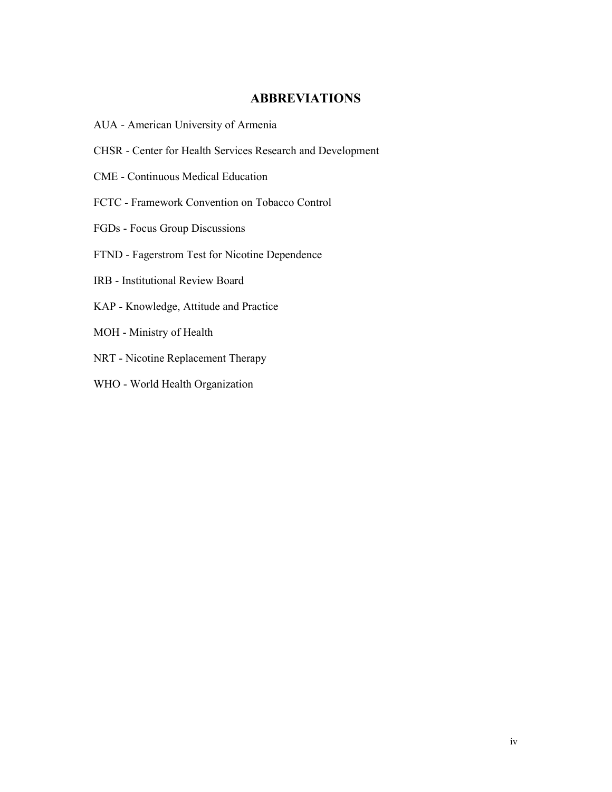# ABBREVIATIONS

- AUA American University of Armenia
- CHSR Center for Health Services Research and Development
- CME Continuous Medical Education
- FCTC Framework Convention on Tobacco Control
- FGDs Focus Group Discussions
- FTND Fagerstrom Test for Nicotine Dependence
- IRB Institutional Review Board
- KAP Knowledge, Attitude and Practice
- MOH Ministry of Health
- NRT Nicotine Replacement Therapy
- WHO World Health Organization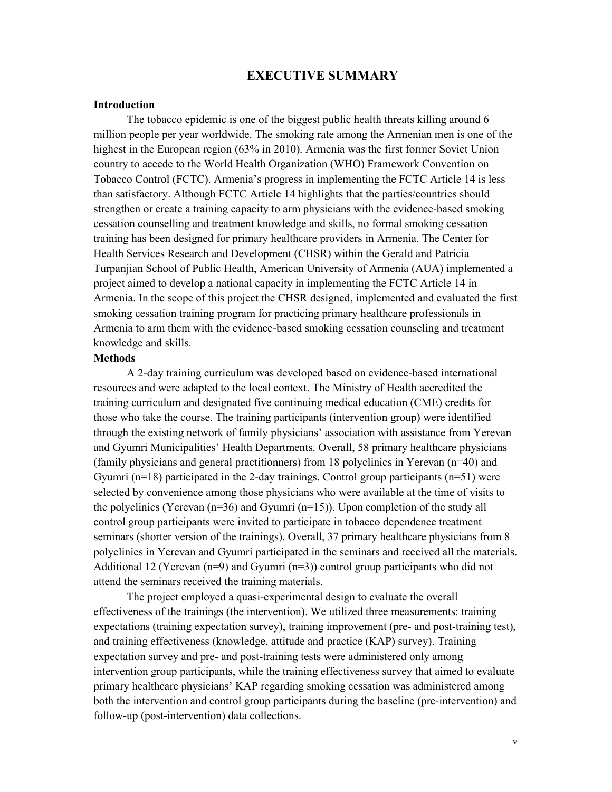# EXECUTIVE SUMMARY

#### Introduction

The tobacco epidemic is one of the biggest public health threats killing around 6 million people per year worldwide. The smoking rate among the Armenian men is one of the highest in the European region (63% in 2010). Armenia was the first former Soviet Union country to accede to the World Health Organization (WHO) Framework Convention on Tobacco Control (FCTC). Armenia's progress in implementing the FCTC Article 14 is less than satisfactory. Although FCTC Article 14 highlights that the parties/countries should strengthen or create a training capacity to arm physicians with the evidence-based smoking cessation counselling and treatment knowledge and skills, no formal smoking cessation training has been designed for primary healthcare providers in Armenia. The Center for Health Services Research and Development (CHSR) within the Gerald and Patricia Turpanjian School of Public Health, American University of Armenia (AUA) implemented a project aimed to develop a national capacity in implementing the FCTC Article 14 in Armenia. In the scope of this project the CHSR designed, implemented and evaluated the first smoking cessation training program for practicing primary healthcare professionals in Armenia to arm them with the evidence-based smoking cessation counseling and treatment knowledge and skills.

#### Methods

A 2-day training curriculum was developed based on evidence-based international resources and were adapted to the local context. The Ministry of Health accredited the training curriculum and designated five continuing medical education (CME) credits for those who take the course. The training participants (intervention group) were identified through the existing network of family physicians' association with assistance from Yerevan and Gyumri Municipalities' Health Departments. Overall, 58 primary healthcare physicians (family physicians and general practitionners) from 18 polyclinics in Yerevan (n=40) and Gyumri  $(n=18)$  participated in the 2-day trainings. Control group participants  $(n=51)$  were selected by convenience among those physicians who were available at the time of visits to the polyclinics (Yerevan  $(n=36)$  and Gyumri  $(n=15)$ ). Upon completion of the study all control group participants were invited to participate in tobacco dependence treatment seminars (shorter version of the trainings). Overall, 37 primary healthcare physicians from 8 polyclinics in Yerevan and Gyumri participated in the seminars and received all the materials. Additional 12 (Yerevan  $(n=9)$  and Gyumri  $(n=3)$ ) control group participants who did not attend the seminars received the training materials.

The project employed a quasi-experimental design to evaluate the overall effectiveness of the trainings (the intervention). We utilized three measurements: training expectations (training expectation survey), training improvement (pre- and post-training test), and training effectiveness (knowledge, attitude and practice (KAP) survey). Training expectation survey and pre- and post-training tests were administered only among intervention group participants, while the training effectiveness survey that aimed to evaluate primary healthcare physicians' KAP regarding smoking cessation was administered among both the intervention and control group participants during the baseline (pre-intervention) and follow-up (post-intervention) data collections.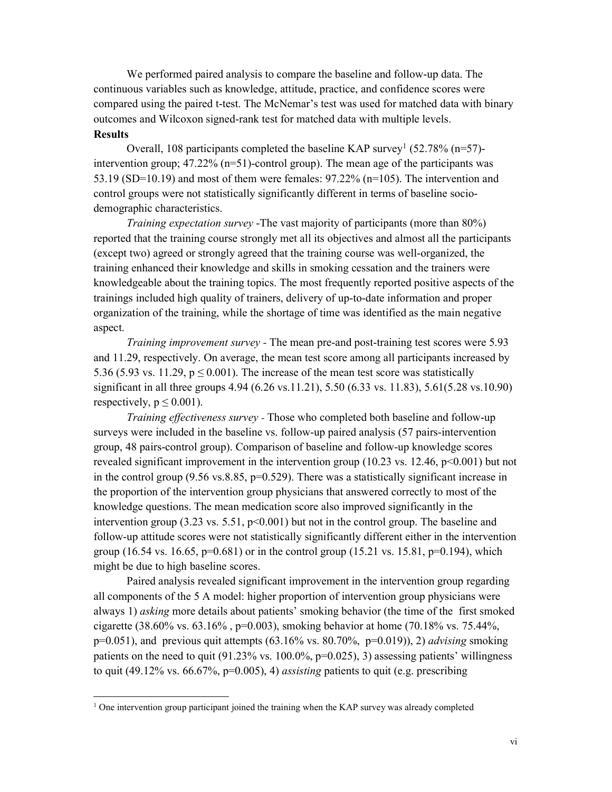We performed paired analysis to compare the baseline and follow-up data. The continuous variables such as knowledge, attitude, practice, and confidence scores were compared using the paired t-test. The McNemar's test was used for matched data with binary outcomes and Wilcoxon signed-rank test for matched data with multiple levels. **Results** 

Overall, 108 participants completed the baseline KAP survey<sup>1</sup> (52.78% (n=57)intervention group;  $47.22\%$  (n=51)-control group). The mean age of the participants was 53.19 (SD=10.19) and most of them were females:  $97.22\%$  (n=105). The intervention and control groups were not statistically significantly different in terms of baseline sociodemographic characteristics.

*Training expectation survey* -The vast majority of participants (more than 80%) reported that the training course strongly met all its objectives and almost all the participants (except two) agreed or strongly agreed that the training course was well-organized, the training enhanced their knowledge and skills in smoking cessation and the trainers were knowledgeable about the training topics. The most frequently reported positive aspects of the trainings included high quality of trainers, delivery of up-to-date information and proper organization of the training, while the shortage of time was identified as the main negative aspect.

*Training improvement survey -* The mean pre-and post-training test scores were 5.93 and 11.29, respectively. On average, the mean test score among all participants increased by 5.36 (5.93 vs. 11.29,  $p \le 0.001$ ). The increase of the mean test score was statistically significant in all three groups 4.94 (6.26 vs.11.21), 5.50 (6.33 vs. 11.83), 5.61(5.28 vs.10.90) respectively,  $p \le 0.001$ ).

*Training effectiveness survey -* Those who completed both baseline and follow-up surveys were included in the baseline vs. follow-up paired analysis (57 pairs-intervention group, 48 pairs-control group). Comparison of baseline and follow-up knowledge scores revealed significant improvement in the intervention group (10.23 vs. 12.46, p<0.001) but not in the control group (9.56 vs. 8.85,  $p=0.529$ ). There was a statistically significant increase in the proportion of the intervention group physicians that answered correctly to most of the knowledge questions. The mean medication score also improved significantly in the intervention group  $(3.23 \text{ vs. } 5.51, \text{ p} < 0.001)$  but not in the control group. The baseline and follow-up attitude scores were not statistically significantly different either in the intervention group (16.54 vs. 16.65,  $p=0.681$ ) or in the control group (15.21 vs. 15.81,  $p=0.194$ ), which might be due to high baseline scores.

Paired analysis revealed significant improvement in the intervention group regarding all components of the 5 A model: higher proportion of intervention group physicians were always 1) *asking* more details about patients' smoking behavior (the time of the first smoked cigarette (38.60% vs. 63.16% , p=0.003), smoking behavior at home (70.18% vs. 75.44%, p=0.051), and previous quit attempts (63.16% vs. 80.70%, p=0.019)), 2) *advising* smoking patients on the need to quit  $(91.23\% \text{ vs. } 100.0\%, \text{ p=0.025}),$  3) assessing patients' willingness to quit (49.12% vs. 66.67%, p=0.005), 4) *assisting* patients to quit (e.g. prescribing

<sup>&</sup>lt;sup>1</sup> One intervention group participant joined the training when the KAP survey was already completed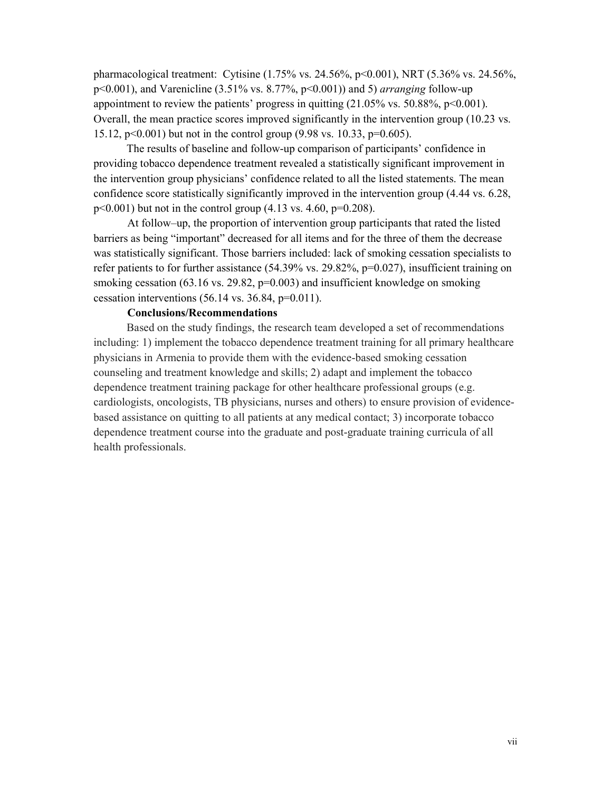pharmacological treatment: Cytisine (1.75% vs. 24.56%, p<0.001), NRT (5.36% vs. 24.56%, p<0.001), and Varenicline (3.51% vs. 8.77%, p<0.001)) and 5) *arranging* follow-up appointment to review the patients' progress in quitting  $(21.05\% \text{ vs. } 50.88\%, \text{ p} < 0.001)$ . Overall, the mean practice scores improved significantly in the intervention group (10.23 vs. 15.12, p<0.001) but not in the control group (9.98 vs. 10.33, p=0.605).

The results of baseline and follow-up comparison of participants' confidence in providing tobacco dependence treatment revealed a statistically significant improvement in the intervention group physicians' confidence related to all the listed statements. The mean confidence score statistically significantly improved in the intervention group (4.44 vs. 6.28,  $p<0.001$ ) but not in the control group (4.13 vs. 4.60,  $p=0.208$ ).

At follow–up, the proportion of intervention group participants that rated the listed barriers as being "important" decreased for all items and for the three of them the decrease was statistically significant. Those barriers included: lack of smoking cessation specialists to refer patients to for further assistance  $(54.39\% \text{ vs. } 29.82\% \text{, } p=0.027)$ , insufficient training on smoking cessation (63.16 vs. 29.82, p=0.003) and insufficient knowledge on smoking cessation interventions  $(56.14 \text{ vs. } 36.84, \text{ p=0.011}).$ 

## Conclusions/Recommendations

Based on the study findings, the research team developed a set of recommendations including: 1) implement the tobacco dependence treatment training for all primary healthcare physicians in Armenia to provide them with the evidence-based smoking cessation counseling and treatment knowledge and skills; 2) adapt and implement the tobacco dependence treatment training package for other healthcare professional groups (e.g. cardiologists, oncologists, TB physicians, nurses and others) to ensure provision of evidencebased assistance on quitting to all patients at any medical contact; 3) incorporate tobacco dependence treatment course into the graduate and post-graduate training curricula of all health professionals.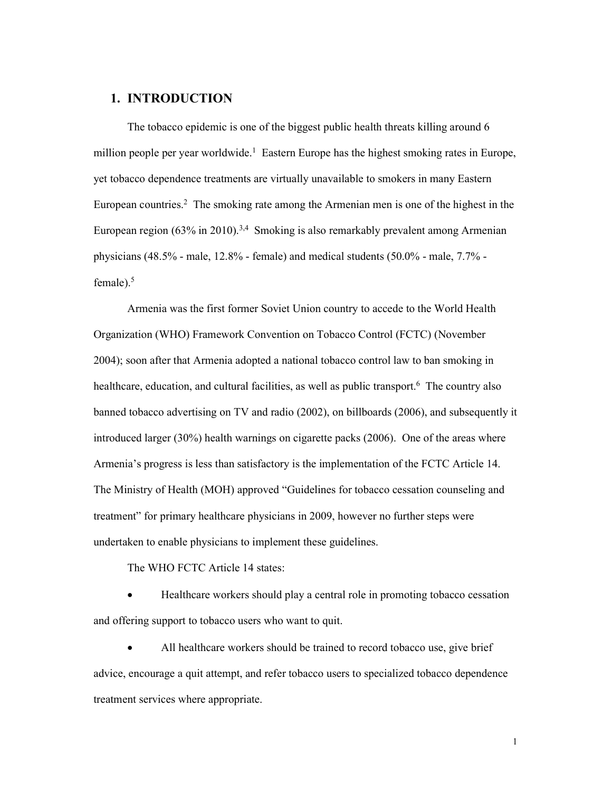# 1. INTRODUCTION

The tobacco epidemic is one of the biggest public health threats killing around 6 million people per year worldwide.<sup>1</sup> Eastern Europe has the highest smoking rates in Europe, yet tobacco dependence treatments are virtually unavailable to smokers in many Eastern European countries.<sup>2</sup> The smoking rate among the Armenian men is one of the highest in the European region  $(63\%$  in 2010).<sup>3,4</sup> Smoking is also remarkably prevalent among Armenian physicians (48.5% - male, 12.8% - female) and medical students (50.0% - male, 7.7% female). $5$ 

Armenia was the first former Soviet Union country to accede to the World Health Organization (WHO) Framework Convention on Tobacco Control (FCTC) (November 2004); soon after that Armenia adopted a national tobacco control law to ban smoking in healthcare, education, and cultural facilities, as well as public transport.<sup>6</sup> The country also banned tobacco advertising on TV and radio (2002), on billboards (2006), and subsequently it introduced larger (30%) health warnings on cigarette packs (2006). One of the areas where Armenia's progress is less than satisfactory is the implementation of the FCTC Article 14. The Ministry of Health (MOH) approved "Guidelines for tobacco cessation counseling and treatment" for primary healthcare physicians in 2009, however no further steps were undertaken to enable physicians to implement these guidelines.

The WHO FCTC Article 14 states:

 Healthcare workers should play a central role in promoting tobacco cessation and offering support to tobacco users who want to quit.

 All healthcare workers should be trained to record tobacco use, give brief advice, encourage a quit attempt, and refer tobacco users to specialized tobacco dependence treatment services where appropriate.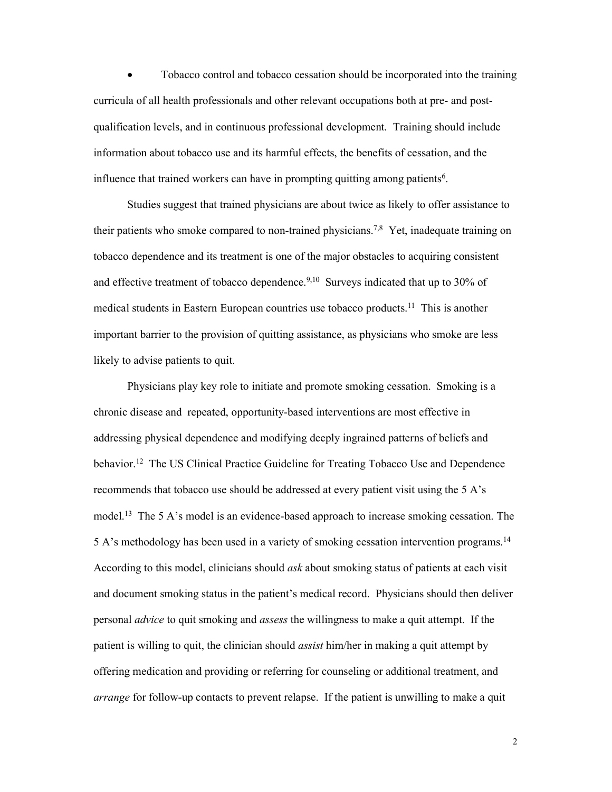Tobacco control and tobacco cessation should be incorporated into the training curricula of all health professionals and other relevant occupations both at pre- and postqualification levels, and in continuous professional development. Training should include information about tobacco use and its harmful effects, the benefits of cessation, and the influence that trained workers can have in prompting quitting among patients<sup>6</sup>.

Studies suggest that trained physicians are about twice as likely to offer assistance to their patients who smoke compared to non-trained physicians.<sup>7,8</sup> Yet, inadequate training on tobacco dependence and its treatment is one of the major obstacles to acquiring consistent and effective treatment of tobacco dependence.<sup>9,10</sup> Surveys indicated that up to 30% of medical students in Eastern European countries use tobacco products.<sup>11</sup> This is another important barrier to the provision of quitting assistance, as physicians who smoke are less likely to advise patients to quit.

Physicians play key role to initiate and promote smoking cessation. Smoking is a chronic disease and repeated, opportunity-based interventions are most effective in addressing physical dependence and modifying deeply ingrained patterns of beliefs and behavior.<sup>12</sup> The US Clinical Practice Guideline for Treating Tobacco Use and Dependence recommends that tobacco use should be addressed at every patient visit using the 5 A's model.<sup>13</sup> The 5 A's model is an evidence-based approach to increase smoking cessation. The 5 A's methodology has been used in a variety of smoking cessation intervention programs.14 According to this model, clinicians should *ask* about smoking status of patients at each visit and document smoking status in the patient's medical record. Physicians should then deliver personal *advice* to quit smoking and *assess* the willingness to make a quit attempt. If the patient is willing to quit, the clinician should *assist* him/her in making a quit attempt by offering medication and providing or referring for counseling or additional treatment, and *arrange* for follow-up contacts to prevent relapse. If the patient is unwilling to make a quit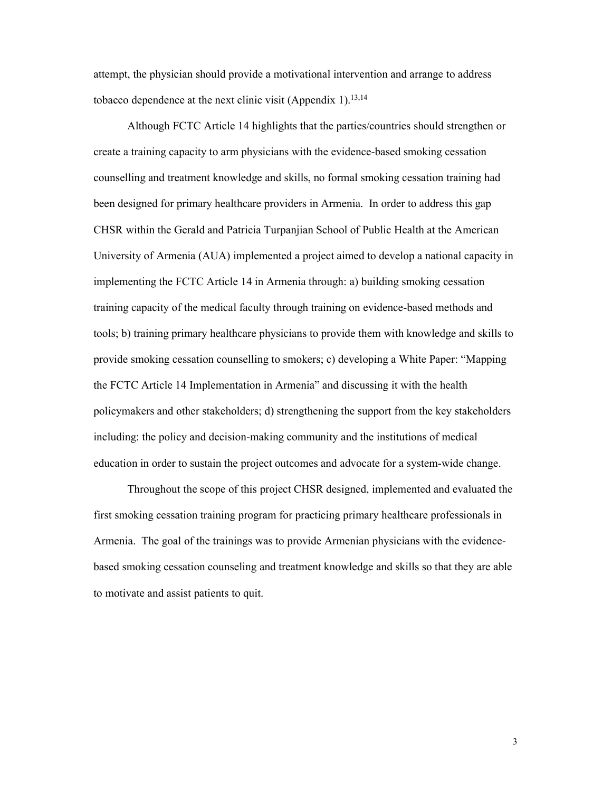attempt, the physician should provide a motivational intervention and arrange to address tobacco dependence at the next clinic visit (Appendix 1).<sup>13,14</sup>

Although FCTC Article 14 highlights that the parties/countries should strengthen or create a training capacity to arm physicians with the evidence-based smoking cessation counselling and treatment knowledge and skills, no formal smoking cessation training had been designed for primary healthcare providers in Armenia. In order to address this gap CHSR within the Gerald and Patricia Turpanjian School of Public Health at the American University of Armenia (AUA) implemented a project aimed to develop a national capacity in implementing the FCTC Article 14 in Armenia through: a) building smoking cessation training capacity of the medical faculty through training on evidence-based methods and tools; b) training primary healthcare physicians to provide them with knowledge and skills to provide smoking cessation counselling to smokers; c) developing a White Paper: "Mapping the FCTC Article 14 Implementation in Armenia" and discussing it with the health policymakers and other stakeholders; d) strengthening the support from the key stakeholders including: the policy and decision-making community and the institutions of medical education in order to sustain the project outcomes and advocate for a system-wide change.

Throughout the scope of this project CHSR designed, implemented and evaluated the first smoking cessation training program for practicing primary healthcare professionals in Armenia. The goal of the trainings was to provide Armenian physicians with the evidencebased smoking cessation counseling and treatment knowledge and skills so that they are able to motivate and assist patients to quit.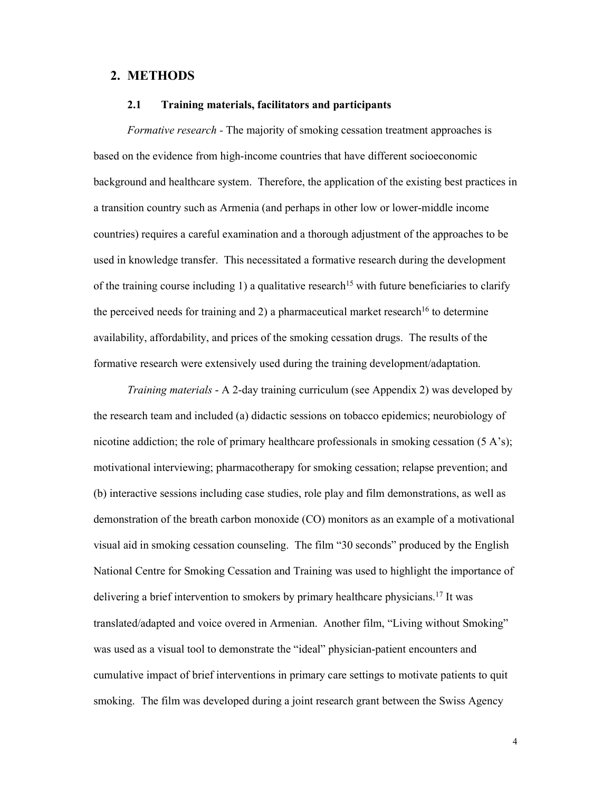## 2. METHODS

#### 2.1 Training materials, facilitators and participants

*Formative research -* The majority of smoking cessation treatment approaches is based on the evidence from high-income countries that have different socioeconomic background and healthcare system. Therefore, the application of the existing best practices in a transition country such as Armenia (and perhaps in other low or lower-middle income countries) requires a careful examination and a thorough adjustment of the approaches to be used in knowledge transfer. This necessitated a formative research during the development of the training course including 1) a qualitative research<sup>15</sup> with future beneficiaries to clarify the perceived needs for training and 2) a pharmaceutical market research<sup>16</sup> to determine availability, affordability, and prices of the smoking cessation drugs. The results of the formative research were extensively used during the training development/adaptation.

*Training materials* - A 2-day training curriculum (see Appendix 2) was developed by the research team and included (a) didactic sessions on tobacco epidemics; neurobiology of nicotine addiction; the role of primary healthcare professionals in smoking cessation  $(5 \text{ A's})$ ; motivational interviewing; pharmacotherapy for smoking cessation; relapse prevention; and (b) interactive sessions including case studies, role play and film demonstrations, as well as demonstration of the breath carbon monoxide (CO) monitors as an example of a motivational visual aid in smoking cessation counseling. The film "30 seconds" produced by the English National Centre for Smoking Cessation and Training was used to highlight the importance of delivering a brief intervention to smokers by primary healthcare physicians.<sup>17</sup> It was translated/adapted and voice overed in Armenian. Another film, "Living without Smoking" was used as a visual tool to demonstrate the "ideal" physician-patient encounters and cumulative impact of brief interventions in primary care settings to motivate patients to quit smoking. The film was developed during a joint research grant between the Swiss Agency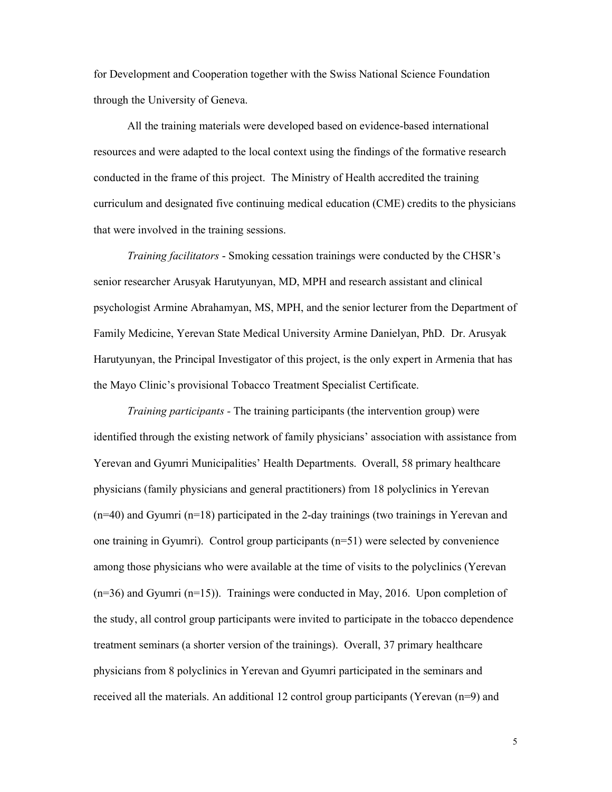for Development and Cooperation together with the Swiss National Science Foundation through the University of Geneva.

All the training materials were developed based on evidence-based international resources and were adapted to the local context using the findings of the formative research conducted in the frame of this project. The Ministry of Health accredited the training curriculum and designated five continuing medical education (CME) credits to the physicians that were involved in the training sessions.

*Training facilitators* - Smoking cessation trainings were conducted by the CHSR's senior researcher Arusyak Harutyunyan, MD, MPH and research assistant and clinical psychologist Armine Abrahamyan, MS, MPH, and the senior lecturer from the Department of Family Medicine, Yerevan State Medical University Armine Danielyan, PhD. Dr. Arusyak Harutyunyan, the Principal Investigator of this project, is the only expert in Armenia that has the Mayo Clinic's provisional Tobacco Treatment Specialist Certificate.

*Training participants -* The training participants (the intervention group) were identified through the existing network of family physicians' association with assistance from Yerevan and Gyumri Municipalities' Health Departments. Overall, 58 primary healthcare physicians (family physicians and general practitioners) from 18 polyclinics in Yerevan  $(n=40)$  and Gyumri  $(n=18)$  participated in the 2-day trainings (two trainings in Yerevan and one training in Gyumri). Control group participants  $(n=51)$  were selected by convenience among those physicians who were available at the time of visits to the polyclinics (Yerevan (n=36) and Gyumri (n=15)). Trainings were conducted in May, 2016. Upon completion of the study, all control group participants were invited to participate in the tobacco dependence treatment seminars (a shorter version of the trainings). Overall, 37 primary healthcare physicians from 8 polyclinics in Yerevan and Gyumri participated in the seminars and received all the materials. An additional 12 control group participants (Yerevan (n=9) and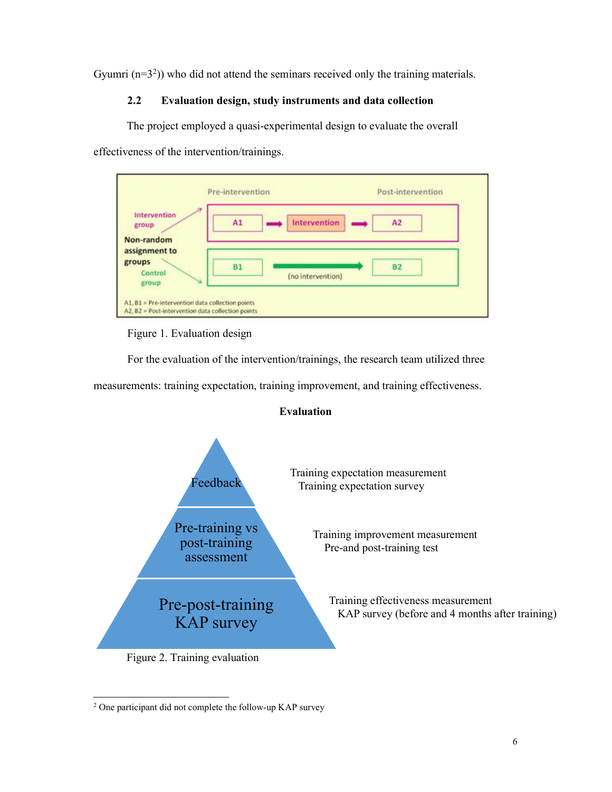Gyumri  $(n=3<sup>2</sup>)$ ) who did not attend the seminars received only the training materials.

# 2.2 Evaluation design, study instruments and data collection

The project employed a quasi-experimental design to evaluate the overall

effectiveness of the intervention/trainings.



Figure 1. Evaluation design

For the evaluation of the intervention/trainings, the research team utilized three

measurements: training expectation, training improvement, and training effectiveness.





 <sup>2</sup> One participant did not complete the follow-up KAP survey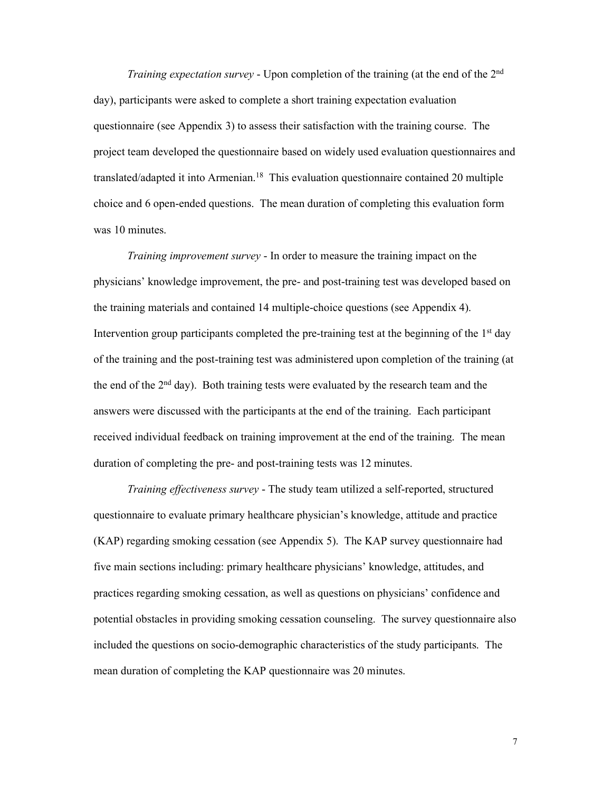*Training expectation survey* - Upon completion of the training (at the end of the 2nd day), participants were asked to complete a short training expectation evaluation questionnaire (see Appendix 3) to assess their satisfaction with the training course. The project team developed the questionnaire based on widely used evaluation questionnaires and translated/adapted it into Armenian.<sup>18</sup> This evaluation questionnaire contained 20 multiple choice and 6 open-ended questions. The mean duration of completing this evaluation form was 10 minutes.

*Training improvement survey* - In order to measure the training impact on the physicians' knowledge improvement, the pre- and post-training test was developed based on the training materials and contained 14 multiple-choice questions (see Appendix 4). Intervention group participants completed the pre-training test at the beginning of the  $1<sup>st</sup>$  day of the training and the post-training test was administered upon completion of the training (at the end of the  $2<sup>nd</sup>$  day). Both training tests were evaluated by the research team and the answers were discussed with the participants at the end of the training. Each participant received individual feedback on training improvement at the end of the training. The mean duration of completing the pre- and post-training tests was 12 minutes.

*Training effectiveness survey* - The study team utilized a self-reported, structured questionnaire to evaluate primary healthcare physician's knowledge, attitude and practice (KAP) regarding smoking cessation (see Appendix 5). The KAP survey questionnaire had five main sections including: primary healthcare physicians' knowledge, attitudes, and practices regarding smoking cessation, as well as questions on physicians' confidence and potential obstacles in providing smoking cessation counseling. The survey questionnaire also included the questions on socio-demographic characteristics of the study participants. The mean duration of completing the KAP questionnaire was 20 minutes.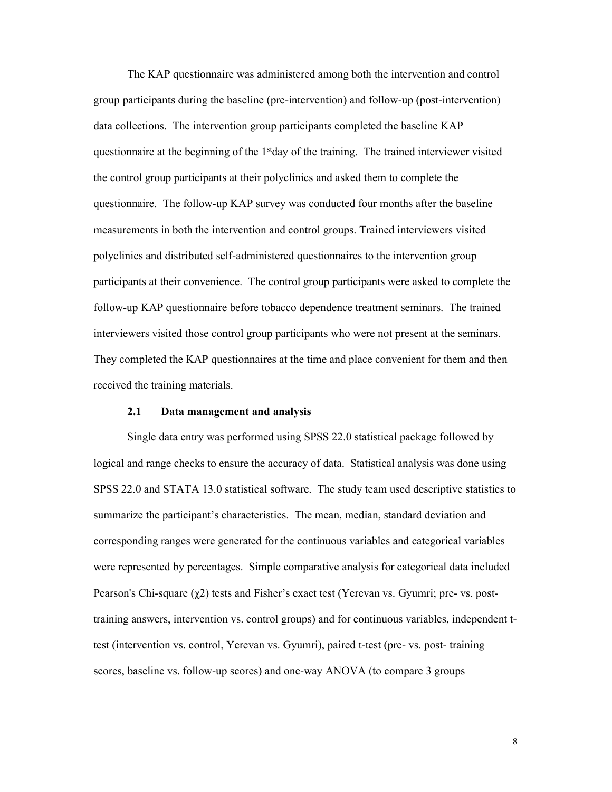The KAP questionnaire was administered among both the intervention and control group participants during the baseline (pre-intervention) and follow-up (post-intervention) data collections. The intervention group participants completed the baseline KAP questionnaire at the beginning of the  $1<sup>st</sup>$ day of the training. The trained interviewer visited the control group participants at their polyclinics and asked them to complete the questionnaire. The follow-up KAP survey was conducted four months after the baseline measurements in both the intervention and control groups. Trained interviewers visited polyclinics and distributed self-administered questionnaires to the intervention group participants at their convenience. The control group participants were asked to complete the follow-up KAP questionnaire before tobacco dependence treatment seminars. The trained interviewers visited those control group participants who were not present at the seminars. They completed the KAP questionnaires at the time and place convenient for them and then received the training materials.

#### 2.1 Data management and analysis

Single data entry was performed using SPSS 22.0 statistical package followed by logical and range checks to ensure the accuracy of data. Statistical analysis was done using SPSS 22.0 and STATA 13.0 statistical software. The study team used descriptive statistics to summarize the participant's characteristics. The mean, median, standard deviation and corresponding ranges were generated for the continuous variables and categorical variables were represented by percentages. Simple comparative analysis for categorical data included Pearson's Chi-square (χ2) tests and Fisher's exact test (Yerevan vs. Gyumri; pre- vs. posttraining answers, intervention vs. control groups) and for continuous variables, independent ttest (intervention vs. control, Yerevan vs. Gyumri), paired t-test (pre- vs. post- training scores, baseline vs. follow-up scores) and one-way ANOVA (to compare 3 groups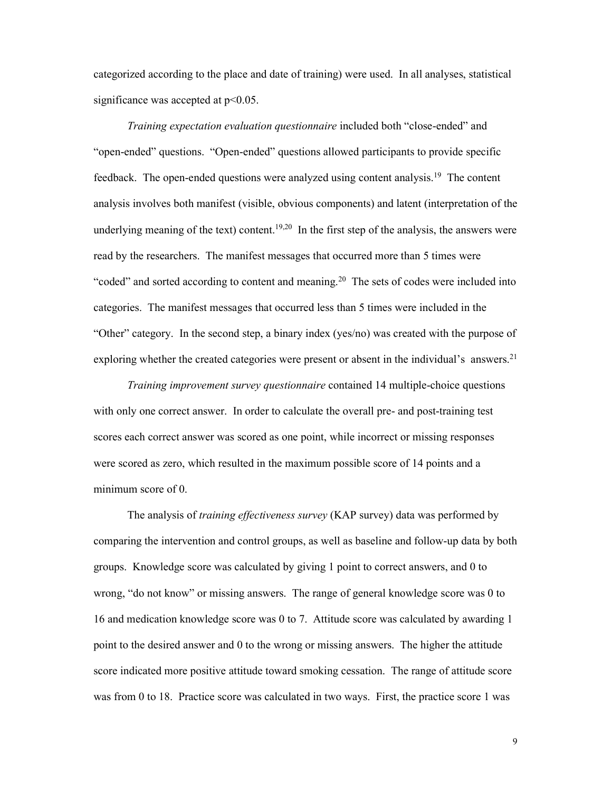categorized according to the place and date of training) were used. In all analyses, statistical significance was accepted at  $p<0.05$ .

*Training expectation evaluation questionnaire* included both "close-ended" and "open-ended" questions. "Open-ended" questions allowed participants to provide specific feedback. The open-ended questions were analyzed using content analysis.19 The content analysis involves both manifest (visible, obvious components) and latent (interpretation of the underlying meaning of the text) content.<sup>19,20</sup> In the first step of the analysis, the answers were read by the researchers. The manifest messages that occurred more than 5 times were "coded" and sorted according to content and meaning.<sup>20</sup> The sets of codes were included into categories. The manifest messages that occurred less than 5 times were included in the "Other" category. In the second step, a binary index (yes/no) was created with the purpose of exploring whether the created categories were present or absent in the individual's answers.<sup>21</sup>

*Training improvement survey questionnaire* contained 14 multiple-choice questions with only one correct answer. In order to calculate the overall pre- and post-training test scores each correct answer was scored as one point, while incorrect or missing responses were scored as zero, which resulted in the maximum possible score of 14 points and a minimum score of 0.

The analysis of *training effectiveness survey* (KAP survey) data was performed by comparing the intervention and control groups, as well as baseline and follow-up data by both groups. Knowledge score was calculated by giving 1 point to correct answers, and 0 to wrong, "do not know" or missing answers. The range of general knowledge score was 0 to 16 and medication knowledge score was 0 to 7. Attitude score was calculated by awarding 1 point to the desired answer and 0 to the wrong or missing answers. The higher the attitude score indicated more positive attitude toward smoking cessation. The range of attitude score was from 0 to 18. Practice score was calculated in two ways. First, the practice score 1 was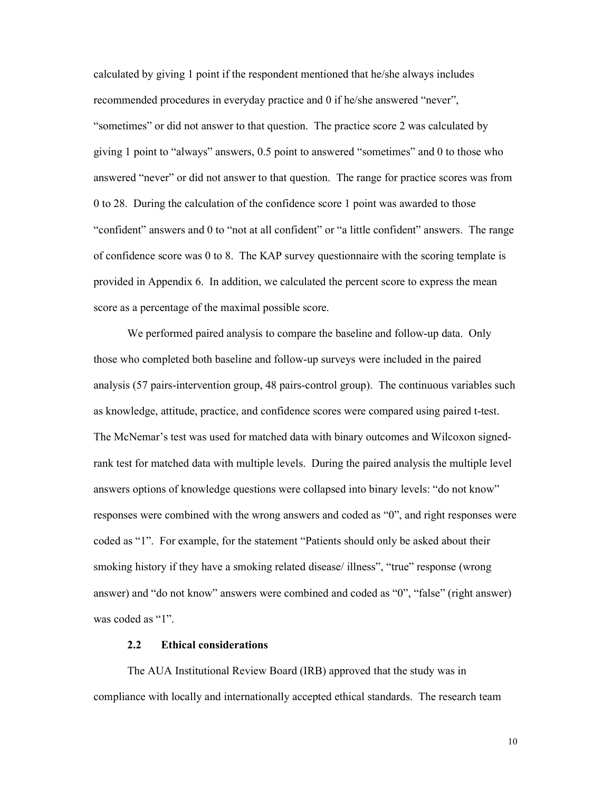calculated by giving 1 point if the respondent mentioned that he/she always includes recommended procedures in everyday practice and 0 if he/she answered "never", "sometimes" or did not answer to that question. The practice score 2 was calculated by giving 1 point to "always" answers, 0.5 point to answered "sometimes" and 0 to those who answered "never" or did not answer to that question. The range for practice scores was from 0 to 28. During the calculation of the confidence score 1 point was awarded to those "confident" answers and 0 to "not at all confident" or "a little confident" answers. The range of confidence score was 0 to 8. The KAP survey questionnaire with the scoring template is provided in Appendix 6. In addition, we calculated the percent score to express the mean score as a percentage of the maximal possible score.

We performed paired analysis to compare the baseline and follow-up data. Only those who completed both baseline and follow-up surveys were included in the paired analysis (57 pairs-intervention group, 48 pairs-control group). The continuous variables such as knowledge, attitude, practice, and confidence scores were compared using paired t-test. The McNemar's test was used for matched data with binary outcomes and Wilcoxon signedrank test for matched data with multiple levels. During the paired analysis the multiple level answers options of knowledge questions were collapsed into binary levels: "do not know" responses were combined with the wrong answers and coded as "0", and right responses were coded as "1". For example, for the statement "Patients should only be asked about their smoking history if they have a smoking related disease/ illness", "true" response (wrong answer) and "do not know" answers were combined and coded as "0", "false" (right answer) was coded as "1".

#### 2.2 Ethical considerations

The AUA Institutional Review Board (IRB) approved that the study was in compliance with locally and internationally accepted ethical standards. The research team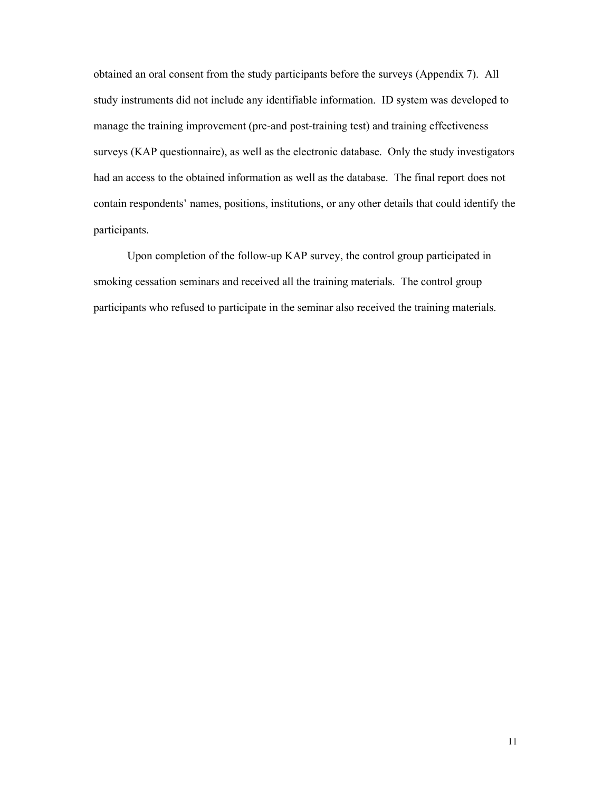obtained an oral consent from the study participants before the surveys (Appendix 7). All study instruments did not include any identifiable information. ID system was developed to manage the training improvement (pre-and post-training test) and training effectiveness surveys (KAP questionnaire), as well as the electronic database. Only the study investigators had an access to the obtained information as well as the database. The final report does not contain respondents' names, positions, institutions, or any other details that could identify the participants.

Upon completion of the follow-up KAP survey, the control group participated in smoking cessation seminars and received all the training materials. The control group participants who refused to participate in the seminar also received the training materials.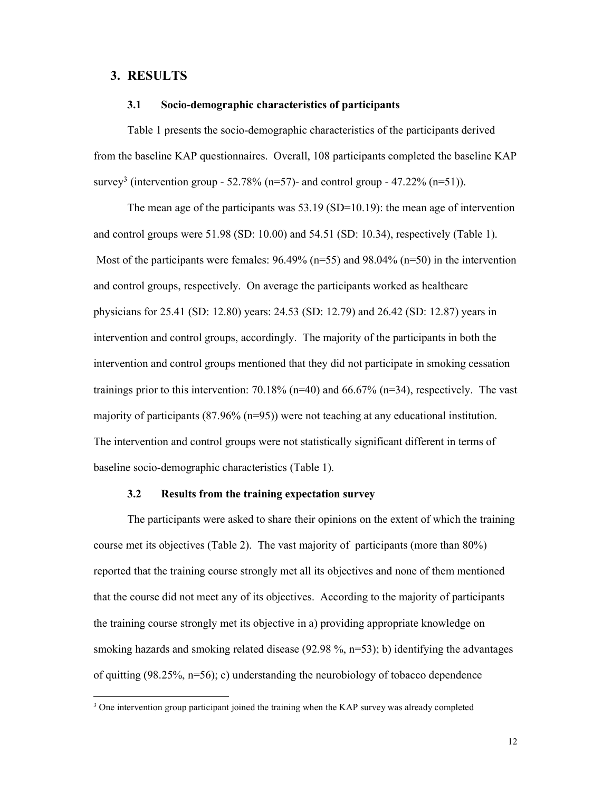# 3. RESULTS

#### 3.1 Socio-demographic characteristics of participants

Table 1 presents the socio-demographic characteristics of the participants derived from the baseline KAP questionnaires. Overall, 108 participants completed the baseline KAP survey<sup>3</sup> (intervention group - 52.78% (n=57)- and control group - 47.22% (n=51)).

The mean age of the participants was 53.19 (SD=10.19): the mean age of intervention and control groups were 51.98 (SD: 10.00) and 54.51 (SD: 10.34), respectively (Table 1). Most of the participants were females:  $96.49\%$  (n=55) and  $98.04\%$  (n=50) in the intervention and control groups, respectively. On average the participants worked as healthcare physicians for 25.41 (SD: 12.80) years: 24.53 (SD: 12.79) and 26.42 (SD: 12.87) years in intervention and control groups, accordingly. The majority of the participants in both the intervention and control groups mentioned that they did not participate in smoking cessation trainings prior to this intervention: 70.18% ( $n=40$ ) and 66.67% ( $n=34$ ), respectively. The vast majority of participants (87.96% (n=95)) were not teaching at any educational institution. The intervention and control groups were not statistically significant different in terms of baseline socio-demographic characteristics (Table 1).

#### 3.2 Results from the training expectation survey

The participants were asked to share their opinions on the extent of which the training course met its objectives (Table 2). The vast majority of participants (more than 80%) reported that the training course strongly met all its objectives and none of them mentioned that the course did not meet any of its objectives. According to the majority of participants the training course strongly met its objective in a) providing appropriate knowledge on smoking hazards and smoking related disease (92.98 %, n=53); b) identifying the advantages of quitting (98.25%, n=56); c) understanding the neurobiology of tobacco dependence

<sup>&</sup>lt;sup>3</sup> One intervention group participant joined the training when the KAP survey was already completed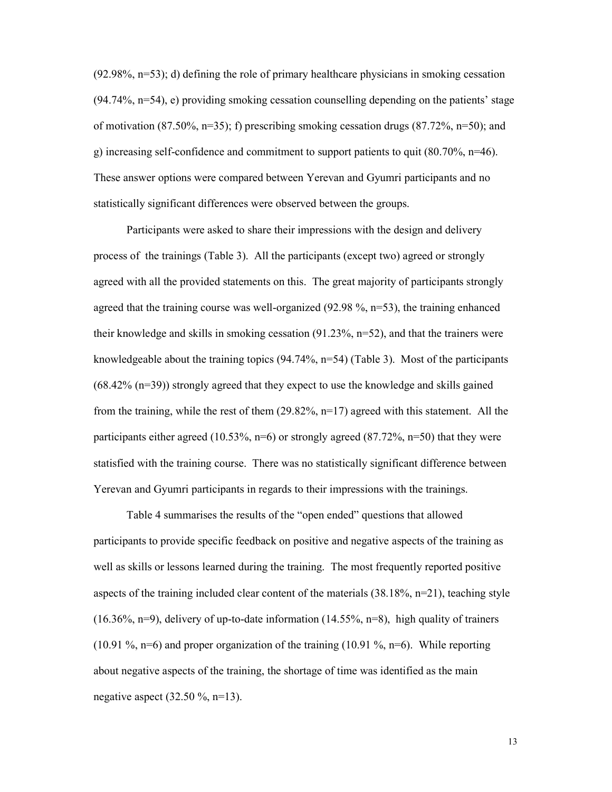(92.98%, n=53); d) defining the role of primary healthcare physicians in smoking cessation (94.74%, n=54), e) providing smoking cessation counselling depending on the patients' stage of motivation (87.50%, n=35); f) prescribing smoking cessation drugs (87.72%, n=50); and g) increasing self-confidence and commitment to support patients to quit  $(80.70\% , n=46)$ . These answer options were compared between Yerevan and Gyumri participants and no statistically significant differences were observed between the groups.

Participants were asked to share their impressions with the design and delivery process of the trainings (Table 3). All the participants (except two) agreed or strongly agreed with all the provided statements on this. The great majority of participants strongly agreed that the training course was well-organized (92.98 %, n=53), the training enhanced their knowledge and skills in smoking cessation  $(91.23\%, n=52)$ , and that the trainers were knowledgeable about the training topics  $(94.74\%, n=54)$  (Table 3). Most of the participants (68.42% (n=39)) strongly agreed that they expect to use the knowledge and skills gained from the training, while the rest of them  $(29.82\%, n=17)$  agreed with this statement. All the participants either agreed (10.53%,  $n=6$ ) or strongly agreed (87.72%,  $n=50$ ) that they were statisfied with the training course. There was no statistically significant difference between Yerevan and Gyumri participants in regards to their impressions with the trainings.

Table 4 summarises the results of the "open ended" questions that allowed participants to provide specific feedback on positive and negative aspects of the training as well as skills or lessons learned during the training. The most frequently reported positive aspects of the training included clear content of the materials  $(38.18\%, n=21)$ , teaching style  $(16.36\%, n=9)$ , delivery of up-to-date information  $(14.55\%, n=8)$ , high quality of trainers (10.91 %, n=6) and proper organization of the training (10.91 %, n=6). While reporting about negative aspects of the training, the shortage of time was identified as the main negative aspect  $(32.50 \%, n=13)$ .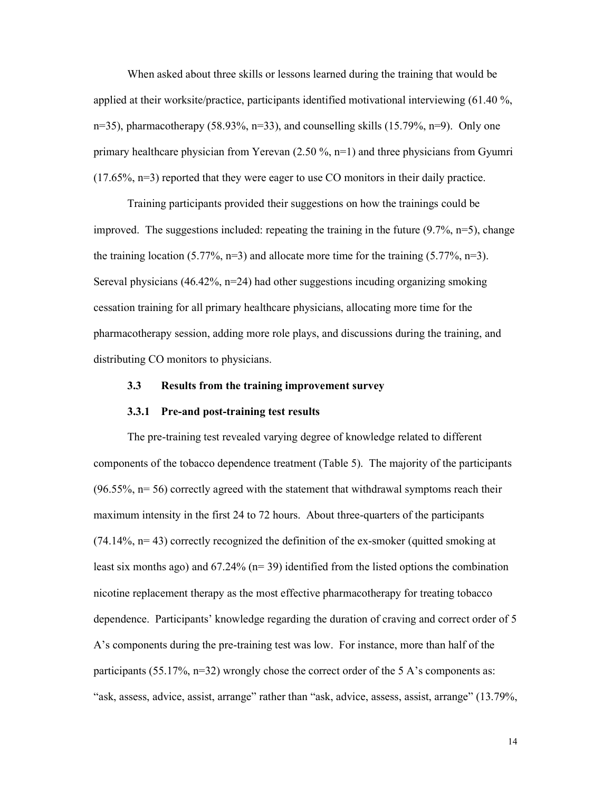When asked about three skills or lessons learned during the training that would be applied at their worksite/practice, participants identified motivational interviewing (61.40 %, n=35), pharmacotherapy (58.93%, n=33), and counselling skills (15.79%, n=9). Only one primary healthcare physician from Yerevan (2.50 %, n=1) and three physicians from Gyumri (17.65%, n=3) reported that they were eager to use CO monitors in their daily practice.

Training participants provided their suggestions on how the trainings could be improved. The suggestions included: repeating the training in the future  $(9.7\%, n=5)$ , change the training location (5.77%, n=3) and allocate more time for the training (5.77%, n=3). Sereval physicians (46.42%, n=24) had other suggestions incuding organizing smoking cessation training for all primary healthcare physicians, allocating more time for the pharmacotherapy session, adding more role plays, and discussions during the training, and distributing CO monitors to physicians.

# 3.3 Results from the training improvement survey

#### 3.3.1 Pre-and post-training test results

The pre-training test revealed varying degree of knowledge related to different components of the tobacco dependence treatment (Table 5). The majority of the participants  $(96.55\%, n= 56)$  correctly agreed with the statement that withdrawal symptoms reach their maximum intensity in the first 24 to 72 hours. About three-quarters of the participants  $(74.14\%, n=43)$  correctly recognized the definition of the ex-smoker (quitted smoking at least six months ago) and  $67.24\%$  (n= 39) identified from the listed options the combination nicotine replacement therapy as the most effective pharmacotherapy for treating tobacco dependence. Participants' knowledge regarding the duration of craving and correct order of 5 A's components during the pre-training test was low. For instance, more than half of the participants (55.17%,  $n=32$ ) wrongly chose the correct order of the 5 A's components as: "ask, assess, advice, assist, arrange" rather than "ask, advice, assess, assist, arrange" (13.79%,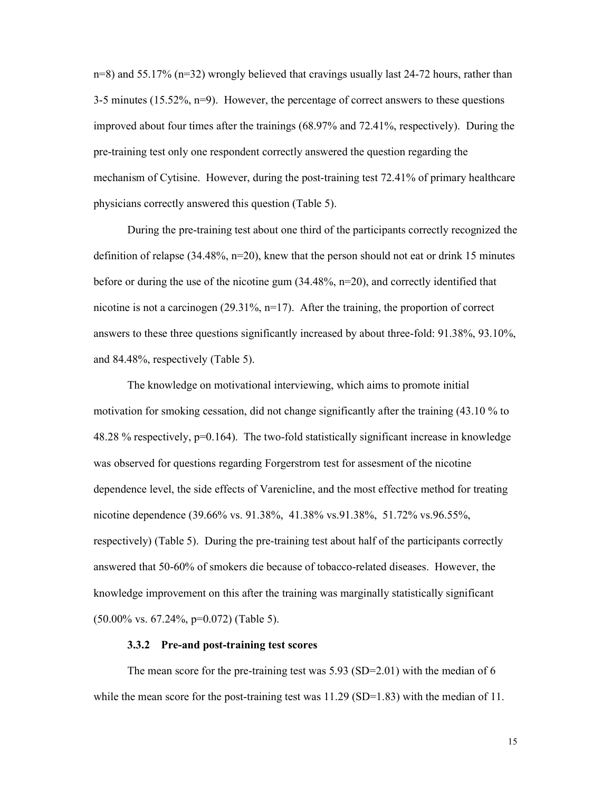n=8) and 55.17% (n=32) wrongly believed that cravings usually last 24-72 hours, rather than 3-5 minutes (15.52%,  $n=9$ ). However, the percentage of correct answers to these questions improved about four times after the trainings (68.97% and 72.41%, respectively). During the pre-training test only one respondent correctly answered the question regarding the mechanism of Cytisine. However, during the post-training test 72.41% of primary healthcare physicians correctly answered this question (Table 5).

During the pre-training test about one third of the participants correctly recognized the definition of relapse  $(34.48\%, n=20)$ , knew that the person should not eat or drink 15 minutes before or during the use of the nicotine gum (34.48%, n=20), and correctly identified that nicotine is not a carcinogen (29.31%, n=17). After the training, the proportion of correct answers to these three questions significantly increased by about three-fold: 91.38%, 93.10%, and 84.48%, respectively (Table 5).

The knowledge on motivational interviewing, which aims to promote initial motivation for smoking cessation, did not change significantly after the training (43.10 % to 48.28 % respectively,  $p=0.164$ ). The two-fold statistically significant increase in knowledge was observed for questions regarding Forgerstrom test for assesment of the nicotine dependence level, the side effects of Varenicline, and the most effective method for treating nicotine dependence (39.66% vs. 91.38%, 41.38% vs.91.38%, 51.72% vs.96.55%, respectively) (Table 5). During the pre-training test about half of the participants correctly answered that 50-60% of smokers die because of tobacco-related diseases. However, the knowledge improvement on this after the training was marginally statistically significant (50.00% vs. 67.24%, p=0.072) (Table 5).

#### 3.3.2 Pre-and post-training test scores

The mean score for the pre-training test was 5.93 (SD=2.01) with the median of 6 while the mean score for the post-training test was  $11.29$  (SD=1.83) with the median of 11.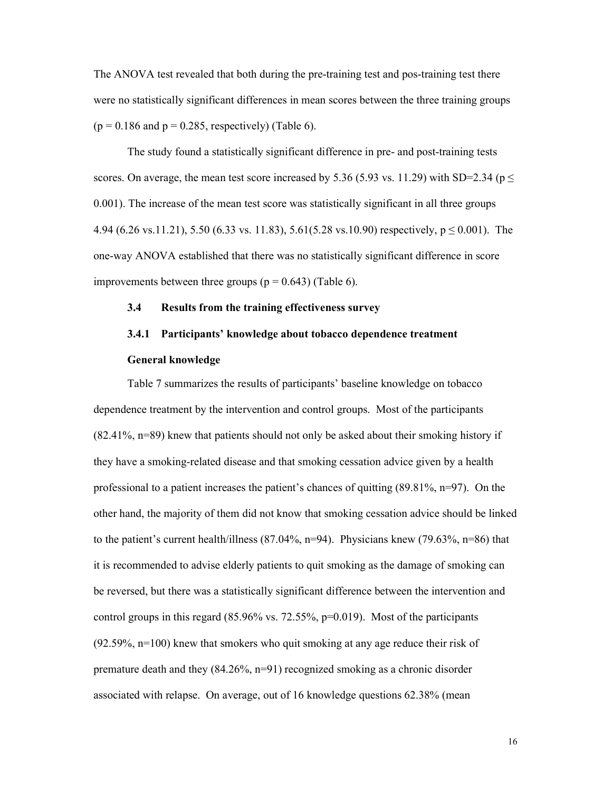The ANOVA test revealed that both during the pre-training test and pos-training test there were no statistically significant differences in mean scores between the three training groups  $(p = 0.186$  and  $p = 0.285$ , respectively) (Table 6).

The study found a statistically significant difference in pre- and post-training tests scores. On average, the mean test score increased by 5.36 (5.93 vs. 11.29) with SD=2.34 ( $p \le$ 0.001). The increase of the mean test score was statistically significant in all three groups 4.94 (6.26 vs.11.21), 5.50 (6.33 vs. 11.83), 5.61(5.28 vs.10.90) respectively,  $p \le 0.001$ ). The one-way ANOVA established that there was no statistically significant difference in score improvements between three groups ( $p = 0.643$ ) (Table 6).

# 3.4 Results from the training effectiveness survey

# 3.4.1 Participants' knowledge about tobacco dependence treatment

# General knowledge

Table 7 summarizes the results of participants' baseline knowledge on tobacco dependence treatment by the intervention and control groups. Most of the participants (82.41%, n=89) knew that patients should not only be asked about their smoking history if they have a smoking-related disease and that smoking cessation advice given by a health professional to a patient increases the patient's chances of quitting (89.81%, n=97). On the other hand, the majority of them did not know that smoking cessation advice should be linked to the patient's current health/illness  $(87.04\%, n=94)$ . Physicians knew  $(79.63\%, n=86)$  that it is recommended to advise elderly patients to quit smoking as the damage of smoking can be reversed, but there was a statistically significant difference between the intervention and control groups in this regard  $(85.96\% \text{ vs. } 72.55\%, \text{p} = 0.019)$ . Most of the participants (92.59%, n=100) knew that smokers who quit smoking at any age reduce their risk of premature death and they (84.26%, n=91) recognized smoking as a chronic disorder associated with relapse. On average, out of 16 knowledge questions 62.38% (mean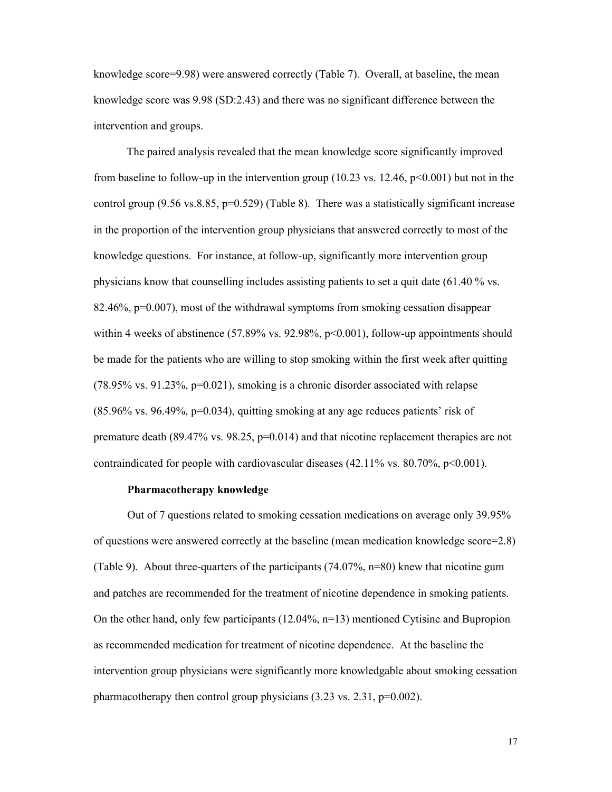knowledge score=9.98) were answered correctly (Table 7). Overall, at baseline, the mean knowledge score was 9.98 (SD:2.43) and there was no significant difference between the intervention and groups.

The paired analysis revealed that the mean knowledge score significantly improved from baseline to follow-up in the intervention group (10.23 vs. 12.46,  $p<0.001$ ) but not in the control group  $(9.56 \text{ vs. } 8.85, \text{ p=0.529})$  (Table 8). There was a statistically significant increase in the proportion of the intervention group physicians that answered correctly to most of the knowledge questions. For instance, at follow-up, significantly more intervention group physicians know that counselling includes assisting patients to set a quit date (61.40 % vs. 82.46%, p=0.007), most of the withdrawal symptoms from smoking cessation disappear within 4 weeks of abstinence  $(57.89\% \text{ vs. } 92.98\%, \text{ p} < 0.001)$ , follow-up appointments should be made for the patients who are willing to stop smoking within the first week after quitting  $(78.95\% \text{ vs. } 91.23\%, \text{p=0.021})$ , smoking is a chronic disorder associated with relapse  $(85.96\% \text{ vs. } 96.49\%, \text{ p=0.034})$ , quitting smoking at any age reduces patients' risk of premature death (89.47% vs. 98.25, p=0.014) and that nicotine replacement therapies are not contraindicated for people with cardiovascular diseases  $(42.11\% \text{ vs. } 80.70\%, \text{ p} < 0.001)$ .

#### Pharmacotherapy knowledge

Out of 7 questions related to smoking cessation medications on average only 39.95% of questions were answered correctly at the baseline (mean medication knowledge score=2.8) (Table 9). About three-quarters of the participants (74.07%, n=80) knew that nicotine gum and patches are recommended for the treatment of nicotine dependence in smoking patients. On the other hand, only few participants  $(12.04\%, n=13)$  mentioned Cytisine and Bupropion as recommended medication for treatment of nicotine dependence. At the baseline the intervention group physicians were significantly more knowledgable about smoking cessation pharmacotherapy then control group physicians (3.23 vs. 2.31, p=0.002).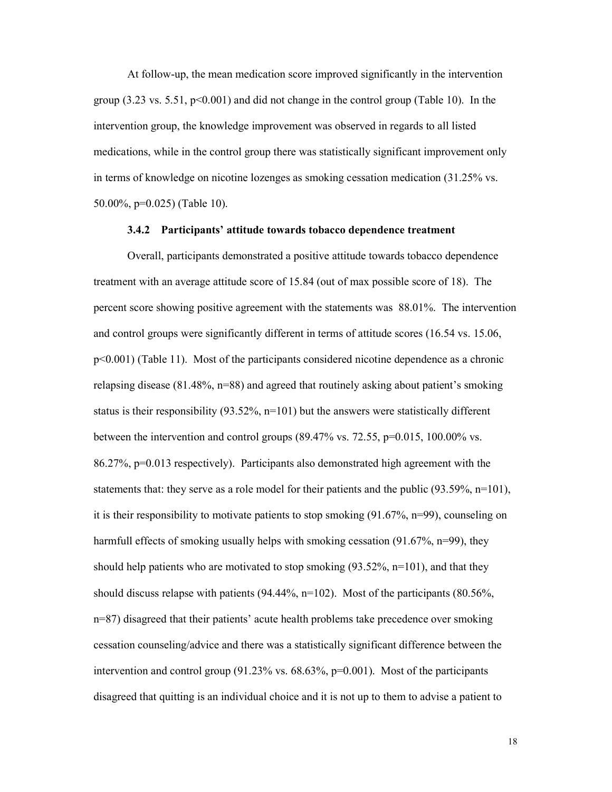At follow-up, the mean medication score improved significantly in the intervention group  $(3.23 \text{ vs. } 5.51, \text{ p} < 0.001)$  and did not change in the control group (Table 10). In the intervention group, the knowledge improvement was observed in regards to all listed medications, while in the control group there was statistically significant improvement only in terms of knowledge on nicotine lozenges as smoking cessation medication (31.25% vs. 50.00%, p=0.025) (Table 10).

#### 3.4.2 Participants' attitude towards tobacco dependence treatment

Overall, participants demonstrated a positive attitude towards tobacco dependence treatment with an average attitude score of 15.84 (out of max possible score of 18). The percent score showing positive agreement with the statements was 88.01%. The intervention and control groups were significantly different in terms of attitude scores (16.54 vs. 15.06, p<0.001) (Table 11). Most of the participants considered nicotine dependence as a chronic relapsing disease (81.48%, n=88) and agreed that routinely asking about patient's smoking status is their responsibility  $(93.52\% , n=101)$  but the answers were statistically different between the intervention and control groups (89.47% vs. 72.55, p=0.015, 100.00% vs. 86.27%, p=0.013 respectively). Participants also demonstrated high agreement with the statements that: they serve as a role model for their patients and the public (93.59%, n=101), it is their responsibility to motivate patients to stop smoking (91.67%, n=99), counseling on harmfull effects of smoking usually helps with smoking cessation (91.67%, n=99), they should help patients who are motivated to stop smoking  $(93.52\%, n=101)$ , and that they should discuss relapse with patients  $(94.44\%, n=102)$ . Most of the participants  $(80.56\%,$ n=87) disagreed that their patients' acute health problems take precedence over smoking cessation counseling/advice and there was a statistically significant difference between the intervention and control group (91.23% vs. 68.63%, p=0.001). Most of the participants disagreed that quitting is an individual choice and it is not up to them to advise a patient to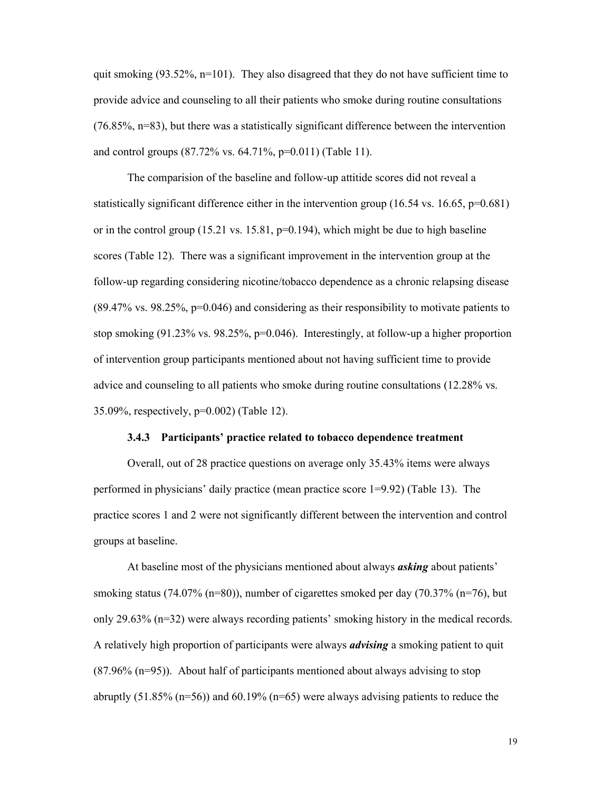quit smoking  $(93.52\%, n=101)$ . They also disagreed that they do not have sufficient time to provide advice and counseling to all their patients who smoke during routine consultations (76.85%, n=83), but there was a statistically significant difference between the intervention and control groups (87.72% vs. 64.71%, p=0.011) (Table 11).

The comparision of the baseline and follow-up attitide scores did not reveal a statistically significant difference either in the intervention group  $(16.54 \text{ vs. } 16.65, \text{ p=0.681})$ or in the control group  $(15.21 \text{ vs. } 15.81, \text{ p=0.194})$ , which might be due to high baseline scores (Table 12). There was a significant improvement in the intervention group at the follow-up regarding considering nicotine/tobacco dependence as a chronic relapsing disease (89.47% vs. 98.25%, p=0.046) and considering as their responsibility to motivate patients to stop smoking (91.23% vs. 98.25%, p=0.046). Interestingly, at follow-up a higher proportion of intervention group participants mentioned about not having sufficient time to provide advice and counseling to all patients who smoke during routine consultations (12.28% vs. 35.09%, respectively, p=0.002) (Table 12).

#### 3.4.3 Participants' practice related to tobacco dependence treatment

Overall, out of 28 practice questions on average only 35.43% items were always performed in physicians' daily practice (mean practice score 1=9.92) (Table 13). The practice scores 1 and 2 were not significantly different between the intervention and control groups at baseline.

At baseline most of the physicians mentioned about always *asking* about patients' smoking status (74.07% (n=80)), number of cigarettes smoked per day (70.37% (n=76), but only 29.63% (n=32) were always recording patients' smoking history in the medical records. A relatively high proportion of participants were always *advising* a smoking patient to quit (87.96% (n=95)). About half of participants mentioned about always advising to stop abruptly  $(51.85\% \text{ (n=56)})$  and  $60.19\% \text{ (n=65)}$  were always advising patients to reduce the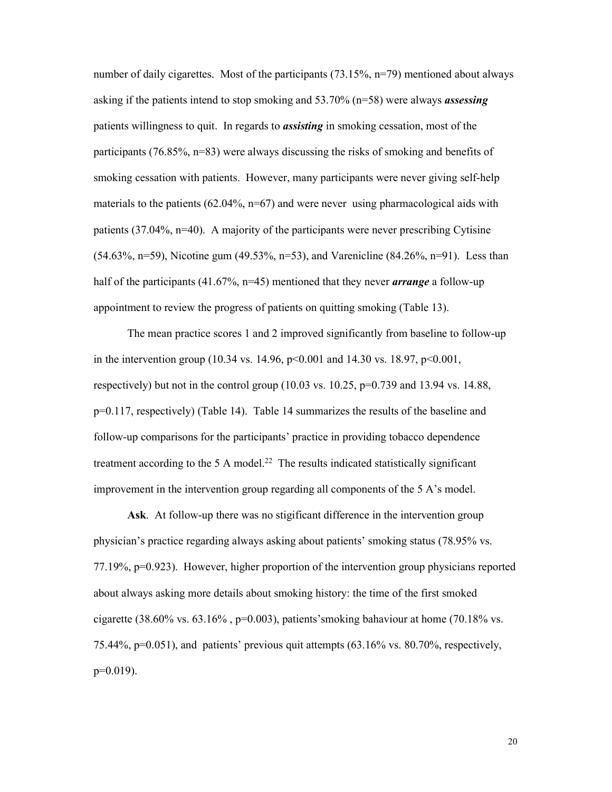number of daily cigarettes. Most of the participants (73.15%, n=79) mentioned about always asking if the patients intend to stop smoking and 53.70% (n=58) were always *assessing* patients willingness to quit. In regards to *assisting* in smoking cessation, most of the participants (76.85%, n=83) were always discussing the risks of smoking and benefits of smoking cessation with patients. However, many participants were never giving self-help materials to the patients  $(62.04\%, n=67)$  and were never using pharmacological aids with patients  $(37.04\%, n=40)$ . A majority of the participants were never prescribing Cytisine (54.63%, n=59), Nicotine gum (49.53%, n=53), and Varenicline (84.26%, n=91). Less than half of the participants (41.67%, n=45) mentioned that they never *arrange* a follow-up appointment to review the progress of patients on quitting smoking (Table 13).

The mean practice scores 1 and 2 improved significantly from baseline to follow-up in the intervention group (10.34 vs. 14.96,  $p<0.001$  and 14.30 vs. 18.97,  $p<0.001$ , respectively) but not in the control group (10.03 vs.  $10.25$ , p=0.739 and 13.94 vs. 14.88, p=0.117, respectively) (Table 14). Table 14 summarizes the results of the baseline and follow-up comparisons for the participants' practice in providing tobacco dependence treatment according to the 5 A model.<sup>22</sup> The results indicated statistically significant improvement in the intervention group regarding all components of the 5 A's model.

Ask. At follow-up there was no stigificant difference in the intervention group physician's practice regarding always asking about patients' smoking status (78.95% vs. 77.19%, p=0.923). However, higher proportion of the intervention group physicians reported about always asking more details about smoking history: the time of the first smoked cigarette (38.60% vs. 63.16%,  $p=0.003$ ), patients' smoking bahaviour at home (70.18% vs. 75.44%, p=0.051), and patients' previous quit attempts (63.16% vs. 80.70%, respectively, p=0.019).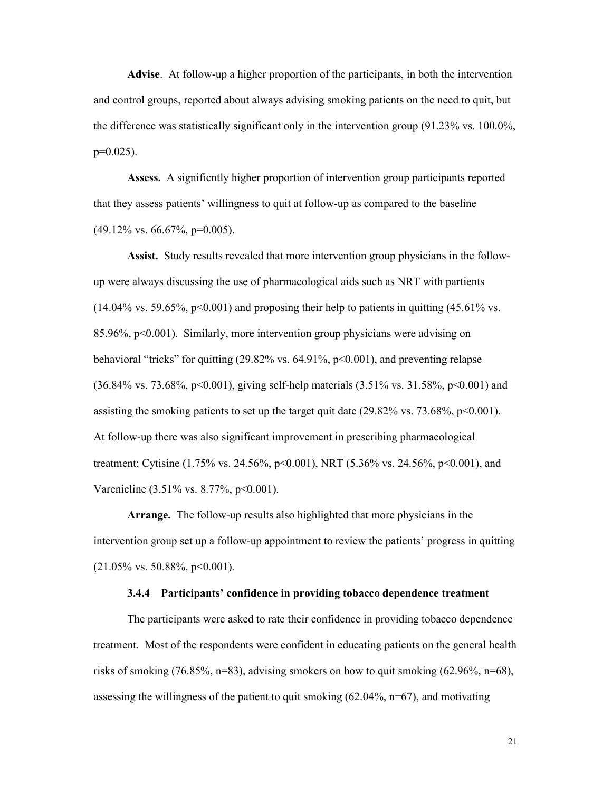Advise. At follow-up a higher proportion of the participants, in both the intervention and control groups, reported about always advising smoking patients on the need to quit, but the difference was statistically significant only in the intervention group (91.23% vs. 100.0%,  $p=0.025$ ).

Assess. A significntly higher proportion of intervention group participants reported that they assess patients' willingness to quit at follow-up as compared to the baseline  $(49.12\% \text{ vs. } 66.67\%, \text{ p=0.005}).$ 

Assist. Study results revealed that more intervention group physicians in the followup were always discussing the use of pharmacological aids such as NRT with partients  $(14.04\% \text{ vs. } 59.65\%, \text{ p} < 0.001)$  and proposing their help to patients in quitting  $(45.61\% \text{ vs. } 0.001)$ 85.96%,  $p<0.001$ ). Similarly, more intervention group physicians were advising on behavioral "tricks" for quitting (29.82% vs. 64.91%, p<0.001), and preventing relapse (36.84% vs. 73.68%, p<0.001), giving self-help materials (3.51% vs. 31.58%, p<0.001) and assisting the smoking patients to set up the target quit date  $(29.82\% \text{ vs. } 73.68\%, \text{ p} < 0.001)$ . At follow-up there was also significant improvement in prescribing pharmacological treatment: Cytisine (1.75% vs. 24.56%, p<0.001), NRT (5.36% vs. 24.56%, p<0.001), and Varenicline (3.51% vs. 8.77%, p<0.001).

Arrange. The follow-up results also highlighted that more physicians in the intervention group set up a follow-up appointment to review the patients' progress in quitting  $(21.05\% \text{ vs. } 50.88\%, \text{ p} < 0.001).$ 

#### 3.4.4 Participants' confidence in providing tobacco dependence treatment

The participants were asked to rate their confidence in providing tobacco dependence treatment. Most of the respondents were confident in educating patients on the general health risks of smoking (76.85%, n=83), advising smokers on how to quit smoking (62.96%, n=68), assessing the willingness of the patient to quit smoking  $(62.04\% , n=67)$ , and motivating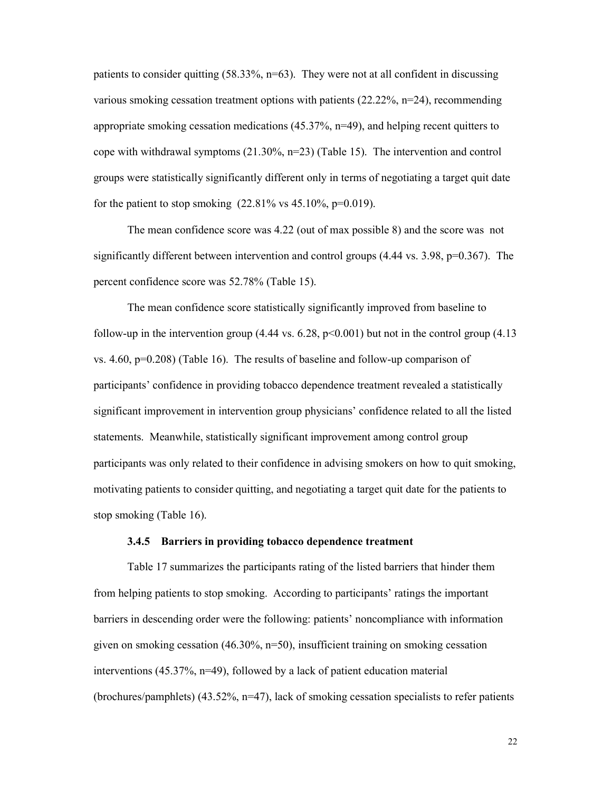patients to consider quitting (58.33%, n=63). They were not at all confident in discussing various smoking cessation treatment options with patients  $(22.22\%, n=24)$ , recommending appropriate smoking cessation medications (45.37%, n=49), and helping recent quitters to cope with withdrawal symptoms  $(21.30\%, n=23)$  (Table 15). The intervention and control groups were statistically significantly different only in terms of negotiating a target quit date for the patient to stop smoking  $(22.81\% \text{ vs } 45.10\%, \text{p=0.019}).$ 

The mean confidence score was 4.22 (out of max possible 8) and the score was not significantly different between intervention and control groups  $(4.44 \text{ vs. } 3.98, \text{ p=0.367}).$  The percent confidence score was 52.78% (Table 15).

The mean confidence score statistically significantly improved from baseline to follow-up in the intervention group  $(4.44 \text{ vs. } 6.28, \text{ p} < 0.001)$  but not in the control group  $(4.13 \text{ m})$ vs.  $4.60$ ,  $p=0.208$ ) (Table 16). The results of baseline and follow-up comparison of participants' confidence in providing tobacco dependence treatment revealed a statistically significant improvement in intervention group physicians' confidence related to all the listed statements. Meanwhile, statistically significant improvement among control group participants was only related to their confidence in advising smokers on how to quit smoking, motivating patients to consider quitting, and negotiating a target quit date for the patients to stop smoking (Table 16).

#### 3.4.5 Barriers in providing tobacco dependence treatment

Table 17 summarizes the participants rating of the listed barriers that hinder them from helping patients to stop smoking. According to participants' ratings the important barriers in descending order were the following: patients' noncompliance with information given on smoking cessation (46.30%, n=50), insufficient training on smoking cessation interventions (45.37%, n=49), followed by a lack of patient education material  $(brochures/pamphlets)$  (43.52%, n=47), lack of smoking cessation specialists to refer patients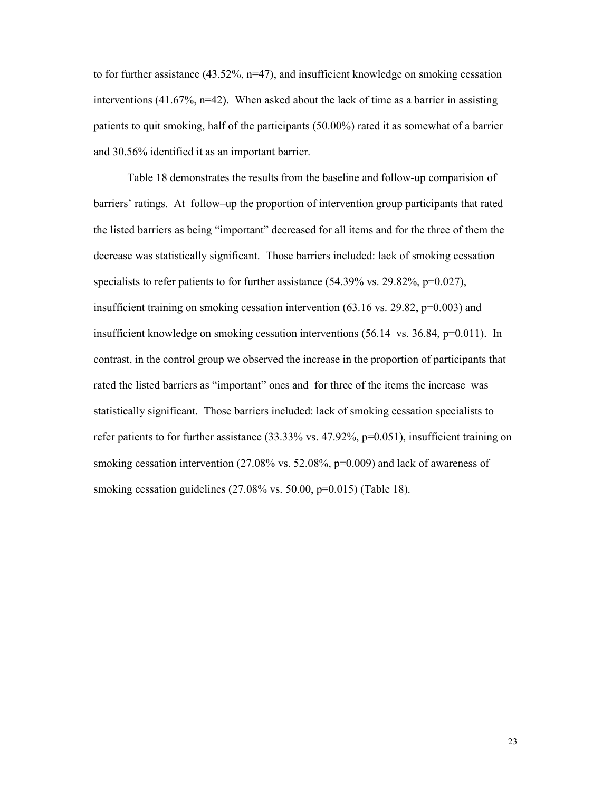to for further assistance  $(43.52\%, n=47)$ , and insufficient knowledge on smoking cessation interventions (41.67%,  $n=42$ ). When asked about the lack of time as a barrier in assisting patients to quit smoking, half of the participants (50.00%) rated it as somewhat of a barrier and 30.56% identified it as an important barrier.

Table 18 demonstrates the results from the baseline and follow-up comparision of barriers' ratings. At follow–up the proportion of intervention group participants that rated the listed barriers as being "important" decreased for all items and for the three of them the decrease was statistically significant. Those barriers included: lack of smoking cessation specialists to refer patients to for further assistance (54.39% vs. 29.82%, p=0.027), insufficient training on smoking cessation intervention (63.16 vs. 29.82, p=0.003) and insufficient knowledge on smoking cessation interventions (56.14 vs. 36.84, p=0.011). In contrast, in the control group we observed the increase in the proportion of participants that rated the listed barriers as "important" ones and for three of the items the increase was statistically significant. Those barriers included: lack of smoking cessation specialists to refer patients to for further assistance  $(33.33\%$  vs.  $47.92\%$ ,  $p=0.051$ ), insufficient training on smoking cessation intervention  $(27.08\% \text{ vs. } 52.08\%)$ ,  $p=0.009$ ) and lack of awareness of smoking cessation guidelines (27.08% vs. 50.00, p=0.015) (Table 18).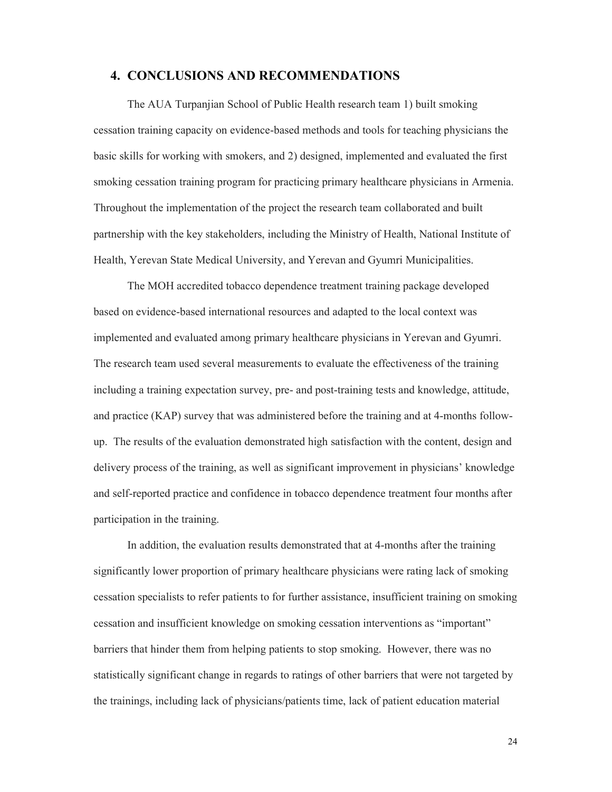#### 4. CONCLUSIONS AND RECOMMENDATIONS

The AUA Turpanjian School of Public Health research team 1) built smoking cessation training capacity on evidence-based methods and tools for teaching physicians the basic skills for working with smokers, and 2) designed, implemented and evaluated the first smoking cessation training program for practicing primary healthcare physicians in Armenia. Throughout the implementation of the project the research team collaborated and built partnership with the key stakeholders, including the Ministry of Health, National Institute of Health, Yerevan State Medical University, and Yerevan and Gyumri Municipalities.

The MOH accredited tobacco dependence treatment training package developed based on evidence-based international resources and adapted to the local context was implemented and evaluated among primary healthcare physicians in Yerevan and Gyumri. The research team used several measurements to evaluate the effectiveness of the training including a training expectation survey, pre- and post-training tests and knowledge, attitude, and practice (KAP) survey that was administered before the training and at 4-months followup. The results of the evaluation demonstrated high satisfaction with the content, design and delivery process of the training, as well as significant improvement in physicians' knowledge and self-reported practice and confidence in tobacco dependence treatment four months after participation in the training.

In addition, the evaluation results demonstrated that at 4-months after the training significantly lower proportion of primary healthcare physicians were rating lack of smoking cessation specialists to refer patients to for further assistance, insufficient training on smoking cessation and insufficient knowledge on smoking cessation interventions as "important" barriers that hinder them from helping patients to stop smoking. However, there was no statistically significant change in regards to ratings of other barriers that were not targeted by the trainings, including lack of physicians/patients time, lack of patient education material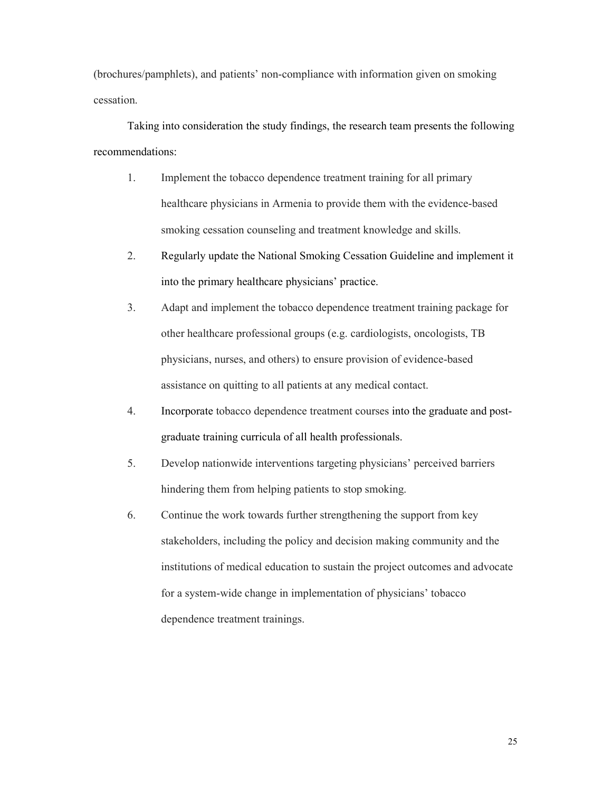(brochures/pamphlets), and patients' non-compliance with information given on smoking cessation.

Taking into consideration the study findings, the research team presents the following recommendations:

- 1. Implement the tobacco dependence treatment training for all primary healthcare physicians in Armenia to provide them with the evidence-based smoking cessation counseling and treatment knowledge and skills.
- 2. Regularly update the National Smoking Cessation Guideline and implement it into the primary healthcare physicians' practice.
- 3. Adapt and implement the tobacco dependence treatment training package for other healthcare professional groups (e.g. cardiologists, oncologists, TB physicians, nurses, and others) to ensure provision of evidence-based assistance on quitting to all patients at any medical contact.
- 4. Incorporate tobacco dependence treatment courses into the graduate and postgraduate training curricula of all health professionals.
- 5. Develop nationwide interventions targeting physicians' perceived barriers hindering them from helping patients to stop smoking.
- 6. Continue the work towards further strengthening the support from key stakeholders, including the policy and decision making community and the institutions of medical education to sustain the project outcomes and advocate for a system-wide change in implementation of physicians' tobacco dependence treatment trainings.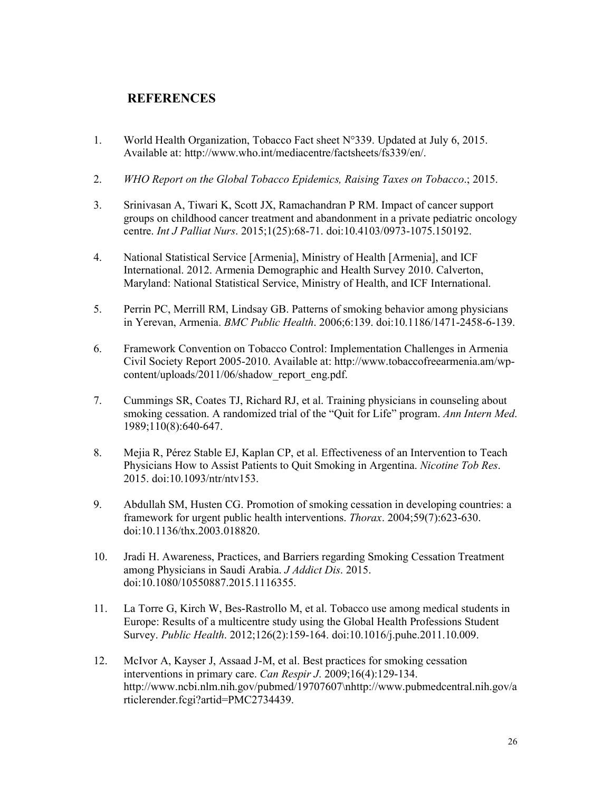# **REFERENCES**

- 1. World Health Organization, Tobacco Fact sheet N°339. Updated at July 6, 2015. Available at: http://www.who.int/mediacentre/factsheets/fs339/en/.
- 2. *WHO Report on the Global Tobacco Epidemics, Raising Taxes on Tobacco*.; 2015.
- 3. Srinivasan A, Tiwari K, Scott JX, Ramachandran P RM. Impact of cancer support groups on childhood cancer treatment and abandonment in a private pediatric oncology centre. *Int J Palliat Nurs*. 2015;1(25):68-71. doi:10.4103/0973-1075.150192.
- 4. National Statistical Service [Armenia], Ministry of Health [Armenia], and ICF International. 2012. Armenia Demographic and Health Survey 2010. Calverton, Maryland: National Statistical Service, Ministry of Health, and ICF International.
- 5. Perrin PC, Merrill RM, Lindsay GB. Patterns of smoking behavior among physicians in Yerevan, Armenia. *BMC Public Health*. 2006;6:139. doi:10.1186/1471-2458-6-139.
- 6. Framework Convention on Tobacco Control: Implementation Challenges in Armenia Civil Society Report 2005-2010. Available at: http://www.tobaccofreearmenia.am/wpcontent/uploads/2011/06/shadow\_report\_eng.pdf.
- 7. Cummings SR, Coates TJ, Richard RJ, et al. Training physicians in counseling about smoking cessation. A randomized trial of the "Quit for Life" program. *Ann Intern Med*. 1989;110(8):640-647.
- 8. Mejia R, Pérez Stable EJ, Kaplan CP, et al. Effectiveness of an Intervention to Teach Physicians How to Assist Patients to Quit Smoking in Argentina. *Nicotine Tob Res*. 2015. doi:10.1093/ntr/ntv153.
- 9. Abdullah SM, Husten CG. Promotion of smoking cessation in developing countries: a framework for urgent public health interventions. *Thorax*. 2004;59(7):623-630. doi:10.1136/thx.2003.018820.
- 10. Jradi H. Awareness, Practices, and Barriers regarding Smoking Cessation Treatment among Physicians in Saudi Arabia. *J Addict Dis*. 2015. doi:10.1080/10550887.2015.1116355.
- 11. La Torre G, Kirch W, Bes-Rastrollo M, et al. Tobacco use among medical students in Europe: Results of a multicentre study using the Global Health Professions Student Survey. *Public Health*. 2012;126(2):159-164. doi:10.1016/j.puhe.2011.10.009.
- 12. McIvor A, Kayser J, Assaad J-M, et al. Best practices for smoking cessation interventions in primary care. *Can Respir J*. 2009;16(4):129-134. http://www.ncbi.nlm.nih.gov/pubmed/19707607\nhttp://www.pubmedcentral.nih.gov/a rticlerender.fcgi?artid=PMC2734439.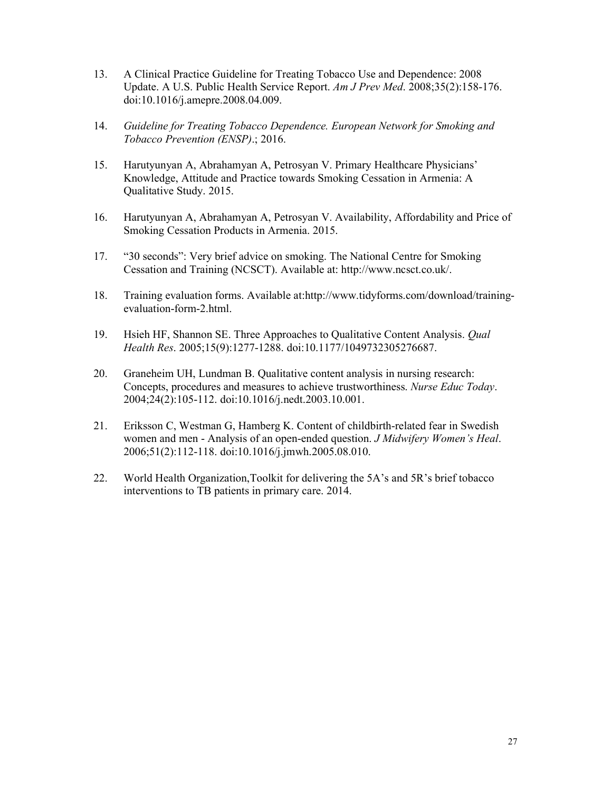- 13. A Clinical Practice Guideline for Treating Tobacco Use and Dependence: 2008 Update. A U.S. Public Health Service Report. *Am J Prev Med*. 2008;35(2):158-176. doi:10.1016/j.amepre.2008.04.009.
- 14. *Guideline for Treating Tobacco Dependence. European Network for Smoking and Tobacco Prevention (ENSP)*.; 2016.
- 15. Harutyunyan A, Abrahamyan A, Petrosyan V. Primary Healthcare Physicians' Knowledge, Attitude and Practice towards Smoking Cessation in Armenia: A Qualitative Study. 2015.
- 16. Harutyunyan A, Abrahamyan A, Petrosyan V. Availability, Affordability and Price of Smoking Cessation Products in Armenia. 2015.
- 17. "30 seconds": Very brief advice on smoking. The National Centre for Smoking Cessation and Training (NCSCT). Available at: http://www.ncsct.co.uk/.
- 18. Training evaluation forms. Available at:http://www.tidyforms.com/download/trainingevaluation-form-2.html.
- 19. Hsieh HF, Shannon SE. Three Approaches to Qualitative Content Analysis. *Qual Health Res*. 2005;15(9):1277-1288. doi:10.1177/1049732305276687.
- 20. Graneheim UH, Lundman B. Qualitative content analysis in nursing research: Concepts, procedures and measures to achieve trustworthiness. *Nurse Educ Today*. 2004;24(2):105-112. doi:10.1016/j.nedt.2003.10.001.
- 21. Eriksson C, Westman G, Hamberg K. Content of childbirth-related fear in Swedish women and men - Analysis of an open-ended question. *J Midwifery Women's Heal*. 2006;51(2):112-118. doi:10.1016/j.jmwh.2005.08.010.
- 22. World Health Organization,Toolkit for delivering the 5A's and 5R's brief tobacco interventions to TB patients in primary care. 2014.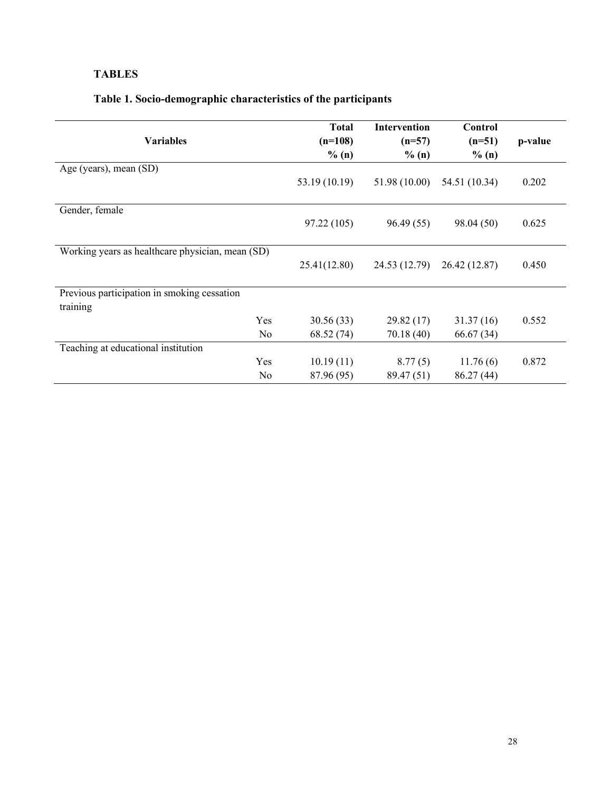# TABLES

# Table 1. Socio-demographic characteristics of the participants

|                                                  | <b>Total</b>  | <b>Intervention</b> | Control       |         |
|--------------------------------------------------|---------------|---------------------|---------------|---------|
|                                                  |               |                     |               |         |
| <b>Variables</b>                                 | $(n=108)$     | $(n=57)$            | $(n=51)$      | p-value |
|                                                  | % (n)         | % (n)               | % (n)         |         |
| Age (years), mean (SD)                           |               |                     |               |         |
|                                                  | 53.19 (10.19) | 51.98 (10.00)       | 54.51 (10.34) | 0.202   |
|                                                  |               |                     |               |         |
| Gender, female                                   |               |                     |               |         |
|                                                  | 97.22 (105)   | 96.49(55)           | 98.04 (50)    | 0.625   |
|                                                  |               |                     |               |         |
| Working years as healthcare physician, mean (SD) |               |                     |               |         |
|                                                  | 25.41(12.80)  | 24.53 (12.79)       | 26.42 (12.87) | 0.450   |
|                                                  |               |                     |               |         |
| Previous participation in smoking cessation      |               |                     |               |         |
| training                                         |               |                     |               |         |
| Yes                                              | 30.56 (33)    | 29.82(17)           | 31.37(16)     | 0.552   |
| N <sub>0</sub>                                   | 68.52 (74)    | 70.18 (40)          | 66.67(34)     |         |
| Teaching at educational institution              |               |                     |               |         |
| Yes                                              | 10.19(11)     | 8.77(5)             | 11.76(6)      | 0.872   |
| No                                               | 87.96 (95)    | 89.47 (51)          | 86.27(44)     |         |
|                                                  |               |                     |               |         |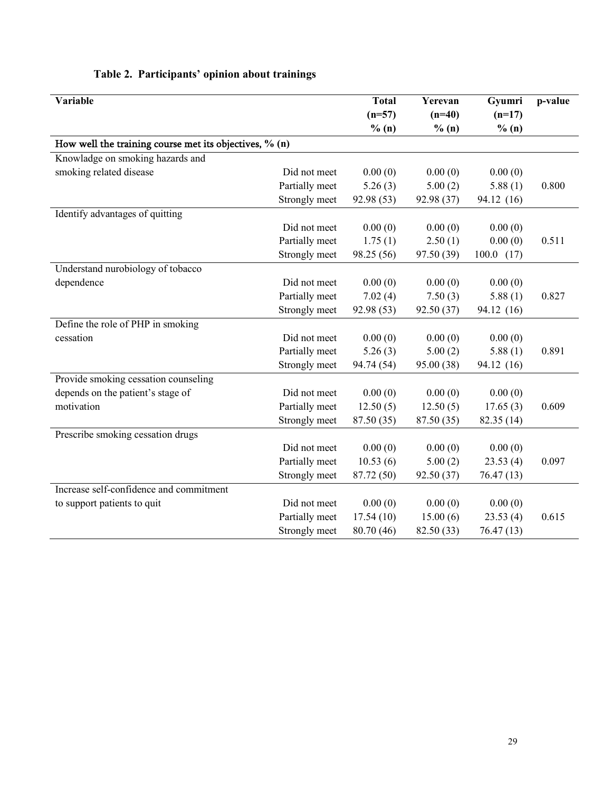| <b>Variable</b>                                        |                | <b>Total</b> | Yerevan    | Gyumri     | p-value |
|--------------------------------------------------------|----------------|--------------|------------|------------|---------|
|                                                        |                | $(n=57)$     | $(n=40)$   | $(n=17)$   |         |
|                                                        |                | % (n)        | % (n)      | $\%$ (n)   |         |
| How well the training course met its objectives, % (n) |                |              |            |            |         |
| Knowladge on smoking hazards and                       |                |              |            |            |         |
| smoking related disease                                | Did not meet   | 0.00(0)      | 0.00(0)    | 0.00(0)    |         |
|                                                        | Partially meet | 5.26(3)      | 5.00(2)    | 5.88(1)    | 0.800   |
|                                                        | Strongly meet  | 92.98 (53)   | 92.98 (37) | 94.12 (16) |         |
| Identify advantages of quitting                        |                |              |            |            |         |
|                                                        | Did not meet   | 0.00(0)      | 0.00(0)    | 0.00(0)    |         |
|                                                        | Partially meet | 1.75(1)      | 2.50(1)    | 0.00(0)    | 0.511   |
|                                                        | Strongly meet  | 98.25 (56)   | 97.50 (39) | 100.0 (17) |         |
| Understand nurobiology of tobacco                      |                |              |            |            |         |
| dependence                                             | Did not meet   | 0.00(0)      | 0.00(0)    | 0.00(0)    |         |
|                                                        | Partially meet | 7.02(4)      | 7.50(3)    | 5.88(1)    | 0.827   |
|                                                        | Strongly meet  | 92.98 (53)   | 92.50 (37) | 94.12 (16) |         |
| Define the role of PHP in smoking                      |                |              |            |            |         |
| cessation                                              | Did not meet   | 0.00(0)      | 0.00(0)    | 0.00(0)    |         |
|                                                        | Partially meet | 5.26(3)      | 5.00(2)    | 5.88(1)    | 0.891   |
|                                                        | Strongly meet  | 94.74 (54)   | 95.00 (38) | 94.12 (16) |         |
| Provide smoking cessation counseling                   |                |              |            |            |         |
| depends on the patient's stage of                      | Did not meet   | 0.00(0)      | 0.00(0)    | 0.00(0)    |         |
| motivation                                             | Partially meet | 12.50(5)     | 12.50(5)   | 17.65(3)   | 0.609   |
|                                                        | Strongly meet  | 87.50 (35)   | 87.50 (35) | 82.35 (14) |         |
| Prescribe smoking cessation drugs                      |                |              |            |            |         |
|                                                        | Did not meet   | 0.00(0)      | 0.00(0)    | 0.00(0)    |         |
|                                                        | Partially meet | 10.53(6)     | 5.00(2)    | 23.53(4)   | 0.097   |
|                                                        | Strongly meet  | 87.72 (50)   | 92.50 (37) | 76.47 (13) |         |
| Increase self-confidence and commitment                |                |              |            |            |         |
| to support patients to quit                            | Did not meet   | 0.00(0)      | 0.00(0)    | 0.00(0)    |         |
|                                                        | Partially meet | 17.54(10)    | 15.00(6)   | 23.53(4)   | 0.615   |
|                                                        | Strongly meet  | 80.70 (46)   | 82.50 (33) | 76.47 (13) |         |

### Table 2. Participants' opinion about trainings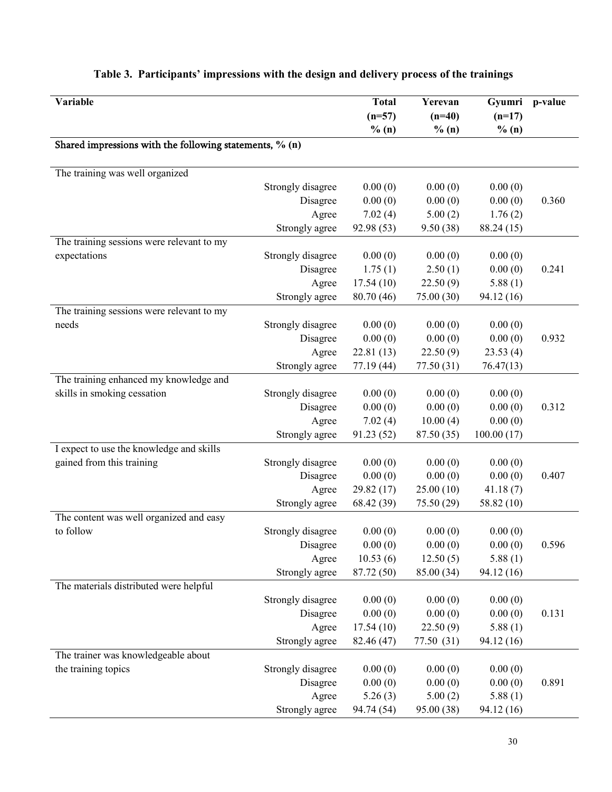| Variable                                                |                   | <b>Total</b><br>$(n=57)$<br>% (n) | Yerevan<br>$(n=40)$<br>% (n) | Gyumri<br>$(n=17)$<br>% (n) | p-value |
|---------------------------------------------------------|-------------------|-----------------------------------|------------------------------|-----------------------------|---------|
| Shared impressions with the following statements, % (n) |                   |                                   |                              |                             |         |
| The training was well organized                         |                   |                                   |                              |                             |         |
|                                                         | Strongly disagree | 0.00(0)                           | 0.00(0)                      | 0.00(0)                     |         |
|                                                         | Disagree          | 0.00(0)                           | 0.00(0)                      | 0.00(0)                     | 0.360   |
|                                                         | Agree             | 7.02(4)                           | 5.00(2)                      | 1.76(2)                     |         |
|                                                         | Strongly agree    | 92.98 (53)                        | 9.50(38)                     | 88.24 (15)                  |         |
| The training sessions were relevant to my               |                   |                                   |                              |                             |         |
| expectations                                            | Strongly disagree | 0.00(0)                           | 0.00(0)                      | 0.00(0)                     |         |
|                                                         | Disagree          | 1.75(1)                           | 2.50(1)                      | 0.00(0)                     | 0.241   |
|                                                         | Agree             | 17.54(10)                         | 22.50(9)                     | 5.88(1)                     |         |
|                                                         | Strongly agree    | 80.70 (46)                        | 75.00 (30)                   | 94.12 (16)                  |         |
| The training sessions were relevant to my               |                   |                                   |                              |                             |         |
| needs                                                   | Strongly disagree | 0.00(0)                           | 0.00(0)                      | 0.00(0)                     |         |
|                                                         | Disagree          | 0.00(0)                           | 0.00(0)                      | 0.00(0)                     | 0.932   |
|                                                         | Agree             | 22.81(13)                         | 22.50(9)                     | 23.53(4)                    |         |
|                                                         | Strongly agree    | 77.19 (44)                        | 77.50 (31)                   | 76.47(13)                   |         |
| The training enhanced my knowledge and                  |                   |                                   |                              |                             |         |
| skills in smoking cessation                             | Strongly disagree | 0.00(0)                           | 0.00(0)                      | 0.00(0)                     |         |
|                                                         | Disagree          | 0.00(0)                           | 0.00(0)                      | 0.00(0)                     | 0.312   |
|                                                         | Agree             | 7.02(4)                           | 10.00(4)                     | 0.00(0)                     |         |
|                                                         | Strongly agree    | 91.23(52)                         | 87.50 (35)                   | 100.00(17)                  |         |
| I expect to use the knowledge and skills                |                   |                                   |                              |                             |         |
| gained from this training                               | Strongly disagree | 0.00(0)                           | 0.00(0)                      | 0.00(0)                     |         |
|                                                         | Disagree          | 0.00(0)                           | 0.00(0)                      | 0.00(0)                     | 0.407   |
|                                                         | Agree             | 29.82 (17)                        | 25.00(10)                    | 41.18(7)                    |         |
|                                                         | Strongly agree    | 68.42 (39)                        | 75.50 (29)                   | 58.82 (10)                  |         |
| The content was well organized and easy                 |                   |                                   |                              |                             |         |
| to follow                                               | Strongly disagree | 0.00(0)                           | 0.00(0)                      | 0.00(0)                     |         |
|                                                         | Disagree          | 0.00(0)                           | 0.00(0)                      | 0.00(0)                     | 0.596   |
|                                                         | Agree             | 10.53(6)                          | 12.50(5)                     | 5.88(1)                     |         |
|                                                         | Strongly agree    | 87.72 (50)                        | 85.00 (34)                   | 94.12 (16)                  |         |
| The materials distributed were helpful                  |                   |                                   |                              |                             |         |
|                                                         | Strongly disagree | 0.00(0)                           | 0.00(0)                      | 0.00(0)                     |         |
|                                                         | Disagree          | 0.00(0)                           | 0.00(0)                      | 0.00(0)                     | 0.131   |
|                                                         | Agree             | 17.54(10)                         | 22.50(9)                     | 5.88(1)                     |         |
|                                                         | Strongly agree    | 82.46 (47)                        | 77.50 (31)                   | 94.12 (16)                  |         |
| The trainer was knowledgeable about                     |                   |                                   |                              |                             |         |
| the training topics                                     | Strongly disagree | 0.00(0)                           | 0.00(0)                      | 0.00(0)                     |         |
|                                                         | Disagree          | 0.00(0)                           | 0.00(0)                      | 0.00(0)                     | 0.891   |
|                                                         | Agree             | 5.26(3)                           | 5.00(2)                      | 5.88(1)                     |         |
|                                                         | Strongly agree    | 94.74 (54)                        | 95.00 (38)                   | 94.12 (16)                  |         |
|                                                         |                   |                                   |                              |                             |         |

### Table 3. Participants' impressions with the design and delivery process of the trainings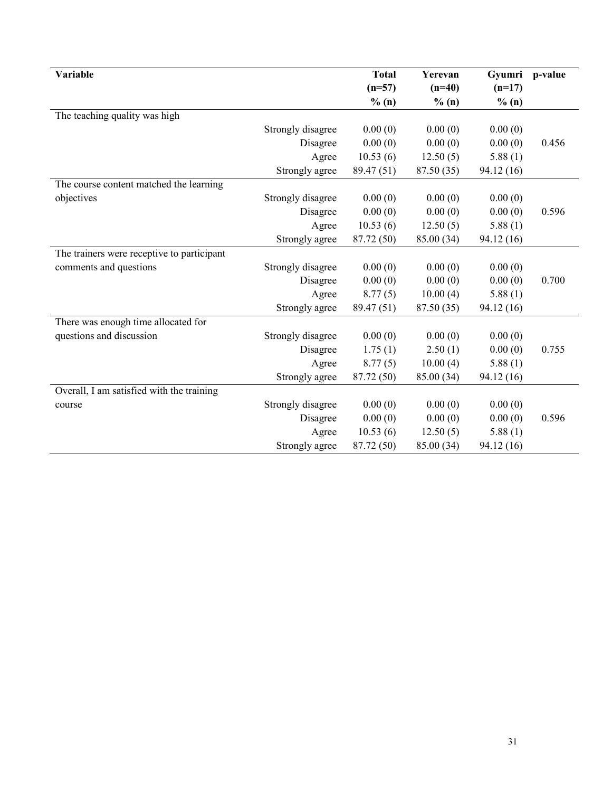| Variable                                   |                   | <b>Total</b> | Yerevan    | Gyumri     | p-value |
|--------------------------------------------|-------------------|--------------|------------|------------|---------|
|                                            |                   | $(n=57)$     | $(n=40)$   | $(n=17)$   |         |
|                                            |                   | % (n)        | % (n)      | % (n)      |         |
| The teaching quality was high              |                   |              |            |            |         |
|                                            | Strongly disagree | 0.00(0)      | 0.00(0)    | 0.00(0)    |         |
|                                            | Disagree          | 0.00(0)      | 0.00(0)    | 0.00(0)    | 0.456   |
|                                            | Agree             | 10.53(6)     | 12.50(5)   | 5.88(1)    |         |
|                                            | Strongly agree    | 89.47 (51)   | 87.50 (35) | 94.12(16)  |         |
| The course content matched the learning    |                   |              |            |            |         |
| objectives                                 | Strongly disagree | 0.00(0)      | 0.00(0)    | 0.00(0)    |         |
|                                            | Disagree          | 0.00(0)      | 0.00(0)    | 0.00(0)    | 0.596   |
|                                            | Agree             | 10.53(6)     | 12.50(5)   | 5.88(1)    |         |
|                                            | Strongly agree    | 87.72 (50)   | 85.00 (34) | 94.12 (16) |         |
| The trainers were receptive to participant |                   |              |            |            |         |
| comments and questions                     | Strongly disagree | 0.00(0)      | 0.00(0)    | 0.00(0)    |         |
|                                            | Disagree          | 0.00(0)      | 0.00(0)    | 0.00(0)    | 0.700   |
|                                            | Agree             | 8.77(5)      | 10.00(4)   | 5.88(1)    |         |
|                                            | Strongly agree    | 89.47 (51)   | 87.50 (35) | 94.12 (16) |         |
| There was enough time allocated for        |                   |              |            |            |         |
| questions and discussion                   | Strongly disagree | 0.00(0)      | 0.00(0)    | 0.00(0)    |         |
|                                            | Disagree          | 1.75(1)      | 2.50(1)    | 0.00(0)    | 0.755   |
|                                            | Agree             | 8.77(5)      | 10.00(4)   | 5.88(1)    |         |
|                                            | Strongly agree    | 87.72 (50)   | 85.00 (34) | 94.12 (16) |         |
| Overall, I am satisfied with the training  |                   |              |            |            |         |
| course                                     | Strongly disagree | 0.00(0)      | 0.00(0)    | 0.00(0)    |         |
|                                            | Disagree          | 0.00(0)      | 0.00(0)    | 0.00(0)    | 0.596   |
|                                            | Agree             | 10.53(6)     | 12.50(5)   | 5.88(1)    |         |
|                                            | Strongly agree    | 87.72 (50)   | 85.00 (34) | 94.12 (16) |         |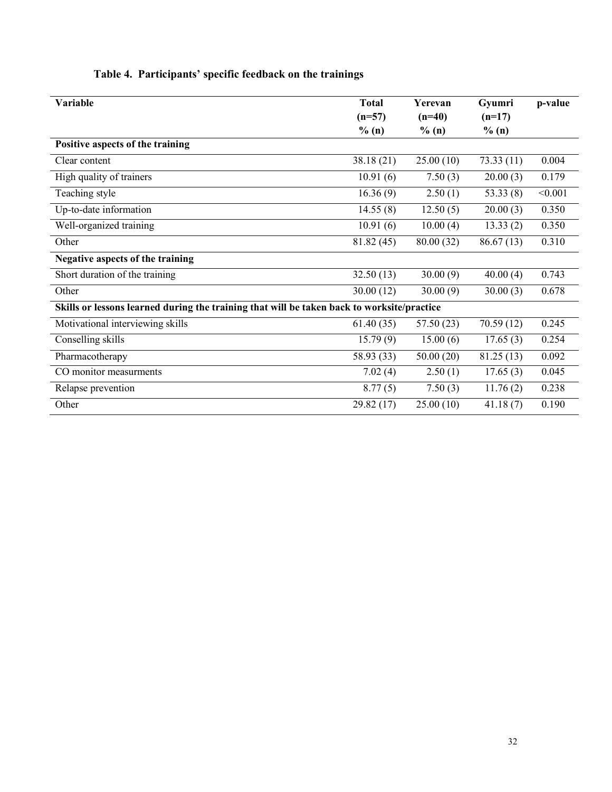| Variable                                                                                   | <b>Total</b><br>$(n=57)$<br>% (n) | Yerevan<br>$(n=40)$<br>% (n) | Gyumri<br>$(n=17)$<br>% (n) | p-value |
|--------------------------------------------------------------------------------------------|-----------------------------------|------------------------------|-----------------------------|---------|
| Positive aspects of the training                                                           |                                   |                              |                             |         |
| Clear content                                                                              | 38.18(21)                         | 25.00(10)                    | 73.33(11)                   | 0.004   |
| High quality of trainers                                                                   | 10.91(6)                          | 7.50(3)                      | 20.00(3)                    | 0.179   |
| Teaching style                                                                             | 16.36(9)                          | 2.50(1)                      | 53.33(8)                    | < 0.001 |
| Up-to-date information                                                                     | 14.55(8)                          | 12.50(5)                     | 20.00(3)                    | 0.350   |
| Well-organized training                                                                    | 10.91(6)                          | 10.00(4)                     | 13.33(2)                    | 0.350   |
| Other                                                                                      | 81.82 (45)                        | 80.00(32)                    | 86.67(13)                   | 0.310   |
| Negative aspects of the training                                                           |                                   |                              |                             |         |
| Short duration of the training                                                             | 32.50(13)                         | 30.00(9)                     | 40.00(4)                    | 0.743   |
| Other                                                                                      | 30.00(12)                         | 30.00(9)                     | 30.00(3)                    | 0.678   |
| Skills or lessons learned during the training that will be taken back to worksite/practice |                                   |                              |                             |         |
| Motivational interviewing skills                                                           | 61.40(35)                         | 57.50 (23)                   | 70.59(12)                   | 0.245   |
| Conselling skills                                                                          | 15.79(9)                          | 15.00(6)                     | 17.65(3)                    | 0.254   |
| Pharmacotherapy                                                                            | 58.93 (33)                        | 50.00(20)                    | 81.25(13)                   | 0.092   |
| CO monitor measurments                                                                     | 7.02(4)                           | 2.50(1)                      | 17.65(3)                    | 0.045   |
| Relapse prevention                                                                         | 8.77(5)                           | 7.50(3)                      | 11.76(2)                    | 0.238   |
| Other                                                                                      | 29.82 (17)                        | 25.00(10)                    | 41.18(7)                    | 0.190   |

### Table 4. Participants' specific feedback on the trainings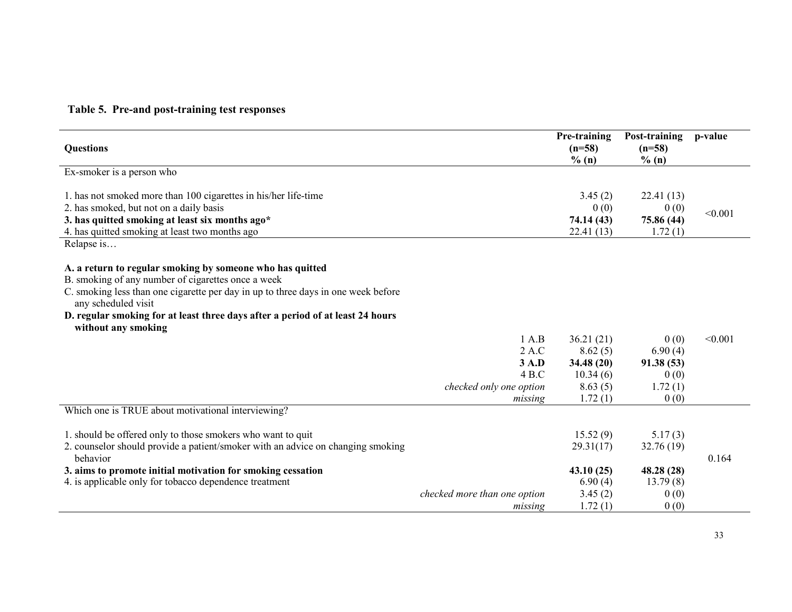### Table 5. Pre-and post-training test responses

| <b>Questions</b>                                                                  |                              | Pre-training<br>$(n=58)$<br>$\%$ (n) | Post-training<br>$(n=58)$<br>$\%$ (n) | p-value |
|-----------------------------------------------------------------------------------|------------------------------|--------------------------------------|---------------------------------------|---------|
| Ex-smoker is a person who                                                         |                              |                                      |                                       |         |
|                                                                                   |                              |                                      |                                       |         |
| 1. has not smoked more than 100 cigarettes in his/her life-time                   |                              | 3.45(2)                              | 22.41(13)                             |         |
| 2. has smoked, but not on a daily basis                                           |                              | 0(0)                                 | 0(0)                                  | < 0.001 |
| 3. has quitted smoking at least six months ago*                                   |                              | 74.14 (43)                           | 75.86 (44)                            |         |
| 4. has quitted smoking at least two months ago                                    |                              | 22.41(13)                            | 1.72(1)                               |         |
| Relapse is                                                                        |                              |                                      |                                       |         |
| A. a return to regular smoking by someone who has quitted                         |                              |                                      |                                       |         |
| B. smoking of any number of cigarettes once a week                                |                              |                                      |                                       |         |
| C. smoking less than one cigarette per day in up to three days in one week before |                              |                                      |                                       |         |
| any scheduled visit                                                               |                              |                                      |                                       |         |
| D. regular smoking for at least three days after a period of at least 24 hours    |                              |                                      |                                       |         |
| without any smoking                                                               |                              |                                      |                                       |         |
|                                                                                   | 1 A.B                        | 36.21(21)                            | 0(0)                                  | < 0.001 |
|                                                                                   | 2 A.C                        | 8.62(5)                              | 6.90(4)                               |         |
|                                                                                   | 3 A.D                        | 34.48(20)                            | 91.38(53)                             |         |
|                                                                                   | 4B.C                         | 10.34(6)                             | 0(0)                                  |         |
|                                                                                   | checked only one option      | 8.63(5)                              | 1.72(1)                               |         |
|                                                                                   | missing                      | 1.72(1)                              | 0(0)                                  |         |
| Which one is TRUE about motivational interviewing?                                |                              |                                      |                                       |         |
| 1. should be offered only to those smokers who want to quit                       |                              | 15.52(9)                             | 5.17(3)                               |         |
| 2. counselor should provide a patient/smoker with an advice on changing smoking   |                              | 29.31(17)                            | 32.76(19)                             |         |
| behavior                                                                          |                              |                                      |                                       | 0.164   |
| 3. aims to promote initial motivation for smoking cessation                       |                              | 43.10(25)                            | 48.28 (28)                            |         |
| 4. is applicable only for tobacco dependence treatment                            |                              | 6.90(4)                              | 13.79(8)                              |         |
|                                                                                   | checked more than one option | 3.45(2)                              | 0(0)                                  |         |
|                                                                                   | missing                      | 1.72(1)                              | 0(0)                                  |         |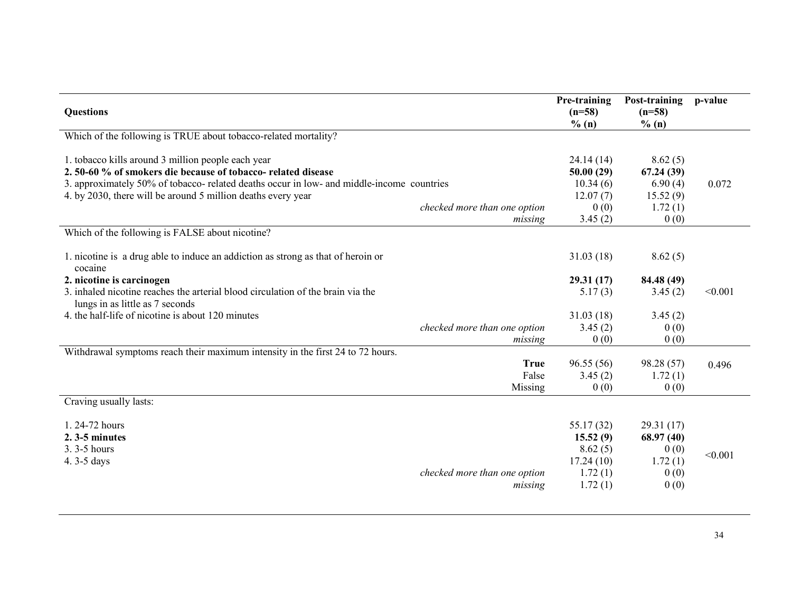| <b>Questions</b>                                                                                                                                                                                                |                                         | Pre-training<br>$(n=58)$<br>% (n)                                    | Post-training<br>$(n=58)$<br>% (n)                        | p-value |
|-----------------------------------------------------------------------------------------------------------------------------------------------------------------------------------------------------------------|-----------------------------------------|----------------------------------------------------------------------|-----------------------------------------------------------|---------|
| Which of the following is TRUE about tobacco-related mortality?                                                                                                                                                 |                                         |                                                                      |                                                           |         |
| 1. tobacco kills around 3 million people each year<br>2.50-60 % of smokers die because of tobacco- related disease<br>3. approximately 50% of tobacco- related deaths occur in low- and middle-income countries |                                         | 24.14(14)<br>50.00(29)<br>10.34(6)                                   | 8.62(5)<br>67.24(39)<br>6.90(4)                           | 0.072   |
| 4. by 2030, there will be around 5 million deaths every year                                                                                                                                                    | checked more than one option<br>missing | 12.07(7)<br>0(0)<br>3.45(2)                                          | 15.52(9)<br>1.72(1)<br>0(0)                               |         |
| Which of the following is FALSE about nicotine?                                                                                                                                                                 |                                         |                                                                      |                                                           |         |
| 1. nicotine is a drug able to induce an addiction as strong as that of heroin or<br>cocaine                                                                                                                     |                                         | 31.03(18)                                                            | 8.62(5)                                                   |         |
| 2. nicotine is carcinogen                                                                                                                                                                                       |                                         | 29.31(17)                                                            | 84.48 (49)                                                |         |
| 3. inhaled nicotine reaches the arterial blood circulation of the brain via the<br>lungs in as little as 7 seconds                                                                                              |                                         | 5.17(3)                                                              | 3.45(2)                                                   | < 0.001 |
| 4. the half-life of nicotine is about 120 minutes                                                                                                                                                               |                                         | 31.03(18)                                                            | 3.45(2)                                                   |         |
|                                                                                                                                                                                                                 | checked more than one option<br>missing | 3.45(2)<br>0(0)                                                      | 0(0)<br>0(0)                                              |         |
| Withdrawal symptoms reach their maximum intensity in the first 24 to 72 hours.                                                                                                                                  |                                         |                                                                      |                                                           |         |
|                                                                                                                                                                                                                 | <b>True</b><br>False<br>Missing         | 96.55(56)<br>3.45(2)<br>0(0)                                         | 98.28 (57)<br>1.72(1)<br>0(0)                             | 0.496   |
| Craving usually lasts:                                                                                                                                                                                          |                                         |                                                                      |                                                           |         |
| 1.24-72 hours<br>$2.3 - 5$ minutes<br>3.3 - 5 hours<br>4.3-5 days                                                                                                                                               | checked more than one option<br>missing | 55.17 (32)<br>15.52(9)<br>8.62(5)<br>17.24(10)<br>1.72(1)<br>1.72(1) | 29.31(17)<br>68.97(40)<br>0(0)<br>1.72(1)<br>0(0)<br>0(0) | < 0.001 |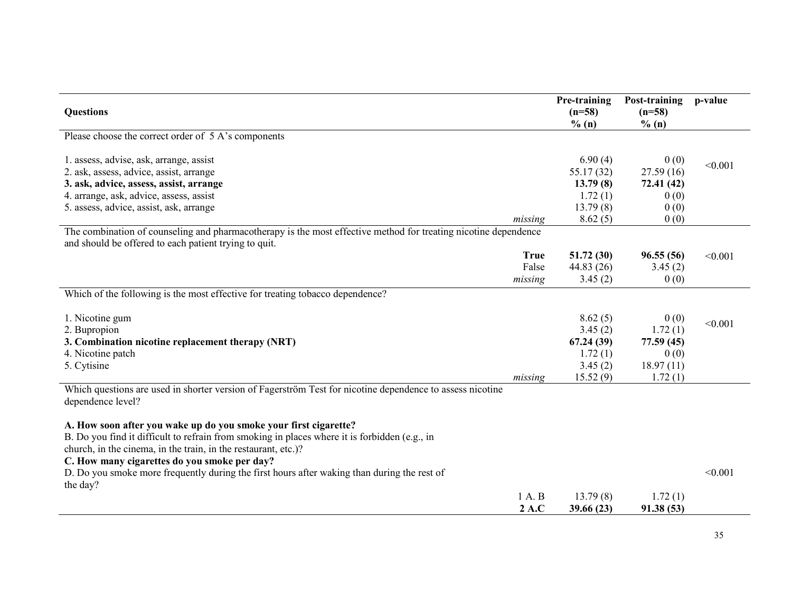|                                                                                                                 |             | Pre-training | Post-training | p-value |
|-----------------------------------------------------------------------------------------------------------------|-------------|--------------|---------------|---------|
| <b>Questions</b>                                                                                                |             | $(n=58)$     | $(n=58)$      |         |
|                                                                                                                 |             | % (n)        | % (n)         |         |
| Please choose the correct order of 5 A's components                                                             |             |              |               |         |
|                                                                                                                 |             |              |               |         |
| 1. assess, advise, ask, arrange, assist                                                                         |             | 6.90(4)      | 0(0)          | < 0.001 |
| 2. ask, assess, advice, assist, arrange                                                                         |             | 55.17(32)    | 27.59(16)     |         |
| 3. ask, advice, assess, assist, arrange                                                                         |             | 13.79(8)     | 72.41 (42)    |         |
| 4. arrange, ask, advice, assess, assist                                                                         |             | 1.72(1)      | 0(0)          |         |
| 5. assess, advice, assist, ask, arrange                                                                         |             | 13.79(8)     | 0(0)          |         |
|                                                                                                                 | missing     | 8.62(5)      | 0(0)          |         |
| The combination of counseling and pharmacotherapy is the most effective method for treating nicotine dependence |             |              |               |         |
| and should be offered to each patient trying to quit.                                                           |             |              |               |         |
|                                                                                                                 | <b>True</b> | 51.72(30)    | 96.55(56)     | < 0.001 |
|                                                                                                                 | False       | 44.83(26)    | 3.45(2)       |         |
|                                                                                                                 | missing     | 3.45(2)      | 0(0)          |         |
| Which of the following is the most effective for treating tobacco dependence?                                   |             |              |               |         |
|                                                                                                                 |             |              |               |         |
| 1. Nicotine gum                                                                                                 |             | 8.62(5)      | 0(0)          | < 0.001 |
| 2. Bupropion                                                                                                    |             | 3.45(2)      | 1.72(1)       |         |
| 3. Combination nicotine replacement therapy (NRT)                                                               |             | 67.24(39)    | 77.59(45)     |         |
| 4. Nicotine patch                                                                                               |             | 1.72(1)      | 0(0)          |         |
| 5. Cytisine                                                                                                     |             | 3.45(2)      | 18.97(11)     |         |
|                                                                                                                 | missing     | 15.52(9)     | 1.72(1)       |         |
| Which questions are used in shorter version of Fagerström Test for nicotine dependence to assess nicotine       |             |              |               |         |
| dependence level?                                                                                               |             |              |               |         |
|                                                                                                                 |             |              |               |         |
| A. How soon after you wake up do you smoke your first cigarette?                                                |             |              |               |         |
| B. Do you find it difficult to refrain from smoking in places where it is forbidden (e.g., in                   |             |              |               |         |
| church, in the cinema, in the train, in the restaurant, etc.)?                                                  |             |              |               |         |
| C. How many cigarettes do you smoke per day?                                                                    |             |              |               |         |
| D. Do you smoke more frequently during the first hours after waking than during the rest of                     |             |              |               | < 0.001 |
| the day?                                                                                                        |             |              |               |         |
|                                                                                                                 | 1 A. B      | 13.79(8)     | 1.72(1)       |         |
|                                                                                                                 | 2 A.C       | 39.66 (23)   | 91.38(53)     |         |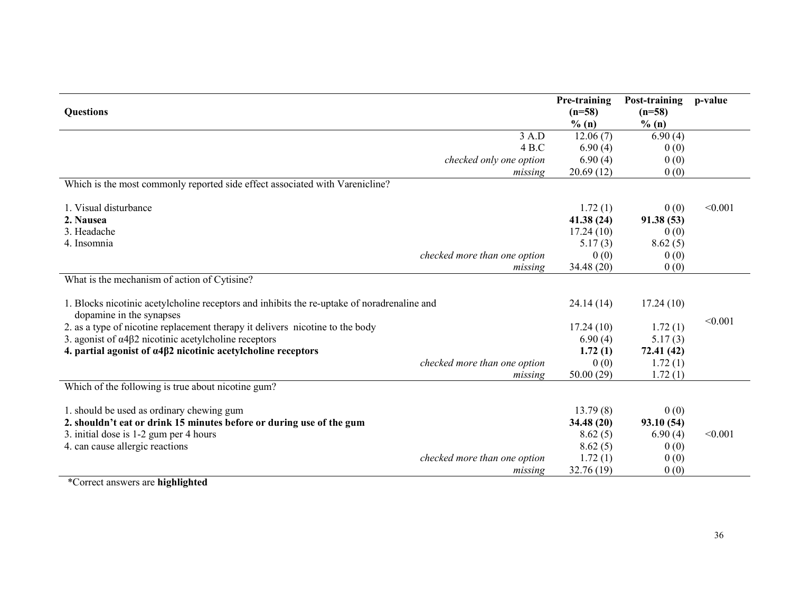|                                                                                                                         |                              | Pre-training | Post-training | p-value |
|-------------------------------------------------------------------------------------------------------------------------|------------------------------|--------------|---------------|---------|
| <b>Questions</b>                                                                                                        |                              | $(n=58)$     | $(n=58)$      |         |
|                                                                                                                         |                              | % (n)        | % (n)         |         |
|                                                                                                                         | 3 A.D                        | 12.06(7)     | 6.90(4)       |         |
|                                                                                                                         | 4 B.C                        | 6.90(4)      | 0(0)          |         |
|                                                                                                                         | checked only one option      | 6.90(4)      | 0(0)          |         |
|                                                                                                                         | missing                      | 20.69(12)    | 0(0)          |         |
| Which is the most commonly reported side effect associated with Varenicline?                                            |                              |              |               |         |
| 1. Visual disturbance                                                                                                   |                              | 1.72(1)      | 0(0)          | < 0.001 |
| 2. Nausea                                                                                                               |                              | 41.38(24)    | 91.38(53)     |         |
| 3. Headache                                                                                                             |                              | 17.24(10)    | 0(0)          |         |
| 4. Insomnia                                                                                                             |                              | 5.17(3)      | 8.62(5)       |         |
|                                                                                                                         | checked more than one option | 0(0)         | 0(0)          |         |
|                                                                                                                         | missing                      | 34.48 (20)   | 0(0)          |         |
| What is the mechanism of action of Cytisine?                                                                            |                              |              |               |         |
| 1. Blocks nicotinic acetylcholine receptors and inhibits the re-uptake of noradrenaline and<br>dopamine in the synapses |                              | 24.14(14)    | 17.24(10)     |         |
| 2. as a type of nicotine replacement therapy it delivers nicotine to the body                                           |                              | 17.24(10)    | 1.72(1)       | < 0.001 |
| 3. agonist of $\alpha$ 4 $\beta$ 2 nicotinic acetylcholine receptors                                                    |                              | 6.90(4)      | 5.17(3)       |         |
| 4. partial agonist of $\alpha$ 4 $\beta$ 2 nicotinic acetylcholine receptors                                            |                              | 1.72(1)      | 72.41 (42)    |         |
|                                                                                                                         | checked more than one option | 0(0)         | 1.72(1)       |         |
|                                                                                                                         | missing                      | 50.00(29)    | 1.72(1)       |         |
| Which of the following is true about nicotine gum?                                                                      |                              |              |               |         |
| 1. should be used as ordinary chewing gum                                                                               |                              | 13.79(8)     | 0(0)          |         |
| 2. shouldn't eat or drink 15 minutes before or during use of the gum                                                    |                              | 34.48 (20)   | 93.10(54)     |         |
| 3. initial dose is 1-2 gum per 4 hours                                                                                  |                              | 8.62(5)      | 6.90(4)       | < 0.001 |
| 4. can cause allergic reactions                                                                                         |                              | 8.62(5)      | 0(0)          |         |
|                                                                                                                         | checked more than one option | 1.72(1)      | 0(0)          |         |
|                                                                                                                         | missing                      | 32.76 (19)   | 0(0)          |         |
|                                                                                                                         |                              |              |               |         |

\*Correct answers are highlighted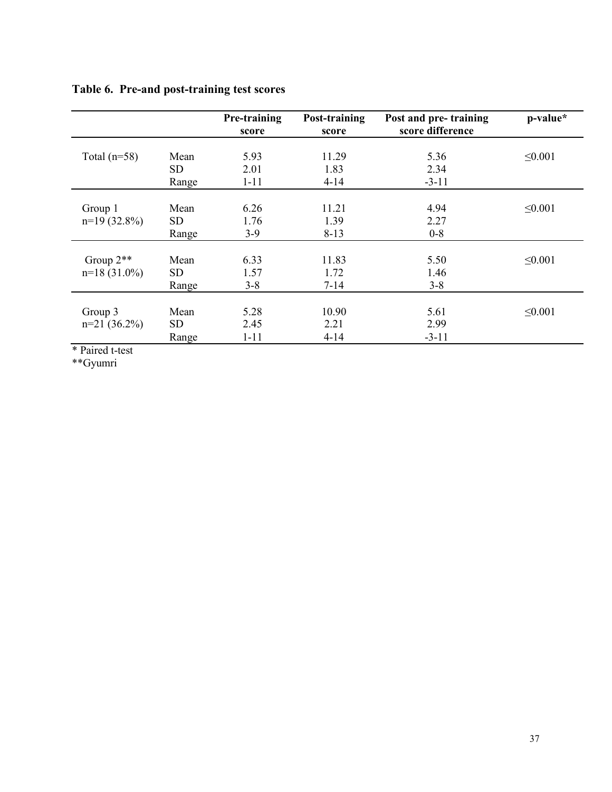|  |  | Table 6. Pre-and post-training test scores |  |
|--|--|--------------------------------------------|--|
|--|--|--------------------------------------------|--|

|                                                          |                                  | Pre-training<br>score    | Post-training<br>score    | Post and pre-training<br>score difference | p-value*     |
|----------------------------------------------------------|----------------------------------|--------------------------|---------------------------|-------------------------------------------|--------------|
| Total $(n=58)$                                           | Mean<br>SD.<br>Range             | 5.93<br>2.01<br>$1 - 11$ | 11.29<br>1.83<br>$4 - 14$ | 5.36<br>2.34<br>$-3-11$                   | $\leq 0.001$ |
| Group 1<br>$n=19(32.8\%)$                                | Mean<br>SD <sub>1</sub><br>Range | 6.26<br>1.76<br>$3-9$    | 11.21<br>1.39<br>$8 - 13$ | 4.94<br>2.27<br>$0-8$                     | $\leq 0.001$ |
| Group $2**$<br>$n=18(31.0\%)$                            | Mean<br>SD <sub>1</sub><br>Range | 6.33<br>1.57<br>$3 - 8$  | 11.83<br>1.72<br>$7 - 14$ | 5.50<br>1.46<br>$3 - 8$                   | $\leq 0.001$ |
| Group 3<br>$n=21$ (36.2%)<br>and the control of the con- | Mean<br><b>SD</b><br>Range       | 5.28<br>2.45<br>$1 - 11$ | 10.90<br>2.21<br>$4 - 14$ | 5.61<br>2.99<br>$-3-11$                   | $\leq 0.001$ |

\* Paired t-test

\*\*Gyumri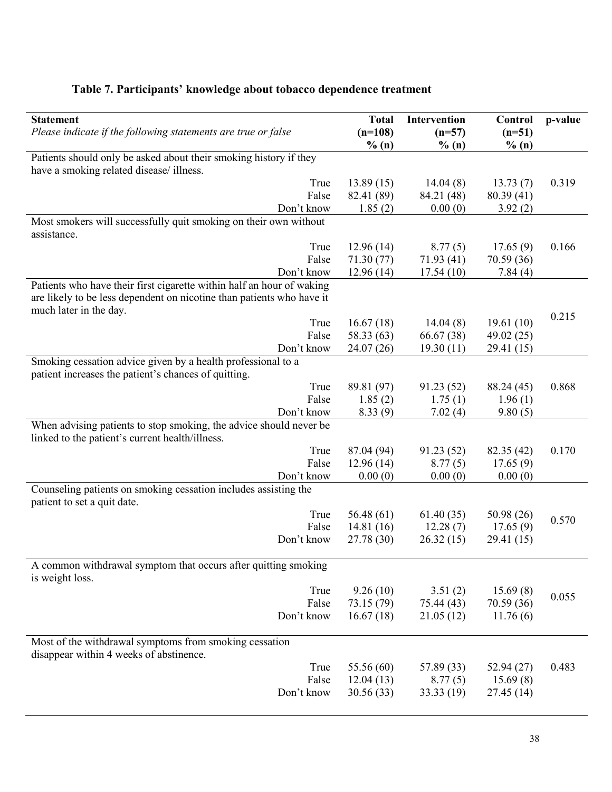# Table 7. Participants' knowledge about tobacco dependence treatment

| <b>Statement</b><br>Please indicate if the following statements are true or false                                                              | <b>Total</b><br>$(n=108)$ | Intervention<br>$(n=57)$ | Control<br>$(n=51)$ | p-value |
|------------------------------------------------------------------------------------------------------------------------------------------------|---------------------------|--------------------------|---------------------|---------|
|                                                                                                                                                | % (n)                     | % (n)                    | % (n)               |         |
| Patients should only be asked about their smoking history if they<br>have a smoking related disease/illness.                                   |                           |                          |                     |         |
| True                                                                                                                                           | 13.89(15)                 | 14.04(8)                 | 13.73(7)            | 0.319   |
| False                                                                                                                                          | 82.41 (89)                | 84.21 (48)               | 80.39(41)           |         |
| Don't know                                                                                                                                     | 1.85(2)                   | 0.00(0)                  | 3.92(2)             |         |
| Most smokers will successfully quit smoking on their own without<br>assistance.                                                                |                           |                          |                     |         |
| True                                                                                                                                           | 12.96(14)                 | 8.77(5)                  | 17.65(9)            | 0.166   |
| False                                                                                                                                          | 71.30 (77)                | 71.93 (41)               | 70.59 (36)          |         |
| Don't know                                                                                                                                     | 12.96(14)                 | 17.54(10)                | 7.84(4)             |         |
| Patients who have their first cigarette within half an hour of waking<br>are likely to be less dependent on nicotine than patients who have it |                           |                          |                     |         |
| much later in the day.                                                                                                                         |                           |                          | 19.61(10)           | 0.215   |
| True<br>False                                                                                                                                  | 16.67(18)<br>58.33 (63)   | 14.04(8)<br>66.67 (38)   | 49.02 (25)          |         |
| Don't know                                                                                                                                     | 24.07 (26)                | 19.30(11)                | 29.41 (15)          |         |
| Smoking cessation advice given by a health professional to a                                                                                   |                           |                          |                     |         |
| patient increases the patient's chances of quitting.<br>True                                                                                   | 89.81 (97)                | 91.23(52)                | 88.24 (45)          | 0.868   |
| False                                                                                                                                          | 1.85(2)                   | 1.75(1)                  | 1.96(1)             |         |
| Don't know                                                                                                                                     | 8.33(9)                   | 7.02(4)                  | 9.80(5)             |         |
| When advising patients to stop smoking, the advice should never be                                                                             |                           |                          |                     |         |
| linked to the patient's current health/illness.                                                                                                |                           |                          |                     |         |
| True                                                                                                                                           | 87.04 (94)                | 91.23 (52)               | 82.35 (42)          | 0.170   |
| False                                                                                                                                          | 12.96(14)                 | 8.77(5)                  | 17.65(9)            |         |
| Don't know                                                                                                                                     | 0.00(0)                   | 0.00(0)                  | 0.00(0)             |         |
| Counseling patients on smoking cessation includes assisting the<br>patient to set a quit date.                                                 |                           |                          |                     |         |
| True                                                                                                                                           | 56.48(61)                 | 61.40(35)                | 50.98(26)           | 0.570   |
| False                                                                                                                                          | 14.81(16)                 | 12.28(7)                 | 17.65(9)            |         |
| Don't know                                                                                                                                     | 27.78 (30)                | 26.32(15)                | 29.41 (15)          |         |
| A common withdrawal symptom that occurs after quitting smoking                                                                                 |                           |                          |                     |         |
| is weight loss.                                                                                                                                |                           |                          |                     |         |
| True                                                                                                                                           | 9.26(10)                  | 3.51(2)                  | 15.69(8)            | 0.055   |
| False                                                                                                                                          | 73.15 (79)                | 75.44 (43)               | 70.59 (36)          |         |
| Don't know                                                                                                                                     | 16.67(18)                 | 21.05(12)                | 11.76(6)            |         |
| Most of the withdrawal symptoms from smoking cessation                                                                                         |                           |                          |                     |         |
| disappear within 4 weeks of abstinence.<br>True                                                                                                | 55.56 (60)                |                          | 52.94(27)           | 0.483   |
| False                                                                                                                                          | 12.04(13)                 | 57.89 (33)<br>8.77(5)    | 15.69(8)            |         |
| Don't know                                                                                                                                     | 30.56(33)                 | 33.33(19)                | 27.45(14)           |         |
|                                                                                                                                                |                           |                          |                     |         |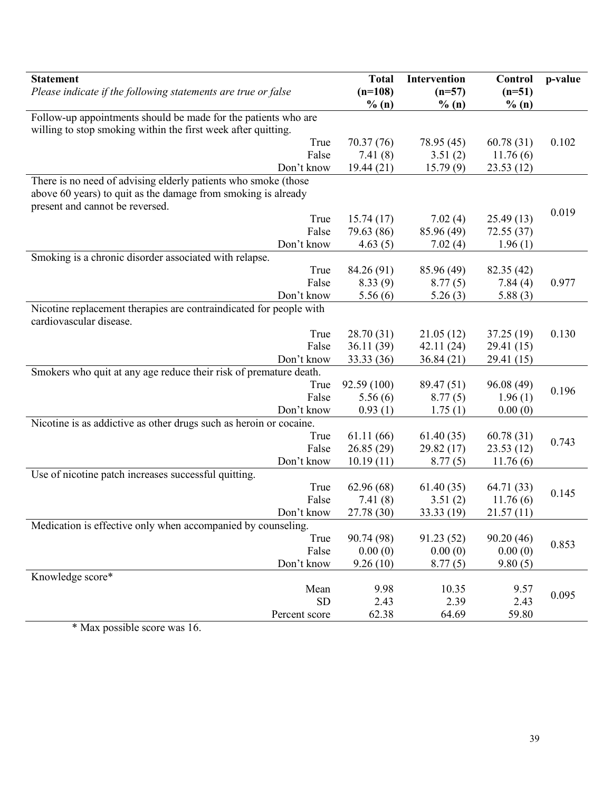| <b>Statement</b><br>Please indicate if the following statements are true or false | <b>Total</b><br>$(n=108)$<br>% (n) | Intervention<br>$(n=57)$<br>% (n) | Control<br>$(n=51)$<br>% (n) | p-value |
|-----------------------------------------------------------------------------------|------------------------------------|-----------------------------------|------------------------------|---------|
| Follow-up appointments should be made for the patients who are                    |                                    |                                   |                              |         |
| willing to stop smoking within the first week after quitting.                     |                                    |                                   |                              |         |
| True                                                                              | 70.37 (76)                         | 78.95 (45)                        | 60.78(31)                    | 0.102   |
| False<br>Don't know                                                               | 7.41(8)<br>19.44(21)               | 3.51(2)<br>15.79(9)               | 11.76(6)<br>23.53(12)        |         |
| There is no need of advising elderly patients who smoke (those                    |                                    |                                   |                              |         |
| above 60 years) to quit as the damage from smoking is already                     |                                    |                                   |                              |         |
| present and cannot be reversed.                                                   |                                    |                                   |                              | 0.019   |
| True<br>False                                                                     | 15.74(17)                          | 7.02(4)                           | 25.49(13)<br>72.55(37)       |         |
| Don't know                                                                        | 79.63 (86)<br>4.63(5)              | 85.96 (49)<br>7.02(4)             | 1.96(1)                      |         |
| Smoking is a chronic disorder associated with relapse.                            |                                    |                                   |                              |         |
| True                                                                              | 84.26 (91)                         | 85.96 (49)                        | 82.35 (42)                   |         |
| False                                                                             | 8.33(9)                            | 8.77(5)                           | 7.84(4)                      | 0.977   |
| Don't know                                                                        | 5.56(6)                            | 5.26(3)                           | 5.88(3)                      |         |
| Nicotine replacement therapies are contraindicated for people with                |                                    |                                   |                              |         |
| cardiovascular disease.                                                           |                                    |                                   |                              |         |
| True                                                                              | 28.70 (31)                         | 21.05(12)                         | 37.25(19)                    | 0.130   |
| False                                                                             | 36.11(39)                          | 42.11(24)                         | 29.41 (15)                   |         |
| Don't know                                                                        | 33.33 (36)                         | 36.84(21)                         | 29.41 (15)                   |         |
| Smokers who quit at any age reduce their risk of premature death.                 |                                    |                                   |                              |         |
| True                                                                              | 92.59 (100)                        | 89.47 (51)                        | 96.08(49)                    | 0.196   |
| False                                                                             | 5.56(6)                            | 8.77(5)                           | 1.96(1)                      |         |
| Don't know                                                                        | 0.93(1)                            | 1.75(1)                           | 0.00(0)                      |         |
| Nicotine is as addictive as other drugs such as heroin or cocaine.                |                                    |                                   |                              |         |
| True                                                                              | 61.11(66)                          | 61.40(35)                         | 60.78(31)                    | 0.743   |
| False                                                                             | 26.85(29)                          | 29.82(17)                         | 23.53(12)                    |         |
| Don't know<br>Use of nicotine patch increases successful quitting.                | 10.19(11)                          | 8.77(5)                           | 11.76(6)                     |         |
| True                                                                              | 62.96(68)                          | 61.40(35)                         | 64.71 (33)                   |         |
| False                                                                             | 7.41(8)                            | 3.51(2)                           | 11.76(6)                     | 0.145   |
| Don't know                                                                        | 27.78 (30)                         | 33.33 (19)                        | 21.57(11)                    |         |
| Medication is effective only when accompanied by counseling.                      |                                    |                                   |                              |         |
| True                                                                              | 90.74 (98)                         | 91.23(52)                         | 90.20(46)                    |         |
| False                                                                             | 0.00(0)                            | 0.00(0)                           | 0.00(0)                      | 0.853   |
| Don't know                                                                        | 9.26(10)                           | 8.77(5)                           | 9.80(5)                      |         |
| Knowledge score*                                                                  |                                    |                                   |                              |         |
| Mean                                                                              | 9.98                               | 10.35                             | 9.57                         | 0.095   |
| <b>SD</b>                                                                         | 2.43                               | 2.39                              | 2.43                         |         |
| Percent score                                                                     | 62.38                              | 64.69                             | 59.80                        |         |

\* Max possible score was 16.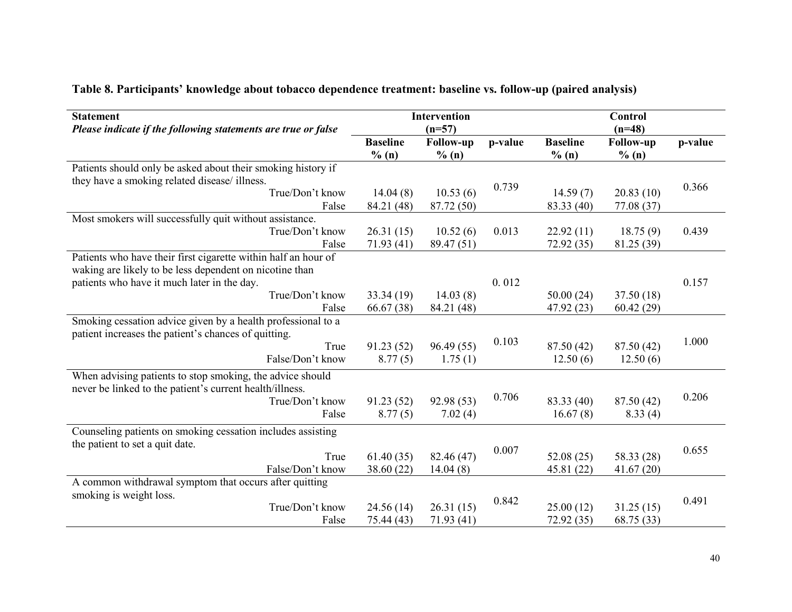| <b>Statement</b><br>Please indicate if the following statements are true or false |                          | <b>Intervention</b><br>$(n=57)$ |         |                          | <b>Control</b><br>$(n=48)$ |         |
|-----------------------------------------------------------------------------------|--------------------------|---------------------------------|---------|--------------------------|----------------------------|---------|
|                                                                                   | <b>Baseline</b><br>% (n) | <b>Follow-up</b><br>% (n)       | p-value | <b>Baseline</b><br>% (n) | Follow-up<br>% (n)         | p-value |
| Patients should only be asked about their smoking history if                      |                          |                                 |         |                          |                            |         |
| they have a smoking related disease/ illness.                                     |                          |                                 | 0.739   |                          |                            | 0.366   |
| True/Don't know                                                                   | 14.04(8)                 | 10.53(6)                        |         | 14.59(7)                 | 20.83(10)                  |         |
| False                                                                             | 84.21 (48)               | 87.72 (50)                      |         | 83.33 (40)               | 77.08 (37)                 |         |
| Most smokers will successfully quit without assistance.                           |                          |                                 |         |                          |                            |         |
| True/Don't know                                                                   | 26.31(15)                | 10.52(6)                        | 0.013   | 22.92(11)                | 18.75(9)                   | 0.439   |
| False                                                                             | 71.93 (41)               | 89.47 (51)                      |         | 72.92(35)                | 81.25 (39)                 |         |
| Patients who have their first cigarette within half an hour of                    |                          |                                 |         |                          |                            |         |
| waking are likely to be less dependent on nicotine than                           |                          |                                 |         |                          |                            |         |
| patients who have it much later in the day.                                       |                          |                                 | 0.012   |                          |                            | 0.157   |
| True/Don't know                                                                   | 33.34(19)                | 14.03(8)                        |         | 50.00(24)                | 37.50 (18)                 |         |
| False                                                                             | 66.67 (38)               | 84.21 (48)                      |         | 47.92 (23)               | 60.42(29)                  |         |
| Smoking cessation advice given by a health professional to a                      |                          |                                 |         |                          |                            |         |
| patient increases the patient's chances of quitting.                              |                          |                                 |         |                          |                            |         |
| True                                                                              | 91.23(52)                | 96.49(55)                       | 0.103   | 87.50 (42)               | 87.50 (42)                 | 1.000   |
| False/Don't know                                                                  | 8.77(5)                  | 1.75(1)                         |         | 12.50(6)                 | 12.50(6)                   |         |
| When advising patients to stop smoking, the advice should                         |                          |                                 |         |                          |                            |         |
| never be linked to the patient's current health/illness.                          |                          |                                 |         |                          |                            |         |
| True/Don't know                                                                   | 91.23(52)                | 92.98 (53)                      | 0.706   | 83.33 (40)               | 87.50 (42)                 | 0.206   |
| False                                                                             | 8.77(5)                  | 7.02(4)                         |         | 16.67(8)                 | 8.33(4)                    |         |
| Counseling patients on smoking cessation includes assisting                       |                          |                                 |         |                          |                            |         |
| the patient to set a quit date.                                                   |                          |                                 |         |                          |                            |         |
| True                                                                              | 61.40(35)                | 82.46 (47)                      | 0.007   | 52.08(25)                | 58.33 (28)                 | 0.655   |
| False/Don't know                                                                  | 38.60 (22)               | 14.04(8)                        |         | 45.81 (22)               | 41.67(20)                  |         |
| A common withdrawal symptom that occurs after quitting                            |                          |                                 |         |                          |                            |         |
| smoking is weight loss.                                                           |                          |                                 |         |                          |                            |         |
| True/Don't know                                                                   | 24.56(14)                | 26.31(15)                       | 0.842   | 25.00(12)                | 31.25(15)                  | 0.491   |
| False                                                                             | 75.44 (43)               | 71.93(41)                       |         | 72.92(35)                | 68.75 (33)                 |         |
|                                                                                   |                          |                                 |         |                          |                            |         |

# Table 8. Participants' knowledge about tobacco dependence treatment: baseline vs. follow-up (paired analysis)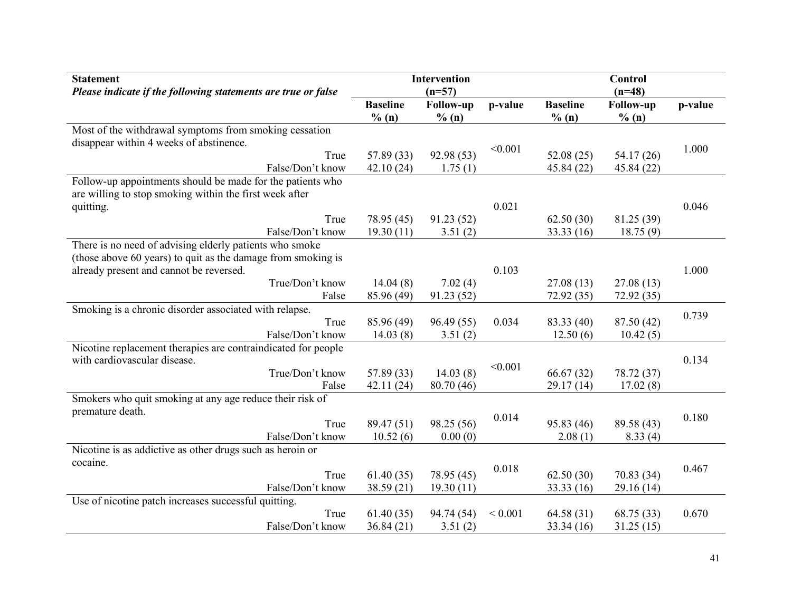| <b>Statement</b><br>Please indicate if the following statements are true or false |                          | <b>Intervention</b><br>$(n=57)$ |             |                          | <b>Control</b><br>$(n=48)$ |         |
|-----------------------------------------------------------------------------------|--------------------------|---------------------------------|-------------|--------------------------|----------------------------|---------|
|                                                                                   | <b>Baseline</b><br>% (n) | <b>Follow-up</b><br>% (n)       | p-value     | <b>Baseline</b><br>% (n) | Follow-up<br>% (n)         | p-value |
| Most of the withdrawal symptoms from smoking cessation                            |                          |                                 |             |                          |                            |         |
| disappear within 4 weeks of abstinence.                                           |                          |                                 |             |                          |                            |         |
| True                                                                              | 57.89 (33)               | 92.98 (53)                      | < 0.001     | 52.08(25)                | 54.17 (26)                 | 1.000   |
| False/Don't know                                                                  | 42.10(24)                | 1.75(1)                         |             | 45.84 (22)               | 45.84 (22)                 |         |
| Follow-up appointments should be made for the patients who                        |                          |                                 |             |                          |                            |         |
| are willing to stop smoking within the first week after                           |                          |                                 |             |                          |                            |         |
| quitting.                                                                         |                          |                                 | 0.021       |                          |                            | 0.046   |
| True                                                                              | 78.95 (45)               | 91.23(52)                       |             | 62.50(30)                | 81.25 (39)                 |         |
| False/Don't know                                                                  | 19.30(11)                | 3.51(2)                         |             | 33.33(16)                | 18.75(9)                   |         |
| There is no need of advising elderly patients who smoke                           |                          |                                 |             |                          |                            |         |
| (those above 60 years) to quit as the damage from smoking is                      |                          |                                 |             |                          |                            |         |
| already present and cannot be reversed.                                           |                          |                                 | 0.103       |                          |                            | 1.000   |
| True/Don't know                                                                   | 14.04(8)                 | 7.02(4)                         |             | 27.08(13)                | 27.08(13)                  |         |
| False                                                                             | 85.96 (49)               | 91.23(52)                       |             | 72.92 (35)               | 72.92(35)                  |         |
| Smoking is a chronic disorder associated with relapse.                            |                          |                                 |             |                          |                            | 0.739   |
| True                                                                              | 85.96 (49)               | 96.49 (55)                      | 0.034       | 83.33 (40)               | 87.50 (42)                 |         |
| False/Don't know                                                                  | 14.03(8)                 | 3.51(2)                         |             | 12.50(6)                 | 10.42(5)                   |         |
| Nicotine replacement therapies are contraindicated for people                     |                          |                                 |             |                          |                            |         |
| with cardiovascular disease.                                                      |                          |                                 | < 0.001     |                          |                            | 0.134   |
| True/Don't know                                                                   | 57.89 (33)               | 14.03(8)                        |             | 66.67(32)                | 78.72 (37)                 |         |
| False                                                                             | 42.11(24)                | 80.70 (46)                      |             | 29.17(14)                | 17.02(8)                   |         |
| Smokers who quit smoking at any age reduce their risk of                          |                          |                                 |             |                          |                            |         |
| premature death.                                                                  |                          |                                 | 0.014       |                          |                            | 0.180   |
| True                                                                              | 89.47 (51)               | 98.25 (56)                      |             | 95.83 (46)               | 89.58 (43)                 |         |
| False/Don't know                                                                  | 10.52(6)                 | 0.00(0)                         |             | 2.08(1)                  | 8.33(4)                    |         |
| Nicotine is as addictive as other drugs such as heroin or                         |                          |                                 |             |                          |                            |         |
| cocaine.                                                                          |                          |                                 | 0.018       |                          |                            | 0.467   |
| True                                                                              | 61.40(35)                | 78.95 (45)                      |             | 62.50(30)                | 70.83 (34)                 |         |
| False/Don't know                                                                  | 38.59(21)                | 19.30(11)                       |             | 33.33 (16)               | 29.16(14)                  |         |
| Use of nicotine patch increases successful quitting.                              |                          |                                 |             |                          |                            |         |
| True                                                                              | 61.40(35)                | 94.74 (54)                      | ${}< 0.001$ | 64.58 (31)               | 68.75 (33)                 | 0.670   |
| False/Don't know                                                                  | 36.84(21)                | 3.51(2)                         |             | 33.34(16)                | 31.25(15)                  |         |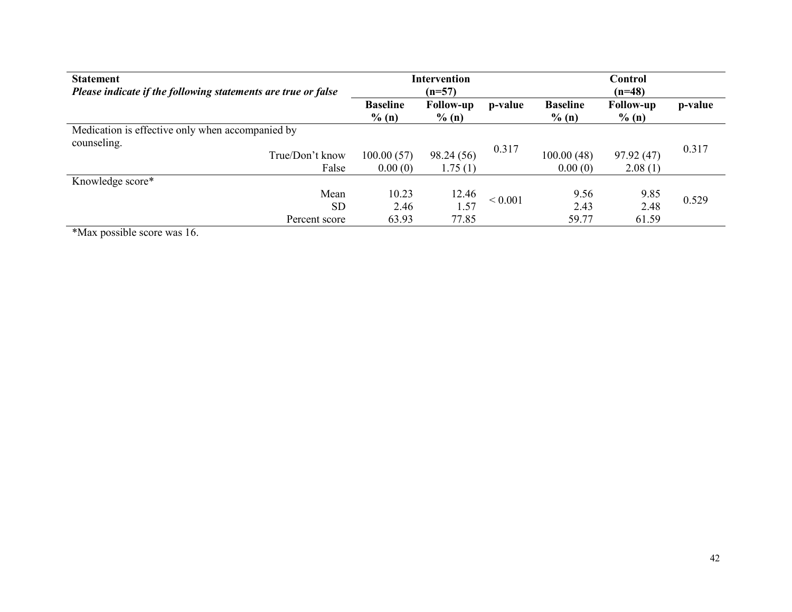| <b>Statement</b><br>Please indicate if the following statements are true or false |                             | <b>Intervention</b><br>$(n=57)$ |              |                             | Control<br>$(n=48)$          |         |
|-----------------------------------------------------------------------------------|-----------------------------|---------------------------------|--------------|-----------------------------|------------------------------|---------|
|                                                                                   | <b>Baseline</b><br>$\%$ (n) | <b>Follow-up</b><br>$\%$ (n)    | p-value      | <b>Baseline</b><br>$\%$ (n) | <b>Follow-up</b><br>$\%$ (n) | p-value |
| Medication is effective only when accompanied by                                  |                             |                                 |              |                             |                              |         |
| counseling.<br>True/Don't know<br>False                                           | 100.00(57)<br>0.00(0)       | 98.24 (56)<br>1.75(1)           | 0.317        | 100.00(48)<br>0.00(0)       | 97.92(47)<br>2.08(1)         | 0.317   |
| Knowledge score*                                                                  |                             |                                 |              |                             |                              |         |
| Mean<br><b>SD</b>                                                                 | 10.23<br>2.46               | 12.46<br>1.57                   | ${}_{0.001}$ | 9.56<br>2.43                | 9.85<br>2.48                 | 0.529   |
| Percent score                                                                     | 63.93                       | 77.85                           |              | 59.77                       | 61.59                        |         |

\*Max possible score was 16.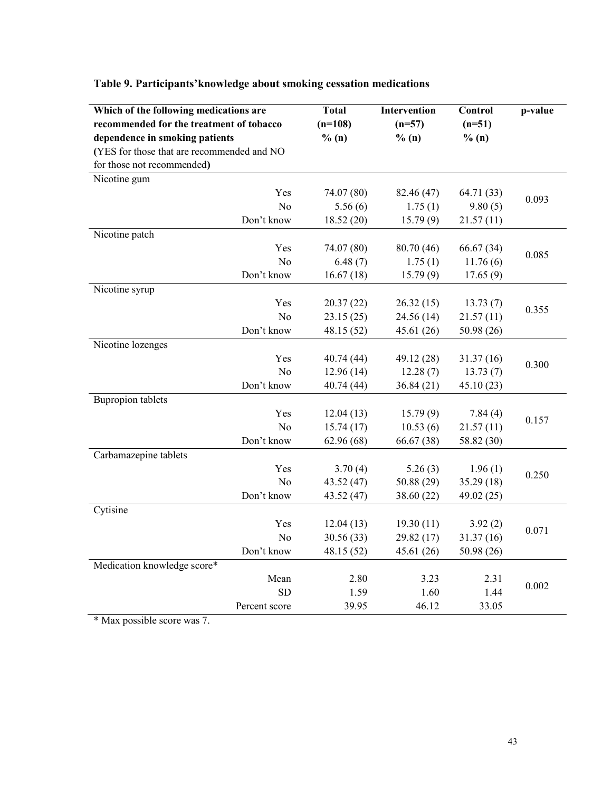| Which of the following medications are     |                | <b>Total</b> | <b>Intervention</b> | Control    | p-value |
|--------------------------------------------|----------------|--------------|---------------------|------------|---------|
| recommended for the treatment of tobacco   |                | $(n=108)$    | $(n=57)$            | $(n=51)$   |         |
| dependence in smoking patients             |                | % (n)        | % (n)               | % (n)      |         |
| (YES for those that are recommended and NO |                |              |                     |            |         |
| for those not recommended)                 |                |              |                     |            |         |
| Nicotine gum                               |                |              |                     |            |         |
|                                            | Yes            | 74.07 (80)   | 82.46 (47)          | 64.71 (33) | 0.093   |
|                                            | N <sub>o</sub> | 5.56(6)      | 1.75(1)             | 9.80(5)    |         |
|                                            | Don't know     | 18.52 (20)   | 15.79(9)            | 21.57(11)  |         |
| Nicotine patch                             |                |              |                     |            |         |
|                                            | Yes            | 74.07 (80)   | 80.70 (46)          | 66.67 (34) | 0.085   |
|                                            | N <sub>o</sub> | 6.48(7)      | 1.75(1)             | 11.76(6)   |         |
|                                            | Don't know     | 16.67(18)    | 15.79(9)            | 17.65(9)   |         |
| Nicotine syrup                             |                |              |                     |            |         |
|                                            | Yes            | 20.37(22)    | 26.32(15)           | 13.73(7)   | 0.355   |
|                                            | N <sub>o</sub> | 23.15(25)    | 24.56 (14)          | 21.57(11)  |         |
|                                            | Don't know     | 48.15 (52)   | 45.61 (26)          | 50.98 (26) |         |
| Nicotine lozenges                          |                |              |                     |            |         |
|                                            | Yes            | 40.74 (44)   | 49.12 (28)          | 31.37 (16) | 0.300   |
|                                            | N <sub>o</sub> | 12.96(14)    | 12.28(7)            | 13.73(7)   |         |
|                                            | Don't know     | 40.74 (44)   | 36.84(21)           | 45.10 (23) |         |
| <b>Bupropion tablets</b>                   |                |              |                     |            |         |
|                                            | Yes            | 12.04(13)    | 15.79(9)            | 7.84(4)    | 0.157   |
|                                            | No             | 15.74(17)    | 10.53(6)            | 21.57(11)  |         |
|                                            | Don't know     | 62.96 (68)   | 66.67 (38)          | 58.82 (30) |         |
| Carbamazepine tablets                      |                |              |                     |            |         |
|                                            | Yes            | 3.70(4)      | 5.26(3)             | 1.96(1)    | 0.250   |
|                                            | N <sub>o</sub> | 43.52 (47)   | 50.88 (29)          | 35.29 (18) |         |
|                                            | Don't know     | 43.52 (47)   | 38.60 (22)          | 49.02 (25) |         |
| Cytisine                                   |                |              |                     |            |         |
|                                            | Yes            | 12.04(13)    | 19.30(11)           | 3.92(2)    | 0.071   |
|                                            | N <sub>o</sub> | 30.56 (33)   | 29.82 (17)          | 31.37(16)  |         |
|                                            | Don't know     | 48.15 (52)   | 45.61 (26)          | 50.98 (26) |         |
| Medication knowledge score*                |                |              |                     |            |         |
|                                            | Mean           | 2.80         | 3.23                | 2.31       | 0.002   |
|                                            | <b>SD</b>      | 1.59         | 1.60                | 1.44       |         |
|                                            | Percent score  | 39.95        | 46.12               | 33.05      |         |

#### Table 9. Participants'knowledge about smoking cessation medications

\* Max possible score was 7.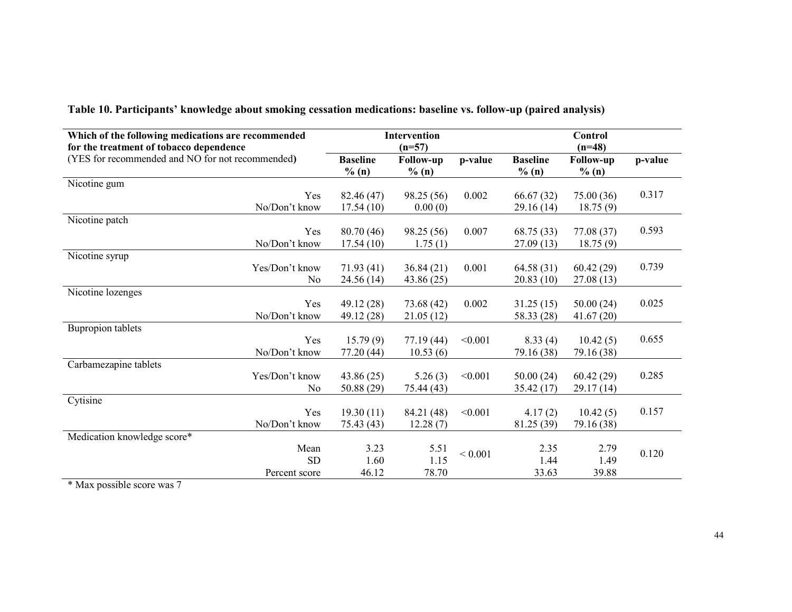| Which of the following medications are recommended<br>for the treatment of tobacco dependence |                          | <b>Intervention</b><br>$(n=57)$ |         |                          | Control<br>$(n=48)$       |         |  |
|-----------------------------------------------------------------------------------------------|--------------------------|---------------------------------|---------|--------------------------|---------------------------|---------|--|
| (YES for recommended and NO for not recommended)                                              | <b>Baseline</b><br>% (n) | <b>Follow-up</b><br>% (n)       | p-value | <b>Baseline</b><br>% (n) | <b>Follow-up</b><br>% (n) | p-value |  |
| Nicotine gum                                                                                  |                          |                                 |         |                          |                           |         |  |
| Yes                                                                                           | 82.46 (47)               | 98.25(56)                       | 0.002   | 66.67 (32)               | 75.00(36)                 | 0.317   |  |
| No/Don't know                                                                                 | 17.54(10)                | 0.00(0)                         |         | 29.16(14)                | 18.75(9)                  |         |  |
| Nicotine patch                                                                                |                          |                                 |         |                          |                           |         |  |
| Yes                                                                                           | 80.70 (46)               | 98.25 (56)                      | 0.007   | 68.75 (33)               | 77.08 (37)                | 0.593   |  |
| No/Don't know                                                                                 | 17.54(10)                | 1.75(1)                         |         | 27.09(13)                | 18.75(9)                  |         |  |
| Nicotine syrup                                                                                |                          |                                 |         |                          |                           |         |  |
| Yes/Don't know                                                                                | 71.93(41)                | 36.84(21)                       | 0.001   | 64.58(31)                | 60.42(29)                 | 0.739   |  |
| N <sub>0</sub>                                                                                | 24.56(14)                | 43.86 (25)                      |         | 20.83(10)                | 27.08(13)                 |         |  |
| Nicotine lozenges                                                                             |                          |                                 |         |                          |                           |         |  |
| Yes                                                                                           | 49.12 (28)               | 73.68(42)                       | 0.002   | 31.25(15)                | 50.00(24)                 | 0.025   |  |
| No/Don't know                                                                                 | 49.12 (28)               | 21.05(12)                       |         | 58.33 (28)               | 41.67(20)                 |         |  |
| <b>Bupropion tablets</b>                                                                      |                          |                                 |         |                          |                           |         |  |
| Yes                                                                                           | 15.79(9)                 | 77.19(44)                       | < 0.001 | 8.33(4)                  | 10.42(5)                  | 0.655   |  |
| No/Don't know                                                                                 | 77.20 (44)               | 10.53(6)                        |         | 79.16 (38)               | 79.16 (38)                |         |  |
| Carbamezapine tablets                                                                         |                          |                                 |         |                          |                           |         |  |
| Yes/Don't know                                                                                | 43.86(25)                | 5.26(3)                         | < 0.001 | 50.00(24)                | 60.42(29)                 | 0.285   |  |
| No                                                                                            | 50.88 (29)               | 75.44 (43)                      |         | 35.42(17)                | 29.17(14)                 |         |  |
| Cytisine                                                                                      |                          |                                 |         |                          |                           |         |  |
| Yes                                                                                           | 19.30(11)                | 84.21 (48)                      | < 0.001 | 4.17(2)                  | 10.42(5)                  | 0.157   |  |
| No/Don't know                                                                                 | 75.43 (43)               | 12.28(7)                        |         | 81.25 (39)               | 79.16 (38)                |         |  |
| Medication knowledge score*                                                                   |                          |                                 |         |                          |                           |         |  |
| Mean                                                                                          | 3.23                     | 5.51                            | < 0.001 | 2.35                     | 2.79                      | 0.120   |  |
| <b>SD</b>                                                                                     | 1.60                     | 1.15                            |         | 1.44                     | 1.49                      |         |  |
| Percent score                                                                                 | 46.12                    | 78.70                           |         | 33.63                    | 39.88                     |         |  |

Table 10. Participants' knowledge about smoking cessation medications: baseline vs. follow-up (paired analysis)

\* Max possible score was 7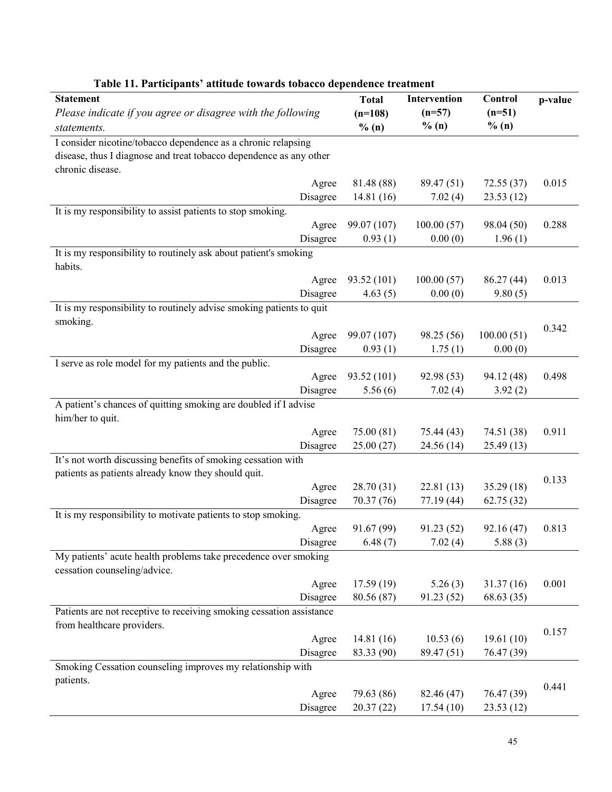| <b>Statement</b>                                                            | <b>Total</b>          | Intervention          | Control               | p-value |
|-----------------------------------------------------------------------------|-----------------------|-----------------------|-----------------------|---------|
| Please indicate if you agree or disagree with the following                 | $(n=108)$             | $(n=57)$              | $(n=51)$              |         |
| statements.                                                                 | % (n)                 | % (n)                 | % (n)                 |         |
| I consider nicotine/tobacco dependence as a chronic relapsing               |                       |                       |                       |         |
| disease, thus I diagnose and treat tobacco dependence as any other          |                       |                       |                       |         |
| chronic disease.                                                            |                       |                       |                       |         |
| Agree                                                                       | 81.48 (88)            | 89.47 (51)            | 72.55 (37)            | 0.015   |
| Disagree                                                                    | 14.81 (16)            | 7.02(4)               | 23.53(12)             |         |
| It is my responsibility to assist patients to stop smoking.                 |                       |                       |                       |         |
| Agree                                                                       | 99.07 (107)           | 100.00(57)            | 98.04 (50)            | 0.288   |
| Disagree                                                                    | 0.93(1)               | 0.00(0)               | 1.96(1)               |         |
| It is my responsibility to routinely ask about patient's smoking<br>habits. |                       |                       |                       |         |
| Agree                                                                       | 93.52 (101)           | 100.00(57)            | 86.27 (44)            | 0.013   |
| Disagree                                                                    | 4.63(5)               | 0.00(0)               | 9.80(5)               |         |
| It is my responsibility to routinely advise smoking patients to quit        |                       |                       |                       |         |
| smoking.                                                                    |                       |                       |                       |         |
| Agree                                                                       | 99.07 (107)           | 98.25 (56)            | 100.00(51)            | 0.342   |
| Disagree                                                                    | 0.93(1)               | 1.75(1)               | 0.00(0)               |         |
| I serve as role model for my patients and the public.                       |                       |                       |                       |         |
| Agree                                                                       | 93.52 (101)           | 92.98 (53)            | 94.12 (48)            | 0.498   |
| Disagree                                                                    | 5.56(6)               | 7.02(4)               | 3.92(2)               |         |
| A patient's chances of quitting smoking are doubled if I advise             |                       |                       |                       |         |
| him/her to quit.                                                            |                       |                       |                       |         |
| Agree                                                                       | 75.00 (81)            | 75.44 (43)            | 74.51 (38)            | 0.911   |
| Disagree                                                                    | 25.00(27)             | 24.56(14)             | 25.49(13)             |         |
| It's not worth discussing benefits of smoking cessation with                |                       |                       |                       |         |
| patients as patients already know they should quit.                         |                       |                       |                       | 0.133   |
| Agree                                                                       | 28.70 (31)            | 22.81(13)             | 35.29(18)             |         |
| Disagree                                                                    | 70.37 (76)            | 77.19 (44)            | 62.75 (32)            |         |
| It is my responsibility to motivate patients to stop smoking.               |                       |                       |                       | 0.813   |
| Agree<br>Disagree                                                           | 91.67 (99)<br>6.48(7) | 91.23 (52)<br>7.02(4) | 92.16 (47)<br>5.88(3) |         |
| My patients' acute health problems take precedence over smoking             |                       |                       |                       |         |
| cessation counseling/advice.                                                |                       |                       |                       |         |
| Agree                                                                       | 17.59(19)             | 5.26(3)               | 31.37(16)             | 0.001   |
| Disagree                                                                    | 80.56 (87)            | 91.23 (52)            | 68.63 (35)            |         |
| Patients are not receptive to receiving smoking cessation assistance        |                       |                       |                       |         |
| from healthcare providers.                                                  |                       |                       |                       |         |
| Agree                                                                       | 14.81(16)             | 10.53(6)              | 19.61(10)             | 0.157   |
| Disagree                                                                    | 83.33 (90)            | 89.47(51)             | 76.47 (39)            |         |
| Smoking Cessation counseling improves my relationship with                  |                       |                       |                       |         |
| patients.                                                                   |                       |                       |                       | 0.441   |
| Agree                                                                       | 79.63 (86)            | 82.46 (47)            | 76.47 (39)            |         |
| Disagree                                                                    | 20.37(22)             | 17.54(10)             | 23.53(12)             |         |

#### Table 11. Participants' attitude towards tobacco dependence treatment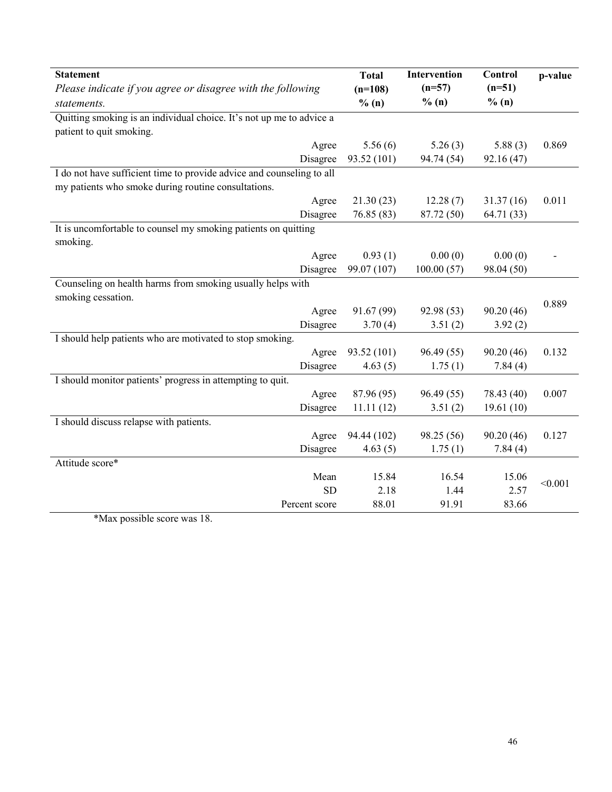| <b>Statement</b>                                                      | <b>Total</b> | Intervention | <b>Control</b> | p-value |
|-----------------------------------------------------------------------|--------------|--------------|----------------|---------|
| Please indicate if you agree or disagree with the following           | $(n=108)$    | $(n=57)$     | $(n=51)$       |         |
| statements.                                                           | % (n)        | % (n)        | % (n)          |         |
| Quitting smoking is an individual choice. It's not up me to advice a  |              |              |                |         |
| patient to quit smoking.                                              |              |              |                |         |
| Agree                                                                 | 5.56(6)      | 5.26(3)      | 5.88(3)        | 0.869   |
| Disagree                                                              | 93.52 (101)  | 94.74 (54)   | 92.16 (47)     |         |
| I do not have sufficient time to provide advice and counseling to all |              |              |                |         |
| my patients who smoke during routine consultations.                   |              |              |                |         |
| Agree                                                                 | 21.30(23)    | 12.28(7)     | 31.37(16)      | 0.011   |
| Disagree                                                              | 76.85 (83)   | 87.72 (50)   | 64.71 (33)     |         |
| It is uncomfortable to counsel my smoking patients on quitting        |              |              |                |         |
| smoking.                                                              |              |              |                |         |
| Agree                                                                 | 0.93(1)      | 0.00(0)      | 0.00(0)        |         |
| Disagree                                                              | 99.07 (107)  | 100.00(57)   | 98.04 (50)     |         |
| Counseling on health harms from smoking usually helps with            |              |              |                |         |
| smoking cessation.                                                    |              |              |                | 0.889   |
| Agree                                                                 | 91.67 (99)   | 92.98 (53)   | 90.20 (46)     |         |
| Disagree                                                              | 3.70(4)      | 3.51(2)      | 3.92(2)        |         |
| I should help patients who are motivated to stop smoking.             |              |              |                |         |
| Agree                                                                 | 93.52 (101)  | 96.49(55)    | 90.20(46)      | 0.132   |
| Disagree                                                              | 4.63(5)      | 1.75(1)      | 7.84(4)        |         |
| I should monitor patients' progress in attempting to quit.            |              |              |                |         |
| Agree                                                                 | 87.96 (95)   | 96.49(55)    | 78.43 (40)     | 0.007   |
| Disagree                                                              | 11.11(12)    | 3.51(2)      | 19.61(10)      |         |
| I should discuss relapse with patients.                               |              |              |                |         |
| Agree                                                                 | 94.44 (102)  | 98.25 (56)   | 90.20(46)      | 0.127   |
| Disagree                                                              | 4.63(5)      | 1.75(1)      | 7.84(4)        |         |
| Attitude score*                                                       |              |              |                |         |
| Mean                                                                  | 15.84        | 16.54        | 15.06          | < 0.001 |
| <b>SD</b>                                                             | 2.18         | 1.44         | 2.57           |         |
| Percent score<br>$*Mox$ negative accuracy $10$                        | 88.01        | 91.91        | 83.66          |         |

\*Max possible score was 18.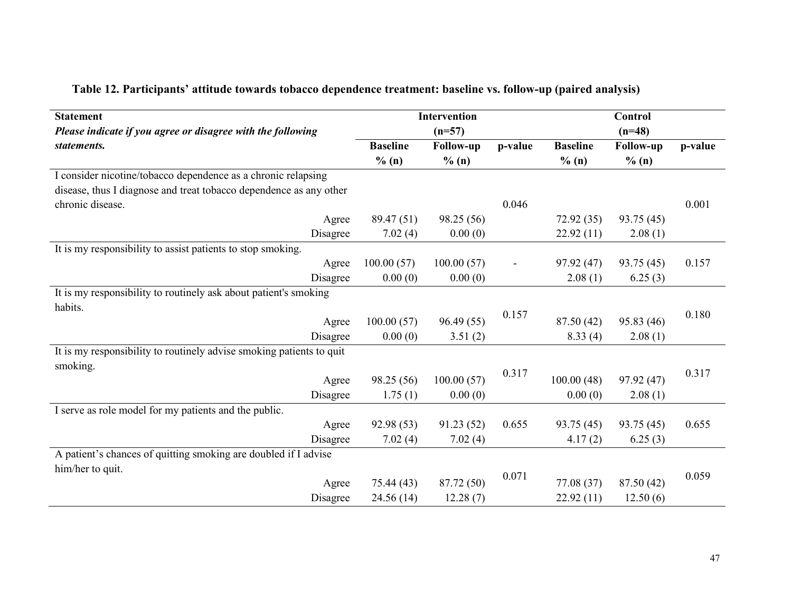| <b>Statement</b>                                                     |                 | <b>Intervention</b> |                |                 | Control          |         |
|----------------------------------------------------------------------|-----------------|---------------------|----------------|-----------------|------------------|---------|
| Please indicate if you agree or disagree with the following          |                 | $(n=57)$            |                |                 | $(n=48)$         |         |
| statements.                                                          | <b>Baseline</b> | <b>Follow-up</b>    | p-value        | <b>Baseline</b> | <b>Follow-up</b> | p-value |
|                                                                      | $\%$ (n)        | % (n)               |                | % (n)           | % (n)            |         |
| I consider nicotine/tobacco dependence as a chronic relapsing        |                 |                     |                |                 |                  |         |
| disease, thus I diagnose and treat tobacco dependence as any other   |                 |                     |                |                 |                  |         |
| chronic disease.                                                     |                 |                     | 0.046          |                 |                  | 0.001   |
| Agree                                                                | 89.47 (51)      | 98.25 (56)          |                | 72.92(35)       | 93.75 (45)       |         |
| Disagree                                                             | 7.02(4)         | 0.00(0)             |                | 22.92(11)       | 2.08(1)          |         |
| It is my responsibility to assist patients to stop smoking.          |                 |                     |                |                 |                  |         |
| Agree                                                                | 100.00(57)      | 100.00(57)          | $\overline{a}$ | 97.92(47)       | 93.75 (45)       | 0.157   |
| Disagree                                                             | 0.00(0)         | 0.00(0)             |                | 2.08(1)         | 6.25(3)          |         |
| It is my responsibility to routinely ask about patient's smoking     |                 |                     |                |                 |                  |         |
| habits.                                                              |                 |                     | 0.157          |                 |                  | 0.180   |
| Agree                                                                | 100.00(57)      | 96.49 (55)          |                | 87.50 (42)      | 95.83 (46)       |         |
| Disagree                                                             | 0.00(0)         | 3.51(2)             |                | 8.33(4)         | 2.08(1)          |         |
| It is my responsibility to routinely advise smoking patients to quit |                 |                     |                |                 |                  |         |
| smoking.                                                             |                 |                     |                |                 |                  | 0.317   |
| Agree                                                                | 98.25 (56)      | 100.00(57)          | 0.317          | 100.00(48)      | 97.92 (47)       |         |
| Disagree                                                             | 1.75(1)         | 0.00(0)             |                | 0.00(0)         | 2.08(1)          |         |
| I serve as role model for my patients and the public.                |                 |                     |                |                 |                  |         |
| Agree                                                                | 92.98 (53)      | 91.23(52)           | 0.655          | 93.75 (45)      | 93.75 (45)       | 0.655   |
| Disagree                                                             | 7.02(4)         | 7.02(4)             |                | 4.17(2)         | 6.25(3)          |         |
| A patient's chances of quitting smoking are doubled if I advise      |                 |                     |                |                 |                  |         |
| him/her to quit.                                                     |                 |                     |                |                 |                  |         |
| Agree                                                                | 75.44(43)       | 87.72 (50)          | 0.071          | 77.08(37)       | 87.50 (42)       | 0.059   |
| Disagree                                                             | 24.56 (14)      | 12.28(7)            |                | 22.92(11)       | 12.50(6)         |         |

# Table 12. Participants' attitude towards tobacco dependence treatment: baseline vs. follow-up (paired analysis)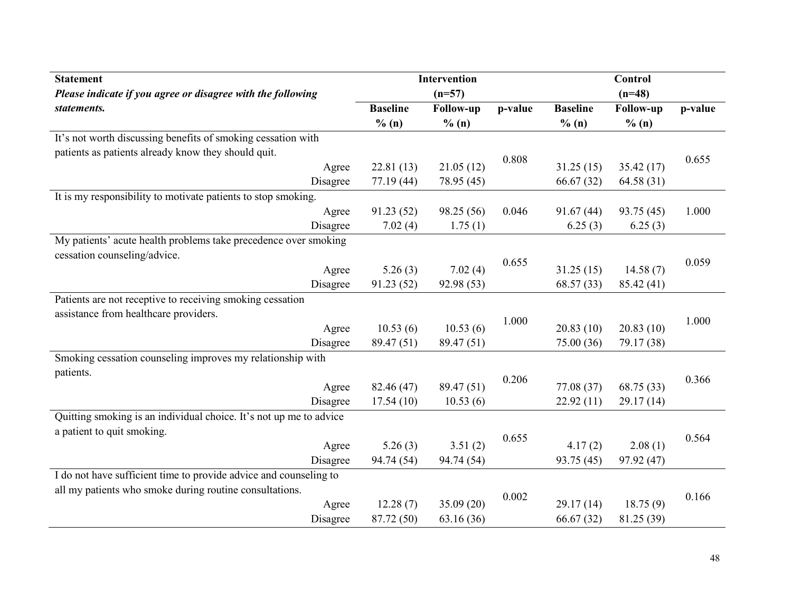| <b>Statement</b>                                                   |          |                 | <b>Intervention</b> |         |                 | <b>Control</b> |         |
|--------------------------------------------------------------------|----------|-----------------|---------------------|---------|-----------------|----------------|---------|
| Please indicate if you agree or disagree with the following        |          |                 | $(n=57)$            |         |                 | $(n=48)$       |         |
| statements.                                                        |          | <b>Baseline</b> | Follow-up           | p-value | <b>Baseline</b> | Follow-up      | p-value |
|                                                                    |          | % (n)           | % (n)               |         | % (n)           | % (n)          |         |
| It's not worth discussing benefits of smoking cessation with       |          |                 |                     |         |                 |                |         |
| patients as patients already know they should quit.                |          |                 |                     | 0.808   |                 |                | 0.655   |
|                                                                    | Agree    | 22.81(13)       | 21.05(12)           |         | 31.25(15)       | 35.42(17)      |         |
|                                                                    | Disagree | 77.19(44)       | 78.95 (45)          |         | 66.67(32)       | 64.58 (31)     |         |
| It is my responsibility to motivate patients to stop smoking.      |          |                 |                     |         |                 |                |         |
|                                                                    | Agree    | 91.23(52)       | 98.25 (56)          | 0.046   | 91.67(44)       | 93.75 (45)     | 1.000   |
|                                                                    | Disagree | 7.02(4)         | 1.75(1)             |         | 6.25(3)         | 6.25(3)        |         |
| My patients' acute health problems take precedence over smoking    |          |                 |                     |         |                 |                |         |
| cessation counseling/advice.                                       |          |                 |                     | 0.655   |                 |                | 0.059   |
|                                                                    | Agree    | 5.26(3)         | 7.02(4)             |         | 31.25(15)       | 14.58(7)       |         |
|                                                                    | Disagree | 91.23 (52)      | 92.98 (53)          |         | 68.57 (33)      | 85.42 (41)     |         |
| Patients are not receptive to receiving smoking cessation          |          |                 |                     |         |                 |                |         |
| assistance from healthcare providers.                              |          |                 |                     | 1.000   |                 |                | 1.000   |
|                                                                    | Agree    | 10.53(6)        | 10.53(6)            |         | 20.83(10)       | 20.83(10)      |         |
|                                                                    | Disagree | 89.47 (51)      | 89.47 (51)          |         | 75.00 (36)      | 79.17 (38)     |         |
| Smoking cessation counseling improves my relationship with         |          |                 |                     |         |                 |                |         |
| patients.                                                          |          |                 |                     |         |                 |                | 0.366   |
|                                                                    | Agree    | 82.46 (47)      | 89.47 (51)          | 0.206   | 77.08(37)       | 68.75 (33)     |         |
|                                                                    | Disagree | 17.54(10)       | 10.53(6)            |         | 22.92(11)       | 29.17(14)      |         |
| Quitting smoking is an individual choice. It's not up me to advice |          |                 |                     |         |                 |                |         |
| a patient to quit smoking.                                         |          |                 |                     |         |                 |                |         |
|                                                                    | Agree    | 5.26(3)         | 3.51(2)             | 0.655   | 4.17(2)         | 2.08(1)        | 0.564   |
|                                                                    | Disagree | 94.74 (54)      | 94.74 (54)          |         | 93.75 (45)      | 97.92 (47)     |         |
| I do not have sufficient time to provide advice and counseling to  |          |                 |                     |         |                 |                |         |
| all my patients who smoke during routine consultations.            |          |                 |                     |         |                 |                |         |
|                                                                    | Agree    | 12.28(7)        | 35.09 (20)          | 0.002   | 29.17(14)       | 18.75(9)       | 0.166   |
|                                                                    | Disagree | 87.72 (50)      | 63.16(36)           |         | 66.67(32)       | 81.25 (39)     |         |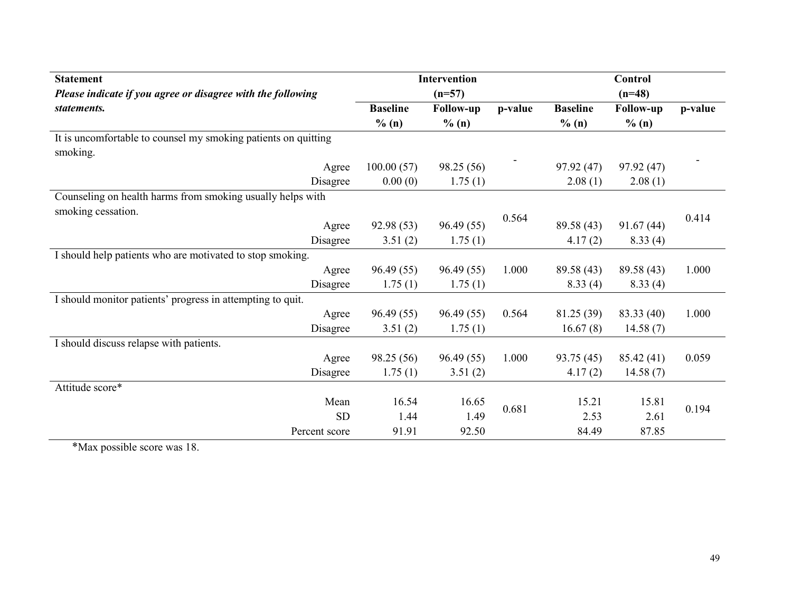| <b>Statement</b>                                               |                 | <b>Intervention</b> |         |                 | <b>Control</b>   |         |
|----------------------------------------------------------------|-----------------|---------------------|---------|-----------------|------------------|---------|
| Please indicate if you agree or disagree with the following    |                 | $(n=57)$            |         |                 | $(n=48)$         |         |
| statements.                                                    | <b>Baseline</b> | <b>Follow-up</b>    | p-value | <b>Baseline</b> | <b>Follow-up</b> | p-value |
|                                                                | % (n)           | % (n)               |         | % (n)           | % (n)            |         |
| It is uncomfortable to counsel my smoking patients on quitting |                 |                     |         |                 |                  |         |
| smoking.                                                       |                 |                     |         |                 |                  |         |
| Agree                                                          | 100.00(57)      | 98.25 (56)          |         | 97.92(47)       | 97.92(47)        |         |
| Disagree                                                       | 0.00(0)         | 1.75(1)             |         | 2.08(1)         | 2.08(1)          |         |
| Counseling on health harms from smoking usually helps with     |                 |                     |         |                 |                  |         |
| smoking cessation.                                             |                 |                     | 0.564   |                 |                  | 0.414   |
| Agree                                                          | 92.98 (53)      | 96.49(55)           |         | 89.58 (43)      | 91.67(44)        |         |
| Disagree                                                       | 3.51(2)         | 1.75(1)             |         | 4.17(2)         | 8.33(4)          |         |
| I should help patients who are motivated to stop smoking.      |                 |                     |         |                 |                  |         |
| Agree                                                          | 96.49(55)       | 96.49(55)           | 1.000   | 89.58 (43)      | 89.58 (43)       | 1.000   |
| Disagree                                                       | 1.75(1)         | 1.75(1)             |         | 8.33(4)         | 8.33(4)          |         |
| I should monitor patients' progress in attempting to quit.     |                 |                     |         |                 |                  |         |
| Agree                                                          | 96.49(55)       | 96.49(55)           | 0.564   | 81.25 (39)      | 83.33 (40)       | 1.000   |
| Disagree                                                       | 3.51(2)         | 1.75(1)             |         | 16.67(8)        | 14.58(7)         |         |
| I should discuss relapse with patients.                        |                 |                     |         |                 |                  |         |
| Agree                                                          | 98.25 (56)      | 96.49(55)           | 1.000   | 93.75 (45)      | 85.42(41)        | 0.059   |
| Disagree                                                       | 1.75(1)         | 3.51(2)             |         | 4.17(2)         | 14.58(7)         |         |
| Attitude score*                                                |                 |                     |         |                 |                  |         |
| Mean                                                           | 16.54           | 16.65               | 0.681   | 15.21           | 15.81            | 0.194   |
| <b>SD</b>                                                      | 1.44            | 1.49                |         | 2.53            | 2.61             |         |
| Percent score                                                  | 91.91           | 92.50               |         | 84.49           | 87.85            |         |

\*Max possible score was 18.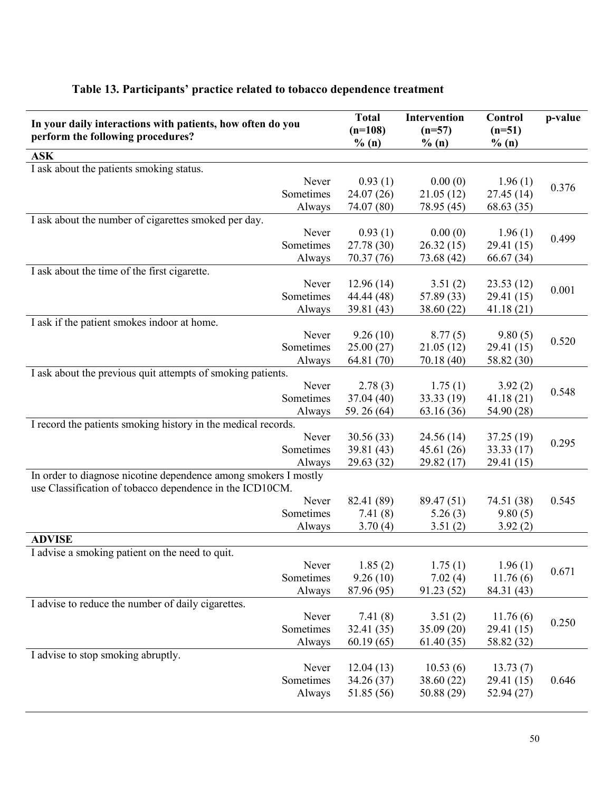| In your daily interactions with patients, how often do you      | <b>Total</b><br>$(n=108)$ | <b>Intervention</b><br>$(n=57)$ | Control<br>$(n=51)$   | p-value |
|-----------------------------------------------------------------|---------------------------|---------------------------------|-----------------------|---------|
| perform the following procedures?                               | % (n)                     | % (n)                           | % (n)                 |         |
| <b>ASK</b>                                                      |                           |                                 |                       |         |
| I ask about the patients smoking status.                        |                           |                                 |                       |         |
| Never                                                           | 0.93(1)                   | 0.00(0)                         | 1.96(1)               | 0.376   |
| Sometimes                                                       | 24.07(26)                 | 21.05(12)                       | 27.45(14)             |         |
| Always                                                          | 74.07 (80)                | 78.95 (45)                      | 68.63 (35)            |         |
| I ask about the number of cigarettes smoked per day.            |                           |                                 |                       |         |
| Never                                                           | 0.93(1)                   | 0.00(0)                         | 1.96(1)               | 0.499   |
| Sometimes                                                       | 27.78 (30)                | 26.32(15)                       | 29.41 (15)            |         |
| Always                                                          | 70.37 (76)                | 73.68 (42)                      | 66.67(34)             |         |
| I ask about the time of the first cigarette.                    |                           |                                 |                       |         |
| Never<br>Sometimes                                              | 12.96(14)                 | 3.51(2)                         | 23.53(12)             | 0.001   |
|                                                                 | 44.44 (48)                | 57.89 (33)                      | 29.41 (15)            |         |
| Always                                                          | 39.81 (43)                | 38.60 (22)                      | 41.18(21)             |         |
| I ask if the patient smokes indoor at home.<br>Never            | 9.26(10)                  | 8.77(5)                         |                       |         |
| Sometimes                                                       | 25.00(27)                 | 21.05(12)                       | 9.80(5)<br>29.41 (15) | 0.520   |
| Always                                                          | 64.81 (70)                | 70.18 (40)                      | 58.82 (30)            |         |
| I ask about the previous quit attempts of smoking patients.     |                           |                                 |                       |         |
| Never                                                           | 2.78(3)                   | 1.75(1)                         | 3.92(2)               |         |
| Sometimes                                                       | 37.04(40)                 | 33.33 (19)                      | 41.18(21)             | 0.548   |
| Always                                                          | 59.26 (64)                | 63.16 (36)                      | 54.90 (28)            |         |
| I record the patients smoking history in the medical records.   |                           |                                 |                       |         |
| Never                                                           | 30.56(33)                 | 24.56(14)                       | 37.25(19)             |         |
| Sometimes                                                       | 39.81 (43)                | 45.61(26)                       | 33.33(17)             | 0.295   |
| Always                                                          | 29.63 (32)                | 29.82(17)                       | 29.41 (15)            |         |
| In order to diagnose nicotine dependence among smokers I mostly |                           |                                 |                       |         |
| use Classification of tobacco dependence in the ICD10CM.        |                           |                                 |                       |         |
| Never                                                           | 82.41 (89)                | 89.47 (51)                      | 74.51 (38)            | 0.545   |
| Sometimes                                                       | 7.41(8)                   | 5.26(3)                         | 9.80(5)               |         |
| Always                                                          | 3.70(4)                   | 3.51(2)                         | 3.92(2)               |         |
| <b>ADVISE</b>                                                   |                           |                                 |                       |         |
| I advise a smoking patient on the need to quit.                 |                           |                                 |                       |         |
| Never                                                           | 1.85(2)                   | 1.75(1)                         | 1.96(1)               |         |
| Sometimes                                                       | 9.26(10)                  | 7.02(4)                         | 11.76(6)              | 0.671   |
| Always                                                          | 87.96 (95)                | 91.23(52)                       | 84.31 (43)            |         |
| I advise to reduce the number of daily cigarettes.              |                           |                                 |                       |         |
| Never                                                           | 7.41(8)                   | 3.51(2)                         | 11.76(6)              |         |
| Sometimes                                                       | 32.41 (35)                | 35.09(20)                       | 29.41 (15)            | 0.250   |
| Always                                                          | 60.19(65)                 | 61.40(35)                       | 58.82 (32)            |         |
| I advise to stop smoking abruptly.                              |                           |                                 |                       |         |
| Never                                                           | 12.04(13)                 | 10.53(6)                        | 13.73(7)              |         |
| Sometimes                                                       | 34.26(37)                 | 38.60(22)                       | 29.41 (15)            | 0.646   |
| Always                                                          | 51.85 (56)                | 50.88(29)                       | 52.94(27)             |         |
|                                                                 |                           |                                 |                       |         |

### Table 13. Participants' practice related to tobacco dependence treatment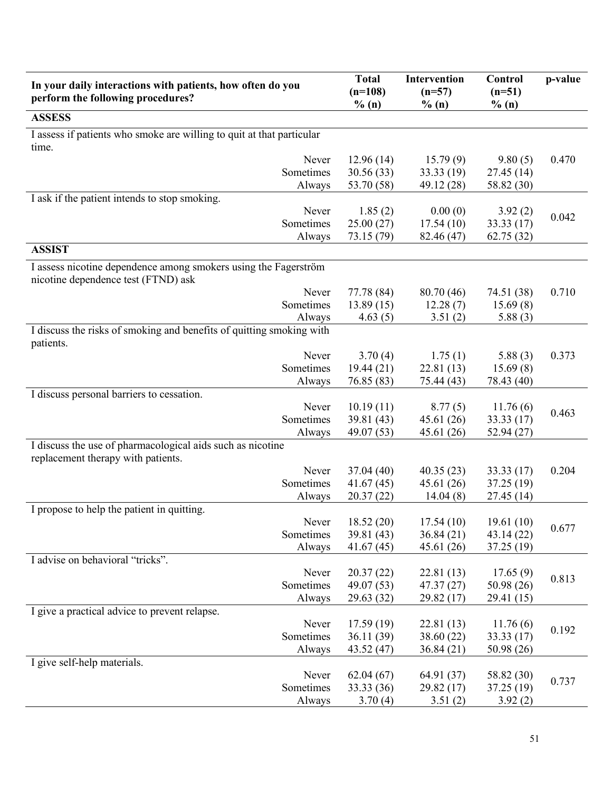| In your daily interactions with patients, how often do you<br>perform the following procedures?        | <b>Total</b><br>$(n=108)$<br>% (n) | Intervention<br>$(n=57)$<br>$\%$ (n) | Control<br>$(n=51)$<br>% (n) | p-value |
|--------------------------------------------------------------------------------------------------------|------------------------------------|--------------------------------------|------------------------------|---------|
| <b>ASSESS</b>                                                                                          |                                    |                                      |                              |         |
| I assess if patients who smoke are willing to quit at that particular<br>time.                         |                                    |                                      |                              |         |
| Never                                                                                                  | 12.96(14)                          | 15.79(9)                             | 9.80(5)                      | 0.470   |
| Sometimes                                                                                              | 30.56 (33)                         | 33.33(19)                            | 27.45(14)                    |         |
| Always                                                                                                 | 53.70 (58)                         | 49.12 (28)                           | 58.82 (30)                   |         |
| I ask if the patient intends to stop smoking.                                                          |                                    |                                      |                              |         |
| Never                                                                                                  | 1.85(2)                            | 0.00(0)                              | 3.92(2)                      | 0.042   |
| Sometimes                                                                                              | 25.00(27)                          | 17.54(10)                            | 33.33(17)                    |         |
| Always<br><b>ASSIST</b>                                                                                | 73.15 (79)                         | 82.46 (47)                           | 62.75(32)                    |         |
|                                                                                                        |                                    |                                      |                              |         |
| I assess nicotine dependence among smokers using the Fagerström<br>nicotine dependence test (FTND) ask |                                    |                                      |                              |         |
| Never                                                                                                  | 77.78 (84)                         | 80.70(46)                            | 74.51 (38)                   | 0.710   |
| Sometimes                                                                                              | 13.89(15)                          | 12.28(7)                             | 15.69(8)                     |         |
| Always<br>I discuss the risks of smoking and benefits of quitting smoking with                         | 4.63(5)                            | 3.51(2)                              | 5.88(3)                      |         |
| patients.                                                                                              |                                    |                                      |                              |         |
| Never                                                                                                  | 3.70(4)                            | 1.75(1)                              | 5.88(3)                      | 0.373   |
| Sometimes                                                                                              | 19.44(21)                          | 22.81(13)                            | 15.69(8)                     |         |
| Always<br>I discuss personal barriers to cessation.                                                    | 76.85 (83)                         | 75.44 (43)                           | 78.43 (40)                   |         |
| Never                                                                                                  | 10.19(11)                          | 8.77(5)                              | 11.76(6)                     |         |
| Sometimes                                                                                              | 39.81 (43)                         | 45.61 (26)                           | 33.33 (17)                   | 0.463   |
| Always                                                                                                 | 49.07 (53)                         | 45.61(26)                            | 52.94 (27)                   |         |
| I discuss the use of pharmacological aids such as nicotine<br>replacement therapy with patients.       |                                    |                                      |                              |         |
| Never                                                                                                  | 37.04(40)                          | 40.35(23)                            | 33.33(17)                    | 0.204   |
| Sometimes                                                                                              | 41.67(45)                          | 45.61(26)                            | 37.25 (19)                   |         |
| Always                                                                                                 | 20.37(22)                          | 14.04(8)                             | 27.45(14)                    |         |
| I propose to help the patient in quitting.                                                             |                                    |                                      |                              |         |
| Never<br>Sometimes                                                                                     | 18.52(20)<br>39.81 (43)            | 17.54(10)<br>36.84(21)               | 19.61(10)<br>43.14 (22)      | 0.677   |
| Always                                                                                                 | 41.67(45)                          | 45.61(26)                            | 37.25 (19)                   |         |
| I advise on behavioral "tricks".                                                                       |                                    |                                      |                              |         |
| Never                                                                                                  | 20.37(22)                          | 22.81(13)                            | 17.65(9)                     |         |
| Sometimes                                                                                              | 49.07 (53)                         | 47.37(27)                            | 50.98 (26)                   | 0.813   |
| Always                                                                                                 | 29.63 (32)                         | 29.82(17)                            | 29.41 (15)                   |         |
| I give a practical advice to prevent relapse.                                                          |                                    |                                      |                              |         |
| Never                                                                                                  | 17.59(19)                          | 22.81(13)                            | 11.76(6)                     | 0.192   |
| Sometimes                                                                                              | 36.11(39)                          | 38.60(22)                            | 33.33(17)                    |         |
| Always<br>I give self-help materials.                                                                  | 43.52 (47)                         | 36.84(21)                            | 50.98 (26)                   |         |
| Never                                                                                                  | 62.04(67)                          | 64.91 (37)                           | 58.82 (30)                   |         |
| Sometimes                                                                                              | 33.33 (36)                         | 29.82(17)                            | 37.25(19)                    | 0.737   |
| Always                                                                                                 | 3.70(4)                            | 3.51(2)                              | 3.92(2)                      |         |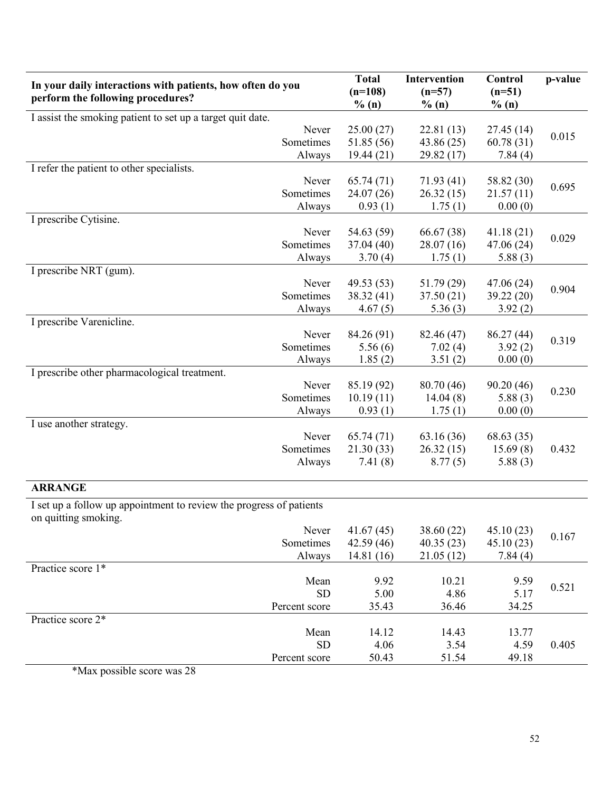| I assist the smoking patient to set up a target quit date.<br>Never<br>Sometimes<br>Always<br>I refer the patient to other specialists.<br>Never<br>Sometimes | % (n)<br>25.00(27)<br>51.85 (56)<br>19.44(21)<br>65.74(71)<br>24.07(26) | % (n)<br>22.81(13)<br>43.86 (25)<br>29.82 (17)<br>71.93(41) | % (n)<br>27.45(14)<br>60.78(31)<br>7.84(4) | 0.015 |
|---------------------------------------------------------------------------------------------------------------------------------------------------------------|-------------------------------------------------------------------------|-------------------------------------------------------------|--------------------------------------------|-------|
|                                                                                                                                                               |                                                                         |                                                             |                                            |       |
|                                                                                                                                                               |                                                                         |                                                             |                                            |       |
|                                                                                                                                                               |                                                                         |                                                             |                                            |       |
|                                                                                                                                                               |                                                                         |                                                             |                                            |       |
|                                                                                                                                                               |                                                                         |                                                             |                                            |       |
|                                                                                                                                                               |                                                                         |                                                             | 58.82 (30)                                 | 0.695 |
|                                                                                                                                                               |                                                                         | 26.32(15)                                                   | 21.57(11)                                  |       |
| Always                                                                                                                                                        | 0.93(1)                                                                 | 1.75(1)                                                     | 0.00(0)                                    |       |
| I prescribe Cytisine.                                                                                                                                         |                                                                         |                                                             |                                            |       |
| Never                                                                                                                                                         | 54.63 (59)                                                              | 66.67 (38)                                                  | 41.18(21)                                  | 0.029 |
| Sometimes                                                                                                                                                     | 37.04(40)                                                               | 28.07(16)                                                   | 47.06 (24)                                 |       |
| Always                                                                                                                                                        | 3.70(4)                                                                 | 1.75(1)                                                     | 5.88(3)                                    |       |
| I prescribe NRT (gum).                                                                                                                                        |                                                                         |                                                             |                                            |       |
| Never                                                                                                                                                         | 49.53(53)                                                               | 51.79(29)                                                   | 47.06(24)                                  | 0.904 |
| Sometimes                                                                                                                                                     | 38.32(41)                                                               | 37.50(21)                                                   | 39.22 (20)                                 |       |
| Always                                                                                                                                                        | 4.67(5)                                                                 | 5.36(3)                                                     | 3.92(2)                                    |       |
| I prescribe Varenicline.                                                                                                                                      |                                                                         |                                                             |                                            |       |
| Never                                                                                                                                                         | 84.26 (91)                                                              | 82.46 (47)                                                  | 86.27 (44)                                 | 0.319 |
| Sometimes                                                                                                                                                     | 5.56(6)                                                                 | 7.02(4)                                                     | 3.92(2)                                    |       |
| Always                                                                                                                                                        | 1.85(2)                                                                 | 3.51(2)                                                     | 0.00(0)                                    |       |
| I prescribe other pharmacological treatment.                                                                                                                  |                                                                         |                                                             |                                            |       |
| Never                                                                                                                                                         | 85.19 (92)                                                              | 80.70 (46)                                                  | 90.20(46)                                  | 0.230 |
| Sometimes                                                                                                                                                     | 10.19(11)                                                               | 14.04(8)                                                    | 5.88(3)                                    |       |
| Always                                                                                                                                                        | 0.93(1)                                                                 | 1.75(1)                                                     | 0.00(0)                                    |       |
| I use another strategy.                                                                                                                                       |                                                                         |                                                             |                                            |       |
| Never                                                                                                                                                         | 65.74(71)                                                               | 63.16(36)                                                   | 68.63(35)                                  |       |
| Sometimes                                                                                                                                                     | 21.30(33)                                                               | 26.32(15)                                                   | 15.69(8)                                   | 0.432 |
| Always                                                                                                                                                        | 7.41(8)                                                                 | 8.77(5)                                                     | 5.88(3)                                    |       |
| <b>ARRANGE</b>                                                                                                                                                |                                                                         |                                                             |                                            |       |
| I set up a follow up appointment to review the progress of patients                                                                                           |                                                                         |                                                             |                                            |       |
| on quitting smoking.                                                                                                                                          |                                                                         |                                                             |                                            |       |
| Never                                                                                                                                                         | 41.67(45)                                                               | 38.60(22)                                                   | 45.10(23)                                  |       |
| Sometimes                                                                                                                                                     | 42.59(46)                                                               | 40.35(23)                                                   | 45.10(23)                                  | 0.167 |
| Always                                                                                                                                                        | 14.81(16)                                                               | 21.05(12)                                                   | 7.84(4)                                    |       |
| Practice score 1*                                                                                                                                             |                                                                         |                                                             |                                            |       |
| Mean                                                                                                                                                          | 9.92                                                                    | 10.21                                                       | 9.59                                       |       |
| <b>SD</b>                                                                                                                                                     | 5.00                                                                    | 4.86                                                        | 5.17                                       | 0.521 |
| Percent score                                                                                                                                                 | 35.43                                                                   | 36.46                                                       | 34.25                                      |       |
| Practice score 2*                                                                                                                                             |                                                                         |                                                             |                                            |       |
| Mean                                                                                                                                                          | 14.12                                                                   | 14.43                                                       | 13.77                                      |       |
| <b>SD</b>                                                                                                                                                     | 4.06                                                                    | 3.54                                                        | 4.59                                       | 0.405 |
| Percent score                                                                                                                                                 | 50.43                                                                   | 51.54                                                       | 49.18                                      |       |

\*Max possible score was 28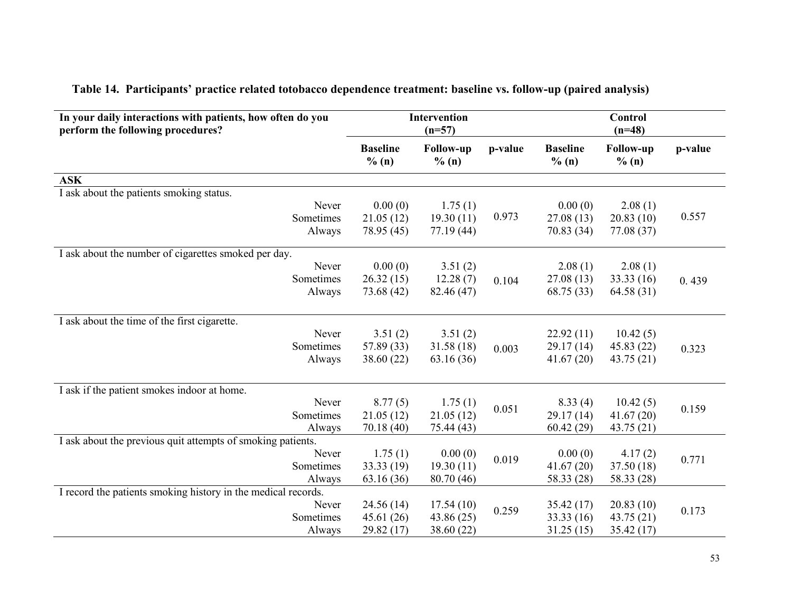| In your daily interactions with patients, how often do you<br>perform the following procedures? |                          | Intervention<br>$(n=57)$  |         |                          | Control<br>$(n=48)$       |         |
|-------------------------------------------------------------------------------------------------|--------------------------|---------------------------|---------|--------------------------|---------------------------|---------|
|                                                                                                 | <b>Baseline</b><br>% (n) | <b>Follow-up</b><br>% (n) | p-value | <b>Baseline</b><br>% (n) | <b>Follow-up</b><br>% (n) | p-value |
| <b>ASK</b>                                                                                      |                          |                           |         |                          |                           |         |
| I ask about the patients smoking status.                                                        |                          |                           |         |                          |                           |         |
| Never                                                                                           | 0.00(0)                  | 1.75(1)                   |         | 0.00(0)                  | 2.08(1)                   |         |
| Sometimes                                                                                       | 21.05(12)                | 19.30(11)                 | 0.973   | 27.08(13)                | 20.83(10)                 | 0.557   |
| Always                                                                                          | 78.95 (45)               | 77.19(44)                 |         | 70.83 (34)               | 77.08 (37)                |         |
| I ask about the number of cigarettes smoked per day.                                            |                          |                           |         |                          |                           |         |
| Never                                                                                           | 0.00(0)                  | 3.51(2)                   |         | 2.08(1)                  | 2.08(1)                   |         |
| Sometimes                                                                                       | 26.32(15)                | 12.28(7)                  | 0.104   | 27.08(13)                | 33.33(16)                 | 0.439   |
| Always                                                                                          | 73.68 (42)               | 82.46 (47)                |         | 68.75 (33)               | 64.58(31)                 |         |
| I ask about the time of the first cigarette.                                                    |                          |                           |         |                          |                           |         |
| Never                                                                                           | 3.51(2)                  | 3.51(2)                   |         | 22.92(11)                | 10.42(5)                  |         |
| Sometimes                                                                                       | 57.89 (33)               | 31.58 (18)                | 0.003   | 29.17(14)                | 45.83(22)                 | 0.323   |
| Always                                                                                          | 38.60 (22)               | 63.16(36)                 |         | 41.67(20)                | 43.75(21)                 |         |
| I ask if the patient smokes indoor at home.                                                     |                          |                           |         |                          |                           |         |
| Never                                                                                           | 8.77(5)                  | 1.75(1)                   |         | 8.33(4)                  | 10.42(5)                  |         |
| Sometimes                                                                                       | 21.05(12)                | 21.05(12)                 | 0.051   | 29.17(14)                | 41.67(20)                 | 0.159   |
| Always                                                                                          | 70.18 (40)               | 75.44 (43)                |         | 60.42(29)                | 43.75 (21)                |         |
| I ask about the previous quit attempts of smoking patients.                                     |                          |                           |         |                          |                           |         |
| Never                                                                                           | 1.75(1)                  | 0.00(0)                   | 0.019   | 0.00(0)                  | 4.17(2)                   | 0.771   |
| Sometimes                                                                                       | 33.33 (19)               | 19.30(11)                 |         | 41.67(20)                | 37.50(18)                 |         |
| Always                                                                                          | 63.16(36)                | 80.70 (46)                |         | 58.33 (28)               | 58.33 (28)                |         |
| I record the patients smoking history in the medical records.                                   |                          |                           |         |                          |                           |         |
| Never                                                                                           | 24.56(14)                | 17.54(10)                 | 0.259   | 35.42(17)                | 20.83(10)                 | 0.173   |
| Sometimes                                                                                       | 45.61(26)                | 43.86 (25)                |         | 33.33 (16)               | 43.75(21)                 |         |
| Always                                                                                          | 29.82 (17)               | 38.60 (22)                |         | 31.25(15)                | 35.42(17)                 |         |

# Table 14. Participants' practice related totobacco dependence treatment: baseline vs. follow-up (paired analysis)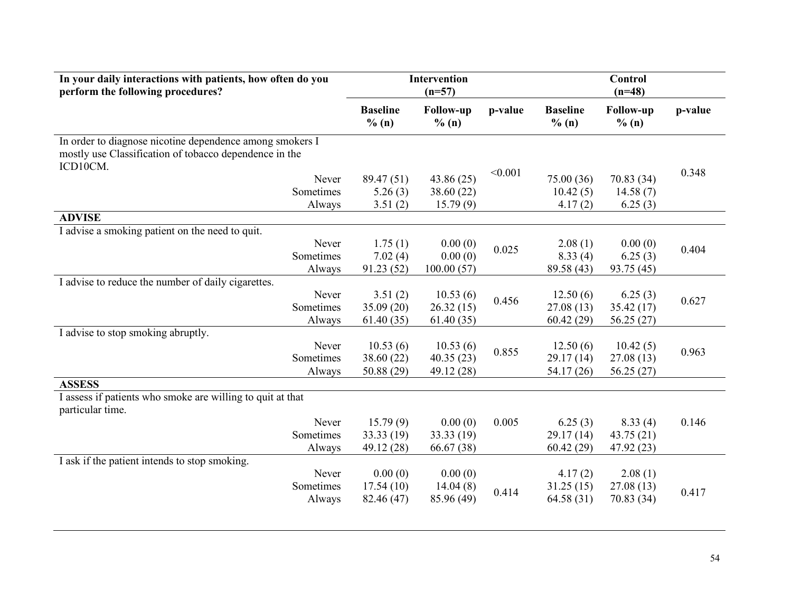| In your daily interactions with patients, how often do you<br>perform the following procedures? |                          | Intervention<br>$(n=57)$  |         |                          | Control<br>$(n=48)$       |         |
|-------------------------------------------------------------------------------------------------|--------------------------|---------------------------|---------|--------------------------|---------------------------|---------|
|                                                                                                 | <b>Baseline</b><br>% (n) | <b>Follow-up</b><br>% (n) | p-value | <b>Baseline</b><br>% (n) | <b>Follow-up</b><br>% (n) | p-value |
| In order to diagnose nicotine dependence among smokers I                                        |                          |                           |         |                          |                           |         |
| mostly use Classification of tobacco dependence in the                                          |                          |                           |         |                          |                           |         |
| ICD10CM.                                                                                        |                          |                           | < 0.001 |                          |                           | 0.348   |
| Never                                                                                           | 89.47 (51)               | 43.86(25)                 |         | 75.00 (36)               | 70.83 (34)                |         |
| Sometimes                                                                                       | 5.26(3)                  | 38.60 (22)                |         | 10.42(5)                 | 14.58(7)                  |         |
| Always                                                                                          | 3.51(2)                  | 15.79(9)                  |         | 4.17(2)                  | 6.25(3)                   |         |
| <b>ADVISE</b>                                                                                   |                          |                           |         |                          |                           |         |
| I advise a smoking patient on the need to quit.                                                 |                          |                           |         |                          |                           |         |
| Never<br>Sometimes                                                                              | 1.75(1)                  | 0.00(0)                   | 0.025   | 2.08(1)                  | 0.00(0)                   | 0.404   |
| Always                                                                                          | 7.02(4)<br>91.23(52)     | 0.00(0)<br>100.00(57)     |         | 8.33(4)<br>89.58 (43)    | 6.25(3)<br>93.75 (45)     |         |
| I advise to reduce the number of daily cigarettes.                                              |                          |                           |         |                          |                           |         |
| Never                                                                                           | 3.51(2)                  | 10.53(6)                  |         | 12.50(6)                 | 6.25(3)                   |         |
| Sometimes                                                                                       | 35.09(20)                | 26.32(15)                 | 0.456   | 27.08(13)                | 35.42(17)                 | 0.627   |
| Always                                                                                          | 61.40(35)                | 61.40(35)                 |         | 60.42(29)                | 56.25(27)                 |         |
| I advise to stop smoking abruptly.                                                              |                          |                           |         |                          |                           |         |
| Never                                                                                           | 10.53(6)                 | 10.53(6)                  |         | 12.50(6)                 | 10.42(5)                  |         |
| Sometimes                                                                                       | 38.60 (22)               | 40.35(23)                 | 0.855   | 29.17(14)                | 27.08(13)                 | 0.963   |
| Always                                                                                          | 50.88(29)                | 49.12 (28)                |         | 54.17 (26)               | 56.25(27)                 |         |
| <b>ASSESS</b>                                                                                   |                          |                           |         |                          |                           |         |
| I assess if patients who smoke are willing to quit at that<br>particular time.                  |                          |                           |         |                          |                           |         |
| Never                                                                                           | 15.79(9)                 | 0.00(0)                   | 0.005   | 6.25(3)                  | 8.33(4)                   | 0.146   |
| Sometimes                                                                                       | 33.33(19)                | 33.33 (19)                |         | 29.17(14)                | 43.75 (21)                |         |
| Always                                                                                          | 49.12 (28)               | 66.67 (38)                |         | 60.42(29)                | 47.92 (23)                |         |
| I ask if the patient intends to stop smoking.                                                   |                          |                           |         |                          |                           |         |
| Never                                                                                           | 0.00(0)                  | 0.00(0)                   |         | 4.17(2)                  | 2.08(1)                   |         |
| Sometimes                                                                                       | 17.54(10)                | 14.04(8)                  | 0.414   | 31.25(15)                | 27.08(13)                 | 0.417   |
| Always                                                                                          | 82.46 (47)               | 85.96 (49)                |         | 64.58 (31)               | 70.83 (34)                |         |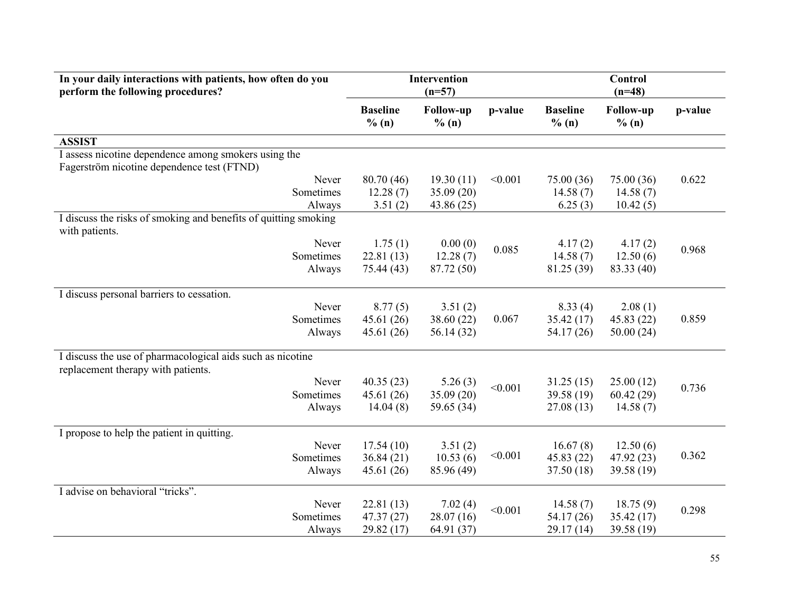| In your daily interactions with patients, how often do you<br>perform the following procedures?    |                             | <b>Intervention</b><br>$(n=57)$ |         |                          | <b>Control</b><br>$(n=48)$ |         |
|----------------------------------------------------------------------------------------------------|-----------------------------|---------------------------------|---------|--------------------------|----------------------------|---------|
|                                                                                                    | <b>Baseline</b><br>$\%$ (n) | <b>Follow-up</b><br>% (n)       | p-value | <b>Baseline</b><br>% (n) | <b>Follow-up</b><br>% (n)  | p-value |
| <b>ASSIST</b>                                                                                      |                             |                                 |         |                          |                            |         |
| I assess nicotine dependence among smokers using the<br>Fagerström nicotine dependence test (FTND) |                             |                                 |         |                          |                            |         |
| Never                                                                                              | 80.70(46)                   | 19.30(11)                       | < 0.001 | 75.00 (36)               | 75.00(36)                  | 0.622   |
| Sometimes                                                                                          | 12.28(7)                    | 35.09 (20)                      |         | 14.58(7)                 | 14.58(7)                   |         |
| Always                                                                                             | 3.51(2)                     | 43.86 (25)                      |         | 6.25(3)                  | 10.42(5)                   |         |
| I discuss the risks of smoking and benefits of quitting smoking<br>with patients.                  |                             |                                 |         |                          |                            |         |
| Never                                                                                              | 1.75(1)                     | 0.00(0)                         | 0.085   | 4.17(2)                  | 4.17(2)                    | 0.968   |
| Sometimes                                                                                          | 22.81(13)                   | 12.28(7)                        |         | 14.58(7)                 | 12.50(6)                   |         |
| Always                                                                                             | 75.44 (43)                  | 87.72 (50)                      |         | 81.25 (39)               | 83.33 (40)                 |         |
| I discuss personal barriers to cessation.                                                          |                             |                                 |         |                          |                            |         |
| Never                                                                                              | 8.77(5)                     | 3.51(2)                         |         | 8.33(4)                  | 2.08(1)                    |         |
| Sometimes                                                                                          | 45.61(26)                   | 38.60 (22)                      | 0.067   | 35.42(17)                | 45.83(22)                  | 0.859   |
| Always                                                                                             | 45.61(26)                   | 56.14 (32)                      |         | 54.17 (26)               | 50.00(24)                  |         |
| I discuss the use of pharmacological aids such as nicotine<br>replacement therapy with patients.   |                             |                                 |         |                          |                            |         |
| Never                                                                                              | 40.35(23)                   | 5.26(3)                         | < 0.001 | 31.25(15)                | 25.00(12)                  | 0.736   |
| Sometimes                                                                                          | 45.61(26)                   | 35.09 (20)                      |         | 39.58 (19)               | 60.42(29)                  |         |
| Always                                                                                             | 14.04(8)                    | 59.65 (34)                      |         | 27.08(13)                | 14.58(7)                   |         |
| I propose to help the patient in quitting.                                                         |                             |                                 |         |                          |                            |         |
| Never                                                                                              | 17.54(10)                   | 3.51(2)                         |         | 16.67(8)                 | 12.50(6)                   |         |
| Sometimes                                                                                          | 36.84(21)                   | 10.53(6)                        | < 0.001 | 45.83 (22)               | 47.92(23)                  | 0.362   |
| Always                                                                                             | 45.61(26)                   | 85.96 (49)                      |         | 37.50 (18)               | 39.58 (19)                 |         |
| I advise on behavioral "tricks".                                                                   |                             |                                 |         |                          |                            |         |
| Never                                                                                              | 22.81(13)                   | 7.02(4)                         | < 0.001 | 14.58(7)                 | 18.75(9)                   | 0.298   |
| Sometimes                                                                                          | 47.37(27)                   | 28.07(16)                       |         | 54.17 (26)               | 35.42(17)                  |         |
| Always                                                                                             | 29.82(17)                   | 64.91 (37)                      |         | 29.17(14)                | 39.58 (19)                 |         |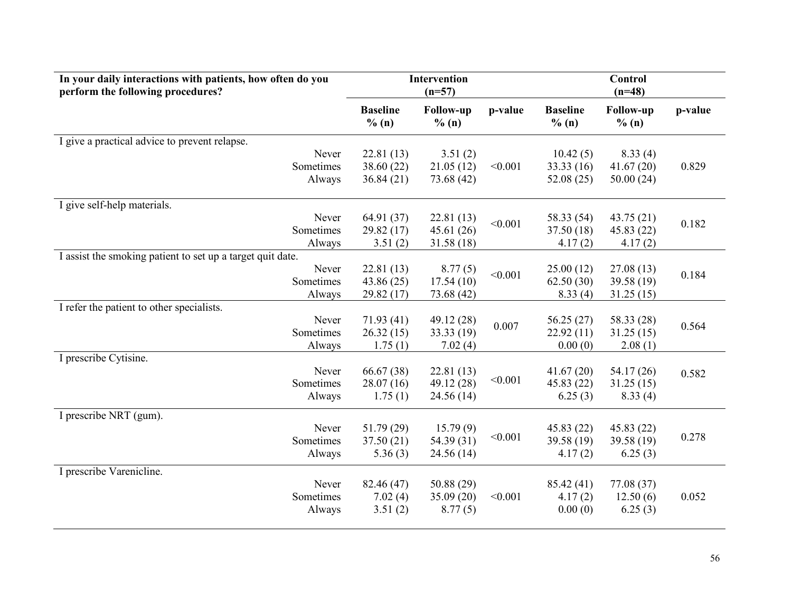| In your daily interactions with patients, how often do you<br>perform the following procedures? | <b>Intervention</b><br>$(n=57)$ |                          |         |                          | Control<br>$(n=48)$       |         |  |
|-------------------------------------------------------------------------------------------------|---------------------------------|--------------------------|---------|--------------------------|---------------------------|---------|--|
|                                                                                                 | <b>Baseline</b><br>% (n)        | Follow-up<br>% (n)       | p-value | <b>Baseline</b><br>% (n) | <b>Follow-up</b><br>% (n) | p-value |  |
| I give a practical advice to prevent relapse.                                                   |                                 |                          |         |                          |                           |         |  |
| Never                                                                                           | 22.81(13)                       | 3.51(2)                  |         | 10.42(5)                 | 8.33(4)                   |         |  |
| Sometimes                                                                                       | 38.60 (22)                      | 21.05(12)                | < 0.001 | 33.33 (16)               | 41.67(20)                 | 0.829   |  |
| Always                                                                                          | 36.84(21)                       | 73.68 (42)               |         | 52.08(25)                | 50.00(24)                 |         |  |
| I give self-help materials.                                                                     |                                 |                          |         |                          |                           |         |  |
| Never                                                                                           | 64.91 (37)                      | 22.81(13)                |         | 58.33 (54)               | 43.75(21)                 |         |  |
| Sometimes                                                                                       | 29.82(17)                       | 45.61(26)                | < 0.001 | 37.50 (18)               | 45.83 (22)                | 0.182   |  |
| Always                                                                                          | 3.51(2)                         | 31.58 (18)               |         | 4.17(2)                  | 4.17(2)                   |         |  |
| I assist the smoking patient to set up a target quit date.                                      |                                 |                          |         |                          |                           |         |  |
| Never                                                                                           | 22.81(13)                       | 8.77(5)                  | < 0.001 | 25.00(12)                | 27.08(13)                 | 0.184   |  |
| Sometimes                                                                                       | 43.86(25)                       | 17.54(10)                |         | 62.50(30)                | 39.58 (19)                |         |  |
| Always                                                                                          | 29.82(17)                       | 73.68 (42)               |         | 8.33(4)                  | 31.25(15)                 |         |  |
| I refer the patient to other specialists.                                                       |                                 |                          |         |                          |                           |         |  |
| Never<br>Sometimes                                                                              | 71.93(41)<br>26.32(15)          | 49.12 (28)<br>33.33 (19) | 0.007   | 56.25(27)<br>22.92(11)   | 58.33 (28)<br>31.25(15)   | 0.564   |  |
| Always                                                                                          | 1.75(1)                         | 7.02(4)                  |         | 0.00(0)                  | 2.08(1)                   |         |  |
| I prescribe Cytisine.                                                                           |                                 |                          |         |                          |                           |         |  |
| Never                                                                                           | 66.67 (38)                      | 22.81(13)                |         | 41.67(20)                | 54.17 (26)                | 0.582   |  |
| Sometimes                                                                                       | 28.07(16)                       | 49.12 (28)               | < 0.001 | 45.83 (22)               | 31.25(15)                 |         |  |
| Always                                                                                          | 1.75(1)                         | 24.56(14)                |         | 6.25(3)                  | 8.33(4)                   |         |  |
| I prescribe NRT (gum).                                                                          |                                 |                          |         |                          |                           |         |  |
| Never                                                                                           | 51.79(29)                       | 15.79(9)                 |         | 45.83(22)                | 45.83 (22)                |         |  |
| Sometimes                                                                                       | 37.50(21)                       | 54.39 (31)               | < 0.001 | 39.58 (19)               | 39.58 (19)                | 0.278   |  |
| Always                                                                                          | 5.36(3)                         | 24.56 (14)               |         | 4.17(2)                  | 6.25(3)                   |         |  |
| I prescribe Varenicline.                                                                        |                                 |                          |         |                          |                           |         |  |
| Never                                                                                           | 82.46 (47)                      | 50.88 (29)               |         | 85.42 (41)               | 77.08 (37)                |         |  |
| Sometimes                                                                                       | 7.02(4)                         | 35.09 (20)               | < 0.001 | 4.17(2)                  | 12.50(6)                  | 0.052   |  |
| Always                                                                                          | 3.51(2)                         | 8.77(5)                  |         | 0.00(0)                  | 6.25(3)                   |         |  |
|                                                                                                 |                                 |                          |         |                          |                           |         |  |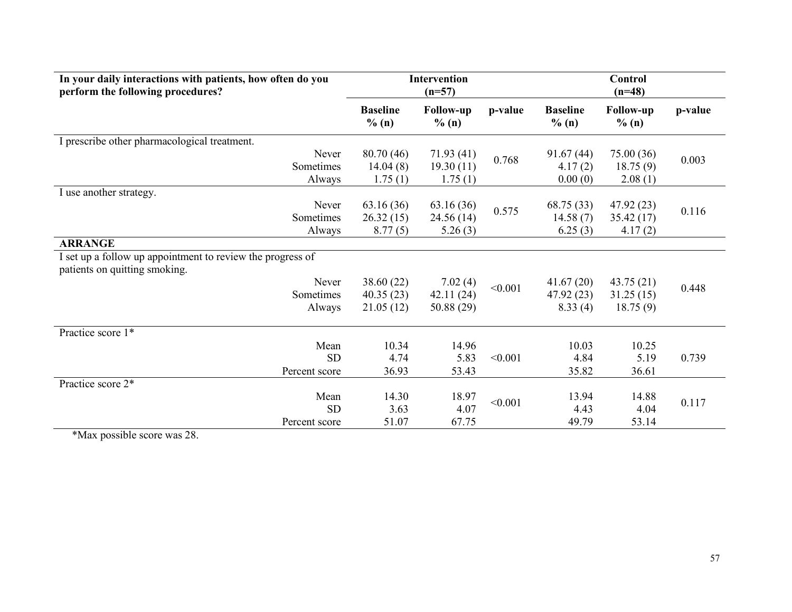| In your daily interactions with patients, how often do you<br>perform the following procedures? |                                      | <b>Intervention</b><br>$(n=57)$    |         |                                   | <b>Control</b><br>$(n=48)$         |         |
|-------------------------------------------------------------------------------------------------|--------------------------------------|------------------------------------|---------|-----------------------------------|------------------------------------|---------|
|                                                                                                 | <b>Baseline</b><br>% (n)             | <b>Follow-up</b><br>% (n)          | p-value | <b>Baseline</b><br>% (n)          | <b>Follow-up</b><br>% (n)          | p-value |
| I prescribe other pharmacological treatment.                                                    |                                      |                                    |         |                                   |                                    |         |
| Never<br>Sometimes<br>Always                                                                    | 80.70 (46)<br>14.04(8)<br>1.75(1)    | 71.93(41)<br>19.30(11)<br>1.75(1)  | 0.768   | 91.67(44)<br>4.17(2)<br>0.00(0)   | 75.00 (36)<br>18.75(9)<br>2.08(1)  | 0.003   |
| I use another strategy.                                                                         |                                      |                                    |         |                                   |                                    |         |
| Never<br>Sometimes<br>Always                                                                    | 63.16(36)<br>26.32(15)<br>8.77(5)    | 63.16(36)<br>24.56 (14)<br>5.26(3) | 0.575   | 68.75 (33)<br>14.58(7)<br>6.25(3) | 47.92(23)<br>35.42(17)<br>4.17(2)  | 0.116   |
| <b>ARRANGE</b>                                                                                  |                                      |                                    |         |                                   |                                    |         |
| I set up a follow up appointment to review the progress of<br>patients on quitting smoking.     |                                      |                                    |         |                                   |                                    |         |
| Never<br>Sometimes<br>Always                                                                    | 38.60 (22)<br>40.35(23)<br>21.05(12) | 7.02(4)<br>42.11(24)<br>50.88 (29) | < 0.001 | 41.67(20)<br>47.92(23)<br>8.33(4) | 43.75(21)<br>31.25(15)<br>18.75(9) | 0.448   |
| Practice score 1*                                                                               |                                      |                                    |         |                                   |                                    |         |
| Mean<br><b>SD</b><br>Percent score                                                              | 10.34<br>4.74<br>36.93               | 14.96<br>5.83<br>53.43             | < 0.001 | 10.03<br>4.84<br>35.82            | 10.25<br>5.19<br>36.61             | 0.739   |
| Practice score 2*                                                                               |                                      |                                    |         |                                   |                                    |         |
| Mean<br><b>SD</b><br>Percent score                                                              | 14.30<br>3.63<br>51.07               | 18.97<br>4.07<br>67.75             | < 0.001 | 13.94<br>4.43<br>49.79            | 14.88<br>4.04<br>53.14             | 0.117   |

\*Max possible score was 28.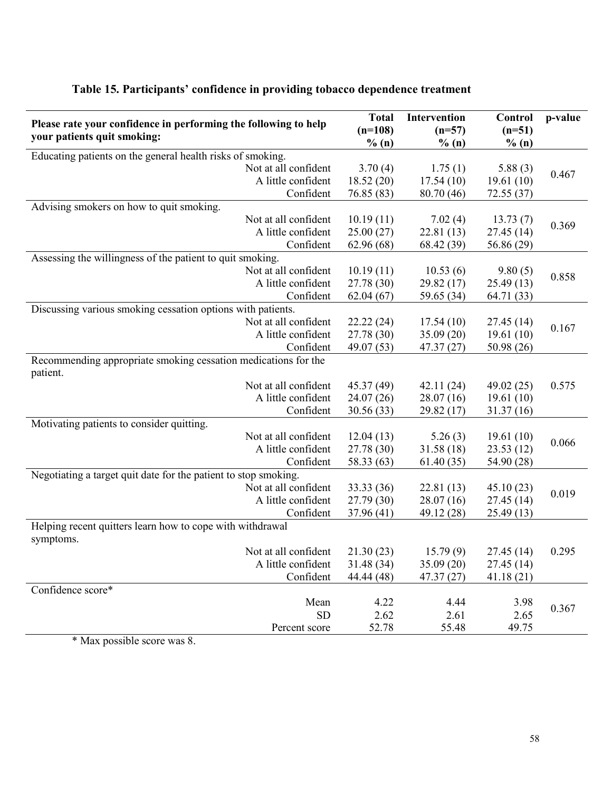| % (n)<br>% (n)<br>% (n)<br>Educating patients on the general health risks of smoking.<br>Not at all confident<br>3.70(4)<br>1.75(1)<br>5.88(3)<br>0.467<br>A little confident<br>18.52(20)<br>17.54(10)<br>19.61(10)<br>Confident<br>76.85 (83)<br>80.70 (46)<br>72.55(37)<br>Advising smokers on how to quit smoking.<br>Not at all confident<br>10.19(11)<br>7.02(4)<br>13.73(7)<br>0.369<br>A little confident<br>25.00(27)<br>22.81(13)<br>27.45 (14)<br>Confident<br>62.96(68)<br>68.42 (39)<br>56.86 (29)<br>Assessing the willingness of the patient to quit smoking.<br>Not at all confident<br>10.19(11)<br>10.53(6)<br>9.80(5)<br>0.858<br>A little confident<br>27.78 (30)<br>29.82(17)<br>25.49(13)<br>Confident<br>62.04(67)<br>59.65 (34)<br>64.71 (33)<br>Discussing various smoking cessation options with patients.<br>Not at all confident<br>22.22(24)<br>17.54(10)<br>27.45(14)<br>0.167<br>A little confident<br>27.78 (30)<br>19.61(10)<br>35.09(20)<br>Confident<br>49.07 (53)<br>47.37(27)<br>50.98 (26)<br>Recommending appropriate smoking cessation medications for the<br>patient.<br>Not at all confident<br>45.37 (49)<br>42.11(24)<br>49.02(25)<br>0.575<br>A little confident<br>24.07(26)<br>28.07(16)<br>19.61(10)<br>Confident<br>30.56 (33)<br>29.82(17)<br>31.37(16)<br>Motivating patients to consider quitting.<br>Not at all confident<br>12.04(13)<br>19.61(10)<br>5.26(3)<br>0.066<br>A little confident<br>27.78 (30)<br>31.58(18)<br>23.53(12)<br>Confident<br>58.33 (63)<br>61.40(35)<br>54.90 (28)<br>Negotiating a target quit date for the patient to stop smoking.<br>Not at all confident<br>33.33 (36)<br>22.81(13)<br>45.10(23)<br>0.019<br>A little confident<br>27.79(30)<br>28.07(16)<br>27.45(14)<br>Confident<br>37.96(41)<br>49.12 (28)<br>25.49(13)<br>Helping recent quitters learn how to cope with withdrawal<br>symptoms.<br>Not at all confident<br>21.30(23)<br>15.79(9)<br>27.45 (14)<br>0.295<br>A little confident<br>35.09(20)<br>31.48 (34)<br>27.45(14)<br>Confident<br>44.44 (48)<br>47.37(27)<br>41.18(21)<br>Confidence score*<br>Mean<br>4.22<br>4.44<br>3.98<br>0.367<br><b>SD</b><br>2.62<br>2.61<br>2.65<br>52.78<br>55.48<br>49.75<br>Percent score | Please rate your confidence in performing the following to help | <b>Total</b><br>$(n=108)$ | Intervention<br>$(n=57)$ | Control<br>$(n=51)$ | p-value |
|------------------------------------------------------------------------------------------------------------------------------------------------------------------------------------------------------------------------------------------------------------------------------------------------------------------------------------------------------------------------------------------------------------------------------------------------------------------------------------------------------------------------------------------------------------------------------------------------------------------------------------------------------------------------------------------------------------------------------------------------------------------------------------------------------------------------------------------------------------------------------------------------------------------------------------------------------------------------------------------------------------------------------------------------------------------------------------------------------------------------------------------------------------------------------------------------------------------------------------------------------------------------------------------------------------------------------------------------------------------------------------------------------------------------------------------------------------------------------------------------------------------------------------------------------------------------------------------------------------------------------------------------------------------------------------------------------------------------------------------------------------------------------------------------------------------------------------------------------------------------------------------------------------------------------------------------------------------------------------------------------------------------------------------------------------------------------------------------------------------------------------------------------------------------------------------------------------------------------------|-----------------------------------------------------------------|---------------------------|--------------------------|---------------------|---------|
|                                                                                                                                                                                                                                                                                                                                                                                                                                                                                                                                                                                                                                                                                                                                                                                                                                                                                                                                                                                                                                                                                                                                                                                                                                                                                                                                                                                                                                                                                                                                                                                                                                                                                                                                                                                                                                                                                                                                                                                                                                                                                                                                                                                                                                    | your patients quit smoking:                                     |                           |                          |                     |         |
|                                                                                                                                                                                                                                                                                                                                                                                                                                                                                                                                                                                                                                                                                                                                                                                                                                                                                                                                                                                                                                                                                                                                                                                                                                                                                                                                                                                                                                                                                                                                                                                                                                                                                                                                                                                                                                                                                                                                                                                                                                                                                                                                                                                                                                    |                                                                 |                           |                          |                     |         |
|                                                                                                                                                                                                                                                                                                                                                                                                                                                                                                                                                                                                                                                                                                                                                                                                                                                                                                                                                                                                                                                                                                                                                                                                                                                                                                                                                                                                                                                                                                                                                                                                                                                                                                                                                                                                                                                                                                                                                                                                                                                                                                                                                                                                                                    |                                                                 |                           |                          |                     |         |
|                                                                                                                                                                                                                                                                                                                                                                                                                                                                                                                                                                                                                                                                                                                                                                                                                                                                                                                                                                                                                                                                                                                                                                                                                                                                                                                                                                                                                                                                                                                                                                                                                                                                                                                                                                                                                                                                                                                                                                                                                                                                                                                                                                                                                                    |                                                                 |                           |                          |                     |         |
|                                                                                                                                                                                                                                                                                                                                                                                                                                                                                                                                                                                                                                                                                                                                                                                                                                                                                                                                                                                                                                                                                                                                                                                                                                                                                                                                                                                                                                                                                                                                                                                                                                                                                                                                                                                                                                                                                                                                                                                                                                                                                                                                                                                                                                    |                                                                 |                           |                          |                     |         |
|                                                                                                                                                                                                                                                                                                                                                                                                                                                                                                                                                                                                                                                                                                                                                                                                                                                                                                                                                                                                                                                                                                                                                                                                                                                                                                                                                                                                                                                                                                                                                                                                                                                                                                                                                                                                                                                                                                                                                                                                                                                                                                                                                                                                                                    |                                                                 |                           |                          |                     |         |
|                                                                                                                                                                                                                                                                                                                                                                                                                                                                                                                                                                                                                                                                                                                                                                                                                                                                                                                                                                                                                                                                                                                                                                                                                                                                                                                                                                                                                                                                                                                                                                                                                                                                                                                                                                                                                                                                                                                                                                                                                                                                                                                                                                                                                                    |                                                                 |                           |                          |                     |         |
|                                                                                                                                                                                                                                                                                                                                                                                                                                                                                                                                                                                                                                                                                                                                                                                                                                                                                                                                                                                                                                                                                                                                                                                                                                                                                                                                                                                                                                                                                                                                                                                                                                                                                                                                                                                                                                                                                                                                                                                                                                                                                                                                                                                                                                    |                                                                 |                           |                          |                     |         |
|                                                                                                                                                                                                                                                                                                                                                                                                                                                                                                                                                                                                                                                                                                                                                                                                                                                                                                                                                                                                                                                                                                                                                                                                                                                                                                                                                                                                                                                                                                                                                                                                                                                                                                                                                                                                                                                                                                                                                                                                                                                                                                                                                                                                                                    |                                                                 |                           |                          |                     |         |
|                                                                                                                                                                                                                                                                                                                                                                                                                                                                                                                                                                                                                                                                                                                                                                                                                                                                                                                                                                                                                                                                                                                                                                                                                                                                                                                                                                                                                                                                                                                                                                                                                                                                                                                                                                                                                                                                                                                                                                                                                                                                                                                                                                                                                                    |                                                                 |                           |                          |                     |         |
|                                                                                                                                                                                                                                                                                                                                                                                                                                                                                                                                                                                                                                                                                                                                                                                                                                                                                                                                                                                                                                                                                                                                                                                                                                                                                                                                                                                                                                                                                                                                                                                                                                                                                                                                                                                                                                                                                                                                                                                                                                                                                                                                                                                                                                    |                                                                 |                           |                          |                     |         |
|                                                                                                                                                                                                                                                                                                                                                                                                                                                                                                                                                                                                                                                                                                                                                                                                                                                                                                                                                                                                                                                                                                                                                                                                                                                                                                                                                                                                                                                                                                                                                                                                                                                                                                                                                                                                                                                                                                                                                                                                                                                                                                                                                                                                                                    |                                                                 |                           |                          |                     |         |
|                                                                                                                                                                                                                                                                                                                                                                                                                                                                                                                                                                                                                                                                                                                                                                                                                                                                                                                                                                                                                                                                                                                                                                                                                                                                                                                                                                                                                                                                                                                                                                                                                                                                                                                                                                                                                                                                                                                                                                                                                                                                                                                                                                                                                                    |                                                                 |                           |                          |                     |         |
|                                                                                                                                                                                                                                                                                                                                                                                                                                                                                                                                                                                                                                                                                                                                                                                                                                                                                                                                                                                                                                                                                                                                                                                                                                                                                                                                                                                                                                                                                                                                                                                                                                                                                                                                                                                                                                                                                                                                                                                                                                                                                                                                                                                                                                    |                                                                 |                           |                          |                     |         |
|                                                                                                                                                                                                                                                                                                                                                                                                                                                                                                                                                                                                                                                                                                                                                                                                                                                                                                                                                                                                                                                                                                                                                                                                                                                                                                                                                                                                                                                                                                                                                                                                                                                                                                                                                                                                                                                                                                                                                                                                                                                                                                                                                                                                                                    |                                                                 |                           |                          |                     |         |
|                                                                                                                                                                                                                                                                                                                                                                                                                                                                                                                                                                                                                                                                                                                                                                                                                                                                                                                                                                                                                                                                                                                                                                                                                                                                                                                                                                                                                                                                                                                                                                                                                                                                                                                                                                                                                                                                                                                                                                                                                                                                                                                                                                                                                                    |                                                                 |                           |                          |                     |         |
|                                                                                                                                                                                                                                                                                                                                                                                                                                                                                                                                                                                                                                                                                                                                                                                                                                                                                                                                                                                                                                                                                                                                                                                                                                                                                                                                                                                                                                                                                                                                                                                                                                                                                                                                                                                                                                                                                                                                                                                                                                                                                                                                                                                                                                    |                                                                 |                           |                          |                     |         |
|                                                                                                                                                                                                                                                                                                                                                                                                                                                                                                                                                                                                                                                                                                                                                                                                                                                                                                                                                                                                                                                                                                                                                                                                                                                                                                                                                                                                                                                                                                                                                                                                                                                                                                                                                                                                                                                                                                                                                                                                                                                                                                                                                                                                                                    |                                                                 |                           |                          |                     |         |
|                                                                                                                                                                                                                                                                                                                                                                                                                                                                                                                                                                                                                                                                                                                                                                                                                                                                                                                                                                                                                                                                                                                                                                                                                                                                                                                                                                                                                                                                                                                                                                                                                                                                                                                                                                                                                                                                                                                                                                                                                                                                                                                                                                                                                                    |                                                                 |                           |                          |                     |         |
|                                                                                                                                                                                                                                                                                                                                                                                                                                                                                                                                                                                                                                                                                                                                                                                                                                                                                                                                                                                                                                                                                                                                                                                                                                                                                                                                                                                                                                                                                                                                                                                                                                                                                                                                                                                                                                                                                                                                                                                                                                                                                                                                                                                                                                    |                                                                 |                           |                          |                     |         |
|                                                                                                                                                                                                                                                                                                                                                                                                                                                                                                                                                                                                                                                                                                                                                                                                                                                                                                                                                                                                                                                                                                                                                                                                                                                                                                                                                                                                                                                                                                                                                                                                                                                                                                                                                                                                                                                                                                                                                                                                                                                                                                                                                                                                                                    |                                                                 |                           |                          |                     |         |
|                                                                                                                                                                                                                                                                                                                                                                                                                                                                                                                                                                                                                                                                                                                                                                                                                                                                                                                                                                                                                                                                                                                                                                                                                                                                                                                                                                                                                                                                                                                                                                                                                                                                                                                                                                                                                                                                                                                                                                                                                                                                                                                                                                                                                                    |                                                                 |                           |                          |                     |         |
|                                                                                                                                                                                                                                                                                                                                                                                                                                                                                                                                                                                                                                                                                                                                                                                                                                                                                                                                                                                                                                                                                                                                                                                                                                                                                                                                                                                                                                                                                                                                                                                                                                                                                                                                                                                                                                                                                                                                                                                                                                                                                                                                                                                                                                    |                                                                 |                           |                          |                     |         |
|                                                                                                                                                                                                                                                                                                                                                                                                                                                                                                                                                                                                                                                                                                                                                                                                                                                                                                                                                                                                                                                                                                                                                                                                                                                                                                                                                                                                                                                                                                                                                                                                                                                                                                                                                                                                                                                                                                                                                                                                                                                                                                                                                                                                                                    |                                                                 |                           |                          |                     |         |
|                                                                                                                                                                                                                                                                                                                                                                                                                                                                                                                                                                                                                                                                                                                                                                                                                                                                                                                                                                                                                                                                                                                                                                                                                                                                                                                                                                                                                                                                                                                                                                                                                                                                                                                                                                                                                                                                                                                                                                                                                                                                                                                                                                                                                                    |                                                                 |                           |                          |                     |         |
|                                                                                                                                                                                                                                                                                                                                                                                                                                                                                                                                                                                                                                                                                                                                                                                                                                                                                                                                                                                                                                                                                                                                                                                                                                                                                                                                                                                                                                                                                                                                                                                                                                                                                                                                                                                                                                                                                                                                                                                                                                                                                                                                                                                                                                    |                                                                 |                           |                          |                     |         |
|                                                                                                                                                                                                                                                                                                                                                                                                                                                                                                                                                                                                                                                                                                                                                                                                                                                                                                                                                                                                                                                                                                                                                                                                                                                                                                                                                                                                                                                                                                                                                                                                                                                                                                                                                                                                                                                                                                                                                                                                                                                                                                                                                                                                                                    |                                                                 |                           |                          |                     |         |
|                                                                                                                                                                                                                                                                                                                                                                                                                                                                                                                                                                                                                                                                                                                                                                                                                                                                                                                                                                                                                                                                                                                                                                                                                                                                                                                                                                                                                                                                                                                                                                                                                                                                                                                                                                                                                                                                                                                                                                                                                                                                                                                                                                                                                                    |                                                                 |                           |                          |                     |         |
|                                                                                                                                                                                                                                                                                                                                                                                                                                                                                                                                                                                                                                                                                                                                                                                                                                                                                                                                                                                                                                                                                                                                                                                                                                                                                                                                                                                                                                                                                                                                                                                                                                                                                                                                                                                                                                                                                                                                                                                                                                                                                                                                                                                                                                    |                                                                 |                           |                          |                     |         |
|                                                                                                                                                                                                                                                                                                                                                                                                                                                                                                                                                                                                                                                                                                                                                                                                                                                                                                                                                                                                                                                                                                                                                                                                                                                                                                                                                                                                                                                                                                                                                                                                                                                                                                                                                                                                                                                                                                                                                                                                                                                                                                                                                                                                                                    |                                                                 |                           |                          |                     |         |
|                                                                                                                                                                                                                                                                                                                                                                                                                                                                                                                                                                                                                                                                                                                                                                                                                                                                                                                                                                                                                                                                                                                                                                                                                                                                                                                                                                                                                                                                                                                                                                                                                                                                                                                                                                                                                                                                                                                                                                                                                                                                                                                                                                                                                                    |                                                                 |                           |                          |                     |         |
|                                                                                                                                                                                                                                                                                                                                                                                                                                                                                                                                                                                                                                                                                                                                                                                                                                                                                                                                                                                                                                                                                                                                                                                                                                                                                                                                                                                                                                                                                                                                                                                                                                                                                                                                                                                                                                                                                                                                                                                                                                                                                                                                                                                                                                    |                                                                 |                           |                          |                     |         |
|                                                                                                                                                                                                                                                                                                                                                                                                                                                                                                                                                                                                                                                                                                                                                                                                                                                                                                                                                                                                                                                                                                                                                                                                                                                                                                                                                                                                                                                                                                                                                                                                                                                                                                                                                                                                                                                                                                                                                                                                                                                                                                                                                                                                                                    |                                                                 |                           |                          |                     |         |
|                                                                                                                                                                                                                                                                                                                                                                                                                                                                                                                                                                                                                                                                                                                                                                                                                                                                                                                                                                                                                                                                                                                                                                                                                                                                                                                                                                                                                                                                                                                                                                                                                                                                                                                                                                                                                                                                                                                                                                                                                                                                                                                                                                                                                                    |                                                                 |                           |                          |                     |         |
|                                                                                                                                                                                                                                                                                                                                                                                                                                                                                                                                                                                                                                                                                                                                                                                                                                                                                                                                                                                                                                                                                                                                                                                                                                                                                                                                                                                                                                                                                                                                                                                                                                                                                                                                                                                                                                                                                                                                                                                                                                                                                                                                                                                                                                    |                                                                 |                           |                          |                     |         |
|                                                                                                                                                                                                                                                                                                                                                                                                                                                                                                                                                                                                                                                                                                                                                                                                                                                                                                                                                                                                                                                                                                                                                                                                                                                                                                                                                                                                                                                                                                                                                                                                                                                                                                                                                                                                                                                                                                                                                                                                                                                                                                                                                                                                                                    |                                                                 |                           |                          |                     |         |
|                                                                                                                                                                                                                                                                                                                                                                                                                                                                                                                                                                                                                                                                                                                                                                                                                                                                                                                                                                                                                                                                                                                                                                                                                                                                                                                                                                                                                                                                                                                                                                                                                                                                                                                                                                                                                                                                                                                                                                                                                                                                                                                                                                                                                                    |                                                                 |                           |                          |                     |         |

### Table 15. Participants' confidence in providing tobacco dependence treatment

\* Max possible score was 8.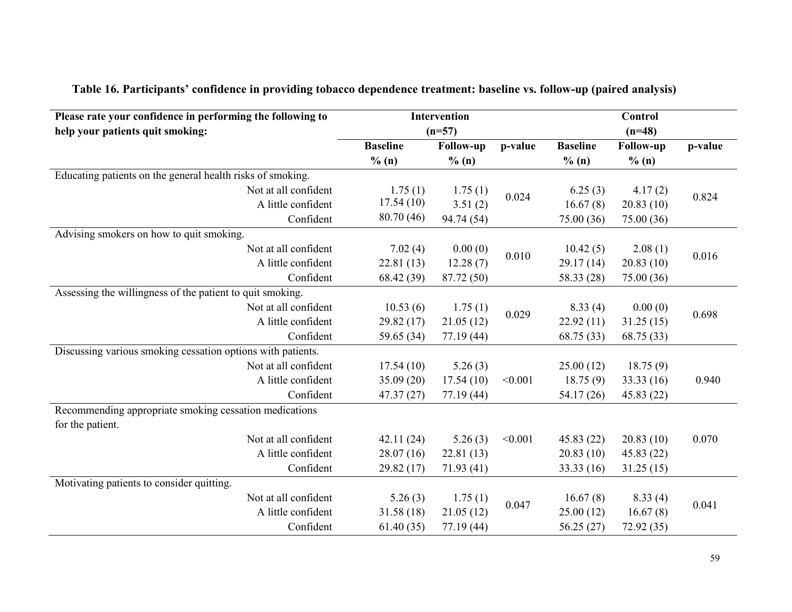| Please rate your confidence in performing the following to<br>help your patients quit smoking: |                 | Intervention<br>$(n=57)$ |         |                 | Control<br>$(n=48)$ |         |
|------------------------------------------------------------------------------------------------|-----------------|--------------------------|---------|-----------------|---------------------|---------|
|                                                                                                | <b>Baseline</b> | <b>Follow-up</b>         | p-value | <b>Baseline</b> | <b>Follow-up</b>    | p-value |
|                                                                                                | % (n)           | % (n)                    |         | % (n)           | % (n)               |         |
| Educating patients on the general health risks of smoking.                                     |                 |                          |         |                 |                     |         |
| Not at all confident                                                                           | 1.75(1)         | 1.75(1)                  | 0.024   | 6.25(3)         | 4.17(2)             | 0.824   |
| A little confident                                                                             | 17.54(10)       | 3.51(2)                  |         | 16.67(8)        | 20.83(10)           |         |
| Confident                                                                                      | 80.70 (46)      | 94.74 (54)               |         | 75.00 (36)      | 75.00 (36)          |         |
| Advising smokers on how to quit smoking.                                                       |                 |                          |         |                 |                     |         |
| Not at all confident                                                                           | 7.02(4)         | 0.00(0)                  | 0.010   | 10.42(5)        | 2.08(1)             | 0.016   |
| A little confident                                                                             | 22.81(13)       | 12.28(7)                 |         | 29.17(14)       | 20.83(10)           |         |
| Confident                                                                                      | 68.42 (39)      | 87.72 (50)               |         | 58.33 (28)      | 75.00 (36)          |         |
| Assessing the willingness of the patient to quit smoking.                                      |                 |                          |         |                 |                     |         |
| Not at all confident                                                                           | 10.53(6)        | 1.75(1)                  | 0.029   | 8.33(4)         | 0.00(0)             | 0.698   |
| A little confident                                                                             | 29.82 (17)      | 21.05(12)                |         | 22.92(11)       | 31.25(15)           |         |
| Confident                                                                                      | 59.65 (34)      | 77.19 (44)               |         | 68.75 (33)      | 68.75 (33)          |         |
| Discussing various smoking cessation options with patients.                                    |                 |                          |         |                 |                     |         |
| Not at all confident                                                                           | 17.54(10)       | 5.26(3)                  |         | 25.00(12)       | 18.75(9)            |         |
| A little confident                                                                             | 35.09(20)       | 17.54(10)                | < 0.001 | 18.75(9)        | 33.33(16)           | 0.940   |
| Confident                                                                                      | 47.37(27)       | 77.19(44)                |         | 54.17 (26)      | 45.83(22)           |         |
| Recommending appropriate smoking cessation medications                                         |                 |                          |         |                 |                     |         |
| for the patient.                                                                               |                 |                          |         |                 |                     |         |
| Not at all confident                                                                           | 42.11(24)       | 5.26(3)                  | < 0.001 | 45.83(22)       | 20.83(10)           | 0.070   |
| A little confident                                                                             | 28.07(16)       | 22.81(13)                |         | 20.83(10)       | 45.83(22)           |         |
| Confident                                                                                      | 29.82(17)       | 71.93(41)                |         | 33.33(16)       | 31.25(15)           |         |
| Motivating patients to consider quitting.                                                      |                 |                          |         |                 |                     |         |
| Not at all confident                                                                           | 5.26(3)         | 1.75(1)                  | 0.047   | 16.67(8)        | 8.33(4)             | 0.041   |
| A little confident                                                                             | 31.58(18)       | 21.05(12)                |         | 25.00(12)       | 16.67(8)            |         |
| Confident                                                                                      | 61.40(35)       | 77.19 (44)               |         | 56.25(27)       | 72.92 (35)          |         |

# Table 16. Participants' confidence in providing tobacco dependence treatment: baseline vs. follow-up (paired analysis)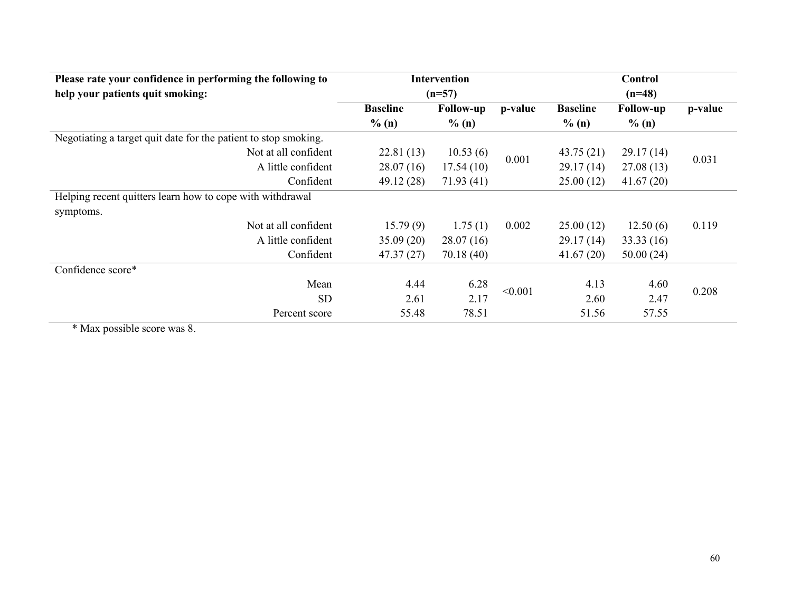|                 | <b>Intervention</b> |          |                  | Control          |         |
|-----------------|---------------------|----------|------------------|------------------|---------|
|                 |                     |          | $(n=48)$         |                  |         |
| <b>Baseline</b> | <b>Follow-up</b>    | p-value  | <b>Baseline</b>  | <b>Follow-up</b> | p-value |
| $\%$ (n)        | % (n)               |          | % (n)            | $\%$ (n)         |         |
|                 |                     |          |                  |                  |         |
| 22.81(13)       | 10.53(6)            |          | 43.75(21)        | 29.17(14)        |         |
| 28.07(16)       | 17.54(10)           |          | 29.17(14)        | 27.08(13)        | 0.031   |
| 49.12 (28)      | 71.93(41)           |          | 25.00(12)        | 41.67(20)        |         |
|                 |                     |          |                  |                  |         |
|                 |                     |          |                  |                  |         |
| 15.79(9)        | 1.75(1)             | 0.002    | 25.00(12)        | 12.50(6)         | 0.119   |
| 35.09(20)       | 28.07(16)           |          | 29.17(14)        | 33.33(16)        |         |
| 47.37(27)       | 70.18(40)           |          | 41.67(20)        | 50.00(24)        |         |
|                 |                     |          |                  |                  |         |
| 4.44            | 6.28                |          | 4.13             | 4.60             |         |
| 2.61            | 2.17                |          | 2.60             | 2.47             | 0.208   |
| 55.48           | 78.51               |          | 51.56            | 57.55            |         |
|                 |                     | $(n=57)$ | 0.001<br>< 0.001 |                  |         |

\* Max possible score was 8.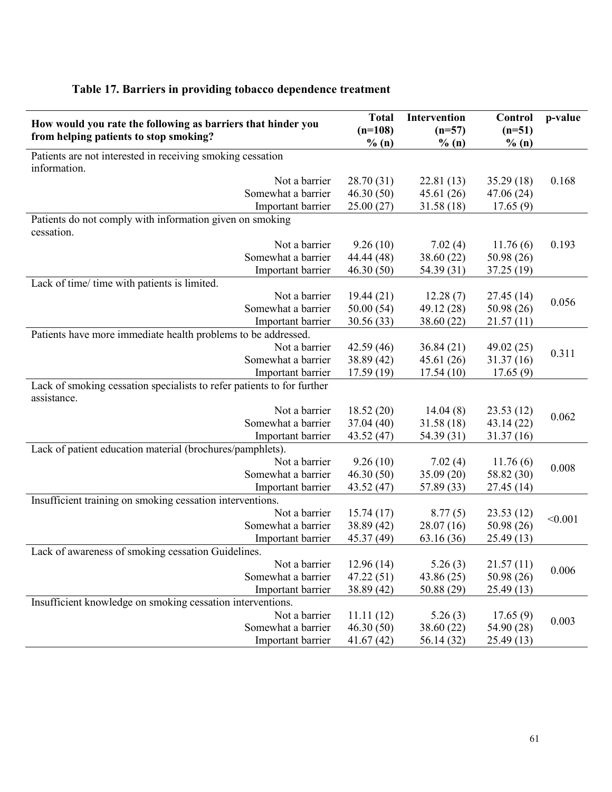| How would you rate the following as barriers that hinder you<br>from helping patients to stop smoking? | <b>Total</b><br>$(n=108)$<br>% (n) | Intervention<br>$(n=57)$<br>$\%$ (n) | Control<br>$(n=51)$<br>% (n) | p-value |
|--------------------------------------------------------------------------------------------------------|------------------------------------|--------------------------------------|------------------------------|---------|
| Patients are not interested in receiving smoking cessation<br>information.                             |                                    |                                      |                              |         |
| Not a barrier                                                                                          | 28.70 (31)                         | 22.81(13)                            | 35.29(18)                    | 0.168   |
| Somewhat a barrier                                                                                     | 46.30(50)                          | 45.61(26)                            | 47.06(24)                    |         |
| Important barrier                                                                                      | 25.00(27)                          | 31.58(18)                            | 17.65(9)                     |         |
| Patients do not comply with information given on smoking<br>cessation.                                 |                                    |                                      |                              |         |
| Not a barrier                                                                                          | 9.26(10)                           | 7.02(4)                              | 11.76(6)                     | 0.193   |
| Somewhat a barrier                                                                                     | 44.44 (48)                         | 38.60 (22)                           | 50.98(26)                    |         |
| Important barrier                                                                                      | 46.30(50)                          | 54.39 (31)                           | 37.25(19)                    |         |
| Lack of time/ time with patients is limited.                                                           |                                    |                                      |                              |         |
| Not a barrier                                                                                          | 19.44(21)                          | 12.28(7)                             | 27.45(14)                    | 0.056   |
| Somewhat a barrier                                                                                     | 50.00(54)                          | 49.12 (28)                           | 50.98 (26)                   |         |
| Important barrier                                                                                      | 30.56 (33)                         | 38.60 (22)                           | 21.57(11)                    |         |
| Patients have more immediate health problems to be addressed.                                          |                                    |                                      |                              |         |
| Not a barrier                                                                                          | 42.59(46)                          | 36.84(21)                            | 49.02 (25)                   | 0.311   |
| Somewhat a barrier                                                                                     | 38.89 (42)                         | 45.61 (26)                           | 31.37(16)                    |         |
| Important barrier                                                                                      | 17.59(19)                          | 17.54(10)                            | 17.65(9)                     |         |
| Lack of smoking cessation specialists to refer patients to for further<br>assistance.                  |                                    |                                      |                              |         |
| Not a barrier                                                                                          | 18.52(20)                          | 14.04(8)                             | 23.53(12)                    | 0.062   |
| Somewhat a barrier                                                                                     | 37.04(40)                          | 31.58 (18)                           | 43.14(22)                    |         |
| Important barrier                                                                                      | 43.52 (47)                         | 54.39 (31)                           | 31.37(16)                    |         |
| Lack of patient education material (brochures/pamphlets).                                              |                                    |                                      |                              |         |
| Not a barrier                                                                                          | 9.26(10)                           | 7.02(4)                              | 11.76(6)                     | 0.008   |
| Somewhat a barrier                                                                                     | 46.30(50)                          | 35.09 (20)                           | 58.82 (30)                   |         |
| Important barrier                                                                                      | 43.52 (47)                         | 57.89 (33)                           | 27.45(14)                    |         |
| Insufficient training on smoking cessation interventions.                                              |                                    |                                      |                              |         |
| Not a barrier                                                                                          | 15.74(17)                          | 8.77(5)                              | 23.53(12)                    | < 0.001 |
| Somewhat a barrier                                                                                     | 38.89 (42)                         | 28.07(16)                            | 50.98 (26)                   |         |
| Important barrier                                                                                      | 45.37 (49)                         | 63.16(36)                            | 25.49 (13)                   |         |
| Lack of awareness of smoking cessation Guidelines.                                                     |                                    |                                      |                              |         |
| Not a barrier                                                                                          | 12.96(14)                          | 5.26(3)                              | 21.57(11)                    | 0.006   |
| Somewhat a barrier                                                                                     | 47.22(51)                          | 43.86 (25)                           | 50.98 (26)                   |         |
| Important barrier                                                                                      | 38.89 (42)                         | 50.88 (29)                           | 25.49(13)                    |         |
| Insufficient knowledge on smoking cessation interventions.                                             |                                    |                                      |                              |         |
| Not a barrier                                                                                          | 11.11(12)                          | 5.26(3)                              | 17.65(9)                     | 0.003   |
| Somewhat a barrier                                                                                     | 46.30(50)                          | 38.60 (22)                           | 54.90 (28)                   |         |
| Important barrier                                                                                      | 41.67(42)                          | 56.14 (32)                           | 25.49(13)                    |         |

### Table 17. Barriers in providing tobacco dependence treatment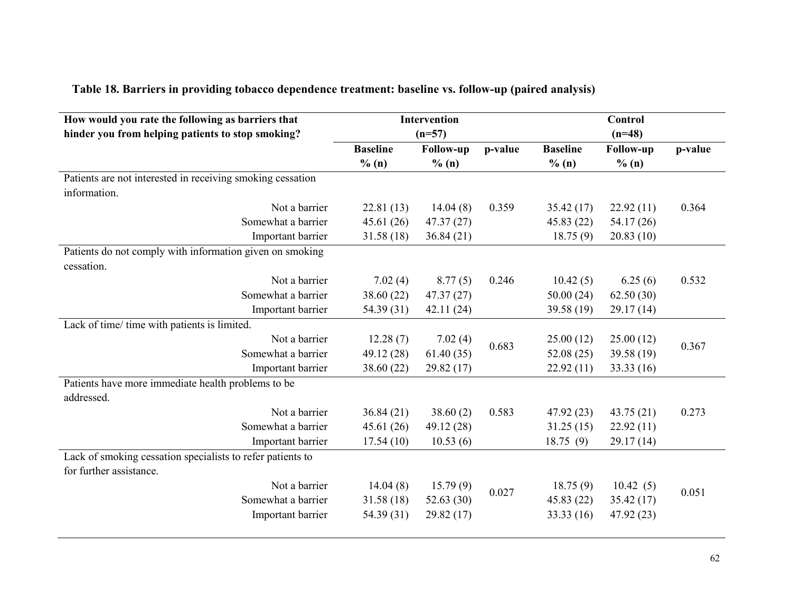| How would you rate the following as barriers that          |                 | Intervention     |         |                 | <b>Control</b>   |         |
|------------------------------------------------------------|-----------------|------------------|---------|-----------------|------------------|---------|
| hinder you from helping patients to stop smoking?          |                 | $(n=57)$         |         |                 | $(n=48)$         |         |
|                                                            | <b>Baseline</b> | <b>Follow-up</b> | p-value | <b>Baseline</b> | <b>Follow-up</b> | p-value |
|                                                            | % (n)           | % (n)            |         | % (n)           | % (n)            |         |
| Patients are not interested in receiving smoking cessation |                 |                  |         |                 |                  |         |
| information.                                               |                 |                  |         |                 |                  |         |
| Not a barrier                                              | 22.81(13)       | 14.04(8)         | 0.359   | 35.42(17)       | 22.92(11)        | 0.364   |
| Somewhat a barrier                                         | 45.61(26)       | 47.37(27)        |         | 45.83(22)       | 54.17 (26)       |         |
| Important barrier                                          | 31.58(18)       | 36.84(21)        |         | 18.75(9)        | 20.83(10)        |         |
| Patients do not comply with information given on smoking   |                 |                  |         |                 |                  |         |
| cessation.                                                 |                 |                  |         |                 |                  |         |
| Not a barrier                                              | 7.02(4)         | 8.77(5)          | 0.246   | 10.42(5)        | 6.25(6)          | 0.532   |
| Somewhat a barrier                                         | 38.60(22)       | 47.37(27)        |         | 50.00(24)       | 62.50(30)        |         |
| Important barrier                                          | 54.39 (31)      | 42.11(24)        |         | 39.58 (19)      | 29.17(14)        |         |
| Lack of time/ time with patients is limited.               |                 |                  |         |                 |                  |         |
| Not a barrier                                              | 12.28(7)        | 7.02(4)          | 0.683   | 25.00(12)       | 25.00(12)        | 0.367   |
| Somewhat a barrier                                         | 49.12(28)       | 61.40(35)        |         | 52.08(25)       | 39.58 (19)       |         |
| Important barrier                                          | 38.60 (22)      | 29.82 (17)       |         | 22.92(11)       | 33.33(16)        |         |
| Patients have more immediate health problems to be         |                 |                  |         |                 |                  |         |
| addressed.                                                 |                 |                  |         |                 |                  |         |
| Not a barrier                                              | 36.84(21)       | 38.60(2)         | 0.583   | 47.92(23)       | 43.75(21)        | 0.273   |
| Somewhat a barrier                                         | 45.61(26)       | 49.12 (28)       |         | 31.25(15)       | 22.92(11)        |         |
| Important barrier                                          | 17.54(10)       | 10.53(6)         |         | 18.75(9)        | 29.17(14)        |         |
| Lack of smoking cessation specialists to refer patients to |                 |                  |         |                 |                  |         |
| for further assistance.                                    |                 |                  |         |                 |                  |         |
| Not a barrier                                              | 14.04(8)        | 15.79(9)         | 0.027   | 18.75(9)        | 10.42(5)         | 0.051   |
| Somewhat a barrier                                         | 31.58(18)       | 52.63 $(30)$     |         | 45.83 (22)      | 35.42(17)        |         |
| Important barrier                                          | 54.39 (31)      | 29.82 (17)       |         | 33.33 (16)      | 47.92 (23)       |         |
|                                                            |                 |                  |         |                 |                  |         |

# Table 18. Barriers in providing tobacco dependence treatment: baseline vs. follow-up (paired analysis)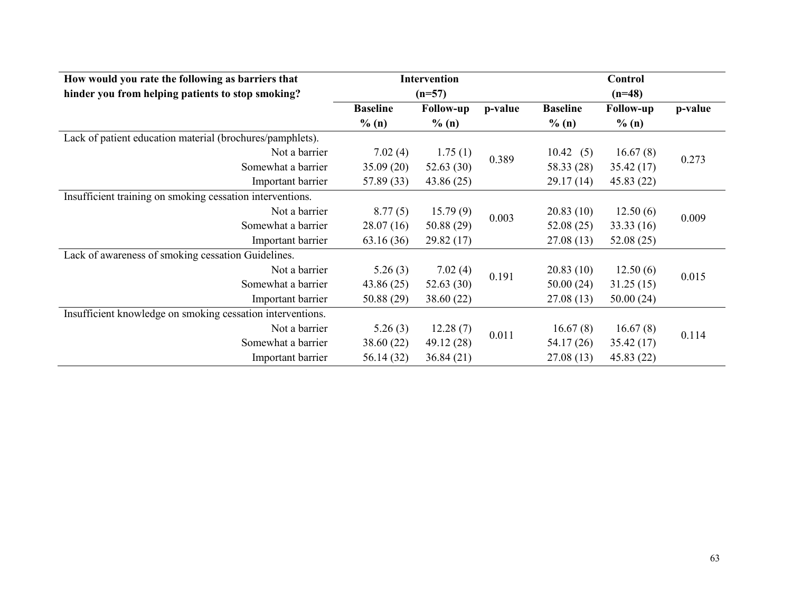| How would you rate the following as barriers that          |                 | Intervention     |         |                 | Control          |         |
|------------------------------------------------------------|-----------------|------------------|---------|-----------------|------------------|---------|
| hinder you from helping patients to stop smoking?          |                 | $(n=57)$         |         | $(n=48)$        |                  |         |
|                                                            | <b>Baseline</b> | <b>Follow-up</b> | p-value | <b>Baseline</b> | <b>Follow-up</b> | p-value |
|                                                            | % (n)           | $\%$ (n)         |         | $\%$ (n)        | % (n)            |         |
| Lack of patient education material (brochures/pamphlets).  |                 |                  |         |                 |                  |         |
| Not a barrier                                              | 7.02(4)         | 1.75(1)          | 0.389   | 10.42<br>(5)    | 16.67(8)         | 0.273   |
| Somewhat a barrier                                         | 35.09(20)       | 52.63(30)        |         | 58.33 (28)      | 35.42(17)        |         |
| Important barrier                                          | 57.89 (33)      | 43.86 (25)       |         | 29.17(14)       | 45.83(22)        |         |
| Insufficient training on smoking cessation interventions.  |                 |                  |         |                 |                  |         |
| Not a barrier                                              | 8.77(5)         | 15.79(9)         | 0.003   | 20.83(10)       | 12.50(6)         | 0.009   |
| Somewhat a barrier                                         | 28.07(16)       | 50.88(29)        |         | 52.08(25)       | 33.33(16)        |         |
| Important barrier                                          | 63.16(36)       | 29.82(17)        |         | 27.08(13)       | 52.08(25)        |         |
| Lack of awareness of smoking cessation Guidelines.         |                 |                  |         |                 |                  |         |
| Not a barrier                                              | 5.26(3)         | 7.02(4)          |         | 20.83(10)       | 12.50(6)         |         |
| Somewhat a barrier                                         | 43.86(25)       | 52.63(30)        | 0.191   | 50.00(24)       | 31.25(15)        | 0.015   |
| Important barrier                                          | 50.88(29)       | 38.60 (22)       |         | 27.08(13)       | 50.00(24)        |         |
| Insufficient knowledge on smoking cessation interventions. |                 |                  |         |                 |                  |         |
| Not a barrier                                              | 5.26(3)         | 12.28(7)         |         | 16.67(8)        | 16.67(8)         |         |
| Somewhat a barrier                                         | 38.60(22)       | 49.12 (28)       | 0.011   | 54.17(26)       | 35.42(17)        | 0.114   |
| Important barrier                                          | 56.14 (32)      | 36.84(21)        |         | 27.08(13)       | 45.83(22)        |         |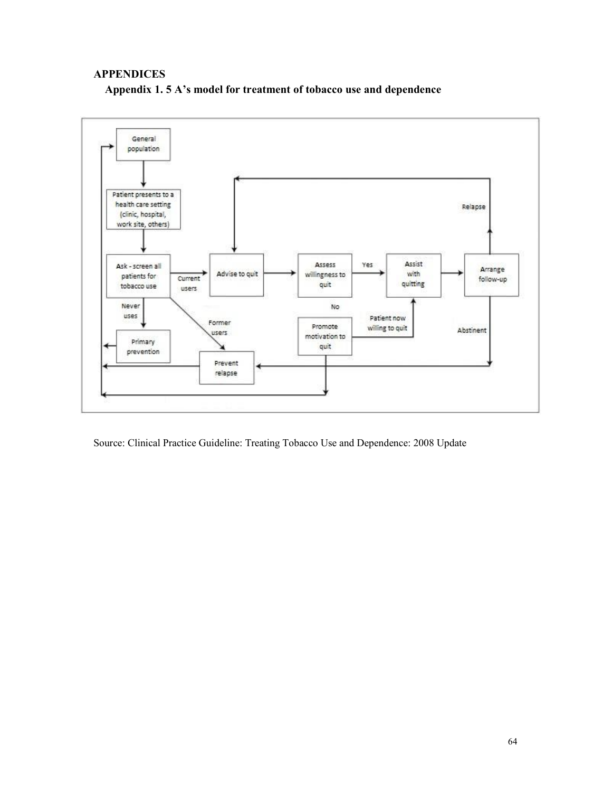#### **APPENDICES**





Source: Clinical Practice Guideline: Treating Tobacco Use and Dependence: 2008 Update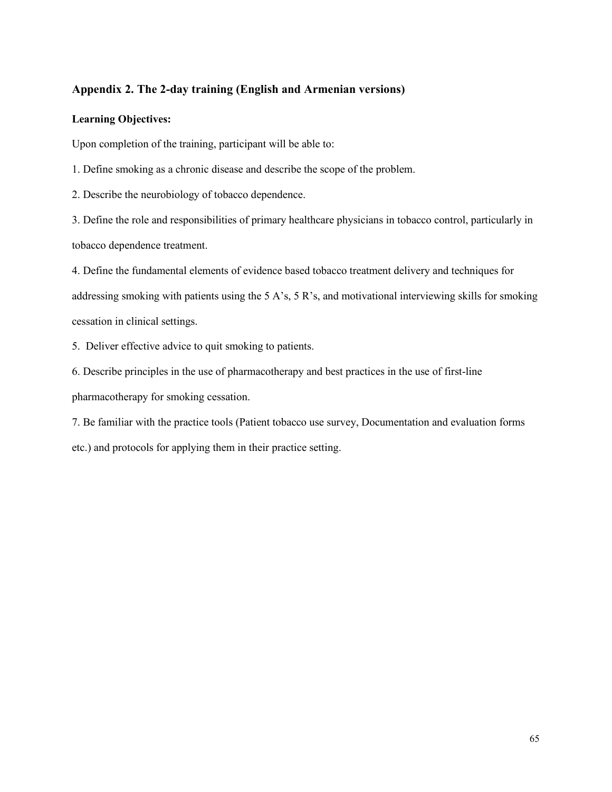#### Appendix 2. The 2-day training (English and Armenian versions)

#### Learning Objectives:

Upon completion of the training, participant will be able to:

1. Define smoking as a chronic disease and describe the scope of the problem.

2. Describe the neurobiology of tobacco dependence.

3. Define the role and responsibilities of primary healthcare physicians in tobacco control, particularly in tobacco dependence treatment.

4. Define the fundamental elements of evidence based tobacco treatment delivery and techniques for addressing smoking with patients using the 5 A's, 5 R's, and motivational interviewing skills for smoking cessation in clinical settings.

5. Deliver effective advice to quit smoking to patients.

6. Describe principles in the use of pharmacotherapy and best practices in the use of first-line pharmacotherapy for smoking cessation.

7. Be familiar with the practice tools (Patient tobacco use survey, Documentation and evaluation forms etc.) and protocols for applying them in their practice setting.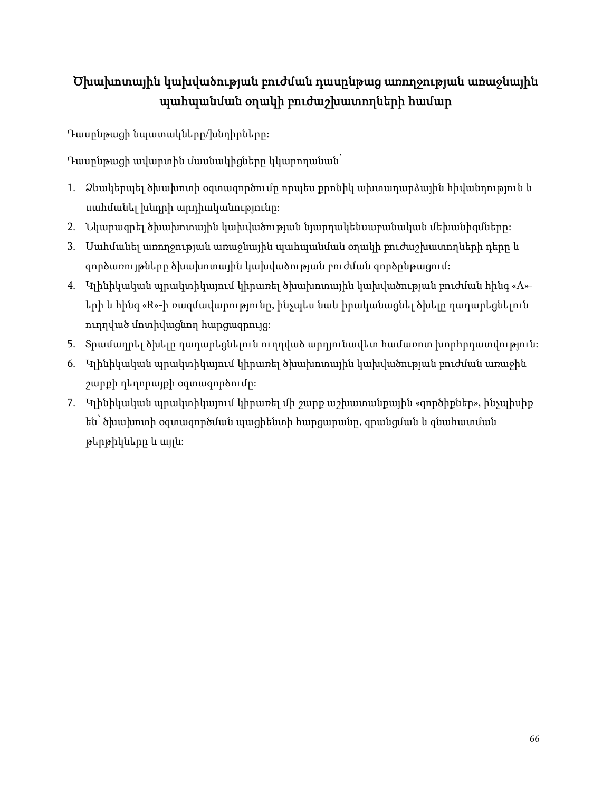# Ծխախոտային կախվածության բուժման դասընթաց առողջության առաջնային պահպանման օղակի բուժաշխատողների համար

Դասընթացի նպատակները/խնդիրները:

Դասընթացի ավարտին մասնակիցները կկարողանան՝

- 1. Ձևակերպել ծխախոտի օգտագործումը որպես քրոնիկ ախտադարձային հիվանդություն և սահմանել խնդրի արդիականությունը:
- 2. Նկարագրել ծխախոտային կախվածության նյարդակենսաբանական մեխանիզմները:
- 3. Սահմանել առողջության առաջնային պահպանման օղակի բուժաշխատողների դերը և գործառույթները ծխախոտային կախվածության բուժման գործընթացում:
- 4. Կլինիկական պրակտիկայում կիրառել ծխախոտային կախվածության բուժման հինգ «A» երի և հինգ «R»-ի ռազմավարությունը, ինչպես նաև իրականացնել ծխելը դադարեցնելուն ուղղված մոտիվացնող հարցազրույց:
- 5. Տրամադրել ծխելը դադարեցնելուն ուղղված արդյունավետ համառոտ խորհրդատվություն:
- 6. Կլինիկական պրակտիկայում կիրառել ծխախոտային կախվածության բուժման առաջին շարքի դեղորայքի օգտագործումը:
- 7. Կլինիկական պրակտիկայում կիրառել մի շարք աշխատանքային «գործիքներ», ինչպիսիք են՝ ծխախոտի օգտագործման պացիենտի հարցարանը, գրանցման և գնահատման թերթիկները և այլն: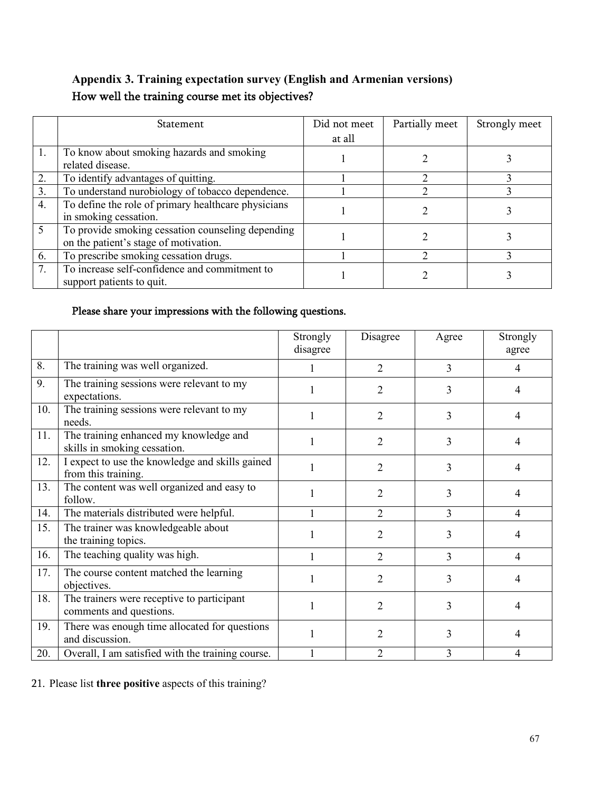## Appendix 3. Training expectation survey (English and Armenian versions) How well the training course met its objectives?

|                | <b>Statement</b>                                    | Did not meet | Partially meet | Strongly meet |
|----------------|-----------------------------------------------------|--------------|----------------|---------------|
|                |                                                     | at all       |                |               |
| $\mathbf{1}$ . | To know about smoking hazards and smoking           |              |                |               |
|                | related disease.                                    |              |                |               |
| 2.             | To identify advantages of quitting.                 |              | ◠              |               |
| 3.             | To understand nurobiology of tobacco dependence.    |              |                |               |
| 4.             | To define the role of primary healthcare physicians |              |                |               |
|                | in smoking cessation.                               |              |                |               |
| 5              | To provide smoking cessation counseling depending   |              |                |               |
|                | on the patient's stage of motivation.               |              |                |               |
| 6.             | To prescribe smoking cessation drugs.               |              |                |               |
| 7.             | To increase self-confidence and commitment to       |              |                |               |
|                | support patients to quit.                           |              |                |               |

### Please share your impressions with the following questions.

|     |                                                                        | Strongly<br>disagree | Disagree       | Agree          | Strongly<br>agree |
|-----|------------------------------------------------------------------------|----------------------|----------------|----------------|-------------------|
| 8.  | The training was well organized.                                       |                      | $\overline{2}$ | $\overline{3}$ | $\overline{4}$    |
| 9.  | The training sessions were relevant to my<br>expectations.             | 1                    | 2              | 3              | 4                 |
| 10. | The training sessions were relevant to my<br>needs.                    | 1                    | 2              | 3              | 4                 |
| 11. | The training enhanced my knowledge and<br>skills in smoking cessation. | 1                    | 2              | 3              | 4                 |
| 12. | I expect to use the knowledge and skills gained<br>from this training. |                      | 2              | 3              | 4                 |
| 13. | The content was well organized and easy to<br>follow.                  |                      | 2              | 3              | 4                 |
| 14. | The materials distributed were helpful.                                | 1                    | $\overline{2}$ | 3              | $\overline{4}$    |
| 15. | The trainer was knowledgeable about<br>the training topics.            |                      | 2              | 3              | 4                 |
| 16. | The teaching quality was high.                                         |                      | $\overline{2}$ | 3              | 4                 |
| 17. | The course content matched the learning<br>objectives.                 |                      | 2              | 3              | 4                 |
| 18. | The trainers were receptive to participant<br>comments and questions.  | 1                    | 2              | 3              | 4                 |
| 19. | There was enough time allocated for questions<br>and discussion.       |                      | 2              | 3              | 4                 |
| 20. | Overall, I am satisfied with the training course.                      |                      | 2              | 3              | 4                 |

21. Please list three positive aspects of this training?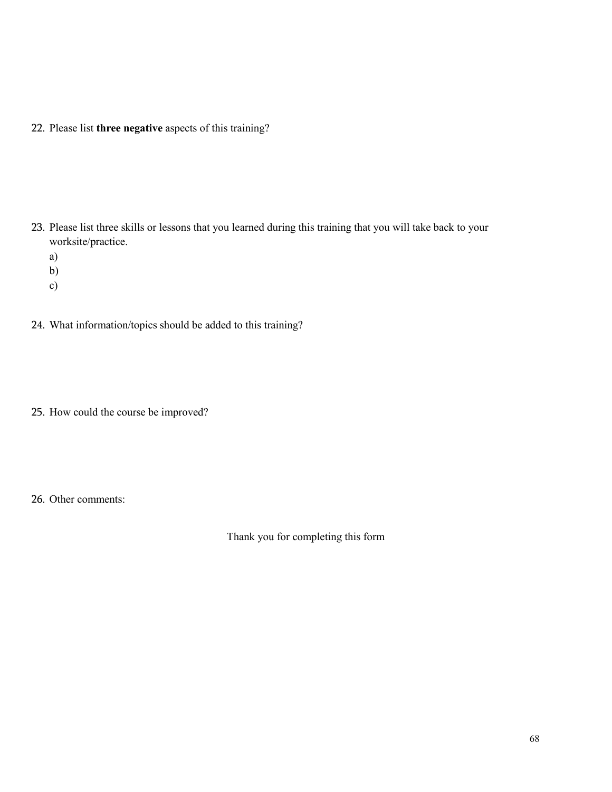22. Please list three negative aspects of this training?

- 23. Please list three skills or lessons that you learned during this training that you will take back to your worksite/practice.
	- a)
	- b)
	- c)
- 24. What information/topics should be added to this training?
- 25. How could the course be improved?
- 26. Other comments:

Thank you for completing this form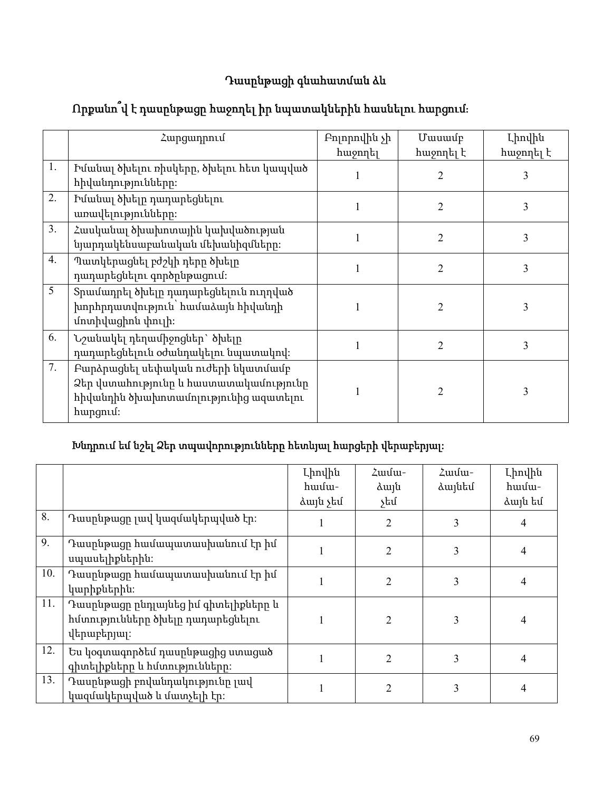# Դասընթացի գնահատման ձև

# Որքանո՞վ է դասընթացը հաջողել իր նպատակներին հասնելու հարցում։

|    | Հարցադրում                                                                                                                        | Բոլորովին չի<br>հաջողել | Մասամբ<br>հաջողել է | Լիովին<br>հաջողել է |
|----|-----------------------------------------------------------------------------------------------------------------------------------|-------------------------|---------------------|---------------------|
| 1. | Իմանալ ծխելու ռիսկերը, ծխելու հետ կապված<br>հիվանդությունները։                                                                    |                         | 2                   | 3                   |
| 2. | Իմանալ ծխելը դադարեցնելու<br>առավելությունները։                                                                                   |                         | $\overline{2}$      | 3                   |
| 3. | Հասկանալ ծխախոտային կախվածության<br>նյարդակենսաբանական մեխանիզմները։                                                              |                         | $\overline{2}$      | 3                   |
| 4. | Պատկերացնել բժշկի դերը ծխելը<br>դադարեցնելու գործընթացում։                                                                        |                         | $\overline{2}$      | 3                   |
| 5  | Տրամադրել ծխելը դադարեցնելուն ուղղված<br>խորհրդատվություն՝ համաձայն հիվանդի<br>մոտիվացիոն փուլի։                                  |                         | $\overline{2}$      | 3                   |
| 6. | Նշանակել դեղամիջոցներ` ծխելը<br>դադարեցնելուն օժանդակելու նպատակով։                                                               |                         | $\overline{2}$      | 3                   |
| 7. | Բարձրացնել սեփական ուժերի նկատմամբ<br>Ձեր վստահությունը և հաստատակամությունը<br>հիվանդին ծխախոտամոլությունից ազատելու<br>hungnuf: |                         | $\overline{2}$      | 3                   |

## Խնդրում եմ նշել Ձեր տպավորությունները հետևյալ հարցերի վերաբերյալ:

|     |                                                                                          | Լիովին   | Zwuu-          | $\lambda$ uusu- | Լիովին  |
|-----|------------------------------------------------------------------------------------------|----------|----------------|-----------------|---------|
|     |                                                                                          | hամա-    | duju           | ձայնեմ          | hwuu-   |
|     |                                                                                          | ձայն չեմ | չեմ            |                 | ձայն եմ |
| 8.  | Դասընթացը լավ կազմակերպված էր։                                                           |          | $\overline{2}$ | 3               |         |
| 9.  | Դասրնթացը համապատասխանում էր իմ<br>սպասելիքներին։                                        |          | $\overline{2}$ | 3               | 4       |
| 10. | Դասրնթացը համապատասխանում էր իմ<br>կարիքներին։                                           |          | $\overline{2}$ | 3               | 4       |
| 11. | Դասընթացը ընդլայնեց իմ գիտելիքները և<br>հմտությունները ծխելը դադարեցնելու<br>վերաբերյալ։ |          | $\overline{2}$ | 3               | 4       |
| 12. | Ես կօգտագործեմ դասընթացից ստացած<br>գիտելիքները և հմտությունները։                        |          | $\overline{2}$ | 3               | 4       |
| 13. | Դասընթացի բովանդակությունը լավ<br>կազմակերպված և մատչելի էր։                             |          | 2              | 3               | 4       |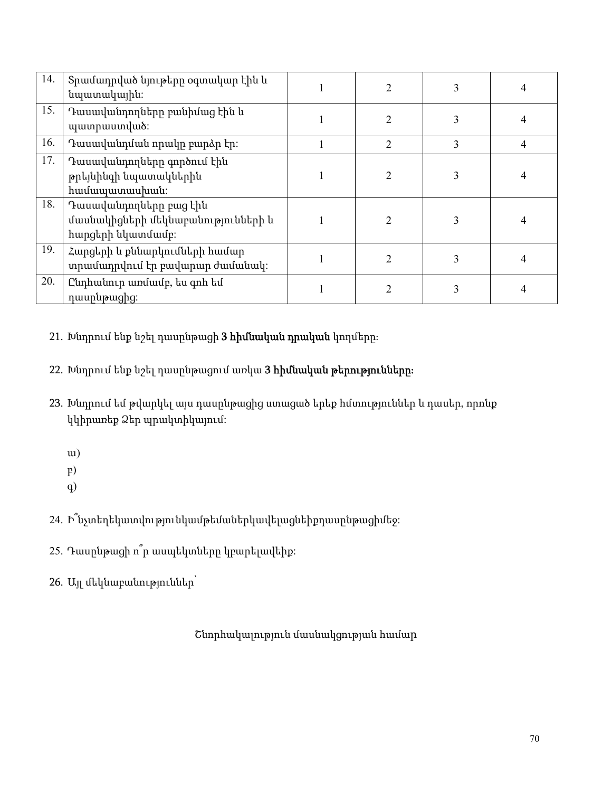| 14. | Տրամադրված նյութերը օգտակար էին և<br>նպատակային։                                  | $\mathfrak{D}$ |   |                |
|-----|-----------------------------------------------------------------------------------|----------------|---|----------------|
| 15. | Դասավանդողները բանիմաց էին և<br>պատրաստված:                                       | 2              | 3 | 4              |
| 16. | Դասավանդման որակը բարձր էր։                                                       | $\overline{2}$ | 3 | $\overline{4}$ |
| 17. | Դասավանդողները գործում էին<br>թրեյնինգի նպատակներին<br><b>h</b> uuuuunuu puuti:   | 2              | 3 | 4              |
| 18. | Դասավանդողները բաց էին<br>մասնակիցների մեկնաբանությունների և<br>հարցերի նկատմամբ։ | $\overline{2}$ | 3 |                |
| 19. | Հարցերի և քննարկումների համար<br>տրամադրվում էր բավարար ժամանակ։                  | $\overline{2}$ | 3 | 4              |
| 20. | Ընդհանուր առմամբ, ես գոհ եմ<br>դասընթացից:                                        | 2              | 3 |                |

21. Խնդրում ենք նշել դասընթացի 3 հիմնական դրական կողմերը։

22. Խնդրում ենք նշել դասընթացում առկա 3 հիմնական թերությունները։

- 23. Խնդրում եմ թվարկել այս դասընթացից ստացած երեք հմտություններ և դասեր, որոնք կկիրառեք Ձեր պրակտիկայում:
	- ա)
	- բ)
	- գ)

24. Ի՞նչտեղեկատվությունկամթեմաներկավելացնեիքդասընթացիմեջ:

- 25. Դասընթացի ո՞ր ասպեկտները կբարելավեիք:
- 26. Այլ մեկնաբանություններ՝

Շնորհակալություն մասնակցության համար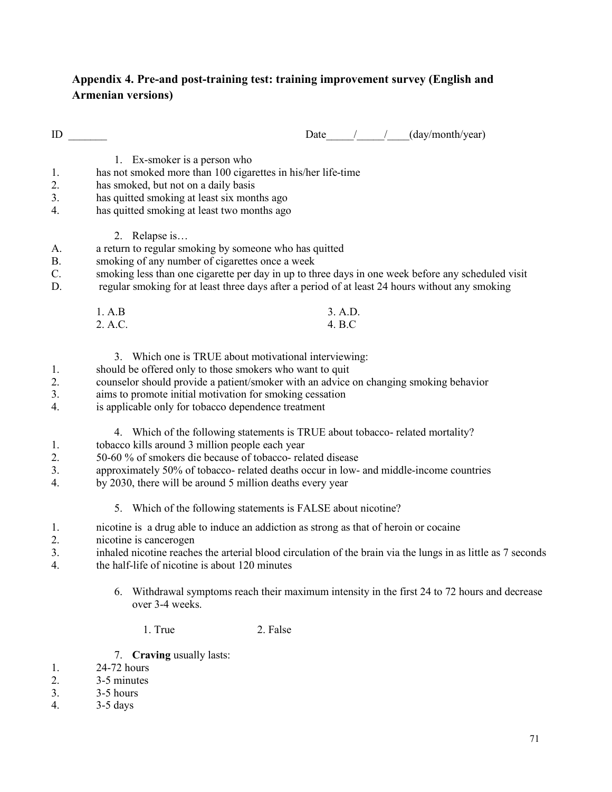### Appendix 4. Pre-and post-training test: training improvement survey (English and Armenian versions)

| ID                   |                                                                                                                                                                                                                                                                                                                                                       |                   | Date $/$ / | (day/month/year) |  |
|----------------------|-------------------------------------------------------------------------------------------------------------------------------------------------------------------------------------------------------------------------------------------------------------------------------------------------------------------------------------------------------|-------------------|------------|------------------|--|
| 1.<br>2.<br>3.<br>4. | 1. Ex-smoker is a person who<br>has not smoked more than 100 cigarettes in his/her life-time<br>has smoked, but not on a daily basis<br>has quitted smoking at least six months ago<br>has quitted smoking at least two months ago                                                                                                                    |                   |            |                  |  |
| A.<br>Β.<br>C.<br>D. | 2. Relapse is<br>a return to regular smoking by someone who has quitted<br>smoking of any number of cigarettes once a week<br>smoking less than one cigarette per day in up to three days in one week before any scheduled visit<br>regular smoking for at least three days after a period of at least 24 hours without any smoking                   |                   |            |                  |  |
|                      | 1. A.B<br>2. A.C.                                                                                                                                                                                                                                                                                                                                     | 3. A.D.<br>4. B.C |            |                  |  |
| 1.<br>2.<br>3.<br>4. | 3. Which one is TRUE about motivational interviewing:<br>should be offered only to those smokers who want to quit<br>counselor should provide a patient/smoker with an advice on changing smoking behavior<br>aims to promote initial motivation for smoking cessation<br>is applicable only for tobacco dependence treatment                         |                   |            |                  |  |
| 1.<br>2.<br>3.<br>4. | 4. Which of the following statements is TRUE about tobacco-related mortality?<br>tobacco kills around 3 million people each year<br>50-60 % of smokers die because of tobacco- related disease<br>approximately 50% of tobacco- related deaths occur in low- and middle-income countries<br>by 2030, there will be around 5 million deaths every year |                   |            |                  |  |
|                      | 5. Which of the following statements is FALSE about nicotine?                                                                                                                                                                                                                                                                                         |                   |            |                  |  |
| 1.<br>2.<br>3.<br>4. | nicotine is a drug able to induce an addiction as strong as that of heroin or cocaine<br>nicotine is cancerogen<br>inhaled nicotine reaches the arterial blood circulation of the brain via the lungs in as little as 7 seconds<br>the half-life of nicotine is about 120 minutes                                                                     |                   |            |                  |  |
|                      |                                                                                                                                                                                                                                                                                                                                                       |                   |            |                  |  |

- 6. Withdrawal symptoms reach their maximum intensity in the first 24 to 72 hours and decrease over 3-4 weeks.
	- 1. True 2. False
- 7. Craving usually lasts:
- 1. 24-72 hours<br>2. 3-5 minutes
- 2. 3-5 minutes<br>3. 3-5 hours
- 3. 3-5 hours<br>4. 3-5 days
- 4. 3-5 days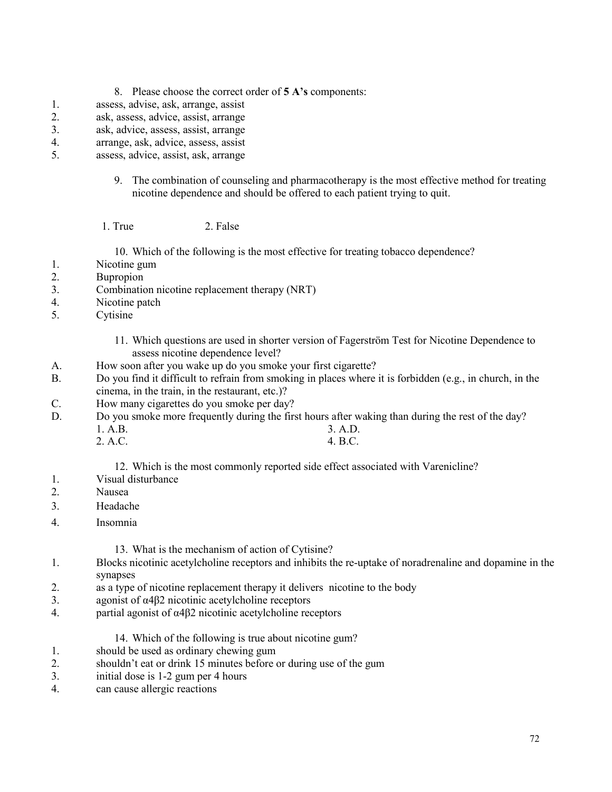- 8. Please choose the correct order of 5 A's components:
- 1. assess, advise, ask, arrange, assist
- 2. ask, assess, advice, assist, arrange
- 3. ask, advice, assess, assist, arrange
- 4. arrange, ask, advice, assess, assist<br>5. assess, advice, assist, ask, arrange
- assess, advice, assist, ask, arrange
	- 9. The combination of counseling and pharmacotherapy is the most effective method for treating nicotine dependence and should be offered to each patient trying to quit.
	- 1. True 2. False

10. Which of the following is the most effective for treating tobacco dependence?

- 1. Nicotine gum
- 2. Bupropion
- 3. Combination nicotine replacement therapy (NRT)
- 4. Nicotine patch
- 5. Cytisine
	- 11. Which questions are used in shorter version of Fagerström Test for Nicotine Dependence to assess nicotine dependence level?

4. B.C.

- A. How soon after you wake up do you smoke your first cigarette?
- B. Do you find it difficult to refrain from smoking in places where it is forbidden (e.g., in church, in the cinema, in the train, in the restaurant, etc.)?
- C. How many cigarettes do you smoke per day?
- D. Do you smoke more frequently during the first hours after waking than during the rest of the day? 1. A.B. 3. A.D.
	- 2. A.C.

12. Which is the most commonly reported side effect associated with Varenicline?

- 1. Visual disturbance
- 2. Nausea
- 3. Headache
- 4. Insomnia

13. What is the mechanism of action of Cytisine?

- 1. Blocks nicotinic acetylcholine receptors and inhibits the re-uptake of noradrenaline and dopamine in the synapses
- 2. as a type of nicotine replacement therapy it delivers nicotine to the body
- 3. agonist of α4β2 nicotinic acetylcholine receptors
- 4. partial agonist of α4β2 nicotinic acetylcholine receptors
	- 14. Which of the following is true about nicotine gum?
- 1. should be used as ordinary chewing gum
- 2. shouldn't eat or drink 15 minutes before or during use of the gum<br>3. initial dose is 1-2 gum per 4 hours
- initial dose is 1-2 gum per 4 hours
- 4. can cause allergic reactions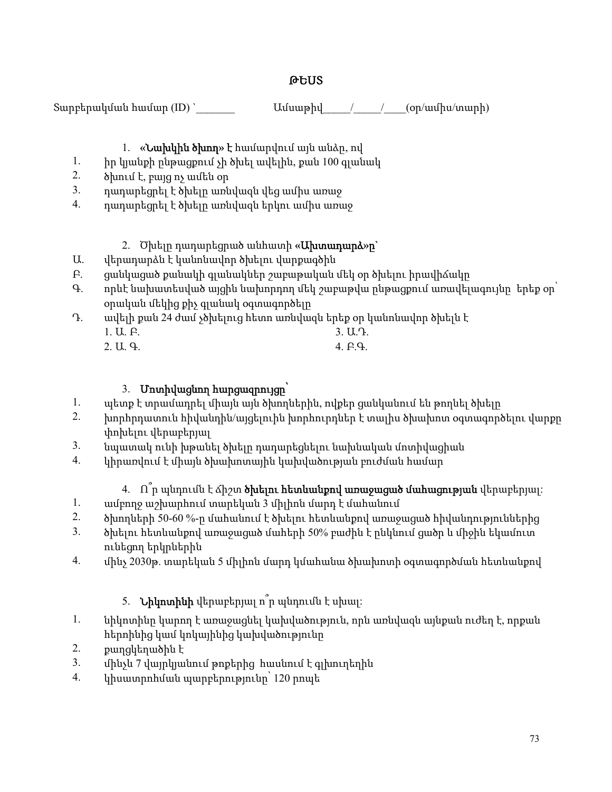## ԹԵՍՏ

 $\text{Supp}$ երակման համար (ID) ` $\text{Using } \mathcal{L}(\mathcal{L})$ 

# 1. «Նախկին ծխող» է համարվում այն անձը, ով

- 1. իր կյանքի ընթացքում չի ծխել ավելին, քան 100 գլանակ
- 2. ծխում է, բայց ոչ ամեն օր

ունեցող երկրներին

2. քաղցկեղածին է

- 
- 
- 
- 
- 
- 
- 
- 
- 
- 3. դադարեցրել է ծխելը առնվազն վեց ամիս առաջ
- 
- 4. դադարեցրել է ծխելը առնվազն երկու ամիս առաջ
- 
- - - 2. Ծխելը դադարեցրած անհատի «**Ախտադարձ»ը**`
	-
- Ա. վերադարձն է կանոնավոր ծխելու վարքագծին
- Բ. ցանկացած քանակի գլանակներ շաբաթական մեկ օր ծխելու իրավիճակը
- 
- 
- 
- 
- 
- 
- 
- 
- Գ. որևէ նախատեսված այցին նախորդող մեկ շաբաթվա ընթացքում առավելագույնը երեք օր՝
- 
- օրական մեկից քիչ գլանակ օգտագործելը
- Դ. ավելի քան 24 ժամ չծխելուց հետո առնվազն երեք օր կանոնավոր ծխելն է
- 3. Ա.Դ.
	- 1. Ա. Բ.
		-
		- 2. Ա. Գ.
		- 4. Բ.Գ.
			-
	-

1. ամբողջ աշխարհում տարեկան 3 միլիոն մարդ է մահանում

5. Նիկոտինի վերաբերյալ ո՞ր պնդումն է սխալ:

հերոինից կամ կոկայինից կախվածությունը

4. կիսատրոհման պարբերությունը՝ 120 րոպե

3. մինչև 7 վայրկյանում թոքերից հասնում է գլխուղեղին

2. խորհրդատուն հիվանդին/այցելուին խորհուրդներ է տալիս ծխախոտ օգտագործելու վարքը փոխելու վերաբերյալ

4. Ո՞ր պնդումն է ճիշտ ծխելու հետևանքով առաջացած մահացության վերաբերյալ:

- 
- 
- 

2. ծխողների 50-60 %-ը մահանում է ծխելու հետևանքով առաջացած հիվանդություններից 3. ծխելու հետևանքով առաջացած մահերի 50% բաժին է ընկնում ցածր և միջին եկամուտ

4. մինչ 2030թ. տարեկան 5 միլիոն մարդ կմահանա ծխախոտի օգտագործման հետևանքով

1. նիկոտինը կարող է առաջացնել կախվածություն, որն առնվազն այնքան ուժեղ է, որքան

- 
- 
- 
- 1. պետք է տրամադրել միայն այն ծխողներին, ովքեր ցանկանում են թողնել ծխելը
- 
- 
- 
- 
- 
- 
- 
- 

3. նպատակ ունի խթանել ծխելը դադարեցնելու նախնական մոտիվացիան 4. կիրառվում է միայն ծխախոտային կախվածության բուժման համար

- 
- 3. Մոտիվացնող հարցազրույցը՝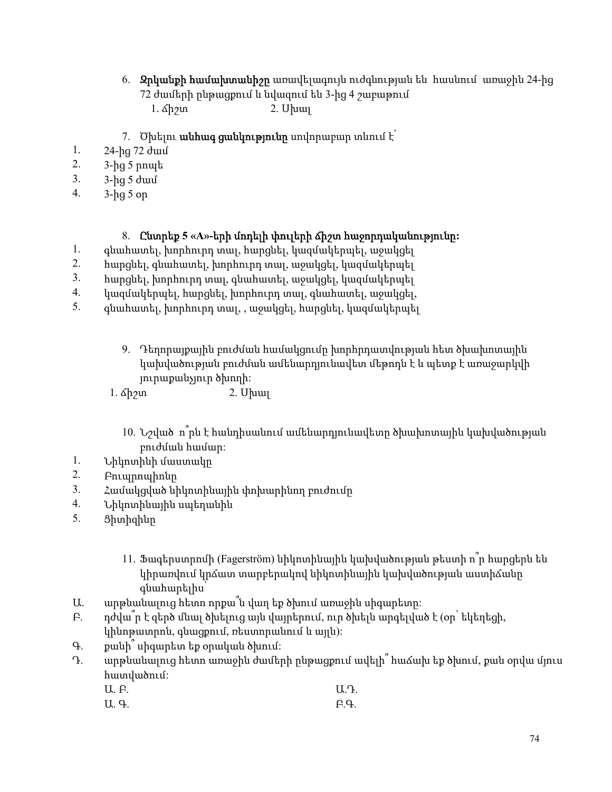- 6. Զրկանքի համախտանիշը առավելագույն ուժգնության են հասնում առաջին 24-ից 72 ժամերի ընթացքում և նվազում են 3-ից 4 շաբաթում
	- 1. ճիշտ 2. Սխալ
- 7. Ծխելու **անհագ ցանկությունը** սովորաբար տևում է՝
- 1. 24-ից 72 ժամ
- 2. 3-ից 5 րոպե
- 3. 3-ից 5 ժամ
- 4. 3-ից 5 օր

#### 8. Ընտրեք 5 «A»-երի մոդելի փուլերի ճիշտ հաջորդականությունը:

- 1. գնահատել, խորհուրդ տալ, հարցնել, կազմակերպել, աջակցել
- 2. հարցնել, գնահատել, խորհուրդ տալ, աջակցել, կազմակերպել
- 3. հարցնել, խորհուրդ տալ, գնահատել, աջակցել, կազմակերպել
- 4. կազմակերպել, հարցնել, խորհուրդ տալ, գնահատել, աջակցել,
- 5. գնահատել, խորհուրդ տալ, , աջակցել, հարցնել, կազմակերպել
	- 9. Դեղորայքային բուժման համակցումը խորհրդատվության հետ ծխախոտային կախվածության բուժման ամենարդյունավետ մեթոդն է և պետք է առաջարկվի յուրաքանչյուր ծխողի:

1. ճիշտ 2. Սխալ

- 10. Նշված ո՞րն է հանդիսանում ամենարդյունավետը ծխախոտային կախվածության բուժման համար:
- 1. Նիկոտինի մաստակը
- 2. Բուպրոպիոնը
- 3. Համակցված նիկոտինային փոխարինող բուժումը
- 4. Նիկոտինային սպեղանին
- 5. Ցիտիզինը
	- 11. Ֆագերստրոմի (Fagerström) նիկոտինային կախվածության թեստի ո՞ր հարցերն են կիրառվում կրճատ տարբերակով նիկոտինային կախվածության աստիճանը գնահարելիս՝
- Ա. արթնանալուց հետո որքա՞ն վաղ եք ծխում առաջին սիգարետը:
- Բ. դժվա՞ր է զերծ մնալ ծխելուց այն վայրերում, ուր ծխելն արգելված է (օր՝ եկեղեցի, կինոթատրոն, գնացքում, ռեստորանում և այլն):
- Գ. քանի՞ սիգարետ եք օրական ծխում:
- Դ. արթնանալուց հետո առաջին ժամերի ընթացքում ավելի՞ հաճախ եք ծխում, քան օրվա մյուս հատվածում:
	- Ա. Բ. Ա.Դ.
	- Ա. Գ. Բ.Գ.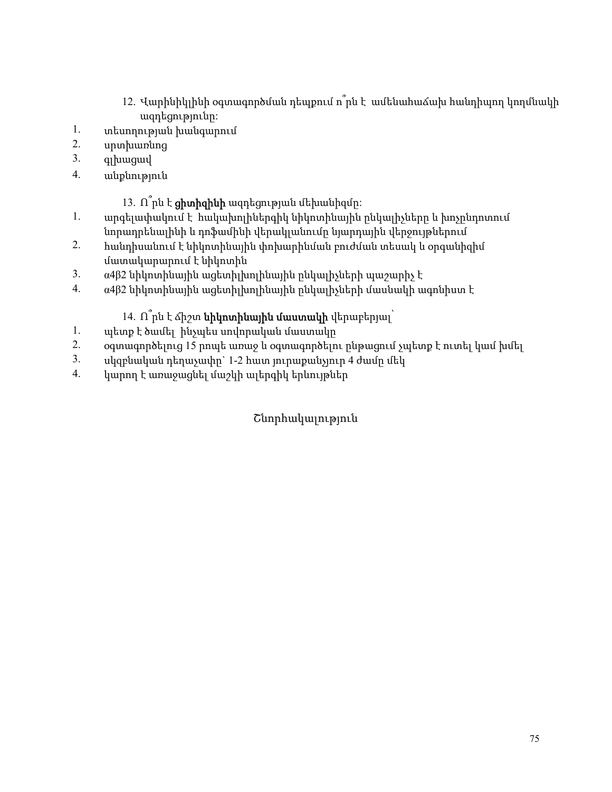- 12. Վարինիկլինի օգտագործման դեպքում ո՞րն է ամենահաճախ հանդիպող կողմնակի ազդեցությունը:
- 1. տեսողության խանգարում
- 2. սրտխառնոց
- 3. գլխացավ
- 4. անքնություն
	- 13.  $\hat{\Pi}$ րն է **ցիտիզինի** ազդեցության մեխանիզմը։
- 1. արգելափակում է հակախոլիներգիկ նիկոտինային ընկալիչները և խոչընդոտում նորադրենալինի և դոֆամինի վերակլանումը նյարդային վերջույթներում
- 2. հանդիսանում է նիկոտինային փոխարինման բուժման տեսակ և օրգանիզիմ
- մատակարարում է նիկոտին
- 3. α4β2 նիկոտինային ացետիլխոլինային ընկալիչների պաշարիչ է
- 4. α4β2 նիկոտինային ացետիլխոլինային ընկալիչների մասնակի ագոնիստ է
	- 14.  $\hat{\Pi}$ րն է ձիշտ նիկոտինային մաստակի վերաբերյալ՝
- 1. պետք է ծամել ինչպես սովորական մաստակը
- 2. օգտագործելուց 15 րոպե առաջ և օգտագործելու ընթացում չպետք է ուտել կամ խմել
- 3. ulge pulge կան դեղաչափը` 1-2 հատ յուրաքանչյուր 4 ժամը մեկ
- 4. կարող է առաջացնել մաշկի ալերգիկ երևույթներ

## Շնորհակալություն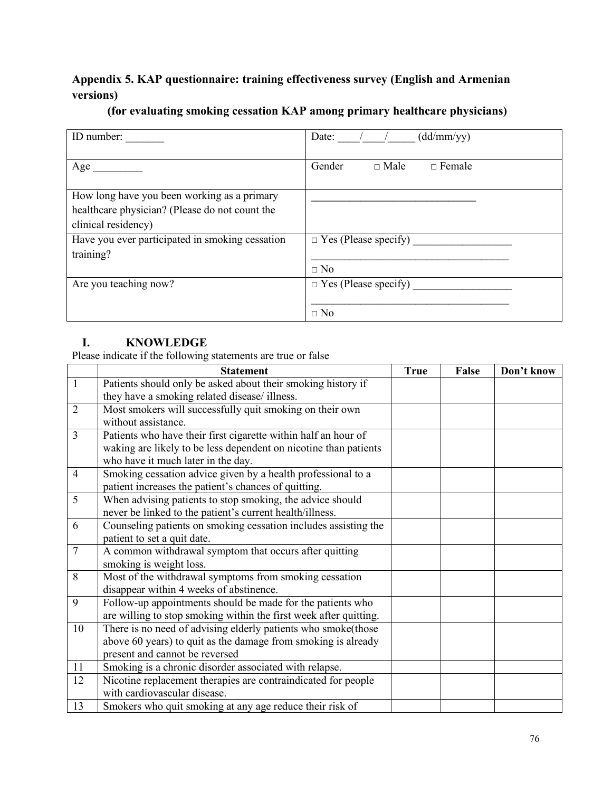## Appendix 5. KAP questionnaire: training effectiveness survey (English and Armenian versions)

| ID number:                                                                                                           | (dd/mm/yy)<br>Date:                      |
|----------------------------------------------------------------------------------------------------------------------|------------------------------------------|
| Age                                                                                                                  | Gender<br>$\Box$ Male<br>$\Box$ Female   |
| How long have you been working as a primary<br>healthcare physician? (Please do not count the<br>clinical residency) |                                          |
| Have you ever participated in smoking cessation<br>training?                                                         | $\Box$ Yes (Please specify)<br>$\Box$ No |
| Are you teaching now?                                                                                                | $\Box$ Yes (Please specify)<br>$\Box$ No |

#### (for evaluating smoking cessation KAP among primary healthcare physicians)

### I. KNOWLEDGE

Please indicate if the following statements are true or false

|                | <b>Statement</b>                                                  | <b>True</b> | False | Don't know |
|----------------|-------------------------------------------------------------------|-------------|-------|------------|
| $\mathbf{1}$   | Patients should only be asked about their smoking history if      |             |       |            |
|                | they have a smoking related disease/ illness.                     |             |       |            |
| $\overline{2}$ | Most smokers will successfully quit smoking on their own          |             |       |            |
|                | without assistance.                                               |             |       |            |
| $\overline{3}$ | Patients who have their first cigarette within half an hour of    |             |       |            |
|                | waking are likely to be less dependent on nicotine than patients  |             |       |            |
|                | who have it much later in the day.                                |             |       |            |
| $\overline{4}$ | Smoking cessation advice given by a health professional to a      |             |       |            |
|                | patient increases the patient's chances of quitting.              |             |       |            |
| 5              | When advising patients to stop smoking, the advice should         |             |       |            |
|                | never be linked to the patient's current health/illness.          |             |       |            |
| 6              | Counseling patients on smoking cessation includes assisting the   |             |       |            |
|                | patient to set a quit date.                                       |             |       |            |
| $\overline{7}$ | A common withdrawal symptom that occurs after quitting            |             |       |            |
|                | smoking is weight loss.                                           |             |       |            |
| 8              | Most of the withdrawal symptoms from smoking cessation            |             |       |            |
|                | disappear within 4 weeks of abstinence.                           |             |       |            |
| 9              | Follow-up appointments should be made for the patients who        |             |       |            |
|                | are willing to stop smoking within the first week after quitting. |             |       |            |
| 10             | There is no need of advising elderly patients who smoke(those     |             |       |            |
|                | above 60 years) to quit as the damage from smoking is already     |             |       |            |
|                | present and cannot be reversed                                    |             |       |            |
| 11             | Smoking is a chronic disorder associated with relapse.            |             |       |            |
| 12             | Nicotine replacement therapies are contraindicated for people     |             |       |            |
|                | with cardiovascular disease.                                      |             |       |            |
| 13             | Smokers who quit smoking at any age reduce their risk of          |             |       |            |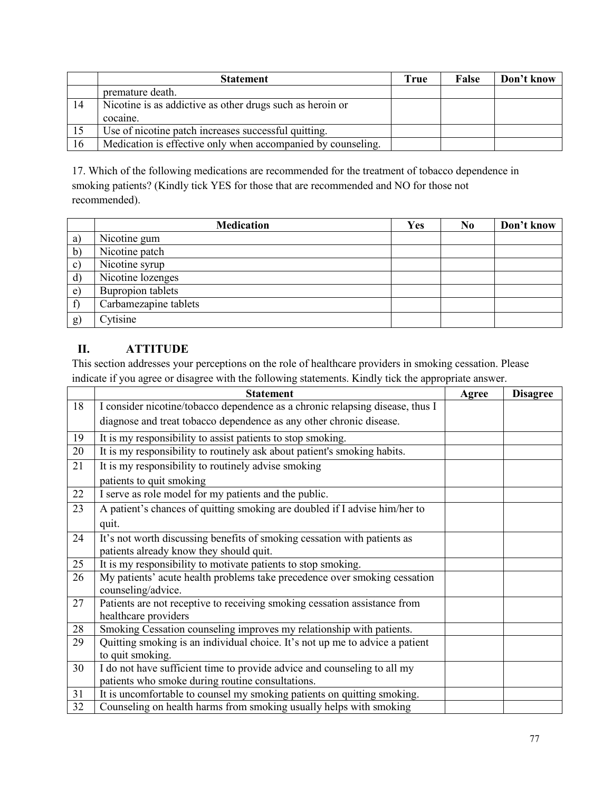|    | <b>Statement</b>                                             | True | <b>False</b> | Don't know |
|----|--------------------------------------------------------------|------|--------------|------------|
|    | premature death.                                             |      |              |            |
| 14 | Nicotine is as addictive as other drugs such as heroin or    |      |              |            |
|    | cocaine.                                                     |      |              |            |
| 15 | Use of nicotine patch increases successful quitting.         |      |              |            |
| 16 | Medication is effective only when accompanied by counseling. |      |              |            |

17. Which of the following medications are recommended for the treatment of tobacco dependence in smoking patients? (Kindly tick YES for those that are recommended and NO for those not recommended).

|               | <b>Medication</b>     | Yes | N <sub>0</sub> | Don't know |
|---------------|-----------------------|-----|----------------|------------|
| a)            | Nicotine gum          |     |                |            |
| b)            | Nicotine patch        |     |                |            |
| $\mathbf{c})$ | Nicotine syrup        |     |                |            |
| $\mathbf{d}$  | Nicotine lozenges     |     |                |            |
| e)            | Bupropion tablets     |     |                |            |
|               | Carbamezapine tablets |     |                |            |
| g)            | Cytisine              |     |                |            |

#### II. ATTITUDE

This section addresses your perceptions on the role of healthcare providers in smoking cessation. Please indicate if you agree or disagree with the following statements. Kindly tick the appropriate answer.

|    | <b>Statement</b>                                                                                  | Agree | <b>Disagree</b> |
|----|---------------------------------------------------------------------------------------------------|-------|-----------------|
| 18 | I consider nicotine/tobacco dependence as a chronic relapsing disease, thus I                     |       |                 |
|    | diagnose and treat tobacco dependence as any other chronic disease.                               |       |                 |
| 19 | It is my responsibility to assist patients to stop smoking.                                       |       |                 |
| 20 | It is my responsibility to routinely ask about patient's smoking habits.                          |       |                 |
| 21 | It is my responsibility to routinely advise smoking                                               |       |                 |
|    | patients to quit smoking                                                                          |       |                 |
| 22 | I serve as role model for my patients and the public.                                             |       |                 |
| 23 | A patient's chances of quitting smoking are doubled if I advise him/her to                        |       |                 |
|    | quit.                                                                                             |       |                 |
| 24 | It's not worth discussing benefits of smoking cessation with patients as                          |       |                 |
|    | patients already know they should quit.                                                           |       |                 |
| 25 | It is my responsibility to motivate patients to stop smoking.                                     |       |                 |
| 26 | My patients' acute health problems take precedence over smoking cessation<br>counseling/advice.   |       |                 |
| 27 | Patients are not receptive to receiving smoking cessation assistance from<br>healthcare providers |       |                 |
| 28 | Smoking Cessation counseling improves my relationship with patients.                              |       |                 |
| 29 | Quitting smoking is an individual choice. It's not up me to advice a patient                      |       |                 |
|    | to quit smoking.                                                                                  |       |                 |
| 30 | I do not have sufficient time to provide advice and counseling to all my                          |       |                 |
|    | patients who smoke during routine consultations.                                                  |       |                 |
| 31 | It is uncomfortable to counsel my smoking patients on quitting smoking.                           |       |                 |
| 32 | Counseling on health harms from smoking usually helps with smoking                                |       |                 |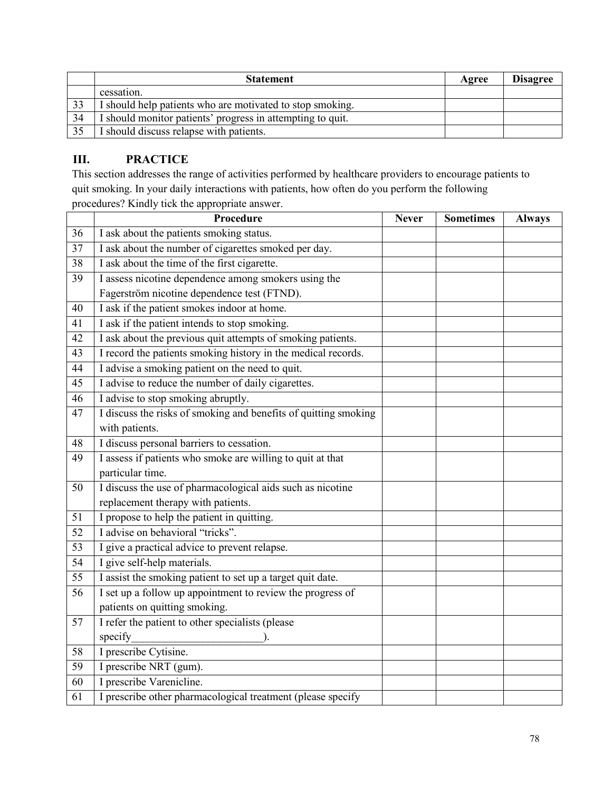|    | <b>Statement</b>                                           | Agree | <b>Disagree</b> |
|----|------------------------------------------------------------|-------|-----------------|
|    | cessation.                                                 |       |                 |
| 33 | I should help patients who are motivated to stop smoking.  |       |                 |
| 34 | I should monitor patients' progress in attempting to quit. |       |                 |
| 35 | I should discuss relapse with patients.                    |       |                 |

## III. PRACTICE

This section addresses the range of activities performed by healthcare providers to encourage patients to quit smoking. In your daily interactions with patients, how often do you perform the following

|                 | Procedure                                                       | <b>Never</b> | <b>Sometimes</b> | <b>Always</b> |
|-----------------|-----------------------------------------------------------------|--------------|------------------|---------------|
| 36              | I ask about the patients smoking status.                        |              |                  |               |
| $\overline{37}$ | I ask about the number of cigarettes smoked per day.            |              |                  |               |
| 38              | I ask about the time of the first cigarette.                    |              |                  |               |
| 39              | I assess nicotine dependence among smokers using the            |              |                  |               |
|                 | Fagerström nicotine dependence test (FTND).                     |              |                  |               |
| 40              | I ask if the patient smokes indoor at home.                     |              |                  |               |
| 41              | I ask if the patient intends to stop smoking.                   |              |                  |               |
| 42              | I ask about the previous quit attempts of smoking patients.     |              |                  |               |
| 43              | I record the patients smoking history in the medical records.   |              |                  |               |
| 44              | I advise a smoking patient on the need to quit.                 |              |                  |               |
| 45              | I advise to reduce the number of daily cigarettes.              |              |                  |               |
| 46              | I advise to stop smoking abruptly.                              |              |                  |               |
| 47              | I discuss the risks of smoking and benefits of quitting smoking |              |                  |               |
|                 | with patients.                                                  |              |                  |               |
| 48              | I discuss personal barriers to cessation.                       |              |                  |               |
| 49              | I assess if patients who smoke are willing to quit at that      |              |                  |               |
|                 | particular time.                                                |              |                  |               |
| 50              | I discuss the use of pharmacological aids such as nicotine      |              |                  |               |
|                 | replacement therapy with patients.                              |              |                  |               |
| 51              | I propose to help the patient in quitting.                      |              |                  |               |
| 52              | I advise on behavioral "tricks".                                |              |                  |               |
| 53              | I give a practical advice to prevent relapse.                   |              |                  |               |
| 54              | I give self-help materials.                                     |              |                  |               |
| 55              | I assist the smoking patient to set up a target quit date.      |              |                  |               |
| 56              | I set up a follow up appointment to review the progress of      |              |                  |               |
|                 | patients on quitting smoking.                                   |              |                  |               |
| 57              | I refer the patient to other specialists (please                |              |                  |               |
|                 | specify                                                         |              |                  |               |
| 58              | I prescribe Cytisine.                                           |              |                  |               |
| 59              | I prescribe NRT (gum).                                          |              |                  |               |
| 60              | I prescribe Varenicline.                                        |              |                  |               |
| $\overline{61}$ | I prescribe other pharmacological treatment (please specify     |              |                  |               |

procedures? Kindly tick the appropriate answer.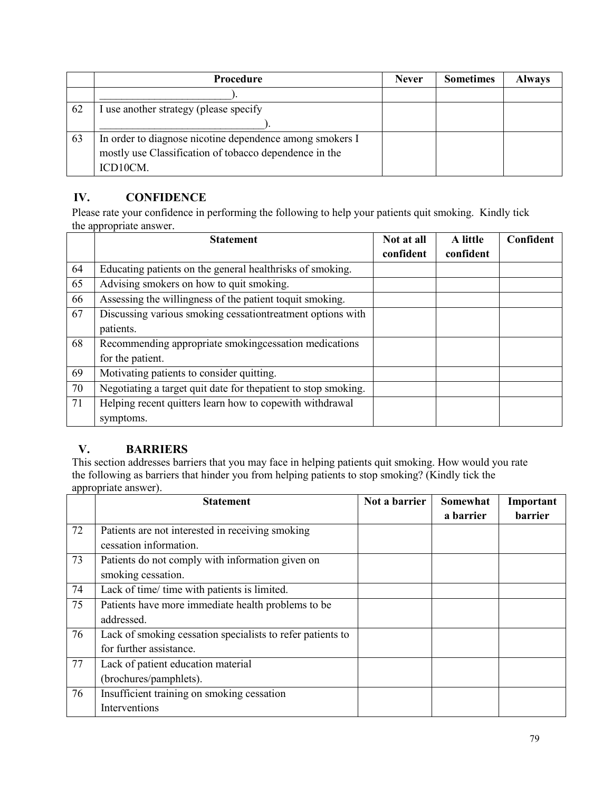|    | Procedure                                                | <b>Never</b> | <b>Sometimes</b> | <b>Always</b> |
|----|----------------------------------------------------------|--------------|------------------|---------------|
|    |                                                          |              |                  |               |
| 62 | I use another strategy (please specify                   |              |                  |               |
|    |                                                          |              |                  |               |
| 63 | In order to diagnose nicotine dependence among smokers I |              |                  |               |
|    | mostly use Classification of tobacco dependence in the   |              |                  |               |
|    | ICD10CM.                                                 |              |                  |               |

#### IV. CONFIDENCE

Please rate your confidence in performing the following to help your patients quit smoking. Kindly tick the appropriate answer.

|    | <b>Statement</b>                                                | Not at all<br>confident | A little<br>confident | Confident |
|----|-----------------------------------------------------------------|-------------------------|-----------------------|-----------|
| 64 | Educating patients on the general healthrisks of smoking.       |                         |                       |           |
| 65 | Advising smokers on how to quit smoking.                        |                         |                       |           |
| 66 | Assessing the willingness of the patient toquit smoking.        |                         |                       |           |
| 67 | Discussing various smoking cessationtreatment options with      |                         |                       |           |
|    | patients.                                                       |                         |                       |           |
| 68 | Recommending appropriate smokingcessation medications           |                         |                       |           |
|    | for the patient.                                                |                         |                       |           |
| 69 | Motivating patients to consider quitting.                       |                         |                       |           |
| 70 | Negotiating a target quit date for the patient to stop smoking. |                         |                       |           |
| 71 | Helping recent quitters learn how to copewith withdrawal        |                         |                       |           |
|    | symptoms.                                                       |                         |                       |           |

## V. BARRIERS

This section addresses barriers that you may face in helping patients quit smoking. How would you rate the following as barriers that hinder you from helping patients to stop smoking? (Kindly tick the appropriate answer).

|    | <b>Statement</b>                                           | Not a barrier | Somewhat  | Important      |
|----|------------------------------------------------------------|---------------|-----------|----------------|
|    |                                                            |               | a barrier | <b>barrier</b> |
| 72 | Patients are not interested in receiving smoking           |               |           |                |
|    | cessation information.                                     |               |           |                |
| 73 | Patients do not comply with information given on           |               |           |                |
|    | smoking cessation.                                         |               |           |                |
| 74 | Lack of time/ time with patients is limited.               |               |           |                |
| 75 | Patients have more immediate health problems to be         |               |           |                |
|    | addressed.                                                 |               |           |                |
| 76 | Lack of smoking cessation specialists to refer patients to |               |           |                |
|    | for further assistance.                                    |               |           |                |
| 77 | Lack of patient education material                         |               |           |                |
|    | (brochures/pamphlets).                                     |               |           |                |
| 76 | Insufficient training on smoking cessation                 |               |           |                |
|    | Interventions                                              |               |           |                |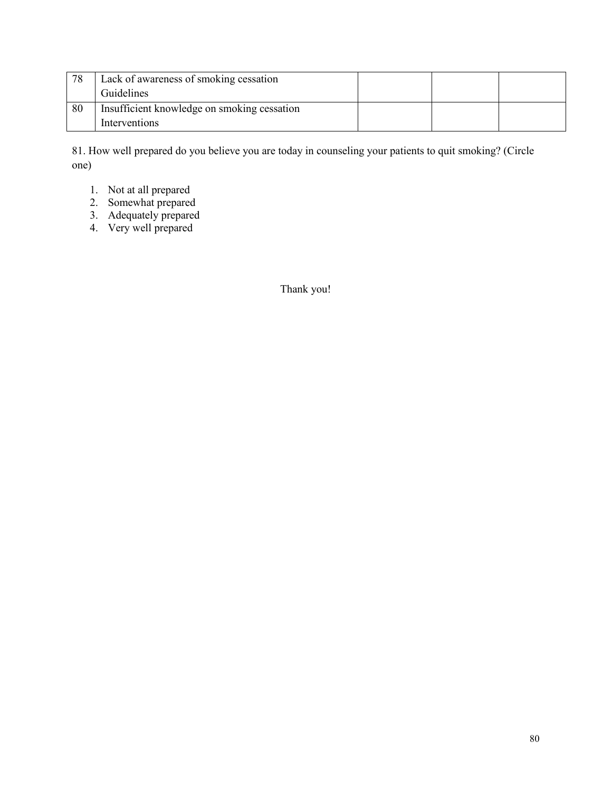| 78 | Lack of awareness of smoking cessation      |  |  |
|----|---------------------------------------------|--|--|
|    | Guidelines                                  |  |  |
| 80 | Insufficient knowledge on smoking cessation |  |  |
|    | Interventions                               |  |  |

81. How well prepared do you believe you are today in counseling your patients to quit smoking? (Circle one)

- 1. Not at all prepared
- 2. Somewhat prepared
- 3. Adequately prepared
- 4. Very well prepared

Thank you!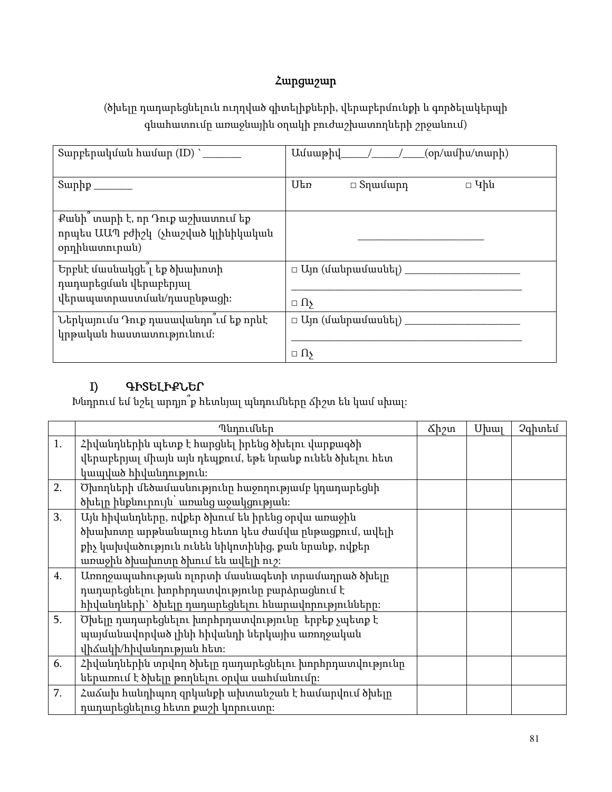# Հարցաշար

(ծխելը դադարեցնելուն ուղղված գիտելիքների, վերաբերմունքի և գործելակերպի գնահատումը առաջնային օղակի բուժաշխատողների շրջանում)

| Sարբերակման համար (ID) `                                                                   | $U$ $U$ անաթիվ / $\qquad$ / $\qquad$ / $\qquad$ (op/wu |
|--------------------------------------------------------------------------------------------|--------------------------------------------------------|
|                                                                                            | Utn<br>$\Box$ Կին<br>$\Box$ Տղամարդ                    |
| Քանի` տարի է, որ Դուք աշխատում եք<br>որպես ԱԱՊ բժիշկ (չհաշված կլինիկական<br>opnhuwunnipwu) |                                                        |
| Երբևէ մասնակցե՞լ եք ծխախոտի<br>դադարեցման վերաբերյալ                                       | $\Box$ Այո (մանրամասնել) ա                             |
| վերապատրաստման/դասընթացի։                                                                  | $\Box$ $\Omega$                                        |
| Ներկայումս Դուք դասավանդո ւմ եք որևէ                                                       | $\Box$ Ujn (մանրամասնել) ____                          |
| կրթական հաստատությունում։                                                                  |                                                        |
|                                                                                            | $\Box$ $\Omega$                                        |

## I) ԳԻՏԵԼԻՔՆԵՐ

Խնդրում եմ նշել արդյո՞ք հետևյալ պնդումները ճիշտ են կամ սխալ:

|    | Պնդումներ                                                | <u> Ճիշտ</u> | $U$ u $\mu$ | Չգիտեմ |
|----|----------------------------------------------------------|--------------|-------------|--------|
| 1. | Հիվանդներին պետք է հարցնել իրենց ծխելու վարքագծի         |              |             |        |
|    | վերաբերյալ միայն այն դեպքում, եթե նրանք ունեն ծխելու հետ |              |             |        |
|    | կապված հիվանդություն։                                    |              |             |        |
| 2. | Ծխողների մեծամասնությունը հաջողությամբ կդադարեցնի        |              |             |        |
|    | ծխելը ինքնուրույն՝ առանց աջակցության։                    |              |             |        |
| 3. | Այն հիվանդները, ովքեր ծխում են իրենց օրվա առաջին         |              |             |        |
|    | ծխախոտը արթնանալուց հետո կես ժամվա ընթացքում, ավելի      |              |             |        |
|    | քիչ կախվածություն ունեն նիկոտինից, քան նրանք, ովքեր      |              |             |        |
|    | առաջին ծխախոտը ծխում են ավելի ուշ։                       |              |             |        |
| 4. | Առողջապահության ոլորտի մասնագետի տրամադրած ծխելը         |              |             |        |
|    | դադարեցնելու խորհրդատվությունը բարձրացնում է             |              |             |        |
|    | հիվանդների` ծխելը դադարեցնելու հնարավորությունները։      |              |             |        |
| 5. | Ծխելը դադարեցնելու խորհրդատվությունը  երբեք չպետք է      |              |             |        |
|    | պայմանավորված լինի հիվանդի ներկայիս առողջական            |              |             |        |
|    | վիձակի/հիվանդության հետ։                                 |              |             |        |
| 6. | Հիվանդներին տրվող ծխելը դադարեցնելու խորհրդատվությունը   |              |             |        |
|    | ներառում է ծխելը թողնելու օրվա սահմանումը։               |              |             |        |
| 7. | Հաձախ հանդիպող զրկանքի ախտանշան է համարվում ծխելը        |              |             |        |
|    | դադարեցնելուց հետո քաշի կորուստը։                        |              |             |        |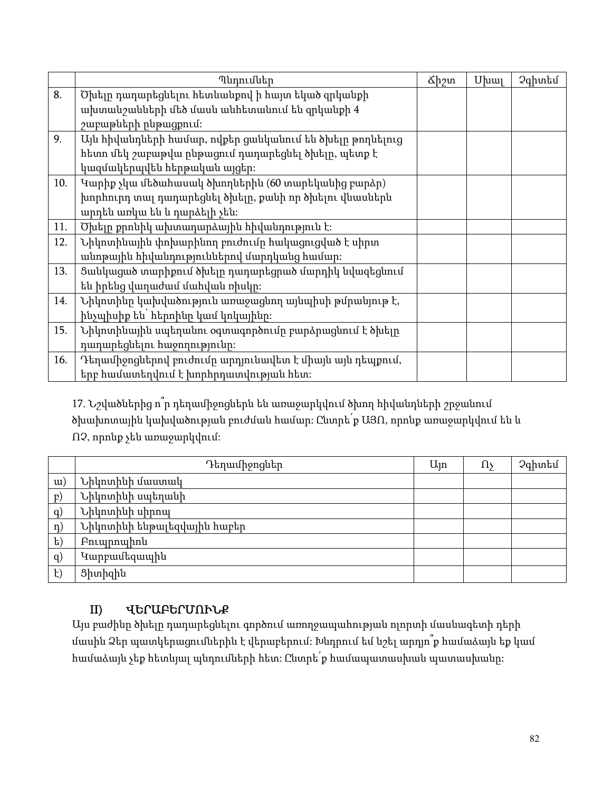|     | Պնդումներ                                                | &իշտ | $U$ u $\mu$ | Չգիտեմ |
|-----|----------------------------------------------------------|------|-------------|--------|
| 8.  | Ծխելը դադարեցնելու հետևանքով ի հայտ եկած զրկանքի         |      |             |        |
|     | ախտանշանների մեծ մասն անհետանում են զրկանքի 4            |      |             |        |
|     | շաբաթների ընթացքում։                                     |      |             |        |
| 9.  | Այն հիվանդների համար, ովքեր ցանկանում են ծխելը թողնելուց |      |             |        |
|     | հետո մեկ շաբաթվա ընթացում դադարեցնել ծխելը, պետք է       |      |             |        |
|     | կազմակերպվեն հերթական այցեր։                             |      |             |        |
| 10. | Կարիք չկա մեծահասակ ծխողներին (60 տարեկանից բարձր)       |      |             |        |
|     | խորհուրդ տալ դադարեցնել ծխելը, քանի որ ծխելու վնասներն   |      |             |        |
|     | արդեն առկա են և դարձելի չեն։                             |      |             |        |
| 11. | Ծխելը քրոնիկ ախտադարձային հիվանդություն է։               |      |             |        |
| 12. | Նիկոտինային փոխարինող բուժումը հակացուցված է սիրտ        |      |             |        |
|     | անոթային հիվանդություններով մարդկանց համար։              |      |             |        |
| 13. | Ցանկացած տարիքում ծխելը դադարեցրած մարդիկ նվազեցնում     |      |             |        |
|     | են իրենց վաղաժամ մահվան ռիսկը։                           |      |             |        |
| 14. | Նիկոտինը կախվածություն առաջացնող այնպիսի թմրանյութ է,    |      |             |        |
|     | ինչպիսիք են` հերոինը կամ կոկայինը։                       |      |             |        |
| 15. | Նիկոտինային սպեղանու օգտագործումը բարձրացնում է ծխելը    |      |             |        |
|     | դադարեցնելու հաջողությունը։                              |      |             |        |
| 16. | Դեղամիջոցներով բուժումը արդյունավետ է միայն այն դեպքում, |      |             |        |
|     | երբ համատեղվում է խորհրդատվության հետ։                   |      |             |        |

17. Նշվածներից ո՞ր դեղամիջոցներն են առաջարկվում ծխող հիվանդների շրջանում ծխախոտային կախվածության բուժման համար: Ընտրե՛ք ԱՅՈ, որոնք առաջարկվում են և ՈՉ, որոնք չեն առաջարկվում:

|              | Դեղամիջոցներ                | $U_{\parallel}$ n | 1ls | Չգիտեմ |
|--------------|-----------------------------|-------------------|-----|--------|
| u)           | Նիկոտինի մաստակ             |                   |     |        |
| $\mathbf{P}$ | Նիկոտինի սպեղանի            |                   |     |        |
| q)           | Նիկոտինի սիրոպ              |                   |     |        |
| $\eta$ )     | Նիկոտինի ենթալեզվային հաբեր |                   |     |        |
| $\mathrm{t}$ | <b>Բուպրոպիոն</b>           |                   |     |        |
| q)           | Կարբամեզապին                |                   |     |        |
| $\ddagger)$  | Ցիտիզին                     |                   |     |        |

## II) ՎԵՐԱԲԵՐՄՈՒՆՔ

Այս բաժինը ծխելը դադարեցնելու գործում առողջապահության ոլորտի մասնագետի դերի մասին Ձեր պատկերացումներին է վերաբերում: Խնդրում եմ նշել արդյո՞ք համաձայն եք կամ համաձայն չեք հետևյալ պնդումների հետ: Ընտրե՛ք համապատասխան պատասխանը: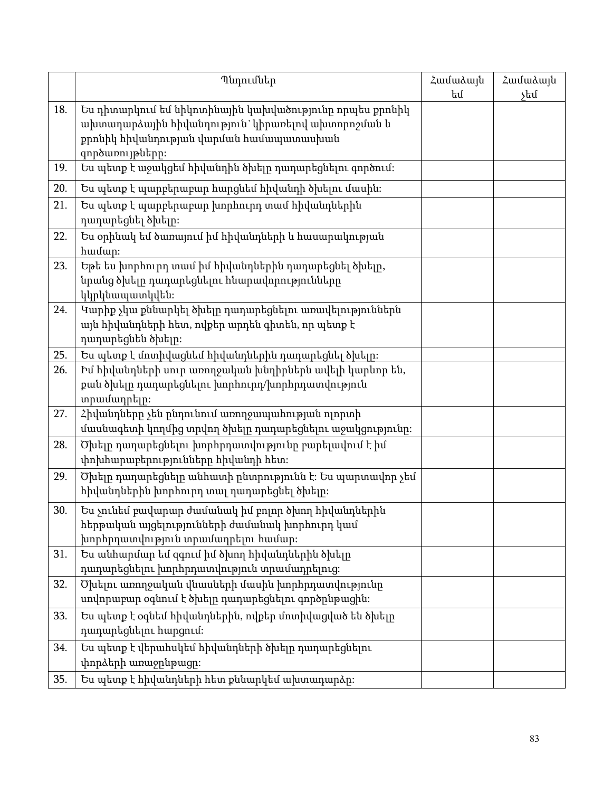|     | Պնդումներ                                                                                                                                                                   | Համաձայն<br>եմ | Համաձայն<br>չեմ |
|-----|-----------------------------------------------------------------------------------------------------------------------------------------------------------------------------|----------------|-----------------|
| 18. | Ես դիտարկում եմ նիկոտինային կախվածությունը որպես քրոնիկ<br>ախտադարձային հիվանդություն` կիրառելով ախտորոշման և<br>քրոնիկ հիվանդության վարման համապատասխան<br>գործառույթները։ |                |                 |
| 19. | Ես պետք է աջակցեմ հիվանդին ծխելը դադարեցնելու գործում։                                                                                                                      |                |                 |
| 20. | Ես պետք է պարբերաբար հարցնեմ հիվանդի ծխելու մասին։                                                                                                                          |                |                 |
| 21. | Ես պետք է պարբերաբար խորհուրդ տամ հիվանդներին<br>դադարեցնել ծխելը։                                                                                                          |                |                 |
| 22. | Ես օրինակ եմ ծառայում իմ հիվանդների և հասարակության<br>hwuup:                                                                                                               |                |                 |
| 23. | Եթե ես խորհուրդ տամ իմ հիվանդներին դադարեցնել ծխելը,<br>նրանց ծխելը դադարեցնելու հնարավորությունները<br>կկրկնապատկվեն։                                                      |                |                 |
| 24. | Կարիք չկա քննարկել ծխելը դադարեցնելու առավելություններն<br>այն հիվանդների հետ, ովքեր արդեն գիտեն, որ պետք է<br>դադարեցնեն ծխելը։                                            |                |                 |
| 25. | Ես պետք է մոտիվացնեմ հիվանդներին դադարեցնել ծխելը։                                                                                                                          |                |                 |
| 26. | Իմ հիվանդների սուր առողջական խնդիրներն ավելի կարևոր են,<br>քան ծխելը դադարեցնելու խորհուրդ/խորհրդատվություն<br>տրամադրելը։                                                  |                |                 |
| 27. | Հիվանդները չեն ընդունում առողջապահության ոլորտի<br>մասնագետի կողմից տրվող ծխելը դադարեցնելու աջակցությունը։                                                                 |                |                 |
| 28. | Ծխելը դադարեցնելու խորհրդատվությունը բարելավում է իմ<br>փոխհարաբերությունները հիվանդի հետ։                                                                                  |                |                 |
| 29. | Ծխելը դադարեցնելը անհատի ընտրությունն է։ Ես պարտավոր չեմ<br>հիվանդներին խորհուրդ տալ դադարեցնել ծխելը։                                                                      |                |                 |
| 30. | Ես չունեմ բավարար ժամանակ իմ բոլոր ծխող հիվանդներին<br>հերթական այցելությունների ժամանակ խորհուրդ կամ<br>խորհրդատվություն տրամադրելու համար։                                |                |                 |
| 31. | Ես անհարմար եմ զգում իմ ծխող հիվանդներին ծխելը<br>դադարեցնելու խորհրդատվություն տրամադրելուց։                                                                               |                |                 |
| 32. | Ծխելու առողջական վնասների մասին խորհրդատվությունը<br>սովորաբար օգնում է ծխելը դադարեցնելու գործընթացին։                                                                     |                |                 |
| 33. | Ես պետք է օգնեմ հիվանդներին, ովքեր մոտիվացված են ծխելը<br>դադարեցնելու հարցում։                                                                                             |                |                 |
| 34. | Ես պետք է վերահսկեմ հիվանդների ծխելը դադարեցնելու                                                                                                                           |                |                 |
|     | փորձերի առաջընթացը։                                                                                                                                                         |                |                 |
| 35. | Ես պետք է հիվանդների հետ քննարկեմ ախտադարձը։                                                                                                                                |                |                 |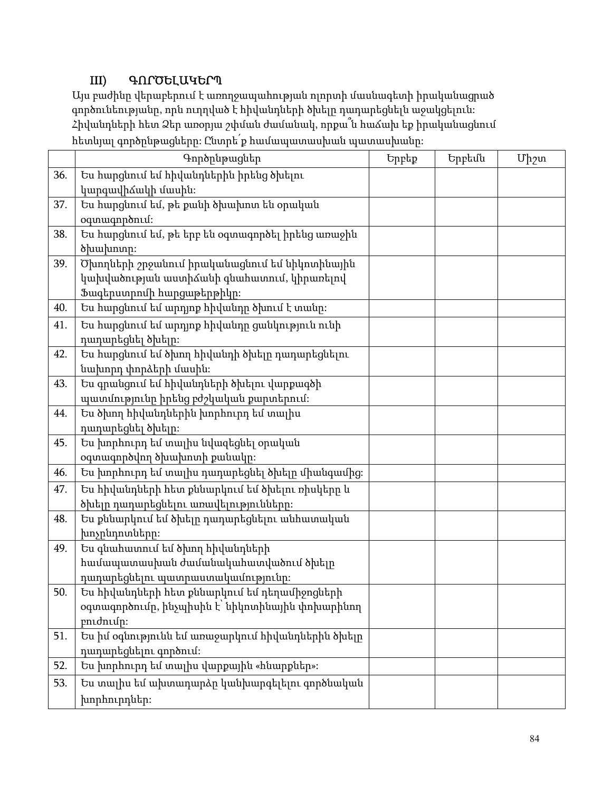## III) ԳՈՐԾԵԼԱԿԵՐՊ

Այս բաժինը վերաբերում է առողջապահության ոլորտի մասնագետի իրականացրած գործունեությանը, որն ուղղված է հիվանդների ծխելը դադարեցնելն աջակցելուն: Հիվանդների հետ Ձեր առօրյա շփման ժամանակ, որքա՞ն հաճախ եք իրականացնում հետևյալ գործընթացները: Ընտրե՛ք համապատասխան պատասխանը:

|     | Գործրնթացներ                                      | Երբեք | Երբեմն | $U_1$ 2m |
|-----|---------------------------------------------------|-------|--------|----------|
| 36. | Ես հարցնում եմ հիվանդներին իրենց ծխելու           |       |        |          |
|     | կարգավիձակի մասին։                                |       |        |          |
| 37. | Ես հարցնում եմ, թե քանի ծխախոտ են օրական          |       |        |          |
|     | oqunwqnponLu:                                     |       |        |          |
| 38. | Ես հարցնում եմ, թե երբ են օգտագործել իրենց առաջին |       |        |          |
|     | ծխախոտր։                                          |       |        |          |
| 39. | Ծխողների շրջանում իրականացնում եմ նիկոտինային     |       |        |          |
|     | կախվածության աստիձանի գնահատում, կիրառելով        |       |        |          |
|     | Ֆագերստրոմի հարցաթերթիկը։                         |       |        |          |
| 40. | Ես հարցնում եմ արդյոք հիվանդր ծխում է տանր։       |       |        |          |
| 41. | Ես հարցնում եմ արդյոք հիվանդը ցանկություն ունի    |       |        |          |
|     | դադարեցնել ծխելը։                                 |       |        |          |
| 42. | Ես հարցնում եմ ծխող հիվանդի ծխելը դադարեցնելու    |       |        |          |
|     | նախորդ փորձերի մասին։                             |       |        |          |
| 43. | Ես գրանցում եմ հիվանդների ծխելու վարքագծի         |       |        |          |
|     | պատմությունը իրենց բժշկական քարտերում։            |       |        |          |
| 44. | Ես ծխող հիվանդներին խորհուրդ եմ տալիս             |       |        |          |
|     | դադարեցնել ծխելը։                                 |       |        |          |
| 45. | Ես խորհուրդ եմ տալիս նվազեցնել օրական             |       |        |          |
|     | օգտագործվող ծխախոտի քանակը։                       |       |        |          |
| 46. | Ես խորհուրդ եմ տալիս դադարեցնել ծխելը միանգամից։  |       |        |          |
| 47. | Ես հիվանդների հետ քննարկում եմ ծխելու ռիսկերը և   |       |        |          |
|     | ծխելը դադարեցնելու առավելությունները։             |       |        |          |
| 48. | Ես քննարկում եմ ծխելը դադարեցնելու անհատական      |       |        |          |
|     | խոչընդոտները։                                     |       |        |          |
| 49. | Ես գնահատում եմ ծխող հիվանդների                   |       |        |          |
|     | համապատասխան ժամանակահատվածում ծխելը              |       |        |          |
|     | դադարեցնելու պատրաստակամությունը։                 |       |        |          |
| 50. | Ես հիվանդների հետ քննարկում եմ դեղամիջոցների      |       |        |          |
|     | օգտագործումը, ինչպիսին է՝ նիկոտինային փոխարինող   |       |        |          |
|     | բուժումը։                                         |       |        |          |
| 51. | Ես իմ օգնությունն եմ առաջարկում հիվանդներին ծխելը |       |        |          |
|     | դադարեցնելու գործում։                             |       |        |          |
| 52. | Ես խորհուրդ եմ տալիս վարքային «հնարքներ»։         |       |        |          |
| 53. | Ես տալիս եմ ախտադարձը կանխարգելելու գործնական     |       |        |          |
|     | խորհուրդներ։                                      |       |        |          |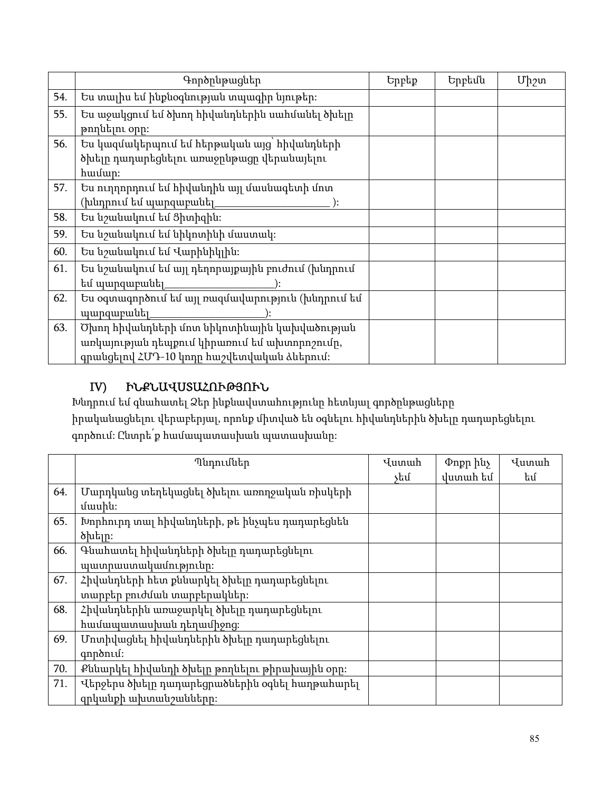|     | Գործընթացներ                                      | Երբեք | Երբեմն | $Up_2$ un |
|-----|---------------------------------------------------|-------|--------|-----------|
| 54. | Ես տալիս եմ ինքնօգնության տպագիր նյութեր։         |       |        |           |
| 55. | Ես աջակցում եմ ծխող հիվանդներին սահմանել ծխելը    |       |        |           |
|     | թողնելու օրը։                                     |       |        |           |
| 56. | Ես կազմակերպում եմ հերթական այց՝ հիվանդների       |       |        |           |
|     | ծխելը դադարեցնելու առաջընթացը վերանայելու         |       |        |           |
|     | hամար։                                            |       |        |           |
| 57. | Ես ուղղորդում եմ հիվանդին այլ մասնագետի մոտ       |       |        |           |
|     | (խնդրում եմ պարզաբանել_                           |       |        |           |
| 58. | Ես նշանակում եմ Ցիտիզին։                          |       |        |           |
| 59. | Ես նշանակում եմ նիկոտինի մաստակ։                  |       |        |           |
| 60. | Ես նշանակում եմ Վարինիկլին։                       |       |        |           |
| 61. | Ես նշանակում եմ այլ դեղորայքային բուժում (խնդրում |       |        |           |
|     | եմ պարզաբանել                                     |       |        |           |
| 62. | Ես օգտագործում եմ այլ ռազմավարություն (խնդրում եմ |       |        |           |
|     | <u>պարզաբանել</u>                                 |       |        |           |
| 63. | Ծխող հիվանդների մոտ նիկոտինային կախվածության      |       |        |           |
|     | առկայության դեպքում կիրառում եմ ախտորոշումը,      |       |        |           |
|     | գրանցելով ՀՄԴ-10 կոդը հաշվետվական ձևերում։        |       |        |           |

## IV) ԻՆՔՆԱՎՍՏԱՀՈՒԹՅՈՒՆ

Խնդրում եմ գնահատել Ձեր ինքնավստահությունը հետևյալ գործընթացները իրականացնելու վերաբերյալ, որոնք միտված են օգնելու հիվանդներին ծխելը դադարեցնելու գործում: Ընտրե՛ք համապատասխան պատասխանը:

|     | Պնդումներ                                      | Վստահ | Փոքր ինչ | Վստահ |
|-----|------------------------------------------------|-------|----------|-------|
|     |                                                | չեմ   | վստահ եմ | եմ    |
| 64. | Մարդկանց տեղեկացնել ծխելու առողջական ռիսկերի   |       |          |       |
|     | մասին։                                         |       |          |       |
| 65. | Խորհուրդ տալ հիվանդների, թե ինչպես դադարեցնեն  |       |          |       |
|     | ծխելը։                                         |       |          |       |
| 66. | Գնահատել հիվանդների ծխելը դադարեցնելու         |       |          |       |
|     | պատրաստակամությունը։                           |       |          |       |
| 67. | Հիվանդների հետ քննարկել ծխելը դադարեցնելու     |       |          |       |
|     | տարբեր բուժման տարբերակներ։                    |       |          |       |
| 68. | Հիվանդներին առաջարկել ծխելը դադարեցնելու       |       |          |       |
|     | համապատասխան դեղամիջոց։                        |       |          |       |
| 69. | Մոտիվացնել հիվանդներին ծխելը դադարեցնելու      |       |          |       |
|     | qnponlu:                                       |       |          |       |
| 70. | Քննարկել հիվանդի ծխելը թողնելու թիրախային օրը։ |       |          |       |
| 71. | Վերջերս ծխելը դադարեցրածներին օգնել հաղթահարել |       |          |       |
|     | զրկանքի ախտանշանները։                          |       |          |       |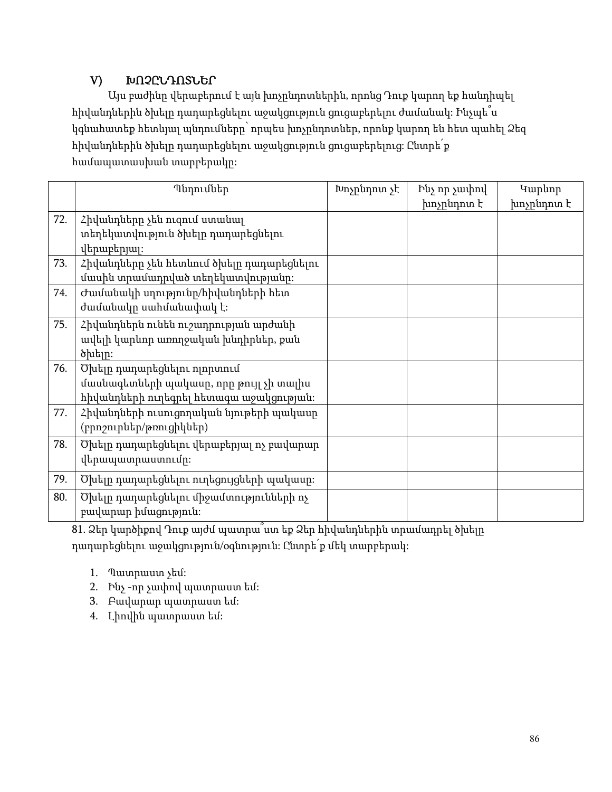## V) ԽՈՉԸՆԴՈՏՆԵՐ

Այս բաժինը վերաբերում է այն խոչընդոտներին, որոնց Դուք կարող եք հանդիպել հիվանդներին ծխելը դադարեցնելու աջակցություն ցուցաբերելու ժամանակ: Ինչպե՞ս կգնահատեք հետևյալ պնդումները՝ որպես խոչընդոտներ, որոնք կարող են հետ պահել Ձեզ հիվանդներին ծխելը դադարեցնելու աջակցություն ցուցաբերելուց: Ընտրե՛ք համապատասխան տարբերակը:

|     | Պնդումներ                                                                                                         | Խոչընդոտ չէ | Ինչ որ չափով<br>խոչընդոտ է | Կարևոր<br>խոչընդոտ է |
|-----|-------------------------------------------------------------------------------------------------------------------|-------------|----------------------------|----------------------|
| 72. | Հիվանդները չեն ուզում ստանալ<br>տեղեկատվություն ծխելը դադարեցնելու<br><u>վերաբերյալ</u> ։                         |             |                            |                      |
| 73. | Հիվանդները չեն հետևում ծխելը դադարեցնելու<br>մասին տրամադրված տեղեկատվությանը։                                    |             |                            |                      |
| 74. | Ժամանակի սղությունը/հիվանդների հետ<br>ժամանակը սահմանափակ է։                                                      |             |                            |                      |
| 75. | Հիվանդներն ունեն ուշադրության արժանի<br>ավելի կարևոր առողջական խնդիրներ, քան<br>ծխելը։                            |             |                            |                      |
| 76. | Ծխելը դադարեցնելու ոլորտում<br>մասնագետների պակասը, որը թույլ չի տալիս<br>հիվանդների ուղեգրել հետագա աջակցության։ |             |                            |                      |
| 77. | Հիվանդների ուսուցողական նյութերի պակասը<br>(բրոշուրներ/թռուցիկներ)                                                |             |                            |                      |
| 78. | Ծխելը դադարեցնելու վերաբերյալ ոչ բավարար<br>վերապատրաստումը։                                                      |             |                            |                      |
| 79. | Ծխելը դադարեցնելու ուղեցույցների պակասը։                                                                          |             |                            |                      |
| 80. | Ծխելը դադարեցնելու միջամտությունների ոչ<br>բավարար իմացություն։                                                   |             |                            |                      |

81. Ձեր կարծիքով Դուք այժմ պատրա՞ստ եք Ձեր հիվանդներին տրամադրել ծխելը

դադարեցնելու աջակցություն/օգնություն: Ընտրե՛ք մեկ տարբերակ:

- 1. Պատրաստ չեմ:
- 2. Ինչ -որ չափով պատրաստ եմ:
- 3. Բավարար պատրաստ եմ:
- 4. Լիովին պատրաստ եմ: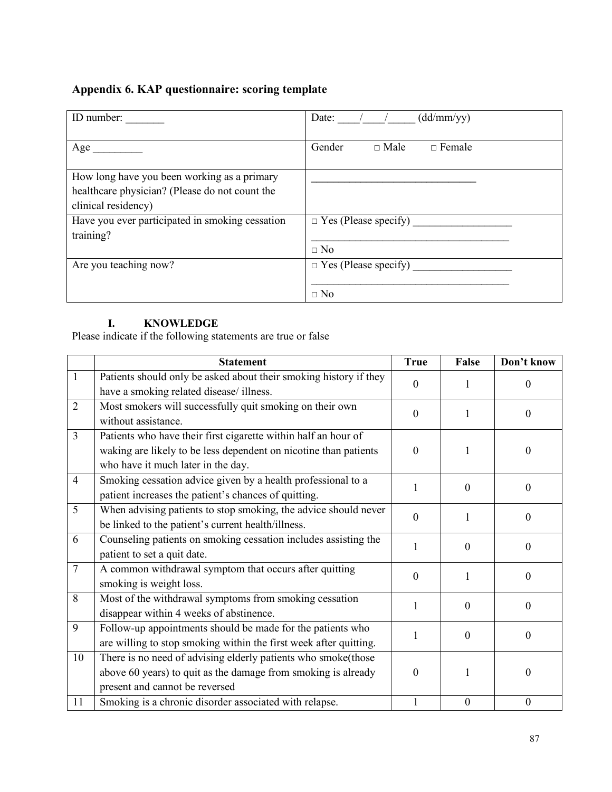## Appendix 6. KAP questionnaire: scoring template

| ID number:                                      | (dd/mm/yy)<br>Date:                    |
|-------------------------------------------------|----------------------------------------|
| Age                                             | Gender<br>$\Box$ Female<br>$\Box$ Male |
| How long have you been working as a primary     |                                        |
| healthcare physician? (Please do not count the  |                                        |
| clinical residency)                             |                                        |
| Have you ever participated in smoking cessation | $\Box$ Yes (Please specify)            |
| training?                                       |                                        |
|                                                 | $\Box$ No                              |
| Are you teaching now?                           | $\Box$ Yes (Please specify)            |
|                                                 |                                        |
|                                                 | $\Box$ No                              |

#### I. KNOWLEDGE

Please indicate if the following statements are true or false

|                | <b>Statement</b>                                                  | <b>True</b>  | False            | Don't know       |
|----------------|-------------------------------------------------------------------|--------------|------------------|------------------|
| $\mathbf{1}$   | Patients should only be asked about their smoking history if they | $\mathbf{0}$ |                  | $\mathbf{0}$     |
|                | have a smoking related disease/illness.                           |              | 1                |                  |
| $\overline{2}$ | Most smokers will successfully quit smoking on their own          | $\theta$     | 1                | $\theta$         |
|                | without assistance.                                               |              |                  |                  |
| $\overline{3}$ | Patients who have their first cigarette within half an hour of    |              |                  |                  |
|                | waking are likely to be less dependent on nicotine than patients  | $\mathbf{0}$ |                  | $\mathbf{0}$     |
|                | who have it much later in the day.                                |              |                  |                  |
| $\overline{4}$ | Smoking cessation advice given by a health professional to a      | 1            | $\mathbf{0}$     | $\mathbf{0}$     |
|                | patient increases the patient's chances of quitting.              |              |                  |                  |
| 5              | When advising patients to stop smoking, the advice should never   | $\mathbf{0}$ | 1                | $\mathbf{0}$     |
|                | be linked to the patient's current health/illness.                |              |                  |                  |
| 6              | Counseling patients on smoking cessation includes assisting the   | 1            | $\theta$         | $\Omega$         |
|                | patient to set a quit date.                                       |              |                  |                  |
| $\overline{7}$ | A common withdrawal symptom that occurs after quitting            | $\Omega$     | 1                | $\Omega$         |
|                | smoking is weight loss.                                           |              |                  |                  |
| 8              | Most of the withdrawal symptoms from smoking cessation            | 1            | $\mathbf{0}$     | $\theta$         |
|                | disappear within 4 weeks of abstinence.                           |              |                  |                  |
| 9              | Follow-up appointments should be made for the patients who        |              | $\mathbf{0}$     | $\mathbf{0}$     |
|                | are willing to stop smoking within the first week after quitting. |              |                  |                  |
| 10             | There is no need of advising elderly patients who smoke(those     |              |                  |                  |
|                | above 60 years) to quit as the damage from smoking is already     | $\theta$     |                  | $\mathbf{0}$     |
|                | present and cannot be reversed                                    |              |                  |                  |
| 11             | Smoking is a chronic disorder associated with relapse.            | $\mathbf{1}$ | $\boldsymbol{0}$ | $\boldsymbol{0}$ |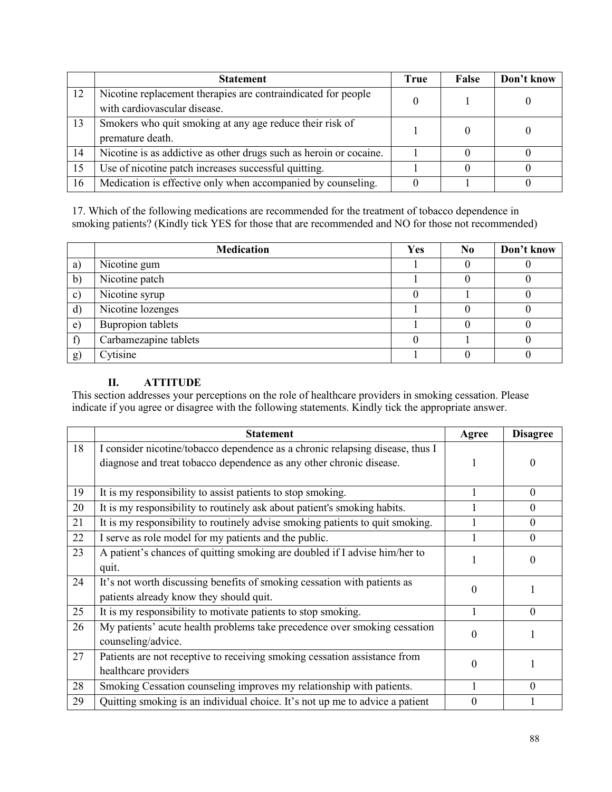|    | <b>Statement</b>                                                   | True | False | Don't know |
|----|--------------------------------------------------------------------|------|-------|------------|
| 12 | Nicotine replacement therapies are contraindicated for people      |      |       |            |
|    | with cardiovascular disease.                                       |      |       |            |
| 13 | Smokers who quit smoking at any age reduce their risk of           |      |       |            |
|    | premature death.                                                   |      |       |            |
| 14 | Nicotine is as addictive as other drugs such as heroin or cocaine. |      |       |            |
| 15 | Use of nicotine patch increases successful quitting.               |      |       |            |
| 16 | Medication is effective only when accompanied by counseling.       |      |       |            |

17. Which of the following medications are recommended for the treatment of tobacco dependence in smoking patients? (Kindly tick YES for those that are recommended and NO for those not recommended)

|               | <b>Medication</b>        | Yes | N <sub>0</sub> | Don't know |
|---------------|--------------------------|-----|----------------|------------|
| a)            | Nicotine gum             |     |                |            |
| $\mathbf{b}$  | Nicotine patch           |     |                |            |
| $\mathbf{c})$ | Nicotine syrup           |     |                |            |
| $\mathbf{d}$  | Nicotine lozenges        |     |                |            |
| e)            | <b>Bupropion tablets</b> |     |                |            |
| f             | Carbamezapine tablets    |     |                |            |
| g)            | Cytisine                 |     |                |            |

#### II. ATTITUDE

This section addresses your perceptions on the role of healthcare providers in smoking cessation. Please indicate if you agree or disagree with the following statements. Kindly tick the appropriate answer.

|    | <b>Statement</b>                                                                                                                                     | Agree    | <b>Disagree</b> |
|----|------------------------------------------------------------------------------------------------------------------------------------------------------|----------|-----------------|
| 18 | I consider nicotine/tobacco dependence as a chronic relapsing disease, thus I<br>diagnose and treat tobacco dependence as any other chronic disease. |          | $\theta$        |
| 19 | It is my responsibility to assist patients to stop smoking.                                                                                          |          | $\Omega$        |
| 20 | It is my responsibility to routinely ask about patient's smoking habits.                                                                             |          | $\theta$        |
| 21 | It is my responsibility to routinely advise smoking patients to quit smoking.                                                                        |          | $\theta$        |
| 22 | I serve as role model for my patients and the public.                                                                                                |          | $\theta$        |
| 23 | A patient's chances of quitting smoking are doubled if I advise him/her to<br>quit.                                                                  |          | $\Omega$        |
| 24 | It's not worth discussing benefits of smoking cessation with patients as<br>patients already know they should quit.                                  | $\theta$ |                 |
| 25 | It is my responsibility to motivate patients to stop smoking.                                                                                        |          | $\Omega$        |
| 26 | My patients' acute health problems take precedence over smoking cessation<br>counseling/advice.                                                      | $\Omega$ |                 |
| 27 | Patients are not receptive to receiving smoking cessation assistance from<br>healthcare providers                                                    | $\Omega$ |                 |
| 28 | Smoking Cessation counseling improves my relationship with patients.                                                                                 |          | $\Omega$        |
| 29 | Quitting smoking is an individual choice. It's not up me to advice a patient                                                                         | 0        |                 |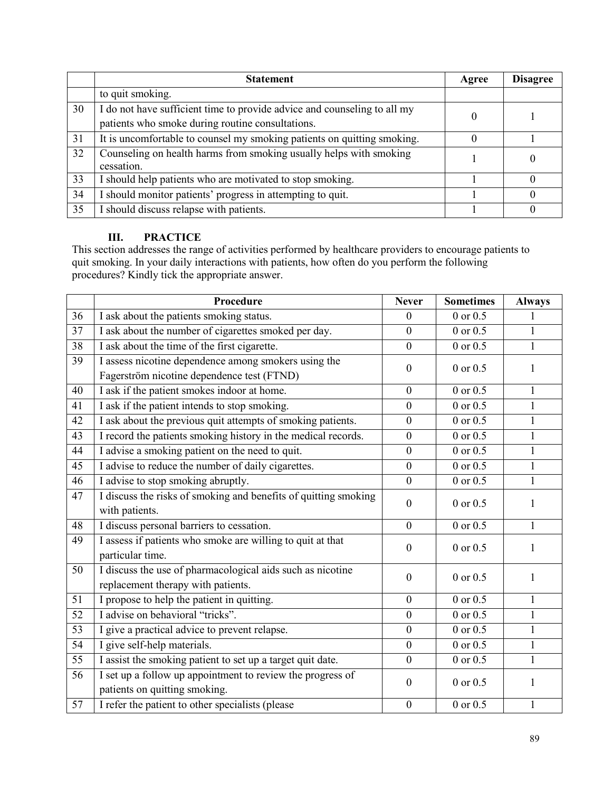|    | <b>Statement</b>                                                                                                             | Agree | <b>Disagree</b> |
|----|------------------------------------------------------------------------------------------------------------------------------|-------|-----------------|
|    | to quit smoking.                                                                                                             |       |                 |
| 30 | I do not have sufficient time to provide advice and counseling to all my<br>patients who smoke during routine consultations. |       |                 |
| 31 | It is uncomfortable to counsel my smoking patients on quitting smoking.                                                      |       |                 |
| 32 | Counseling on health harms from smoking usually helps with smoking<br>cessation.                                             |       | $\Omega$        |
| 33 | I should help patients who are motivated to stop smoking.                                                                    |       | $\theta$        |
| 34 | I should monitor patients' progress in attempting to quit.                                                                   |       | $\Omega$        |
| 35 | I should discuss relapse with patients.                                                                                      |       | $\Omega$        |

#### III. PRACTICE

This section addresses the range of activities performed by healthcare providers to encourage patients to quit smoking. In your daily interactions with patients, how often do you perform the following procedures? Kindly tick the appropriate answer.

|    | Procedure                                                       | <b>Never</b>     | <b>Sometimes</b> | <b>Always</b> |
|----|-----------------------------------------------------------------|------------------|------------------|---------------|
| 36 | I ask about the patients smoking status.                        | $\overline{0}$   | $0$ or $0.5$     | 1             |
| 37 | I ask about the number of cigarettes smoked per day.            | $\overline{0}$   | $0$ or $0.5$     | $\mathbf{1}$  |
| 38 | I ask about the time of the first cigarette.                    | $\mathbf{0}$     | $0$ or $0.5$     | $\mathbf{1}$  |
| 39 | I assess nicotine dependence among smokers using the            | $\overline{0}$   | $0$ or $0.5$     | 1             |
|    | Fagerström nicotine dependence test (FTND)                      |                  |                  |               |
| 40 | I ask if the patient smokes indoor at home.                     | $\mathbf{0}$     | $0$ or $0.5$     | $\mathbf{1}$  |
| 41 | I ask if the patient intends to stop smoking.                   | $\mathbf{0}$     | $0$ or $0.5$     | $\mathbf{1}$  |
| 42 | I ask about the previous quit attempts of smoking patients.     | $\mathbf{0}$     | $0$ or $0.5$     | $\mathbf{1}$  |
| 43 | I record the patients smoking history in the medical records.   | $\boldsymbol{0}$ | $0$ or $0.5$     | $\mathbf{1}$  |
| 44 | I advise a smoking patient on the need to quit.                 | $\mathbf{0}$     | $0$ or $0.5$     | $\mathbf{1}$  |
| 45 | I advise to reduce the number of daily cigarettes.              | $\mathbf{0}$     | $0$ or $0.5$     | $\mathbf{1}$  |
| 46 | I advise to stop smoking abruptly.                              | $\overline{0}$   | $0$ or $0.5$     | $\mathbf{1}$  |
| 47 | I discuss the risks of smoking and benefits of quitting smoking | $\mathbf{0}$     | 0 or 0.5         | 1             |
|    | with patients.                                                  |                  |                  |               |
| 48 | I discuss personal barriers to cessation.                       | $\overline{0}$   | $0$ or $0.5$     | $\mathbf{1}$  |
| 49 | I assess if patients who smoke are willing to quit at that      | $\overline{0}$   | $0$ or $0.5$     | 1             |
|    | particular time.                                                |                  |                  |               |
| 50 | I discuss the use of pharmacological aids such as nicotine      | $\overline{0}$   | $0$ or $0.5$     | 1             |
|    | replacement therapy with patients.                              |                  |                  |               |
| 51 | I propose to help the patient in quitting.                      | $\mathbf{0}$     | $0$ or $0.5$     | $\mathbf{1}$  |
| 52 | I advise on behavioral "tricks".                                | $\mathbf{0}$     | $0$ or $0.5$     | $\mathbf{1}$  |
| 53 | I give a practical advice to prevent relapse.                   | $\boldsymbol{0}$ | $0$ or $0.5$     | $\mathbf{1}$  |
| 54 | I give self-help materials.                                     | $\mathbf{0}$     | $0$ or $0.5$     | $\mathbf{1}$  |
| 55 | I assist the smoking patient to set up a target quit date.      | $\mathbf{0}$     | 0 or 0.5         | $\mathbf{1}$  |
| 56 | I set up a follow up appointment to review the progress of      | $\mathbf{0}$     | 0 or 0.5         | 1             |
|    | patients on quitting smoking.                                   |                  |                  |               |
| 57 | I refer the patient to other specialists (please                | $\mathbf{0}$     | $0$ or $0.5$     | 1             |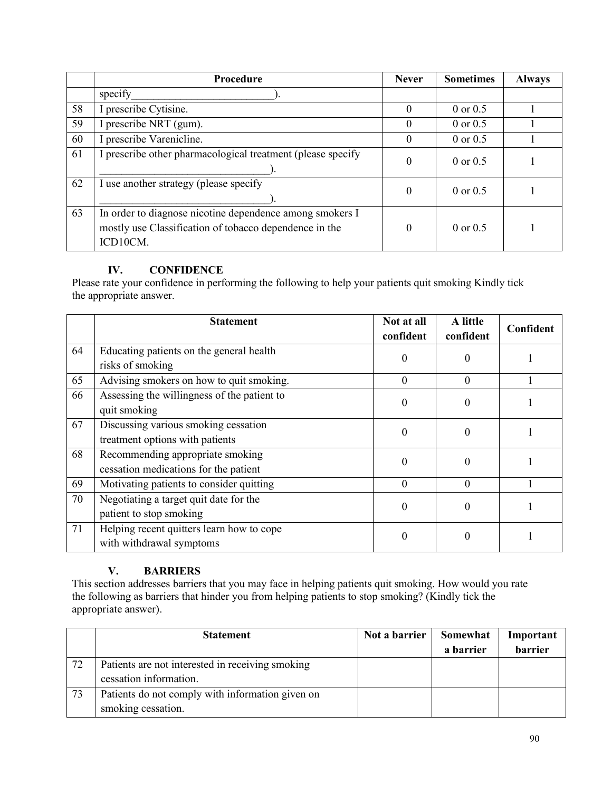|    | Procedure                                                                                                                      | <b>Never</b> | <b>Sometimes</b>    | <b>Always</b> |
|----|--------------------------------------------------------------------------------------------------------------------------------|--------------|---------------------|---------------|
|    | specify                                                                                                                        |              |                     |               |
| 58 | I prescribe Cytisine.                                                                                                          | 0            | $0$ or $0.5$        |               |
| 59 | I prescribe NRT (gum).                                                                                                         | $\theta$     | $0$ or $0.5$        |               |
| 60 | I prescribe Varenicline.                                                                                                       | $\theta$     | $0$ or $0.5$        |               |
| 61 | I prescribe other pharmacological treatment (please specify                                                                    | 0            | $0$ or $0.5$        |               |
| 62 | I use another strategy (please specify                                                                                         | $\Omega$     | $0$ or $0.5$        |               |
| 63 | In order to diagnose nicotine dependence among smokers I<br>mostly use Classification of tobacco dependence in the<br>ICD10CM. | 0            | $0 \text{ or } 0.5$ |               |

#### IV. CONFIDENCE

Please rate your confidence in performing the following to help your patients quit smoking Kindly tick the appropriate answer.

|    | <b>Statement</b>                                                          | Not at all<br>confident | A little<br>confident | Confident |
|----|---------------------------------------------------------------------------|-------------------------|-----------------------|-----------|
| 64 | Educating patients on the general health<br>risks of smoking              | $\Omega$                | $\theta$              |           |
| 65 | Advising smokers on how to quit smoking.                                  | $\Omega$                | $\Omega$              |           |
| 66 | Assessing the willingness of the patient to<br>quit smoking               | $\Omega$                | $\theta$              |           |
| 67 | Discussing various smoking cessation<br>treatment options with patients   | $\Omega$                | $\boldsymbol{0}$      |           |
| 68 | Recommending appropriate smoking<br>cessation medications for the patient | $\Omega$                | $\Omega$              |           |
| 69 | Motivating patients to consider quitting                                  | $\theta$                | $\Omega$              |           |
| 70 | Negotiating a target quit date for the<br>patient to stop smoking         | $\Omega$                | $\Omega$              |           |
| 71 | Helping recent quitters learn how to cope<br>with withdrawal symptoms     | $\theta$                | $\Omega$              |           |

#### V. BARRIERS

This section addresses barriers that you may face in helping patients quit smoking. How would you rate the following as barriers that hinder you from helping patients to stop smoking? (Kindly tick the appropriate answer).

|    | <b>Statement</b>                                 | Not a barrier | Somewhat  | Important |
|----|--------------------------------------------------|---------------|-----------|-----------|
|    |                                                  |               | a barrier | barrier   |
| 72 | Patients are not interested in receiving smoking |               |           |           |
|    | cessation information.                           |               |           |           |
| 73 | Patients do not comply with information given on |               |           |           |
|    | smoking cessation.                               |               |           |           |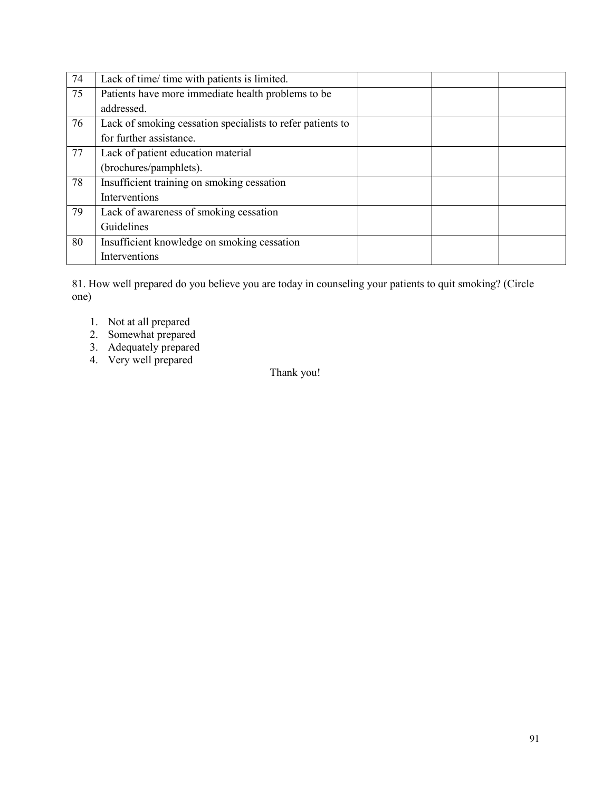| 74 | Lack of time/ time with patients is limited.               |  |  |
|----|------------------------------------------------------------|--|--|
| 75 | Patients have more immediate health problems to be         |  |  |
|    | addressed.                                                 |  |  |
| 76 | Lack of smoking cessation specialists to refer patients to |  |  |
|    | for further assistance.                                    |  |  |
| 77 | Lack of patient education material                         |  |  |
|    | (brochures/pamphlets).                                     |  |  |
| 78 | Insufficient training on smoking cessation                 |  |  |
|    | Interventions                                              |  |  |
| 79 | Lack of awareness of smoking cessation                     |  |  |
|    | Guidelines                                                 |  |  |
| 80 | Insufficient knowledge on smoking cessation                |  |  |
|    | Interventions                                              |  |  |

81. How well prepared do you believe you are today in counseling your patients to quit smoking? (Circle one)

- 1. Not at all prepared
- 2. Somewhat prepared
- 3. Adequately prepared
- 4. Very well prepared

Thank you!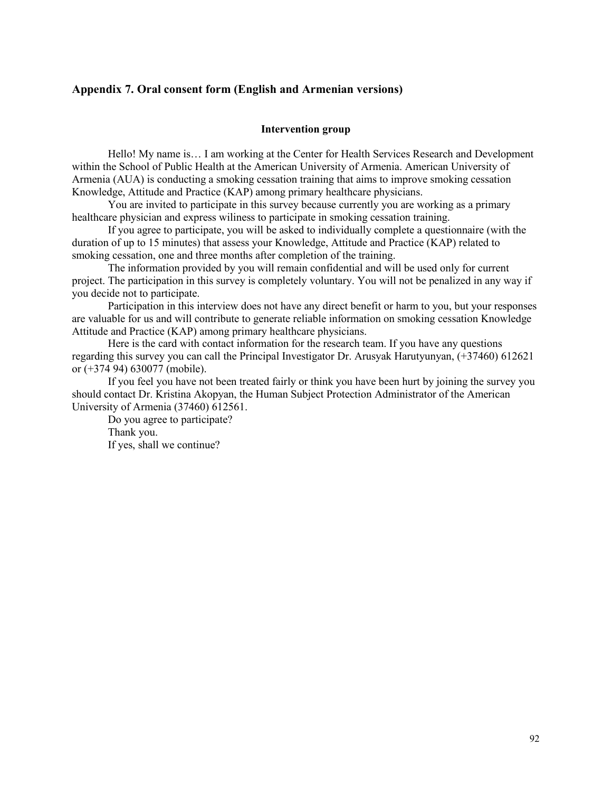#### Appendix 7. Oral consent form (English and Armenian versions)

#### Intervention group

Hello! My name is… I am working at the Center for Health Services Research and Development within the School of Public Health at the American University of Armenia. American University of Armenia (AUA) is conducting a smoking cessation training that aims to improve smoking cessation Knowledge, Attitude and Practice (KAP) among primary healthcare physicians.

You are invited to participate in this survey because currently you are working as a primary healthcare physician and express wiliness to participate in smoking cessation training.

If you agree to participate, you will be asked to individually complete a questionnaire (with the duration of up to 15 minutes) that assess your Knowledge, Attitude and Practice (KAP) related to smoking cessation, one and three months after completion of the training.

The information provided by you will remain confidential and will be used only for current project. The participation in this survey is completely voluntary. You will not be penalized in any way if you decide not to participate.

Participation in this interview does not have any direct benefit or harm to you, but your responses are valuable for us and will contribute to generate reliable information on smoking cessation Knowledge Attitude and Practice (KAP) among primary healthcare physicians.

Here is the card with contact information for the research team. If you have any questions regarding this survey you can call the Principal Investigator Dr. Arusyak Harutyunyan, (+37460) 612621 or (+374 94) 630077 (mobile).

If you feel you have not been treated fairly or think you have been hurt by joining the survey you should contact Dr. Kristina Akopyan, the Human Subject Protection Administrator of the American University of Armenia (37460) 612561.

Do you agree to participate? Thank you. If yes, shall we continue?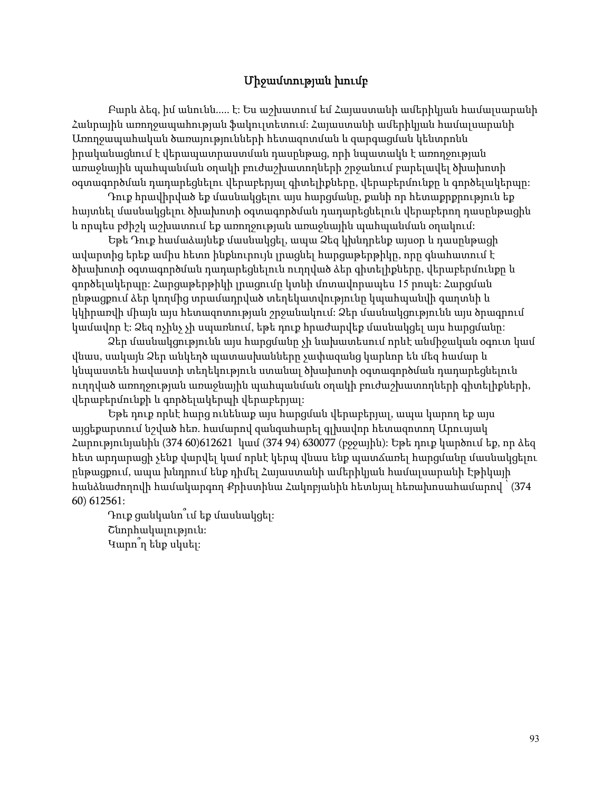#### Միջամտության խումբ

Բարև ձեզ, իմ անունն..... է: Ես աշխատում եմ Հայաստանի ամերիկյան համալսարանի Հանրային առողջապահության ֆակուլտետում: Հայաստանի ամերիկյան համալսարանի Առողջապահական ծառայությունների հետազոտման և զարգացման կենտրոնն իրականացնում է վերապատրաստման դասընթաց, որի նպատակն է առողջության առաջնային պահպանման օղակի բուժաշխատողների շրջանում բարելավել ծխախոտի օգտագործման դադարեցնելու վերաբերյալ գիտելիքները, վերաբերմունքը և գործելակերպը:

Դուք հրավիրված եք մասնակցելու այս հարցմանը, քանի որ հետաքրքրություն եք հայտնել մասնակցելու ծխախոտի օգտագործման դադարեցնելուն վերաբերող դասընթացին և որպես բժիշկ աշխատում եք առողջության առաջնային պահպանման օղակում:

Եթե Դուք համաձայնեք մասնակցել, ապա Ձեզ կխնդրենք այսօր և դասընթացի ավարտից երեք ամիս հետո ինքնուրույն լրացնել հարցաթերթիկը, որը գնահատում է ծխախոտի օգտագործման դադարեցնելուն ուղղված ձեր գիտելիքները, վերաբերմունքը և գործելակերպը: Հարցաթերթիկի լրացումը կտևի մոտավորապես 15 րոպե: Հարցման ընթացքում ձեր կողմից տրամադրված տեղեկատվությունը կպահպանվի գաղտնի և կկիրառվի միայն այս հետազոտության շրջանակում: Ձեր մասնակցությունն այս ծրագրում կամավոր է: Ձեզ ոչինչ չի սպառնում, եթե դուք հրաժարվեք մասնակցել այս հարցմանը:

Ձեր մասնակցությունն այս հարցմանը չի նախատեսում որևէ անմիջական օգուտ կամ վնաս, սակայն Ձեր անկեղծ պատասխանները չափազանց կարևոր են մեզ համար և կնպաստեն հավաստի տեղեկություն ստանալ ծխախոտի օգտագործման դադարեցնելուն ուղղված առողջության առաջնային պահպանման օղակի բուժաշխատողների գիտելիքների, վերաբերմունքի և գործելակերպի վերաբերյալ:

Եթե դուք որևէ հարց ունենաք այս հարցման վերաբերյալ, ապա կարող եք այս այցեքարտում նշված հեռ. համարով զանգահարել գլխավոր հետազոտող Արուսյակ Հարությունյանին (374 60)612621 կամ (374 94) 630077 (բջջային): Եթե դուք կարծում եք, որ ձեզ հետ արդարացի չենք վարվել կամ որևէ կերպ վնաս ենք պատճառել հարցմանը մասնակցելու ընթացքում, ապա խնդրում ենք դիմել Հայաստանի ամերիկյան համալսարանի Էթիկայի հանձնաժողովի համակարգող Քրիստինա Հակոբյանին հետևյալ հեռախոսահամարով ՝ (374 60) 612561:

Դուք ցանկանո՞ւմ եք մասնակցել: Շնորհակալություն: Կարո՞ղ ենք սկսել: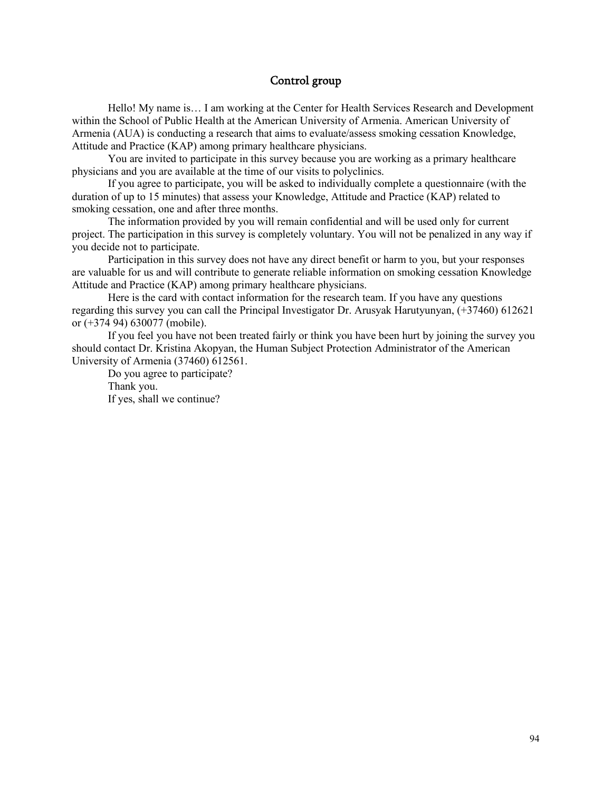#### Control group

Hello! My name is… I am working at the Center for Health Services Research and Development within the School of Public Health at the American University of Armenia. American University of Armenia (AUA) is conducting a research that aims to evaluate/assess smoking cessation Knowledge, Attitude and Practice (KAP) among primary healthcare physicians.

You are invited to participate in this survey because you are working as a primary healthcare physicians and you are available at the time of our visits to polyclinics.

If you agree to participate, you will be asked to individually complete a questionnaire (with the duration of up to 15 minutes) that assess your Knowledge, Attitude and Practice (KAP) related to smoking cessation, one and after three months.

The information provided by you will remain confidential and will be used only for current project. The participation in this survey is completely voluntary. You will not be penalized in any way if you decide not to participate.

Participation in this survey does not have any direct benefit or harm to you, but your responses are valuable for us and will contribute to generate reliable information on smoking cessation Knowledge Attitude and Practice (KAP) among primary healthcare physicians.

Here is the card with contact information for the research team. If you have any questions regarding this survey you can call the Principal Investigator Dr. Arusyak Harutyunyan, (+37460) 612621 or (+374 94) 630077 (mobile).

If you feel you have not been treated fairly or think you have been hurt by joining the survey you should contact Dr. Kristina Akopyan, the Human Subject Protection Administrator of the American University of Armenia (37460) 612561.

Do you agree to participate? Thank you. If yes, shall we continue?